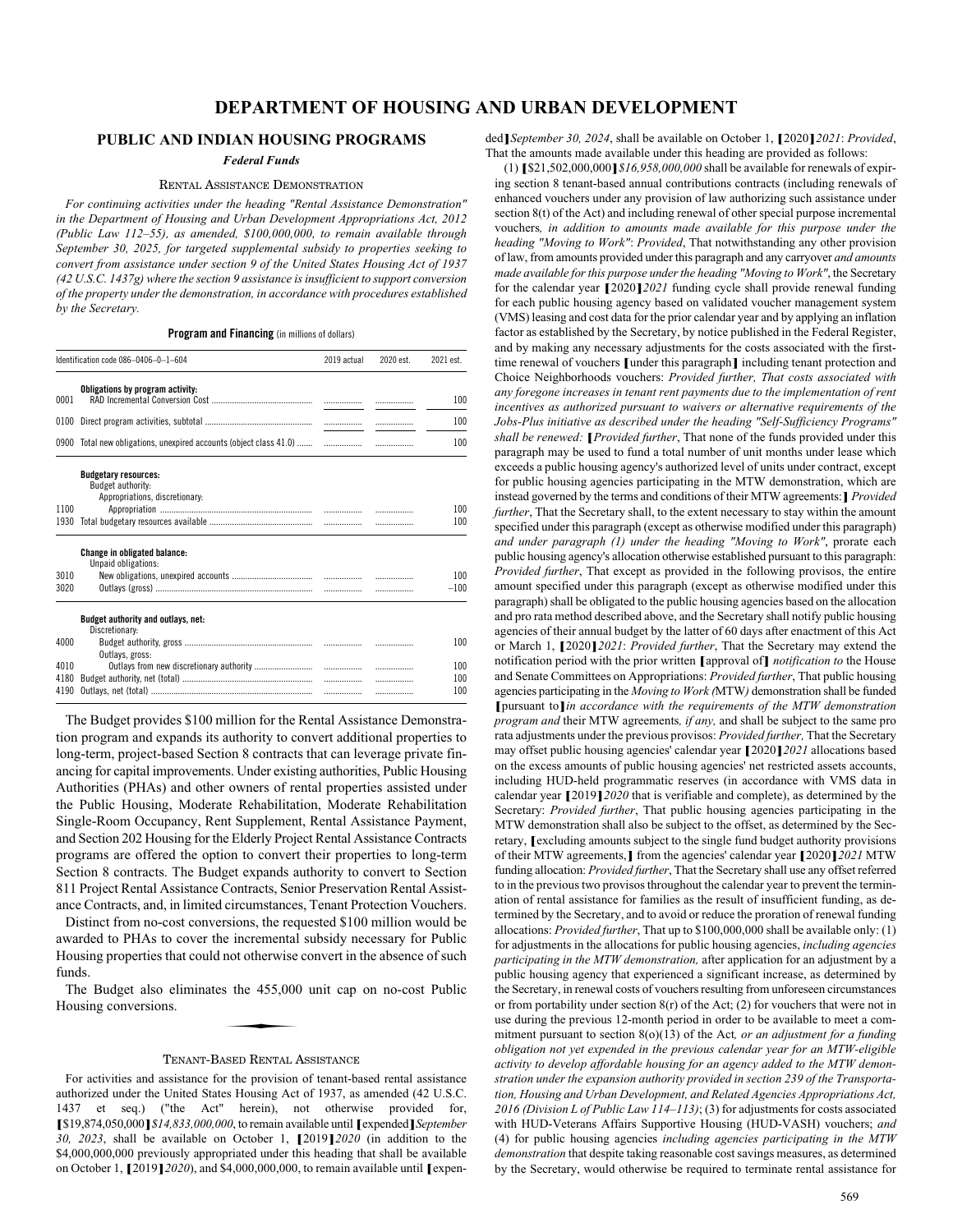### **DEPARTMENT OF HOUSING AND URBAN DEVELOPMENT**

#### **PUBLIC AND INDIAN HOUSING PROGRAMS**

*Federal Funds*

#### RENTAL ASSISTANCE DEMONSTRATION

*For continuing activities under the heading "Rental Assistance Demonstration" in the Department of Housing and Urban Development Appropriations Act, 2012 (Public Law 112–55), as amended, \$100,000,000, to remain available through September 30, 2025, for targeted supplemental subsidy to properties seeking to convert from assistance under section 9 of the United States Housing Act of 1937 (42 U.S.C. 1437g) where the section 9 assistance isinsufficient to support conversion of the property under the demonstration, in accordance with procedures established by the Secretary.*

**Program and Financing** (in millions of dollars)

|      | Identification code 086-0406-0-1-604                                               | 2019 actual | 2020 est. | 2021 est. |
|------|------------------------------------------------------------------------------------|-------------|-----------|-----------|
| 0001 | Obligations by program activity:                                                   |             | .         | 100       |
| 0100 |                                                                                    |             |           | 100       |
|      | 0900 Total new obligations, unexpired accounts (object class 41.0)                 | .           | .         | 100       |
|      | <b>Budgetary resources:</b><br>Budget authority:<br>Appropriations, discretionary: |             |           |           |
| 1100 |                                                                                    |             |           | 100       |
| 1930 |                                                                                    |             | .         | 100       |
|      | <b>Change in obligated balance:</b><br>Unpaid obligations:                         |             |           |           |
| 3010 |                                                                                    |             |           | 100       |
| 3020 |                                                                                    |             |           | $-100$    |
|      | Budget authority and outlays, net:<br>Discretionary:                               |             |           |           |
| 4000 | Outlays, gross:                                                                    |             |           | 100       |
| 4010 |                                                                                    |             | .         | 100       |
| 4180 |                                                                                    |             | .         | 100       |
| 4190 |                                                                                    |             |           | 100       |

The Budget provides \$100 million for the Rental Assistance Demonstration program and expands its authority to convert additional properties to long-term, project-based Section 8 contracts that can leverage private financing for capital improvements. Under existing authorities, Public Housing Authorities (PHAs) and other owners of rental properties assisted under the Public Housing, Moderate Rehabilitation, Moderate Rehabilitation Single-Room Occupancy, Rent Supplement, Rental Assistance Payment, and Section 202 Housing for the Elderly Project Rental Assistance Contracts programs are offered the option to convert their properties to long-term Section 8 contracts. The Budget expands authority to convert to Section 811 Project Rental Assistance Contracts, Senior Preservation Rental Assistance Contracts, and, in limited circumstances, Tenant Protection Vouchers.

Distinct from no-cost conversions, the requested \$100 million would be awarded to PHAs to cover the incremental subsidy necessary for Public Housing properties that could not otherwise convert in the absence of such funds.

The Budget also eliminates the 455,000 unit cap on no-cost Public Housing conversions. s the 455,000

#### TENANT-BASED RENTAL ASSISTANCE

For activities and assistance for the provision of tenant-based rental assistance authorized under the United States Housing Act of 1937, as amended (42 U.S.C. 1437 et seq.) ("the Act" herein), not otherwise provided for, **[**\$19,874,050,000**]***\$14,833,000,000*, to remain available until **[**expended**]***September 30, 2023*, shall be available on October 1, **[**2019**]***2020* (in addition to the \$4,000,000,000 previously appropriated under this heading that shall be available on October 1, **[**2019**]***2020*), and \$4,000,000,000, to remain available until **[**expen-

ded**]***September 30, 2024*, shall be available on October 1, **[**2020**]***2021*: *Provided*, That the amounts made available under this heading are provided as follows:

(1) **[**\$21,502,000,000**]***\$16,958,000,000* shall be available for renewals of expiring section 8 tenant-based annual contributions contracts (including renewals of enhanced vouchers under any provision of law authorizing such assistance under section 8(t) of the Act) and including renewal of other special purpose incremental vouchers*, in addition to amounts made available for this purpose under the heading "Moving to Work"*: *Provided*, That notwithstanding any other provision of law, from amounts provided under this paragraph and any carryover *and amounts made available for this purpose under the heading "Moving to Work"*, the Secretary for the calendar year **[**2020**]***2021* funding cycle shall provide renewal funding for each public housing agency based on validated voucher management system (VMS) leasing and cost data for the prior calendar year and by applying an inflation factor as established by the Secretary, by notice published in the Federal Register, and by making any necessary adjustments for the costs associated with the firsttime renewal of vouchers **[**under this paragraph**]** including tenant protection and Choice Neighborhoods vouchers: *Provided further, That costs associated with any foregone increases in tenant rent payments due to the implementation of rent incentives as authorized pursuant to waivers or alternative requirements of the Jobs-Plus initiative as described under the heading "Self-Sufficiency Programs" shall be renewed:* **[***Provided further*, That none of the funds provided under this paragraph may be used to fund a total number of unit months under lease which exceeds a public housing agency's authorized level of units under contract, except for public housing agencies participating in the MTW demonstration, which are instead governed by the terms and conditions of their MTW agreements:**]***Provided further*, That the Secretary shall, to the extent necessary to stay within the amount specified under this paragraph (except as otherwise modified under this paragraph) *and under paragraph (1) under the heading "Moving to Work"*, prorate each public housing agency's allocation otherwise established pursuant to this paragraph: *Provided further*, That except as provided in the following provisos, the entire amount specified under this paragraph (except as otherwise modified under this paragraph) shall be obligated to the public housing agencies based on the allocation and pro rata method described above, and the Secretary shall notify public housing agencies of their annual budget by the latter of 60 days after enactment of this Act or March 1, **[**2020**]***2021*: *Provided further*, That the Secretary may extend the notification period with the prior written **[**approval of**]** *notification to* the House and Senate Committees on Appropriations: *Provided further*, That public housing agencies participating in the *Moving to Work (*MTW*)* demonstration shall be funded **[**pursuant to**]***in accordance with the requirements of the MTW demonstration program and* their MTW agreements*, if any,* and shall be subject to the same pro rata adjustments under the previous provisos: *Provided further,* That the Secretary may offset public housing agencies' calendar year **[**2020**]***2021* allocations based on the excess amounts of public housing agencies' net restricted assets accounts, including HUD-held programmatic reserves (in accordance with VMS data in calendar year **[**2019**]***2020* that is verifiable and complete), as determined by the Secretary: *Provided further*, That public housing agencies participating in the MTW demonstration shall also be subject to the offset, as determined by the Secretary, **[**excluding amounts subject to the single fund budget authority provisions of their MTW agreements,**]** from the agencies' calendar year **[**2020**]***2021* MTW funding allocation: *Provided further*, That the Secretary shall use any offset referred to in the previous two provisos throughout the calendar year to prevent the termination of rental assistance for families as the result of insufficient funding, as determined by the Secretary, and to avoid or reduce the proration of renewal funding allocations: *Provided further*, That up to \$100,000,000 shall be available only: (1) for adjustments in the allocations for public housing agencies, *including agencies participating in the MTW demonstration,* after application for an adjustment by a public housing agency that experienced a significant increase, as determined by the Secretary, in renewal costs of vouchers resulting from unforeseen circumstances or from portability under section 8(r) of the Act; (2) for vouchers that were not in use during the previous 12-month period in order to be available to meet a commitment pursuant to section 8(o)(13) of the Act*, or an adjustment for a funding obligation not yet expended in the previous calendar year for an MTW-eligible activity to develop affordable housing for an agency added to the MTW demonstration under the expansion authority provided in section 239 of the Transportation, Housing and Urban Development, and Related Agencies Appropriations Act, 2016 (Division L of Public Law 114–113)*; (3) for adjustments for costs associated with HUD-Veterans Affairs Supportive Housing (HUD-VASH) vouchers; *and* (4) for public housing agencies *including agencies participating in the MTW demonstration* that despite taking reasonable cost savings measures, as determined by the Secretary, would otherwise be required to terminate rental assistance for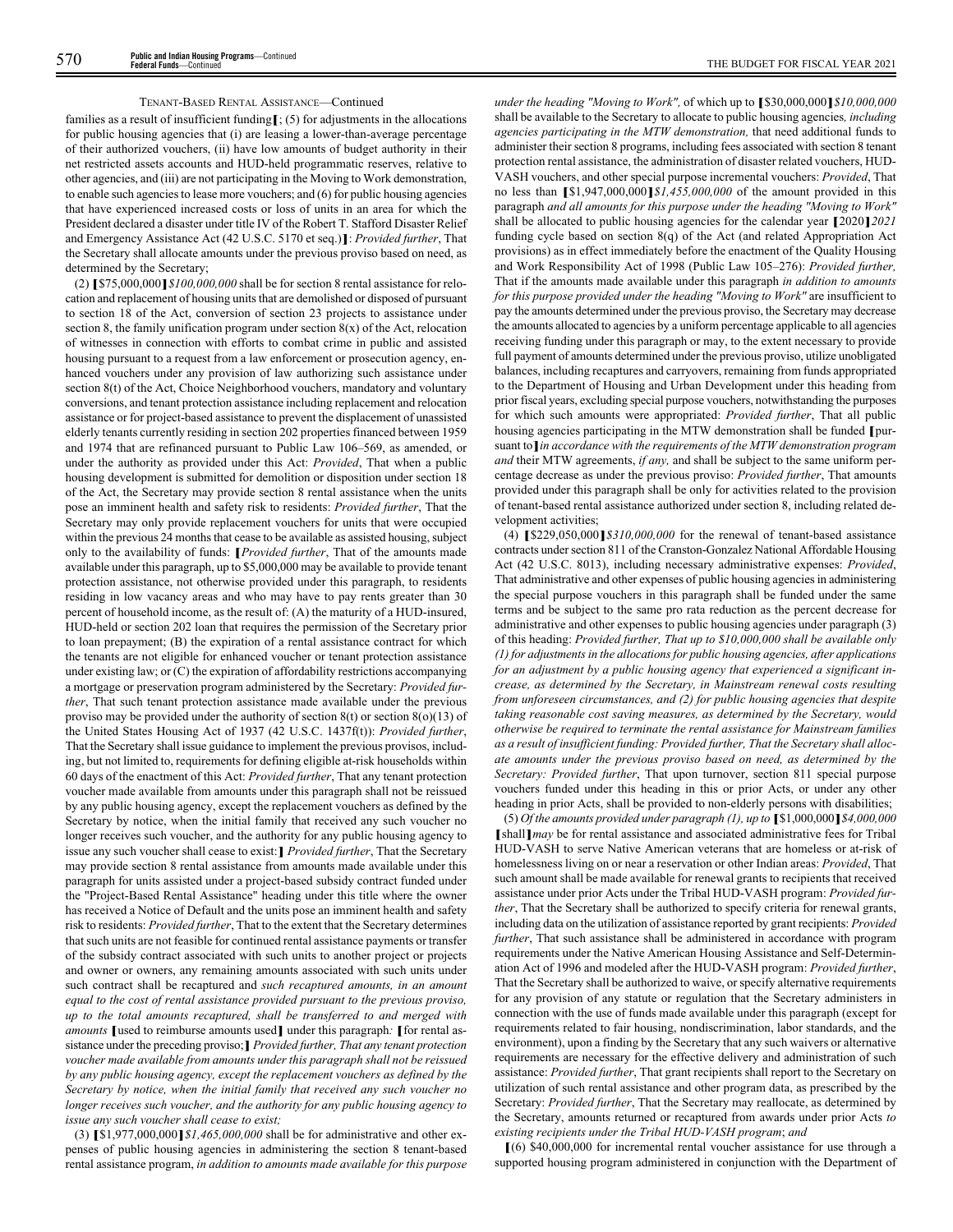#### TENANT-BASED RENTAL ASSISTANCE—Continued

families as a result of insufficient funding**[**; (5) for adjustments in the allocations for public housing agencies that (i) are leasing a lower-than-average percentage of their authorized vouchers, (ii) have low amounts of budget authority in their net restricted assets accounts and HUD-held programmatic reserves, relative to other agencies, and (iii) are not participating in the Moving to Work demonstration, to enable such agencies to lease more vouchers; and (6) for public housing agencies that have experienced increased costs or loss of units in an area for which the President declared a disaster under title IV of the Robert T. Stafford Disaster Relief and Emergency Assistance Act (42 U.S.C. 5170 et seq.)**]**: *Provided further*, That the Secretary shall allocate amounts under the previous proviso based on need, as determined by the Secretary;

(2) **[**\$75,000,000**]***\$100,000,000* shall be for section 8 rental assistance for relocation and replacement of housing units that are demolished or disposed of pursuant to section 18 of the Act, conversion of section 23 projects to assistance under section 8, the family unification program under section  $8(x)$  of the Act, relocation of witnesses in connection with efforts to combat crime in public and assisted housing pursuant to a request from a law enforcement or prosecution agency, enhanced vouchers under any provision of law authorizing such assistance under section 8(t) of the Act, Choice Neighborhood vouchers, mandatory and voluntary conversions, and tenant protection assistance including replacement and relocation assistance or for project-based assistance to prevent the displacement of unassisted elderly tenants currently residing in section 202 properties financed between 1959 and 1974 that are refinanced pursuant to Public Law 106–569, as amended, or under the authority as provided under this Act: *Provided*, That when a public housing development is submitted for demolition or disposition under section 18 of the Act, the Secretary may provide section 8 rental assistance when the units pose an imminent health and safety risk to residents: *Provided further*, That the Secretary may only provide replacement vouchers for units that were occupied within the previous 24 months that cease to be available as assisted housing, subject only to the availability of funds: **[***Provided further*, That of the amounts made available under this paragraph, up to \$5,000,000 may be available to provide tenant protection assistance, not otherwise provided under this paragraph, to residents residing in low vacancy areas and who may have to pay rents greater than 30 percent of household income, as the result of: (A) the maturity of a HUD-insured, HUD-held or section 202 loan that requires the permission of the Secretary prior to loan prepayment; (B) the expiration of a rental assistance contract for which the tenants are not eligible for enhanced voucher or tenant protection assistance under existing law; or (C) the expiration of affordability restrictions accompanying a mortgage or preservation program administered by the Secretary: *Provided further*, That such tenant protection assistance made available under the previous proviso may be provided under the authority of section  $8(t)$  or section  $8(0)(13)$  of the United States Housing Act of 1937 (42 U.S.C. 1437f(t)): *Provided further*, That the Secretary shall issue guidance to implement the previous provisos, including, but not limited to, requirements for defining eligible at-risk households within 60 days of the enactment of this Act: *Provided further*, That any tenant protection voucher made available from amounts under this paragraph shall not be reissued by any public housing agency, except the replacement vouchers as defined by the Secretary by notice, when the initial family that received any such voucher no longer receives such voucher, and the authority for any public housing agency to issue any such voucher shall cease to exist:**]** *Provided further*, That the Secretary may provide section 8 rental assistance from amounts made available under this paragraph for units assisted under a project-based subsidy contract funded under the "Project-Based Rental Assistance" heading under this title where the owner has received a Notice of Default and the units pose an imminent health and safety risk to residents: *Provided further*, That to the extent that the Secretary determines that such units are not feasible for continued rental assistance payments or transfer of the subsidy contract associated with such units to another project or projects and owner or owners, any remaining amounts associated with such units under such contract shall be recaptured and *such recaptured amounts, in an amount equal to the cost of rental assistance provided pursuant to the previous proviso, up to the total amounts recaptured, shall be transferred to and merged with amounts* **[**used to reimburse amounts used**]** under this paragraph*:* **[**for rental assistance under the preceding proviso;**]***Provided further, That any tenant protection voucher made available from amounts under this paragraph shall not be reissued by any public housing agency, except the replacement vouchers as defined by the Secretary by notice, when the initial family that received any such voucher no longer receives such voucher, and the authority for any public housing agency to issue any such voucher shall cease to exist;*

(3) **[**\$1,977,000,000**]***\$1,465,000,000* shall be for administrative and other expenses of public housing agencies in administering the section 8 tenant-based rental assistance program, *in addition to amounts made available for this purpose*

*under the heading "Moving to Work",* of which up to **[**\$30,000,000**]***\$10,000,000* shall be available to the Secretary to allocate to public housing agencies*, including agencies participating in the MTW demonstration,* that need additional funds to administer their section 8 programs, including fees associated with section 8 tenant protection rental assistance, the administration of disaster related vouchers, HUD-VASH vouchers, and other special purpose incremental vouchers: *Provided*, That no less than **[**\$1,947,000,000**]***\$1,455,000,000* of the amount provided in this paragraph *and all amounts for this purpose under the heading "Moving to Work"* shall be allocated to public housing agencies for the calendar year **[**2020**]***<sup>2021</sup>* funding cycle based on section 8(q) of the Act (and related Appropriation Act provisions) as in effect immediately before the enactment of the Quality Housing and Work Responsibility Act of 1998 (Public Law 105–276): *Provided further,* That if the amounts made available under this paragraph *in addition to amounts for this purpose provided under the heading "Moving to Work"* are insufficient to pay the amounts determined under the previous proviso, the Secretary may decrease the amounts allocated to agencies by a uniform percentage applicable to all agencies receiving funding under this paragraph or may, to the extent necessary to provide full payment of amounts determined under the previous proviso, utilize unobligated balances, including recaptures and carryovers, remaining from funds appropriated to the Department of Housing and Urban Development under this heading from prior fiscal years, excluding special purpose vouchers, notwithstanding the purposes for which such amounts were appropriated: *Provided further*, That all public housing agencies participating in the MTW demonstration shall be funded **[**pursuant to**]***in accordance with the requirements of the MTW demonstration program and* their MTW agreements, *if any,* and shall be subject to the same uniform percentage decrease as under the previous proviso: *Provided further*, That amounts provided under this paragraph shall be only for activities related to the provision of tenant-based rental assistance authorized under section 8, including related development activities;

(4) **[**\$229,050,000**]***\$310,000,000* for the renewal of tenant-based assistance contracts under section 811 of the Cranston-Gonzalez National Affordable Housing Act (42 U.S.C. 8013), including necessary administrative expenses: *Provided*, That administrative and other expenses of public housing agencies in administering the special purpose vouchers in this paragraph shall be funded under the same terms and be subject to the same pro rata reduction as the percent decrease for administrative and other expenses to public housing agencies under paragraph (3) of this heading: *Provided further, That up to \$10,000,000 shall be available only (1) for adjustments in the allocations for public housing agencies, after applications for an adjustment by a public housing agency that experienced a significant increase, as determined by the Secretary, in Mainstream renewal costs resulting from unforeseen circumstances, and (2) for public housing agencies that despite taking reasonable cost saving measures, as determined by the Secretary, would otherwise be required to terminate the rental assistance for Mainstream families as a result of insufficient funding: Provided further, That the Secretary shall allocate amounts under the previous proviso based on need, as determined by the Secretary: Provided further*, That upon turnover, section 811 special purpose vouchers funded under this heading in this or prior Acts, or under any other heading in prior Acts, shall be provided to non-elderly persons with disabilities;

(5) *Of the amounts provided under paragraph (1), up to* **[**\$1,000,000**]***\$4,000,000* **[**shall**]***may* be for rental assistance and associated administrative fees for Tribal HUD-VASH to serve Native American veterans that are homeless or at-risk of homelessness living on or near a reservation or other Indian areas: *Provided*, That such amount shall be made available for renewal grants to recipients that received assistance under prior Acts under the Tribal HUD-VASH program: *Provided further*, That the Secretary shall be authorized to specify criteria for renewal grants, including data on the utilization of assistance reported by grant recipients: *Provided further*, That such assistance shall be administered in accordance with program requirements under the Native American Housing Assistance and Self-Determination Act of 1996 and modeled after the HUD-VASH program: *Provided further*, That the Secretary shall be authorized to waive, or specify alternative requirements for any provision of any statute or regulation that the Secretary administers in connection with the use of funds made available under this paragraph (except for requirements related to fair housing, nondiscrimination, labor standards, and the environment), upon a finding by the Secretary that any such waivers or alternative requirements are necessary for the effective delivery and administration of such assistance: *Provided further*, That grant recipients shall report to the Secretary on utilization of such rental assistance and other program data, as prescribed by the Secretary: *Provided further*, That the Secretary may reallocate, as determined by the Secretary, amounts returned or recaptured from awards under prior Acts *to existing recipients under the Tribal HUD-VASH program*; *and*

**[**(6) \$40,000,000 for incremental rental voucher assistance for use through a supported housing program administered in conjunction with the Department of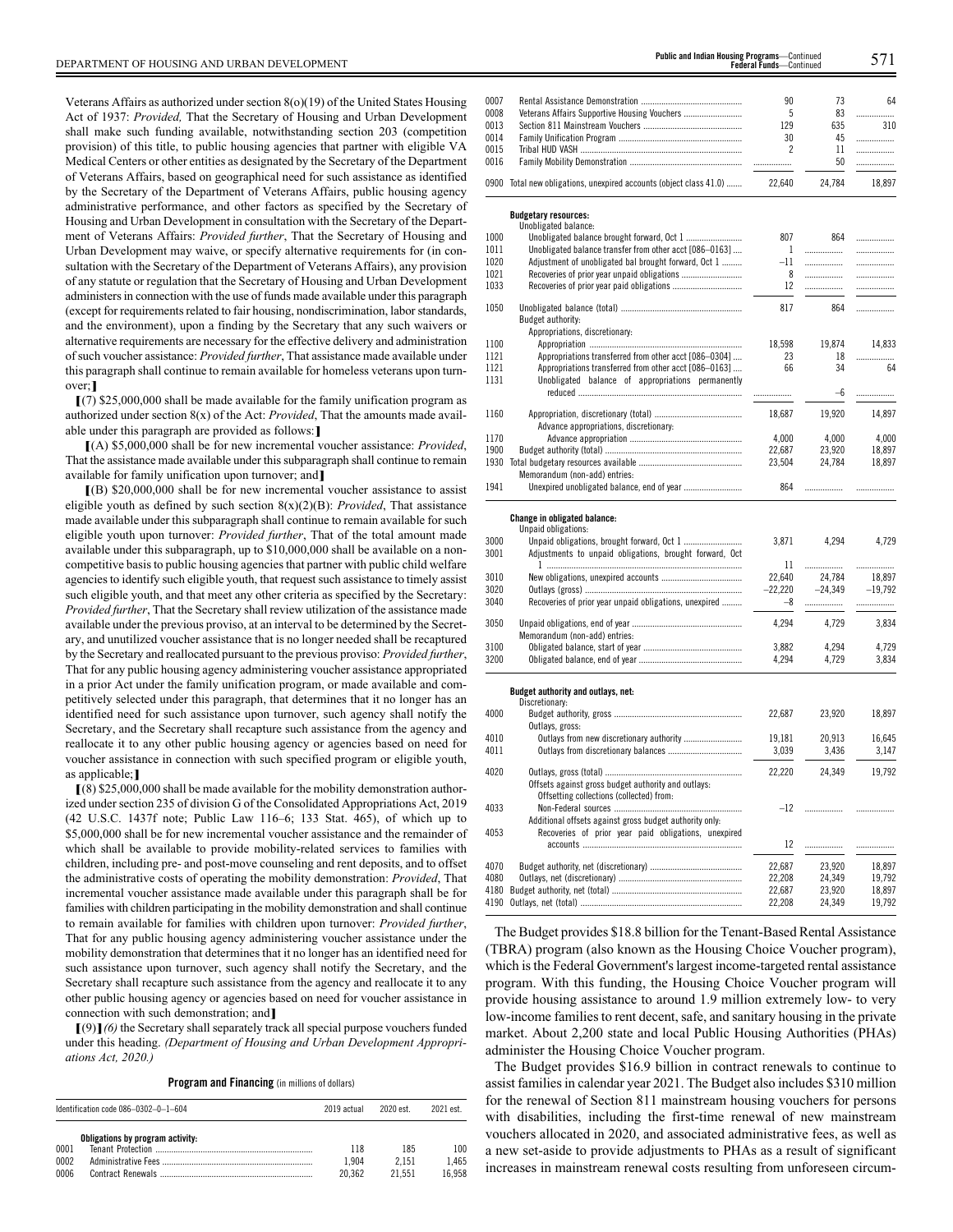Veterans Affairs as authorized under section 8(o)(19) of the United States Housing Act of 1937: *Provided,* That the Secretary of Housing and Urban Development shall make such funding available, notwithstanding section 203 (competition provision) of this title, to public housing agencies that partner with eligible VA Medical Centers or other entities as designated by the Secretary of the Department of Veterans Affairs, based on geographical need for such assistance as identified by the Secretary of the Department of Veterans Affairs, public housing agency administrative performance, and other factors as specified by the Secretary of Housing and Urban Development in consultation with the Secretary of the Department of Veterans Affairs: *Provided further*, That the Secretary of Housing and Urban Development may waive, or specify alternative requirements for (in consultation with the Secretary of the Department of Veterans Affairs), any provision of any statute or regulation that the Secretary of Housing and Urban Development administers in connection with the use of funds made available under this paragraph (except for requirements related to fair housing, nondiscrimination, labor standards, and the environment), upon a finding by the Secretary that any such waivers or alternative requirements are necessary for the effective delivery and administration of such voucher assistance: *Provided further*, That assistance made available under this paragraph shall continue to remain available for homeless veterans upon turnover;**]**

**[**(7) \$25,000,000 shall be made available for the family unification program as authorized under section 8(x) of the Act: *Provided*, That the amounts made available under this paragraph are provided as follows:**]**

**[**(A) \$5,000,000 shall be for new incremental voucher assistance: *Provided*, That the assistance made available under this subparagraph shall continue to remain available for family unification upon turnover; and**]**

**[**(B) \$20,000,000 shall be for new incremental voucher assistance to assist eligible youth as defined by such section 8(x)(2)(B): *Provided*, That assistance made available under this subparagraph shall continue to remain available for such eligible youth upon turnover: *Provided further*, That of the total amount made available under this subparagraph, up to \$10,000,000 shall be available on a noncompetitive basis to public housing agencies that partner with public child welfare agencies to identify such eligible youth, that request such assistance to timely assist such eligible youth, and that meet any other criteria as specified by the Secretary: *Provided further*, That the Secretary shall review utilization of the assistance made available under the previous proviso, at an interval to be determined by the Secretary, and unutilized voucher assistance that is no longer needed shall be recaptured by the Secretary and reallocated pursuant to the previous proviso: *Provided further*, That for any public housing agency administering voucher assistance appropriated in a prior Act under the family unification program, or made available and competitively selected under this paragraph, that determines that it no longer has an identified need for such assistance upon turnover, such agency shall notify the Secretary, and the Secretary shall recapture such assistance from the agency and reallocate it to any other public housing agency or agencies based on need for voucher assistance in connection with such specified program or eligible youth, as applicable;**]**

**[**(8) \$25,000,000 shall be made available for the mobility demonstration authorized under section 235 of division G of the Consolidated Appropriations Act, 2019 (42 U.S.C. 1437f note; Public Law 116–6; 133 Stat. 465), of which up to \$5,000,000 shall be for new incremental voucher assistance and the remainder of which shall be available to provide mobility-related services to families with children, including pre- and post-move counseling and rent deposits, and to offset the administrative costs of operating the mobility demonstration: *Provided*, That incremental voucher assistance made available under this paragraph shall be for families with children participating in the mobility demonstration and shall continue to remain available for families with children upon turnover: *Provided further*, That for any public housing agency administering voucher assistance under the mobility demonstration that determines that it no longer has an identified need for such assistance upon turnover, such agency shall notify the Secretary, and the Secretary shall recapture such assistance from the agency and reallocate it to any other public housing agency or agencies based on need for voucher assistance in connection with such demonstration; and**]**

**[**(9)**]***(6)* the Secretary shall separately track all special purpose vouchers funded under this heading. *(Department of Housing and Urban Development Appropriations Act, 2020.)*

**Program and Financing** (in millions of dollars)

| Identification code $086-0302-0-1-604$ |                                  | 2019 actual            | 2020 est               | 2021 est.              |
|----------------------------------------|----------------------------------|------------------------|------------------------|------------------------|
| 0001<br>0002<br>0006                   | Obligations by program activity: | 118<br>1.904<br>20.362 | 185<br>2.151<br>21.551 | 100<br>1.465<br>16.958 |

|                                             | <b>Public and Indian Housing Programs</b> —<br>Continued |  |
|---------------------------------------------|----------------------------------------------------------|--|
| DEPARTMENT OF HOUSING AND URBAN DEVELOPMENT | ∵ontinued<br><b>Federal Funds-</b>                       |  |

| 0007         |                                                                    | 90           | 73                  | 64                  |
|--------------|--------------------------------------------------------------------|--------------|---------------------|---------------------|
| 0008         |                                                                    | 5            | 83                  |                     |
| 0013         |                                                                    | 129          | 635                 | 310                 |
| 0014         |                                                                    | 30           | 45                  | .                   |
| 0015         |                                                                    | 2            | 11                  | .                   |
| 0016         |                                                                    | .            | 50                  | .                   |
|              | 0900 Total new obligations, unexpired accounts (object class 41.0) | 22,640       | 24,784              | 18,897              |
|              | <b>Budgetary resources:</b>                                        |              |                     |                     |
|              | Unobligated balance:                                               |              |                     |                     |
| 1000         | Unobligated balance brought forward, Oct 1                         | 807          | 864                 | .                   |
| 1011         | Unobligated balance transfer from other acct [086-0163]            | 1            |                     |                     |
| 1020         | Adjustment of unobligated bal brought forward, Oct 1               | -11          | .                   |                     |
| 1021         |                                                                    | 8            |                     | .                   |
| 1033         |                                                                    | 12           | .                   | .                   |
| 1050         |                                                                    | 817          | 864                 | .                   |
|              | Budget authority:                                                  |              |                     |                     |
|              | Appropriations, discretionary:                                     |              |                     |                     |
| 1100         |                                                                    | 18,598       | 19,874              | 14,833              |
| 1121         | Appropriations transferred from other acct [086-0304]              | 23           | 18                  |                     |
| 1121         | Appropriations transferred from other acct [086-0163]              | 66           | 34                  | 64                  |
| 1131         | Unobligated balance of appropriations permanently                  |              |                     |                     |
|              |                                                                    | .            | -6                  | .                   |
|              |                                                                    |              |                     |                     |
| 1160         |                                                                    | 18,687       | 19,920              | 14,897              |
|              | Advance appropriations, discretionary:                             |              |                     |                     |
| 1170         |                                                                    | 4,000        | 4,000               | 4,000               |
| 1900         |                                                                    | 22,687       | 23,920              | 18,897              |
|              |                                                                    | 23,504       | 24,784              | 18,897              |
| 1941         | Memorandum (non-add) entries:                                      | 864          | .                   |                     |
|              |                                                                    |              |                     | .                   |
|              | Change in obligated balance:                                       |              |                     |                     |
|              | Unpaid obligations:                                                |              |                     |                     |
| 3000         |                                                                    | 3,871        | 4,294               | 4,729               |
| 3001         | Adjustments to unpaid obligations, brought forward, Oct            |              |                     |                     |
|              |                                                                    | 11<br>22,640 | .                   | .                   |
| 3010         |                                                                    | $-22,220$    | 24,784<br>$-24,349$ | 18,897<br>$-19,792$ |
| 3020<br>3040 | Recoveries of prior year unpaid obligations, unexpired             | -8           |                     | .                   |
|              |                                                                    |              |                     |                     |
| 3050         |                                                                    | 4,294        | 4,729               | 3,834               |
|              | Memorandum (non-add) entries:                                      |              |                     |                     |
| 3100         |                                                                    | 3,882        | 4,294               | 4,729               |
| 3200         |                                                                    | 4,294        | 4,729               | 3,834               |
|              |                                                                    |              |                     |                     |
|              | Budget authority and outlays, net:<br>Discretionary:               |              |                     |                     |
| 4000         |                                                                    | 22,687       | 23,920              | 18,897              |
|              | Outlays, gross:                                                    |              |                     |                     |
| 4010         | Outlays from new discretionary authority                           | 19,181       | 20,913              | 16,645              |
| 4011         |                                                                    | 3,039        | 3,436               | 3,147               |
|              |                                                                    |              |                     |                     |
| 4020         |                                                                    | 22,220       | 24,349              | 19,792              |
|              | Offsets against gross budget authority and outlays:                |              |                     |                     |
|              | Offsetting collections (collected) from:                           |              |                     |                     |
| 4033         |                                                                    | $-12$        |                     | .                   |
|              | Additional offsets against gross budget authority only:            |              |                     |                     |
| 4053         | Recoveries of prior year paid obligations, unexpired               |              |                     |                     |
|              |                                                                    | 12           |                     |                     |
| 4070         |                                                                    | 22,687       | 23,920              | 18,897              |
| 4080         |                                                                    | 22,208       | 24,349              | 19,792              |
| 4180         |                                                                    | 22,687       | 23,920              | 18,897              |
| 4190         |                                                                    | 22,208       | 24,349              | 19,792              |
|              |                                                                    |              |                     |                     |

The Budget provides \$18.8 billion for the Tenant-Based Rental Assistance (TBRA) program (also known as the Housing Choice Voucher program), which is the Federal Government's largest income-targeted rental assistance program. With this funding, the Housing Choice Voucher program will provide housing assistance to around 1.9 million extremely low- to very low-income families to rent decent, safe, and sanitary housing in the private market. About 2,200 state and local Public Housing Authorities (PHAs) administer the Housing Choice Voucher program.

The Budget provides \$16.9 billion in contract renewals to continue to assist families in calendar year 2021. The Budget also includes \$310 million for the renewal of Section 811 mainstream housing vouchers for persons with disabilities, including the first-time renewal of new mainstream vouchers allocated in 2020, and associated administrative fees, as well as a new set-aside to provide adjustments to PHAs as a result of significant increases in mainstream renewal costs resulting from unforeseen circum-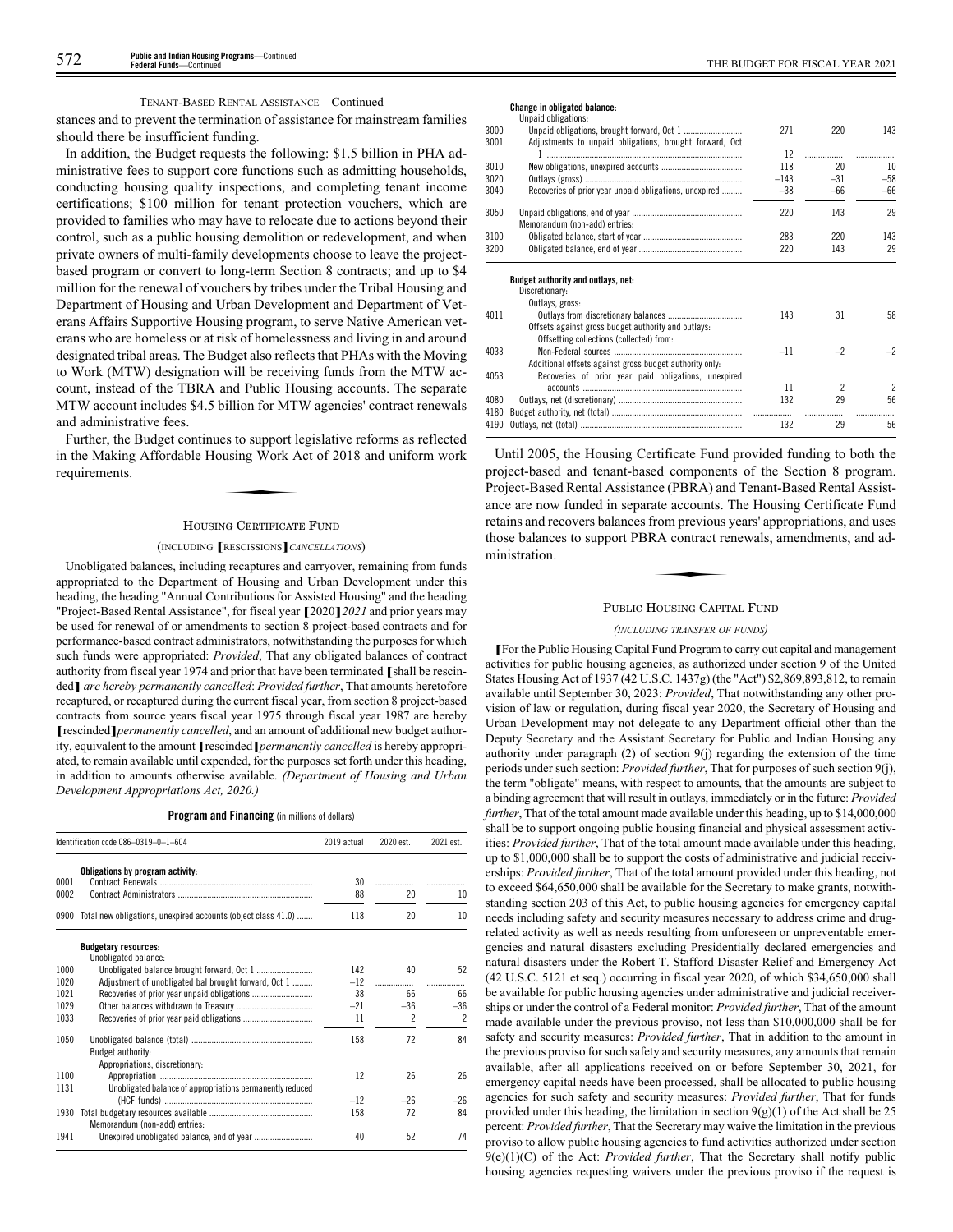#### TENANT-BASED RENTAL ASSISTANCE—Continued

stances and to prevent the termination of assistance for mainstream families should there be insufficient funding.

In addition, the Budget requests the following: \$1.5 billion in PHA administrative fees to support core functions such as admitting households, conducting housing quality inspections, and completing tenant income certifications; \$100 million for tenant protection vouchers, which are provided to families who may have to relocate due to actions beyond their control, such as a public housing demolition or redevelopment, and when private owners of multi-family developments choose to leave the projectbased program or convert to long-term Section 8 contracts; and up to \$4 million for the renewal of vouchers by tribes under the Tribal Housing and Department of Housing and Urban Development and Department of Veterans Affairs Supportive Housing program, to serve Native American veterans who are homeless or at risk of homelessness and living in and around designated tribal areas. The Budget also reflects that PHAs with the Moving to Work (MTW) designation will be receiving funds from the MTW account, instead of the TBRA and Public Housing accounts. The separate MTW account includes \$4.5 billion for MTW agencies' contract renewals and administrative fees.

Further, the Budget continues to support legislative reforms as reflected<br>the Making Affordable Housing Work Act of 2018 and uniform work<br>quirements. in the Making Affordable Housing Work Act of 2018 and uniform work requirements.

#### HOUSING CERTIFICATE FUND

#### (INCLUDING **[**RESCISSIONS**]***CANCELLATIONS*)

Unobligated balances, including recaptures and carryover, remaining from funds appropriated to the Department of Housing and Urban Development under this heading, the heading "Annual Contributions for Assisted Housing" and the heading "Project-Based Rental Assistance", for fiscal year **[**2020**]***2021* and prior years may be used for renewal of or amendments to section 8 project-based contracts and for performance-based contract administrators, notwithstanding the purposes for which such funds were appropriated: *Provided*, That any obligated balances of contract authority from fiscal year 1974 and prior that have been terminated **[**shall be rescinded**]** *are hereby permanently cancelled*: *Provided further*, That amounts heretofore recaptured, or recaptured during the current fiscal year, from section 8 project-based contracts from source years fiscal year 1975 through fiscal year 1987 are hereby **[**rescinded**]***permanently cancelled*, and an amount of additional new budget authority, equivalent to the amount **[**rescinded**]***permanently cancelled* is hereby appropriated, to remain available until expended, for the purposes set forth under this heading, in addition to amounts otherwise available. *(Department of Housing and Urban Development Appropriations Act, 2020.)*

|  |  | Program and Financing (in millions of dollars) |  |  |  |
|--|--|------------------------------------------------|--|--|--|
|--|--|------------------------------------------------|--|--|--|

|              | Identification code 086-0319-0-1-604                                                        | 2019 actual | 2020 est.                | 2021 est. |
|--------------|---------------------------------------------------------------------------------------------|-------------|--------------------------|-----------|
| 0001         | Obligations by program activity:                                                            | 30          | .                        |           |
| 0002         |                                                                                             | 88          | 20                       | 10        |
| 0900         | Total new obligations, unexpired accounts (object class 41.0)                               | 118         | 20                       | 10        |
|              | <b>Budgetary resources:</b><br>Unobligated balance:                                         |             |                          |           |
| 1000         |                                                                                             | 142         | 40                       | 52        |
| 1020         | Adjustment of unobligated bal brought forward, Oct 1                                        | $-12$       | .                        |           |
| 1021         |                                                                                             | 38          | 66                       | 66        |
| 1029         |                                                                                             | $-21$       | $-36$                    | $-36$     |
| 1033         |                                                                                             | 11          | $\overline{\phantom{a}}$ | 2         |
| 1050         | <b>Budget authority:</b>                                                                    | 158         | 72                       | 84        |
| 1100<br>1131 | Appropriations, discretionary:<br>Unobligated balance of appropriations permanently reduced | 12          | 26                       | 26        |
|              |                                                                                             | $-12$       | $-26$                    | $-26$     |
| 1930         | Memorandum (non-add) entries:                                                               | 158         | 72                       | 84        |
| 1941         |                                                                                             | 40          | 52                       | 74        |

#### **Change in obligated balance:**

|       | Unpaid obligations:                                     |        |                |                |
|-------|---------------------------------------------------------|--------|----------------|----------------|
| 3000  |                                                         | 271    | 220            | 143            |
| 3001  | Adjustments to unpaid obligations, brought forward, Oct |        |                |                |
|       | ] …………………………………………………………………………                          | 12     |                |                |
| 3010  |                                                         | 118    | 20             | 10             |
| 3020  |                                                         | $-143$ | $-31$          | $-58$          |
| 3040  | Recoveries of prior year unpaid obligations, unexpired  | $-38$  | $-66$          | $-66$          |
|       |                                                         |        |                |                |
| 3050  |                                                         | 220    | 143            | 29             |
|       | Memorandum (non-add) entries:                           |        |                |                |
| 3100  |                                                         | 283    | 220            | 143            |
| 3200  |                                                         | 220    | 143            | 29             |
|       |                                                         |        |                |                |
|       |                                                         |        |                |                |
|       | Budget authority and outlays, net:                      |        |                |                |
|       | Discretionary:                                          |        |                |                |
|       | Outlays, gross:                                         |        |                |                |
| 4011  |                                                         | 143    | 31             | 58             |
|       | Offsets against gross budget authority and outlays:     |        |                |                |
|       | Offsetting collections (collected) from:                |        |                |                |
| 4033  |                                                         | $-11$  | $-2$           | $-2$           |
|       | Additional offsets against gross budget authority only. |        |                |                |
| 4053  | Recoveries of prior year paid obligations, unexpired    |        |                |                |
|       |                                                         | 11     | $\overline{2}$ | $\overline{c}$ |
| 4080  |                                                         | 132    | 29             | 56             |
| 4180  |                                                         |        |                |                |
| 4190- |                                                         | 132    | 29             | 56             |
|       |                                                         |        |                |                |

Until 2005, the Housing Certificate Fund provided funding to both the project-based and tenant-based components of the Section 8 program. Project-Based Rental Assistance (PBRA) and Tenant-Based Rental Assistance are now funded in separate accounts. The Housing Certificate Fund retains and recovers balances from previous years' appropriations, and uses those balances to support PBRA contract renewals, amendments, and administration. recounts.<br>Trom previous<br>RA contract re

#### PUBLIC HOUSING CAPITAL FUND

#### *(INCLUDING TRANSFER OF FUNDS)*

**[**For the Public Housing Capital Fund Program to carry out capital and management activities for public housing agencies, as authorized under section 9 of the United States Housing Act of 1937 (42 U.S.C. 1437g) (the "Act") \$2,869,893,812, to remain available until September 30, 2023: *Provided*, That notwithstanding any other provision of law or regulation, during fiscal year 2020, the Secretary of Housing and Urban Development may not delegate to any Department official other than the Deputy Secretary and the Assistant Secretary for Public and Indian Housing any authority under paragraph (2) of section 9(j) regarding the extension of the time periods under such section: *Provided further*, That for purposes of such section 9(j), the term "obligate" means, with respect to amounts, that the amounts are subject to a binding agreement that will result in outlays, immediately or in the future: *Provided further*, That of the total amount made available under this heading, up to \$14,000,000 shall be to support ongoing public housing financial and physical assessment activities: *Provided further*, That of the total amount made available under this heading, up to \$1,000,000 shall be to support the costs of administrative and judicial receiverships: *Provided further*, That of the total amount provided under this heading, not to exceed \$64,650,000 shall be available for the Secretary to make grants, notwithstanding section 203 of this Act, to public housing agencies for emergency capital needs including safety and security measures necessary to address crime and drugrelated activity as well as needs resulting from unforeseen or unpreventable emergencies and natural disasters excluding Presidentially declared emergencies and natural disasters under the Robert T. Stafford Disaster Relief and Emergency Act (42 U.S.C. 5121 et seq.) occurring in fiscal year 2020, of which \$34,650,000 shall be available for public housing agencies under administrative and judicial receiverships or under the control of a Federal monitor: *Provided further*, That of the amount made available under the previous proviso, not less than \$10,000,000 shall be for safety and security measures: *Provided further*, That in addition to the amount in the previous proviso for such safety and security measures, any amounts that remain available, after all applications received on or before September 30, 2021, for emergency capital needs have been processed, shall be allocated to public housing agencies for such safety and security measures: *Provided further*, That for funds provided under this heading, the limitation in section 9(g)(1) of the Act shall be 25 percent: *Provided further*, That the Secretary may waive the limitation in the previous proviso to allow public housing agencies to fund activities authorized under section 9(e)(1)(C) of the Act: *Provided further*, That the Secretary shall notify public housing agencies requesting waivers under the previous proviso if the request is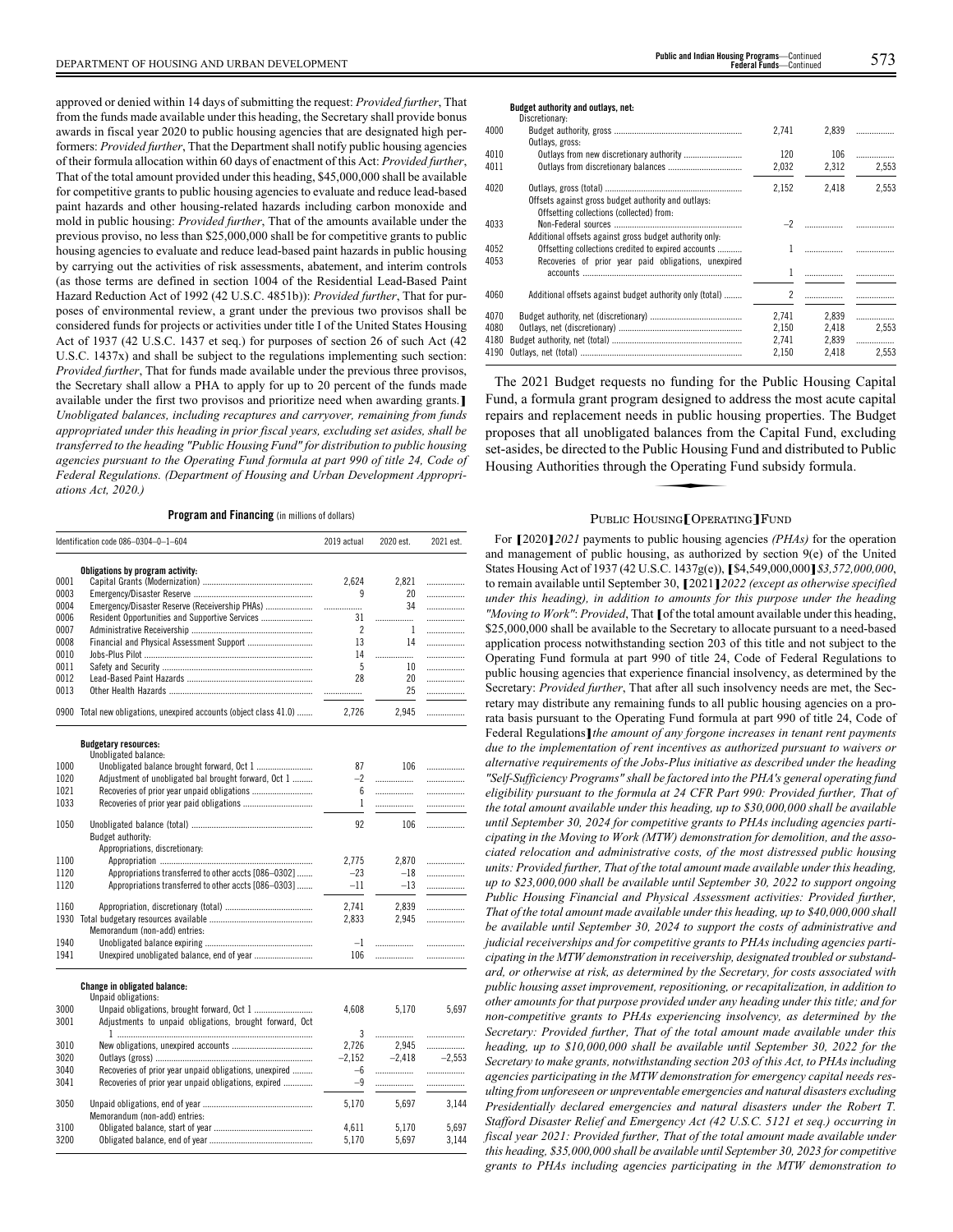approved or denied within 14 days of submitting the request: *Provided further*, That from the funds made available under this heading, the Secretary shall provide bonus awards in fiscal year 2020 to public housing agencies that are designated high performers: *Provided further*, That the Department shall notify public housing agencies of their formula allocation within 60 days of enactment of this Act: *Provided further*, That of the total amount provided under this heading, \$45,000,000 shall be available for competitive grants to public housing agencies to evaluate and reduce lead-based paint hazards and other housing-related hazards including carbon monoxide and mold in public housing: *Provided further*, That of the amounts available under the previous proviso, no less than \$25,000,000 shall be for competitive grants to public housing agencies to evaluate and reduce lead-based paint hazards in public housing by carrying out the activities of risk assessments, abatement, and interim controls (as those terms are defined in section 1004 of the Residential Lead-Based Paint Hazard Reduction Act of 1992 (42 U.S.C. 4851b)): *Provided further*, That for purposes of environmental review, a grant under the previous two provisos shall be considered funds for projects or activities under title I of the United States Housing Act of 1937 (42 U.S.C. 1437 et seq.) for purposes of section 26 of such Act (42 U.S.C. 1437x) and shall be subject to the regulations implementing such section: *Provided further*, That for funds made available under the previous three provisos, the Secretary shall allow a PHA to apply for up to 20 percent of the funds made available under the first two provisos and prioritize need when awarding grants.**]** *Unobligated balances, including recaptures and carryover, remaining from funds appropriated under this heading in prior fiscal years, excluding set asides, shall be transferred to the heading "Public Housing Fund" for distribution to public housing agencies pursuant to the Operating Fund formula at part 990 of title 24, Code of Federal Regulations. (Department of Housing and Urban Development Appropriations Act, 2020.)*

### **Program and Financing** (in millions of dollars)

|      | Identification code 086-0304-0-1-604                          |                | 2019 actual<br>2020 est. |          |
|------|---------------------------------------------------------------|----------------|--------------------------|----------|
|      | Obligations by program activity:                              |                |                          |          |
| 0001 |                                                               | 2.624          | 2.821                    | .        |
| 0003 |                                                               | 9              | 20                       | .        |
| 0004 | Emergency/Disaster Reserve (Receivership PHAs)                | .              | 34                       | .        |
| 0006 | Resident Opportunities and Supportive Services                | 31             | .                        | .        |
| 0007 |                                                               | $\overline{c}$ | $\mathbf{1}$             | .        |
| 0008 |                                                               | 13             | 14                       |          |
| 0010 |                                                               | 14             | .                        | .        |
| 0011 |                                                               | 5              | 10                       | .        |
| 0012 |                                                               | 28             | 20                       | .        |
| 0013 |                                                               |                | 25                       |          |
|      |                                                               | .              |                          | .        |
| 0900 | Total new obligations, unexpired accounts (object class 41.0) | 2,726          | 2,945                    | .        |
|      | <b>Budgetary resources:</b>                                   |                |                          |          |
|      | Unobligated balance:                                          |                |                          |          |
| 1000 |                                                               | 87             | 106                      |          |
| 1020 | Adjustment of unobligated bal brought forward, Oct 1          | $-2$           | .                        | .        |
| 1021 |                                                               | 6              | .                        | .        |
| 1033 |                                                               | $\mathbf{1}$   |                          | .        |
| 1050 |                                                               | 92             | 106                      |          |
|      | Budget authority:                                             |                |                          |          |
|      | Appropriations, discretionary:                                |                |                          |          |
| 1100 |                                                               | 2,775          | 2,870                    | .        |
| 1120 | Appropriations transferred to other accts [086-0302]          | $-23$          | $-18$                    | .        |
| 1120 | Appropriations transferred to other accts [086-0303]          | $-11$          | $-13$                    | .        |
|      |                                                               |                |                          |          |
| 1160 |                                                               | 2.741          | 2,839                    | .        |
| 1930 |                                                               | 2,833          | 2,945                    | .        |
|      | Memorandum (non-add) entries:                                 |                |                          |          |
| 1940 |                                                               | $-1$           | .                        | .        |
| 1941 |                                                               | 106            | .                        | .        |
|      | Change in obligated balance:                                  |                |                          |          |
|      | Unpaid obligations:                                           |                |                          |          |
| 3000 | Unpaid obligations, brought forward, Oct 1                    | 4,608          | 5,170                    | 5,697    |
| 3001 | Adjustments to unpaid obligations, brought forward, Oct       |                |                          |          |
|      |                                                               | 3              |                          |          |
| 3010 |                                                               | 2,726          | 2.945                    | .        |
| 3020 |                                                               | $-2,152$       | $-2.418$                 | $-2,553$ |
| 3040 | Recoveries of prior year unpaid obligations, unexpired        | $-6$           | .                        | .        |
| 3041 | Recoveries of prior year unpaid obligations, expired          | $-9$           | .                        |          |
| 3050 |                                                               | 5,170          | 5,697                    | 3,144    |
|      | Memorandum (non-add) entries:                                 |                |                          |          |
| 3100 |                                                               | 4,611          | 5,170                    |          |
|      |                                                               |                |                          | 5,697    |
| 3200 |                                                               | 5,170          | 5,697                    | 3,144    |

**Budget authority and outlays, net:**

|      | Discretionary:                                                                                  |       |       |       |
|------|-------------------------------------------------------------------------------------------------|-------|-------|-------|
| 4000 |                                                                                                 | 2.741 | 2.839 | .     |
|      | Outlays, gross:                                                                                 |       |       |       |
| 4010 |                                                                                                 | 120   | 106   |       |
| 4011 |                                                                                                 | 2,032 | 2.312 | 2.553 |
| 4020 |                                                                                                 | 2.152 | 2.418 | 2.553 |
|      | Offsets against gross budget authority and outlays:<br>Offsetting collections (collected) from: |       |       |       |
| 4033 |                                                                                                 |       |       |       |
|      | Additional offsets against gross budget authority only.                                         |       |       |       |
| 4052 | Offsetting collections credited to expired accounts                                             |       |       |       |
| 4053 | Recoveries of prior year paid obligations, unexpired                                            |       |       |       |
|      |                                                                                                 | 1     |       |       |
| 4060 | Additional offsets against budget authority only (total)                                        | 2     |       |       |
| 4070 |                                                                                                 | 2.741 | 2.839 | .     |
| 4080 |                                                                                                 | 2.150 | 2.418 | 2.553 |
| 4180 |                                                                                                 | 2.741 | 2.839 | .     |
| 4190 |                                                                                                 | 2,150 | 2.418 | 2.553 |
|      |                                                                                                 |       |       |       |

The 2021 Budget requests no funding for the Public Housing Capital Fund, a formula grant program designed to address the most acute capital repairs and replacement needs in public housing properties. The Budget proposes that all unobligated balances from the Capital Fund, excluding<br>proposes that all unobligated balances from the Capital Fund, excluding<br>set-asides, be directed to the Public Housing Fund and distributed to Public<br>H set-asides, be directed to the Public Housing Fund and distributed to Public Housing Authorities through the Operating Fund subsidy formula.

#### <sup>P</sup>UBLIC HOUSING**[**<sup>O</sup>PERATING**]**<sup>F</sup>UND

For **[**2020**]***2021* payments to public housing agencies *(PHAs)* for the operation and management of public housing, as authorized by section 9(e) of the United States Housing Act of 1937 (42 U.S.C. 1437g(e)), **[**\$4,549,000,000**]***\$3,572,000,000*, to remain available until September 30, **[**2021**]***2022 (except as otherwise specified under this heading), in addition to amounts for this purpose under the heading "Moving to Work"*: *Provided*, That **[**of the total amount available under this heading, \$25,000,000 shall be available to the Secretary to allocate pursuant to a need-based application process notwithstanding section 203 of this title and not subject to the Operating Fund formula at part 990 of title 24, Code of Federal Regulations to public housing agencies that experience financial insolvency, as determined by the Secretary: *Provided further*, That after all such insolvency needs are met, the Secretary may distribute any remaining funds to all public housing agencies on a prorata basis pursuant to the Operating Fund formula at part 990 of title 24, Code of Federal Regulations**]***the amount of any forgone increases in tenant rent payments due to the implementation of rent incentives as authorized pursuant to waivers or alternative requirements of the Jobs-Plus initiative as described under the heading "Self-Sufficiency Programs" shall be factored into the PHA's general operating fund eligibility pursuant to the formula at 24 CFR Part 990: Provided further, That of the total amount available under this heading, up to \$30,000,000 shall be available until September 30, 2024 for competitive grants to PHAs including agencies participating in the Moving to Work (MTW) demonstration for demolition, and the associated relocation and administrative costs, of the most distressed public housing units: Provided further, That of the total amount made available under this heading, up to \$23,000,000 shall be available until September 30, 2022 to support ongoing Public Housing Financial and Physical Assessment activities: Provided further, That of the total amount made available under this heading, up to \$40,000,000 shall be available until September 30, 2024 to support the costs of administrative and judicial receiverships and for competitive grants to PHAs including agencies participating in the MTW demonstration in receivership, designated troubled or substandard, or otherwise at risk, as determined by the Secretary, for costs associated with public housing asset improvement, repositioning, or recapitalization, in addition to other amounts for that purpose provided under any heading under this title; and for non-competitive grants to PHAs experiencing insolvency, as determined by the Secretary: Provided further, That of the total amount made available under this heading, up to \$10,000,000 shall be available until September 30, 2022 for the Secretary to make grants, notwithstanding section 203 of this Act, to PHAs including agencies participating in the MTW demonstration for emergency capital needs resulting from unforeseen or unpreventable emergencies and natural disasters excluding Presidentially declared emergencies and natural disasters under the Robert T. Stafford Disaster Relief and Emergency Act (42 U.S.C. 5121 et seq.) occurring in fiscal year 2021: Provided further, That of the total amount made available under this heading, \$35,000,000 shall be available until September 30, 2023 for competitive grants to PHAs including agencies participating in the MTW demonstration to*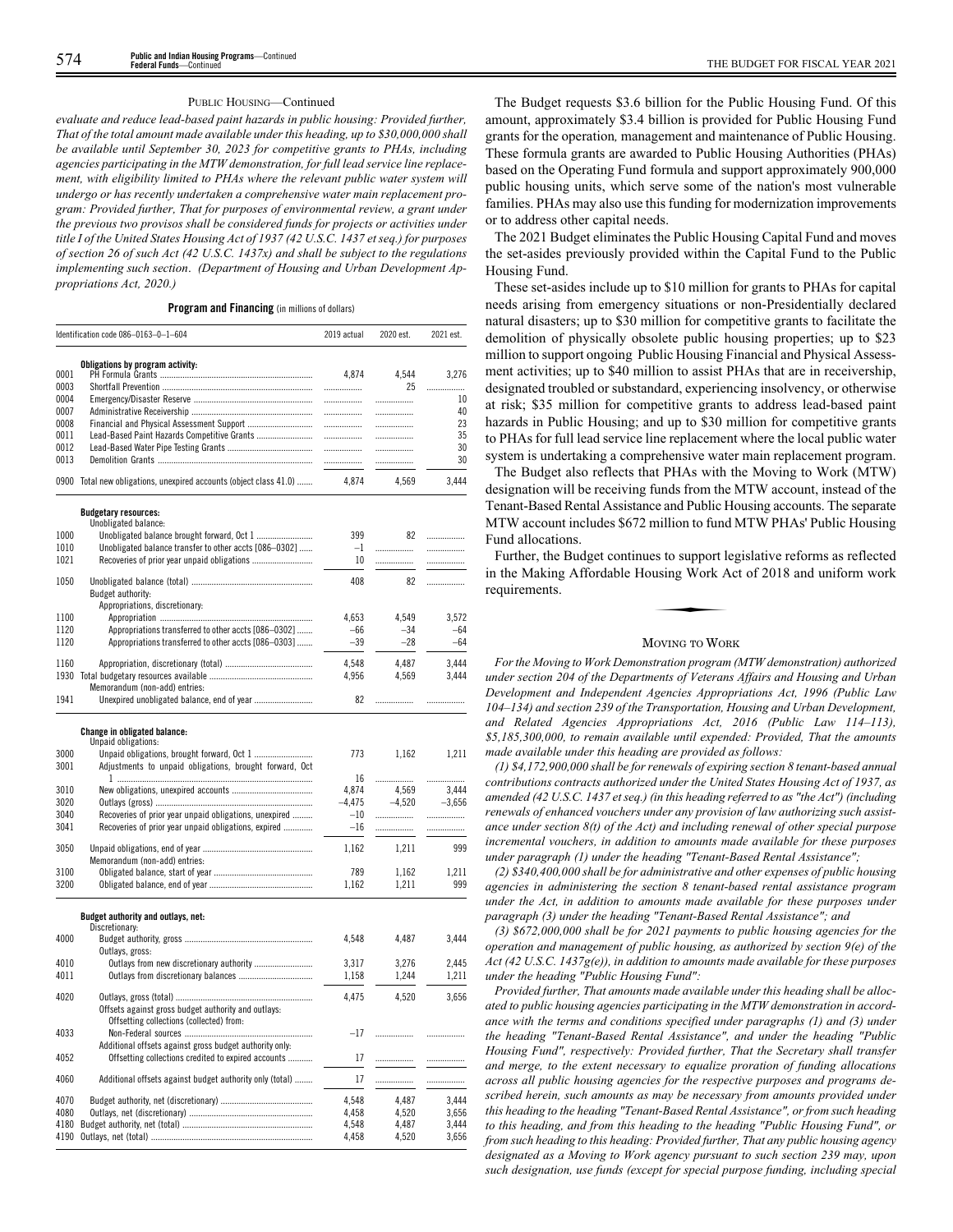#### PUBLIC HOUSING—Continued

*evaluate and reduce lead-based paint hazards in public housing: Provided further, That of the total amount made available under this heading, up to \$30,000,000 shall be available until September 30, 2023 for competitive grants to PHAs, including agencies participating in the MTW demonstration, for full lead service line replacement, with eligibility limited to PHAs where the relevant public water system will undergo or has recently undertaken a comprehensive water main replacement program: Provided further, That for purposes of environmental review, a grant under the previous two provisos shall be considered funds for projects or activities under title I of the United States Housing Act of 1937 (42 U.S.C. 1437 et seq.) for purposes of section 26 of such Act (42 U.S.C. 1437x) and shall be subject to the regulations implementing such section*. *(Department of Housing and Urban Development Appropriations Act, 2020.)*

| Program and Financing (in millions of dollars) |  |  |  |  |  |
|------------------------------------------------|--|--|--|--|--|
|------------------------------------------------|--|--|--|--|--|

|              | Identification code 086-0163-0-1-604                                           | 2019 actual    | 2020 est.      | 2021 est.      |
|--------------|--------------------------------------------------------------------------------|----------------|----------------|----------------|
|              | Obligations by program activity:                                               |                |                |                |
| 0001         |                                                                                | 4.874          | 4,544          | 3,276          |
| 0003         |                                                                                | .              | 25             |                |
| 0004         |                                                                                |                |                | 10             |
| 0007<br>0008 |                                                                                | .              | .              | 40<br>23       |
| 0011         |                                                                                | .<br>.         | .              | 35             |
| 0012         | Lead-Based Paint Hazards Competitive Grants                                    |                | .              | 30             |
| 0013         |                                                                                | .              | .<br>.         | 30             |
|              | 0900 Total new obligations, unexpired accounts (object class 41.0)             | 4,874          | 4,569          | 3.444          |
|              |                                                                                |                |                |                |
|              | <b>Budgetary resources:</b><br>Unobligated balance:                            |                |                |                |
| 1000         | Unobligated balance brought forward, Oct 1                                     | 399            | 82             | .              |
| 1010         | Unobligated balance transfer to other accts [086-0302]                         | $-1$           | .              | .              |
| 1021         |                                                                                | 10             |                | .              |
|              |                                                                                |                |                |                |
| 1050         |                                                                                | 408            | 82             | .              |
|              | Budget authority:                                                              |                |                |                |
|              | Appropriations, discretionary:                                                 |                |                |                |
| 1100         |                                                                                | 4,653          | 4,549          | 3,572          |
| 1120<br>1120 | Appropriations transferred to other accts [086-0302]                           | $-66$<br>$-39$ | $-34$<br>$-28$ | $-64$<br>$-64$ |
|              | Appropriations transferred to other accts [086-0303]                           |                |                |                |
| 1160         |                                                                                | 4,548          | 4,487          | 3.444          |
| 1930         |                                                                                | 4,956          | 4,569          | 3,444          |
|              | Memorandum (non-add) entries:                                                  |                |                |                |
| 1941         |                                                                                | 82             | .              | .              |
| 3000<br>3001 | Unpaid obligations:<br>Adjustments to unpaid obligations, brought forward, Oct | 773            | 1.162          | 1,211          |
|              |                                                                                | 16             |                | .              |
| 3010         |                                                                                | 4,874          | 4,569          | 3,444          |
| 3020         |                                                                                | $-4,475$       | $-4,520$       | $-3,656$       |
| 3040         | Recoveries of prior year unpaid obligations, unexpired                         | $-10$          |                | .              |
| 3041         | Recoveries of prior year unpaid obligations, expired                           | $-16$          | .              | .              |
| 3050         |                                                                                | 1,162          | 1,211          | 999            |
|              | Memorandum (non-add) entries:                                                  |                |                |                |
| 3100         |                                                                                | 789            | 1,162          | 1,211          |
| 3200         |                                                                                | 1,162          | 1,211          | 999            |
|              | Budget authority and outlays, net:                                             |                |                |                |
|              | Discretionary:                                                                 |                |                |                |
| 4000         |                                                                                | 4,548          | 4,487          | 3,444          |
|              | Outlays, gross:                                                                |                |                |                |
| 4010         |                                                                                | 3,317          | 3,276          | 2,445          |
| 4011         |                                                                                | 1,158          | 1,244          | 1,211          |
| 4020         |                                                                                | 4,475          | 4,520          | 3,656          |
|              | Offsets against gross budget authority and outlays:                            |                |                |                |
|              | Offsetting collections (collected) from:                                       |                |                |                |
| 4033         |                                                                                | $-17$          | .              |                |
|              | Additional offsets against gross budget authority only:                        |                |                |                |
| 4052         | Offsetting collections credited to expired accounts                            | 17             | .              |                |
| 4060         | Additional offsets against budget authority only (total)                       | 17             |                | .              |
| 4070         |                                                                                | 4,548          | 4,487          | 3,444          |
| 4080         |                                                                                | 4,458          | 4,520          | 3,656          |
| 4180         |                                                                                | 4,548          | 4,487          | 3,444          |
| 4190         |                                                                                | 4,458          | 4,520          | 3,656          |
|              |                                                                                |                |                |                |

The Budget requests \$3.6 billion for the Public Housing Fund. Of this amount, approximately \$3.4 billion is provided for Public Housing Fund grants for the operation*,* management and maintenance of Public Housing. These formula grants are awarded to Public Housing Authorities (PHAs) based on the Operating Fund formula and support approximately 900,000 public housing units, which serve some of the nation's most vulnerable families. PHAs may also use this funding for modernization improvements or to address other capital needs.

The 2021 Budget eliminates the Public Housing Capital Fund and moves the set-asides previously provided within the Capital Fund to the Public Housing Fund.

These set-asides include up to \$10 million for grants to PHAs for capital needs arising from emergency situations or non-Presidentially declared natural disasters; up to \$30 million for competitive grants to facilitate the demolition of physically obsolete public housing properties; up to \$23 million to support ongoing Public Housing Financial and Physical Assessment activities; up to \$40 million to assist PHAs that are in receivership, designated troubled or substandard, experiencing insolvency, or otherwise at risk; \$35 million for competitive grants to address lead-based paint hazards in Public Housing; and up to \$30 million for competitive grants to PHAs for full lead service line replacement where the local public water system is undertaking a comprehensive water main replacement program.

The Budget also reflects that PHAs with the Moving to Work (MTW) designation will be receiving funds from the MTW account, instead of the Tenant-Based Rental Assistance and Public Housing accounts. The separate MTW account includes \$672 million to fund MTW PHAs' Public Housing Fund allocations.

Further, the Budget continues to support legislative reforms as reflected<br>the Making Affordable Housing Work Act of 2018 and uniform work<br>quirements. in the Making Affordable Housing Work Act of 2018 and uniform work requirements.

#### MOVING TO WORK

*For the Moving to Work Demonstration program (MTW demonstration) authorized under section 204 of the Departments of Veterans Affairs and Housing and Urban Development and Independent Agencies Appropriations Act, 1996 (Public Law 104–134) and section 239 of the Transportation, Housing and Urban Development, and Related Agencies Appropriations Act, 2016 (Public Law 114–113), \$5,185,300,000, to remain available until expended: Provided, That the amounts made available under this heading are provided as follows:*

*(1) \$4,172,900,000 shall be for renewals of expiring section 8 tenant-based annual contributions contracts authorized under the United States Housing Act of 1937, as amended (42 U.S.C. 1437 et seq.) (in this heading referred to as "the Act") (including renewals of enhanced vouchers under any provision of law authorizing such assistance under section 8(t) of the Act) and including renewal of other special purpose incremental vouchers, in addition to amounts made available for these purposes under paragraph (1) under the heading "Tenant-Based Rental Assistance";*

*(2) \$340,400,000 shall be for administrative and other expenses of public housing agencies in administering the section 8 tenant-based rental assistance program under the Act, in addition to amounts made available for these purposes under paragraph (3) under the heading "Tenant-Based Rental Assistance"; and*

*(3) \$672,000,000 shall be for 2021 payments to public housing agencies for the operation and management of public housing, as authorized by section 9(e) of the Act (42 U.S.C. 1437g(e)), in addition to amounts made available for these purposes under the heading "Public Housing Fund":*

*Provided further, That amounts made available under this heading shall be allocated to public housing agencies participating in the MTW demonstration in accordance with the terms and conditions specified under paragraphs (1) and (3) under the heading "Tenant-Based Rental Assistance", and under the heading "Public Housing Fund", respectively: Provided further, That the Secretary shall transfer and merge, to the extent necessary to equalize proration of funding allocations across all public housing agencies for the respective purposes and programs described herein, such amounts as may be necessary from amounts provided under this heading to the heading "Tenant-Based Rental Assistance", or from such heading to this heading, and from this heading to the heading "Public Housing Fund", or from such heading to this heading: Provided further, That any public housing agency designated as a Moving to Work agency pursuant to such section 239 may, upon such designation, use funds (except for special purpose funding, including special*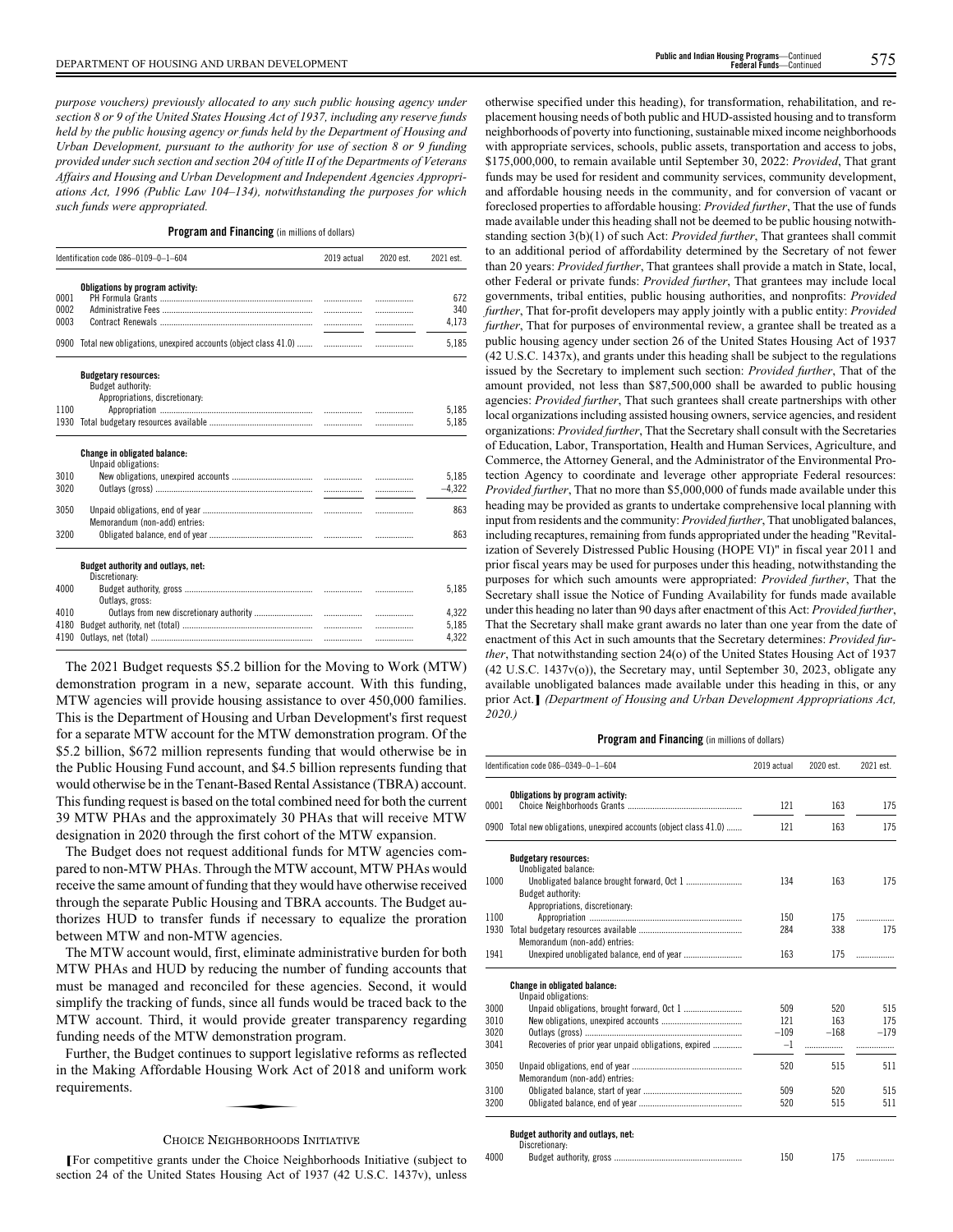*purpose vouchers) previously allocated to any such public housing agency under section 8 or 9 of the United States Housing Act of 1937, including any reserve funds held by the public housing agency or funds held by the Department of Housing and Urban Development, pursuant to the authority for use of section 8 or 9 funding provided under such section and section 204 of title II of the Departments of Veterans Affairs and Housing and Urban Development and Independent Agencies Appropriations Act, 1996 (Public Law 104–134), notwithstanding the purposes for which such funds were appropriated.*

#### **Program and Financing** (in millions of dollars)

|              | Identification code 086-0109-0-1-604                               |  | 2020 est. | 2021 est.    |
|--------------|--------------------------------------------------------------------|--|-----------|--------------|
|              | Obligations by program activity:                                   |  |           |              |
| 0001         |                                                                    |  | .         | 672          |
| 0002<br>0003 |                                                                    |  | .         | 340<br>4,173 |
|              |                                                                    |  | .         |              |
|              | 0900 Total new obligations, unexpired accounts (object class 41.0) |  | .         | 5.185        |
|              | <b>Budgetary resources:</b><br>Budget authority:                   |  |           |              |
|              | Appropriations, discretionary:                                     |  |           |              |
| 1100         |                                                                    |  |           | 5,185        |
|              |                                                                    |  |           | 5,185        |
|              | <b>Change in obligated balance:</b><br>Unpaid obligations:         |  |           |              |
| 3010         |                                                                    |  |           | 5.185        |
| 3020         |                                                                    |  | .         | $-4,322$     |
| 3050         | Memorandum (non-add) entries:                                      |  | .         | 863          |
| 3200         |                                                                    |  | .         | 863          |
|              | Budget authority and outlays, net:                                 |  |           |              |
|              | Discretionary:                                                     |  |           |              |
| 4000         | Outlays, gross:                                                    |  |           | 5,185        |
| 4010         |                                                                    |  |           | 4,322        |
| 4180         |                                                                    |  |           | 5,185        |
| 4190         |                                                                    |  | .         | 4,322        |
|              |                                                                    |  |           |              |

The 2021 Budget requests \$5.2 billion for the Moving to Work (MTW) demonstration program in a new, separate account. With this funding, MTW agencies will provide housing assistance to over 450,000 families. This is the Department of Housing and Urban Development's first request for a separate MTW account for the MTW demonstration program. Of the \$5.2 billion, \$672 million represents funding that would otherwise be in the Public Housing Fund account, and \$4.5 billion represents funding that would otherwise be in the Tenant-Based Rental Assistance (TBRA) account. This funding request is based on the total combined need for both the current 39 MTW PHAs and the approximately 30 PHAs that will receive MTW designation in 2020 through the first cohort of the MTW expansion.

The Budget does not request additional funds for MTW agencies compared to non-MTW PHAs. Through the MTW account, MTW PHAs would receive the same amount of funding that they would have otherwise received through the separate Public Housing and TBRA accounts. The Budget authorizes HUD to transfer funds if necessary to equalize the proration between MTW and non-MTW agencies.

The MTW account would, first, eliminate administrative burden for both MTW PHAs and HUD by reducing the number of funding accounts that must be managed and reconciled for these agencies. Second, it would simplify the tracking of funds, since all funds would be traced back to the MTW account. Third, it would provide greater transparency regarding funding needs of the MTW demonstration program.

Further, the Budget continues to support legislative reforms as reflected in the Making Affordable Housing Work Act of 2018 and uniform work requirements. Exercisation process<br>to support lower<br>wave and the process

#### CHOICE NEIGHBORHOODS INITIATIVE

**[**For competitive grants under the Choice Neighborhoods Initiative (subject to section 24 of the United States Housing Act of 1937 (42 U.S.C. 1437v), unless

otherwise specified under this heading), for transformation, rehabilitation, and replacement housing needs of both public and HUD-assisted housing and to transform neighborhoods of poverty into functioning, sustainable mixed income neighborhoods with appropriate services, schools, public assets, transportation and access to jobs, \$175,000,000, to remain available until September 30, 2022: *Provided*, That grant funds may be used for resident and community services, community development, and affordable housing needs in the community, and for conversion of vacant or foreclosed properties to affordable housing: *Provided further*, That the use of funds made available under this heading shall not be deemed to be public housing notwithstanding section 3(b)(1) of such Act: *Provided further*, That grantees shall commit to an additional period of affordability determined by the Secretary of not fewer than 20 years: *Provided further*, That grantees shall provide a match in State, local, other Federal or private funds: *Provided further*, That grantees may include local governments, tribal entities, public housing authorities, and nonprofits: *Provided further*, That for-profit developers may apply jointly with a public entity: *Provided further*, That for purposes of environmental review, a grantee shall be treated as a public housing agency under section 26 of the United States Housing Act of 1937 (42 U.S.C. 1437x), and grants under this heading shall be subject to the regulations issued by the Secretary to implement such section: *Provided further*, That of the amount provided, not less than \$87,500,000 shall be awarded to public housing agencies: *Provided further*, That such grantees shall create partnerships with other local organizations including assisted housing owners, service agencies, and resident organizations: *Provided further*, That the Secretary shall consult with the Secretaries of Education, Labor, Transportation, Health and Human Services, Agriculture, and Commerce, the Attorney General, and the Administrator of the Environmental Protection Agency to coordinate and leverage other appropriate Federal resources: *Provided further*, That no more than \$5,000,000 of funds made available under this heading may be provided as grants to undertake comprehensive local planning with input from residents and the community: *Provided further*, That unobligated balances, including recaptures, remaining from funds appropriated under the heading "Revitalization of Severely Distressed Public Housing (HOPE VI)" in fiscal year 2011 and prior fiscal years may be used for purposes under this heading, notwithstanding the purposes for which such amounts were appropriated: *Provided further*, That the Secretary shall issue the Notice of Funding Availability for funds made available under this heading no later than 90 days after enactment of this Act: *Provided further*, That the Secretary shall make grant awards no later than one year from the date of enactment of this Act in such amounts that the Secretary determines: *Provided further*, That notwithstanding section 24(o) of the United States Housing Act of 1937 (42 U.S.C. 1437v(o)), the Secretary may, until September 30, 2023, obligate any available unobligated balances made available under this heading in this, or any prior Act.**]** *(Department of Housing and Urban Development Appropriations Act, 2020.)*

|      | Identification code 086-0349-0-1-604                                        | 2019 actual | 2020 est. | 2021 est. |
|------|-----------------------------------------------------------------------------|-------------|-----------|-----------|
| 0001 | Obligations by program activity:                                            | 121         | 163       | 175       |
| 0900 | Total new obligations, unexpired accounts (object class 41.0)               | 121         | 163       | 175       |
|      | <b>Budgetary resources:</b>                                                 |             |           |           |
| 1000 | Unobligated balance:<br>Budget authority:<br>Appropriations, discretionary: | 134         | 163       | 175       |
| 1100 |                                                                             | 150         | 175       | .         |
| 1930 |                                                                             | 284         | 338       | 175       |
|      | Memorandum (non-add) entries:                                               |             |           |           |
| 1941 |                                                                             | 163         | 175       | .         |
|      | <b>Change in obligated balance:</b><br>Unpaid obligations:                  |             |           |           |
| 3000 |                                                                             | 509         | 520       | 515       |
| 3010 |                                                                             | 121         | 163       | 175       |
| 3020 |                                                                             | $-109$      | $-168$    | $-179$    |
| 3041 | Recoveries of prior year unpaid obligations, expired                        | $-1$        | .         | .         |
| 3050 | Memorandum (non-add) entries:                                               | 520         | 515       | 511       |
| 3100 |                                                                             | 509         | 520       | 515       |
| 3200 |                                                                             | 520         | 515       | 511       |
|      | Budget authority and outlays, net:<br>Discretionary:                        |             |           |           |
| 4000 |                                                                             | 150         | 175       | .         |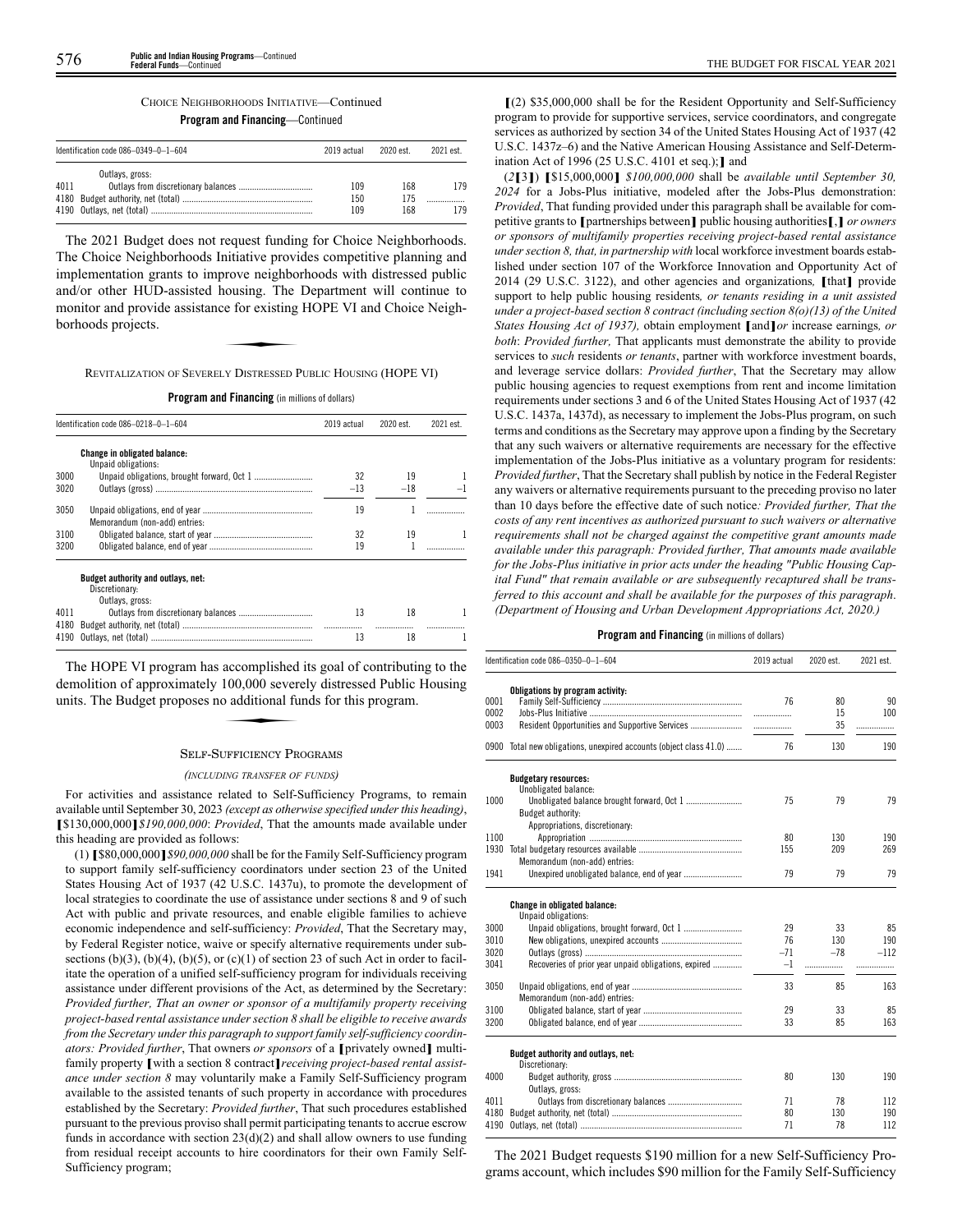### CHOICE NEIGHBORHOODS INITIATIVE—Continued

**Program and Financing**—Continued

| Identification code $086-0349-0-1-604$ |                 | 2019 actual | 2020 est. | 2021 est. |
|----------------------------------------|-----------------|-------------|-----------|-----------|
|                                        | Outlays, gross: |             |           |           |
| 4011                                   |                 | 109         | 168       | 179       |
|                                        |                 | 150         | 175       |           |
|                                        |                 | 109         | 168       | 179       |

The 2021 Budget does not request funding for Choice Neighborhoods. The Choice Neighborhoods Initiative provides competitive planning and implementation grants to improve neighborhoods with distressed public and/or other HUD-assisted housing. The Department will continue to<br>
monitor and provide assistance for existing HOPE VI and Choice Neigh-<br>
borhoods projects.<br>
REVITALIZATION OF SEVERELY DISTRESSED PUBLIC HOUSING (HOPE VI) monitor and provide assistance for existing HOPE VI and Choice Neighborhoods projects.

REVITALIZATION OF SEVERELY DISTRESSED PUBLIC HOUSING (HOPE VI)

**Program and Financing** (in millions of dollars)

|              | Identification code 086-0218-0-1-604                                    |       | 2020 est. | 2021 est. |
|--------------|-------------------------------------------------------------------------|-------|-----------|-----------|
|              | <b>Change in obligated balance:</b><br>Unpaid obligations:              |       |           |           |
| 3000         |                                                                         | 32    | 19        |           |
| 3020         |                                                                         | $-13$ | $-18$     |           |
| 3050         | Memorandum (non-add) entries:                                           | 19    |           |           |
| 3100         |                                                                         | 32    | 19        |           |
| 3200         |                                                                         | 19    |           |           |
|              | Budget authority and outlays, net:<br>Discretionary:<br>Outlays, gross: |       |           |           |
| 4011         |                                                                         | 13    | 18        |           |
| 4180<br>4190 |                                                                         | 13    | 18        |           |

The HOPE VI program has accomplished its goal of contributing to the<br>
emolition of approximately 100,000 severely distressed Public Housing<br>
ints. The Budget proposes no additional funds for this program. demolition of approximately 100,000 severely distressed Public Housing units. The Budget proposes no additional funds for this program.

#### SELF-SUFFICIENCY PROGRAMS

#### *(INCLUDING TRANSFER OF FUNDS)*

For activities and assistance related to Self-Sufficiency Programs, to remain available until September 30, 2023 *(except as otherwise specified under this heading)*, **[**\$130,000,000**]***\$190,000,000*: *Provided*, That the amounts made available under this heading are provided as follows:

(1) **[**\$80,000,000**]***\$90,000,000* shall be for the Family Self-Sufficiency program to support family self-sufficiency coordinators under section 23 of the United States Housing Act of 1937 (42 U.S.C. 1437u), to promote the development of local strategies to coordinate the use of assistance under sections 8 and 9 of such Act with public and private resources, and enable eligible families to achieve economic independence and self-sufficiency: *Provided*, That the Secretary may, by Federal Register notice, waive or specify alternative requirements under subsections (b)(3), (b)(4), (b)(5), or (c)(1) of section 23 of such Act in order to facilitate the operation of a unified self-sufficiency program for individuals receiving assistance under different provisions of the Act, as determined by the Secretary: *Provided further, That an owner or sponsor of a multifamily property receiving project-based rental assistance under section 8 shall be eligible to receive awards from the Secretary under this paragraph to support family self-sufficiency coordinators: Provided further*, That owners *or sponsors* of a **[**privately owned**]** multifamily property **[**with a section 8 contract**]***receiving project-based rental assistance under section 8* may voluntarily make a Family Self-Sufficiency program available to the assisted tenants of such property in accordance with procedures established by the Secretary: *Provided further*, That such procedures established pursuant to the previous proviso shall permit participating tenants to accrue escrow funds in accordance with section  $23(d)(2)$  and shall allow owners to use funding from residual receipt accounts to hire coordinators for their own Family Self-Sufficiency program;

**[**(2) \$35,000,000 shall be for the Resident Opportunity and Self-Sufficiency program to provide for supportive services, service coordinators, and congregate services as authorized by section 34 of the United States Housing Act of 1937 (42 U.S.C. 1437z–6) and the Native American Housing Assistance and Self-Determination Act of 1996 (25 U.S.C. 4101 et seq.);**]** and

(*2***[**3**]**) **[**\$15,000,000**]** *\$100,000,000* shall be *available until September 30, 2024* for a Jobs-Plus initiative, modeled after the Jobs-Plus demonstration: *Provided*, That funding provided under this paragraph shall be available for competitive grants to **[**partnerships between**]** public housing authorities**[**,**]** *or owners or sponsors of multifamily properties receiving project-based rental assistance under section 8, that, in partnership with* local workforce investment boards established under section 107 of the Workforce Innovation and Opportunity Act of 2014 (29 U.S.C. 3122), and other agencies and organizations*,* **[**that**]** provide support to help public housing residents*, or tenants residing in a unit assisted under a project-based section 8 contract (including section 8(o)(13) of the United States Housing Act of 1937),* obtain employment **[**and**]***or* increase earnings*, or both*: *Provided further,* That applicants must demonstrate the ability to provide services to *such* residents *or tenants*, partner with workforce investment boards, and leverage service dollars: *Provided further*, That the Secretary may allow public housing agencies to request exemptions from rent and income limitation requirements under sections 3 and 6 of the United States Housing Act of 1937 (42 U.S.C. 1437a, 1437d), as necessary to implement the Jobs-Plus program, on such terms and conditions as the Secretary may approve upon a finding by the Secretary that any such waivers or alternative requirements are necessary for the effective implementation of the Jobs-Plus initiative as a voluntary program for residents: *Provided further*, That the Secretary shall publish by notice in the Federal Register any waivers or alternative requirements pursuant to the preceding proviso no later than 10 days before the effective date of such notice*: Provided further, That the costs of any rent incentives as authorized pursuant to such waivers or alternative requirements shall not be charged against the competitive grant amounts made available under this paragraph: Provided further, That amounts made available for the Jobs-Plus initiative in prior acts under the heading "Public Housing Capital Fund" that remain available or are subsequently recaptured shall be transferred to this account and shall be available for the purposes of this paragraph*. *(Department of Housing and Urban Development Appropriations Act, 2020.)*

#### **Program and Financing** (in millions of dollars)

|      | Identification code 086-0350-0-1-604                          | 2019 actual | 2020 est. | 2021 est. |
|------|---------------------------------------------------------------|-------------|-----------|-----------|
|      | Obligations by program activity:                              |             |           |           |
| 0001 |                                                               | 76          | 80        | 90        |
| 0002 |                                                               |             | 15        | 100       |
| 0003 |                                                               |             | 35        | .         |
| 0900 | Total new obligations, unexpired accounts (object class 41.0) | 76          | 130       | 190       |
|      | <b>Budgetary resources:</b><br>Unobligated balance:           |             |           |           |
| 1000 |                                                               | 75          | 79        | 79        |
|      | Budget authority:                                             |             |           |           |
|      | Appropriations, discretionary:                                |             |           |           |
| 1100 |                                                               | 80          | 130       | 190       |
| 1930 |                                                               | 155         | 209       | 269       |
|      | Memorandum (non-add) entries:                                 |             |           |           |
| 1941 |                                                               | 79          | 79        | 79        |
|      | <b>Change in obligated balance:</b><br>Unpaid obligations:    |             |           |           |
| 3000 |                                                               | 29          | 33        | 85        |
| 3010 |                                                               | 76          | 130       | 190       |
| 3020 |                                                               | $-71$       | $-78$     | $-112$    |
| 3041 | Recoveries of prior year unpaid obligations, expired          | $-1$        | .         |           |
| 3050 | Memorandum (non-add) entries:                                 | 33          | 85        | 163       |
| 3100 |                                                               | 29          | 33        | 85        |
| 3200 |                                                               | 33          | 85        | 163       |
|      | Budget authority and outlays, net:<br>Discretionary:          |             |           |           |
| 4000 | Outlays, gross:                                               | 80          | 130       | 190       |
| 4011 |                                                               | 71          | 78        | 112       |
| 4180 |                                                               | 80          | 130       | 190       |
| 4190 |                                                               | 71          | 78        | 112       |
|      |                                                               |             |           |           |

The 2021 Budget requests \$190 million for a new Self-Sufficiency Programs account, which includes \$90 million for the Family Self-Sufficiency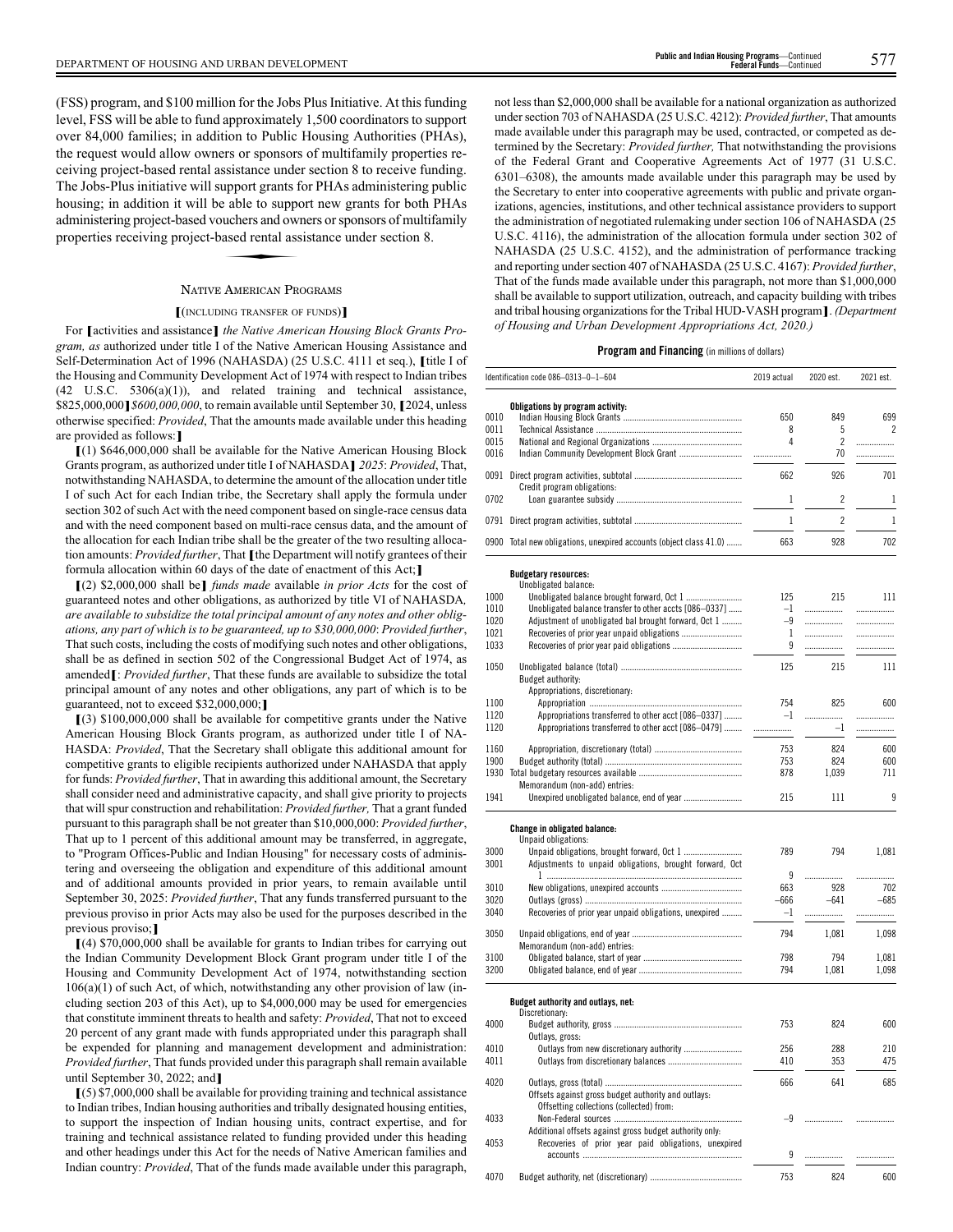(FSS) program, and \$100 million for the Jobs Plus Initiative. At this funding level, FSS will be able to fund approximately 1,500 coordinators to support over 84,000 families; in addition to Public Housing Authorities (PHAs), the request would allow owners or sponsors of multifamily properties receiving project-based rental assistance under section 8 to receive funding. The Jobs-Plus initiative will support grants for PHAs administering public housing; in addition it will be able to support new grants for both PHAs<br>housing; in addition it will be able to support new grants for both PHAs<br>administering project-based vouchers and owners or sponsors of multifamily<br>p administering project-based vouchers and owners or sponsors of multifamily properties receiving project-based rental assistance under section 8.

#### NATIVE AMERICAN PROGRAMS

#### **[**(INCLUDING TRANSFER OF FUNDS)**]**

For **[**activities and assistance**]***the Native American Housing Block Grants Program, as* authorized under title I of the Native American Housing Assistance and Self-Determination Act of 1996 (NAHASDA) (25 U.S.C. 4111 et seq.), **[**title I of the Housing and Community Development Act of 1974 with respect to Indian tribes (42 U.S.C. 5306(a)(1)), and related training and technical assistance, \$825,000,000**]***\$600,000,000*, to remain available until September 30, **[**2024, unless otherwise specified: *Provided*, That the amounts made available under this heading are provided as follows:**]**

**[**(1) \$646,000,000 shall be available for the Native American Housing Block Grants program, as authorized under title I of NAHASDA**]** *2025*: *Provided*, That, notwithstanding NAHASDA, to determine the amount of the allocation under title I of such Act for each Indian tribe, the Secretary shall apply the formula under section 302 of such Act with the need component based on single-race census data and with the need component based on multi-race census data, and the amount of the allocation for each Indian tribe shall be the greater of the two resulting allocation amounts: *Provided further*, That **[**the Department will notify grantees of their formula allocation within 60 days of the date of enactment of this Act;**]**

**[**(2) \$2,000,000 shall be**]** *funds made* available *in prior Acts* for the cost of guaranteed notes and other obligations, as authorized by title VI of NAHASDA*, are available to subsidize the total principal amount of any notes and other obligations, any part of which is to be guaranteed, up to \$30,000,000*: *Provided further*, That such costs, including the costs of modifying such notes and other obligations, shall be as defined in section 502 of the Congressional Budget Act of 1974, as amended**[**: *Provided further*, That these funds are available to subsidize the total principal amount of any notes and other obligations, any part of which is to be guaranteed, not to exceed \$32,000,000;**]**

**[**(3) \$100,000,000 shall be available for competitive grants under the Native American Housing Block Grants program, as authorized under title I of NA-HASDA: *Provided*, That the Secretary shall obligate this additional amount for competitive grants to eligible recipients authorized under NAHASDA that apply for funds: *Provided further*, That in awarding this additional amount, the Secretary shall consider need and administrative capacity, and shall give priority to projects that will spur construction and rehabilitation: *Provided further,* That a grant funded pursuant to this paragraph shall be not greater than \$10,000,000: *Provided further*, That up to 1 percent of this additional amount may be transferred, in aggregate, to "Program Offices-Public and Indian Housing" for necessary costs of administering and overseeing the obligation and expenditure of this additional amount and of additional amounts provided in prior years, to remain available until September 30, 2025: *Provided further*, That any funds transferred pursuant to the previous proviso in prior Acts may also be used for the purposes described in the previous proviso;**]**

**[**(4) \$70,000,000 shall be available for grants to Indian tribes for carrying out the Indian Community Development Block Grant program under title I of the Housing and Community Development Act of 1974, notwithstanding section  $106(a)(1)$  of such Act, of which, notwithstanding any other provision of law (including section 203 of this Act), up to \$4,000,000 may be used for emergencies that constitute imminent threats to health and safety: *Provided*, That not to exceed 20 percent of any grant made with funds appropriated under this paragraph shall be expended for planning and management development and administration: *Provided further*, That funds provided under this paragraph shall remain available until September 30, 2022; and**]**

**[**(5) \$7,000,000 shall be available for providing training and technical assistance to Indian tribes, Indian housing authorities and tribally designated housing entities, to support the inspection of Indian housing units, contract expertise, and for training and technical assistance related to funding provided under this heading and other headings under this Act for the needs of Native American families and Indian country: *Provided*, That of the funds made available under this paragraph,

not less than \$2,000,000 shall be available for a national organization as authorized under section 703 of NAHASDA (25 U.S.C. 4212): *Provided further*, That amounts made available under this paragraph may be used, contracted, or competed as determined by the Secretary: *Provided further,* That notwithstanding the provisions of the Federal Grant and Cooperative Agreements Act of 1977 (31 U.S.C. 6301–6308), the amounts made available under this paragraph may be used by the Secretary to enter into cooperative agreements with public and private organizations, agencies, institutions, and other technical assistance providers to support the administration of negotiated rulemaking under section 106 of NAHASDA (25 U.S.C. 4116), the administration of the allocation formula under section 302 of NAHASDA (25 U.S.C. 4152), and the administration of performance tracking and reporting under section 407 of NAHASDA (25 U.S.C. 4167): *Provided further*, That of the funds made available under this paragraph, not more than \$1,000,000 shall be available to support utilization, outreach, and capacity building with tribes and tribal housing organizations for the Tribal HUD-VASH program**]**. *(Department of Housing and Urban Development Appropriations Act, 2020.)*

|      | Identification code 086-0313-0-1-604                               | 2019 actual | 2020 est.      | 2021 est.      |
|------|--------------------------------------------------------------------|-------------|----------------|----------------|
|      | Obligations by program activity:                                   |             |                |                |
| 0010 |                                                                    | 650         | 849            | 699            |
| 0011 |                                                                    | 8           | 5              | $\overline{2}$ |
| 0015 |                                                                    | 4           | $\overline{c}$ | .              |
| 0016 | Indian Community Development Block Grant                           | .           | 70             | .              |
|      |                                                                    | 662         | 926            | 701            |
|      | Credit program obligations:                                        |             |                |                |
| 0702 |                                                                    | 1           | 2              | 1              |
| 0791 |                                                                    | 1           | $\overline{c}$ | 1              |
|      | 0900 Total new obligations, unexpired accounts (object class 41.0) | 663         | 928            | 702            |
|      | <b>Budgetary resources:</b><br>Unobligated balance:                |             |                |                |
| 1000 | Unobligated balance brought forward, Oct 1                         | 125         | 215            | 111            |
| 1010 | Unobligated balance transfer to other accts [086-0337]             | $-1$        | .              | .              |
| 1020 | Adjustment of unobligated bal brought forward, Oct 1               | $-9$        | .              | .              |
| 1021 |                                                                    | 1           | .              | .              |
| 1033 |                                                                    | 9           | .              | .              |
| 1050 |                                                                    | 125         | 215            | 111            |
|      | Budget authority:                                                  |             |                |                |
|      | Appropriations, discretionary:                                     |             |                |                |
| 1100 |                                                                    | 754         | 825            | 600            |
| 1120 | Appropriations transferred to other acct [086-0337]                | $-1$        | .              | .              |
| 1120 | Appropriations transferred to other acct [086-0479]                | .           | $-1$           | .              |
| 1160 |                                                                    | 753         | 824            | 600            |
| 1900 |                                                                    | 753         | 824            | 600            |
| 1930 |                                                                    | 878         | 1,039          | 711            |
| 1941 | Memorandum (non-add) entries:                                      | 215         | 111            | 9              |
|      |                                                                    |             |                |                |
|      | Change in obligated balance:<br>Unpaid obligations:                |             |                |                |
| 3000 |                                                                    | 789         | 794            | 1,081          |
| 3001 | Adjustments to unpaid obligations, brought forward, Oct            |             |                |                |
|      |                                                                    | 9           | .              | .              |
| 3010 |                                                                    | 663         | 928            | 702            |
| 3020 |                                                                    | -666        | $-641$         | $-685$         |
| 3040 | Recoveries of prior year unpaid obligations, unexpired             | $-1$        | .              | .              |
| 3050 |                                                                    | 794         | 1,081          | 1,098          |
|      | Memorandum (non-add) entries:                                      |             |                |                |
| 3100 |                                                                    | 798         | 794            | 1,081          |
| 3200 |                                                                    | 794         | 1,081          | 1,098          |
|      | Budget authority and outlays, net:                                 |             |                |                |
|      | Discretionary:                                                     |             |                |                |
| 4000 |                                                                    | 753         | 824            | 600            |
| 4010 | Outlays, gross:                                                    | 256         | 288            | 210            |
| 4011 |                                                                    | 410         | 353            | 475            |
|      | Outlays from discretionary balances                                |             |                |                |
| 4020 |                                                                    | 666         | 641            | 685            |
|      | Offsets against gross budget authority and outlays:                |             |                |                |
|      | Offsetting collections (collected) from:                           |             |                |                |
| 4033 |                                                                    | $-9$        | .              | .              |
|      | Additional offsets against gross budget authority only:            |             |                |                |
| 4053 | Recoveries of prior year paid obligations, unexpired               |             |                |                |
|      |                                                                    | 9           |                |                |
| 4070 |                                                                    | 753         | 824            | 600            |
|      |                                                                    |             |                |                |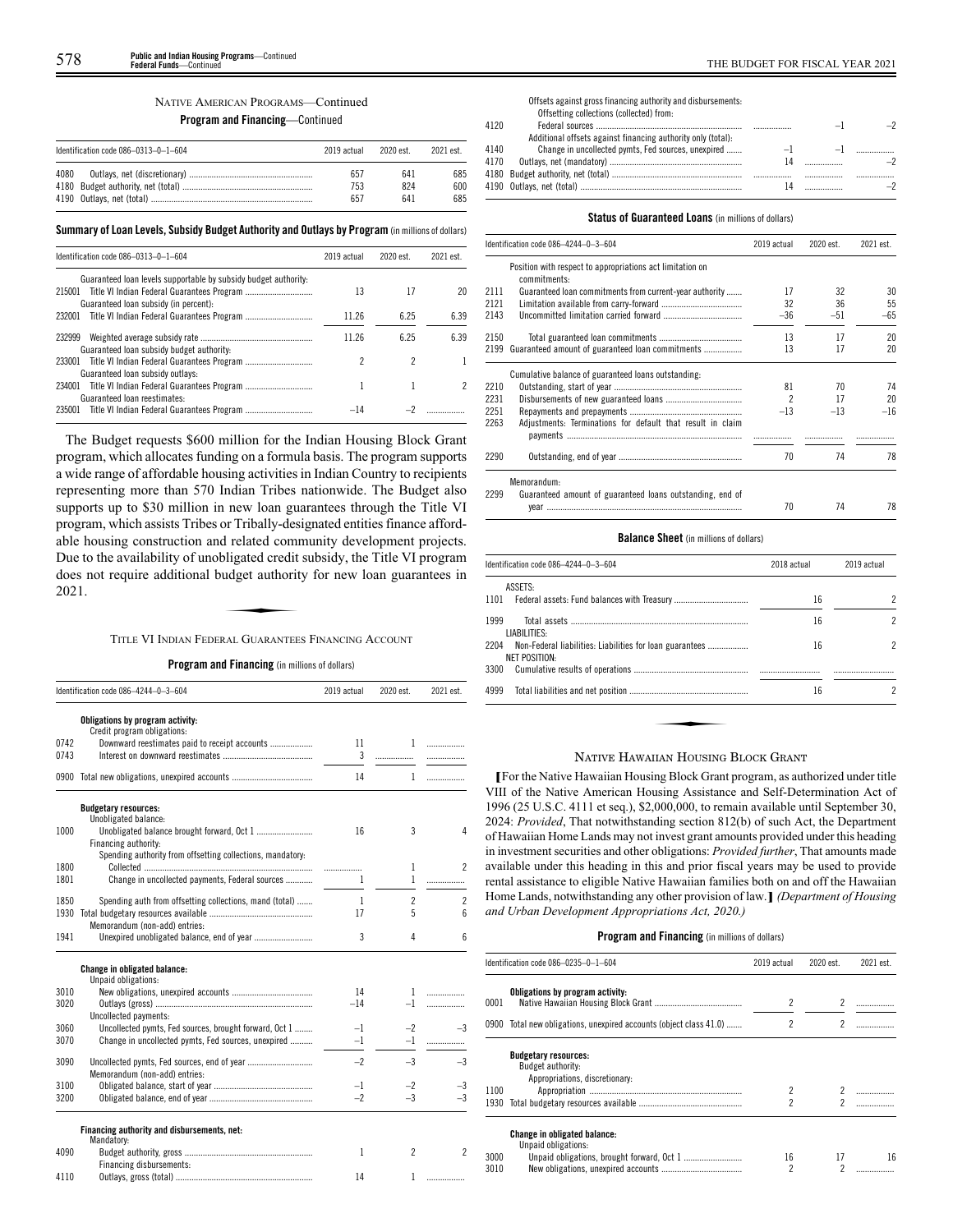#### NATIVE AMERICAN PROGRAMS—Continued

**Program and Financing**—Continued

|      | Identification code 086-0313-0-1-604 | 2019 actual | 2020 est. | 2021 est |
|------|--------------------------------------|-------------|-----------|----------|
| 4080 |                                      | 657         | 641       | 685      |
|      |                                      | 753         | 824       | 600      |
|      |                                      | 657         | 641       | 685      |

#### **Summary ofLoan Levels, Subsidy Budget Authority and Outlays by Program** (inmillionsof dollars)

| Identification code 086-0313-0-1-604                            | 2019 actual | 2020 est. | 2021 est. |
|-----------------------------------------------------------------|-------------|-----------|-----------|
| Guaranteed loan levels supportable by subsidy budget authority: |             |           |           |
| 215001                                                          | 13          | 17        | 20        |
| Guaranteed loan subsidy (in percent):                           |             |           |           |
| 232001                                                          | 11.26       | 6.25      | 6.39      |
|                                                                 |             |           |           |
| 232999                                                          | 11.26       | 6.25      | 6.39      |
| Guaranteed loan subsidy budget authority:                       |             |           |           |
| 233001 Title VI Indian Federal Guarantees Program               |             |           |           |
| Guaranteed loan subsidy outlays:                                |             |           |           |
| 234001                                                          |             |           |           |
| Guaranteed loan reestimates:                                    |             |           |           |
| 235001 Title VI Indian Federal Guarantees Program               |             |           |           |

The Budget requests \$600 million for the Indian Housing Block Grant program, which allocates funding on a formula basis. The program supports a wide range of affordable housing activities in Indian Country to recipients representing more than 570 Indian Tribes nationwide. The Budget also supports up to \$30 million in new loan guarantees through the Title VI program, which assists Tribes or Tribally-designated entities finance affordable housing construction and related community development projects. Figure to the availability of unobligated credit subsidy, the Title VI program<br>does not require additional budget authority for new loan guarantees in<br>2021.<br>TITLE VI INDIAN FEDERAL GUARANTEES FINANCING ACCOUNT does not require additional budget authority for new loan guarantees in 2021.

#### TITLE VI INDIAN FEDERAL GUARANTEES FINANCING ACCOUNT

**Program and Financing** (in millions of dollars)

|      | Identification code 086-4244-0-3-604                       | 2019 actual | 2020 est.      | 2021 est.                |
|------|------------------------------------------------------------|-------------|----------------|--------------------------|
|      | Obligations by program activity:                           |             |                |                          |
|      | Credit program obligations:                                |             |                |                          |
| 0742 | Downward reestimates paid to receipt accounts              | 11          | 1              | .                        |
| 0743 |                                                            | 3           | .              | .                        |
| 0900 |                                                            | 14          | 1              | .                        |
|      | <b>Budgetary resources:</b><br>Unobligated balance:        |             |                |                          |
| 1000 | Financing authority:                                       | 16          | 3              | 4                        |
|      | Spending authority from offsetting collections, mandatory: |             |                |                          |
| 1800 |                                                            | .           | 1              | 2                        |
| 1801 | Change in uncollected payments, Federal sources            | 1           | 1              | .                        |
| 1850 | Spending auth from offsetting collections, mand (total)    | 1           | $\overline{c}$ | $\overline{2}$           |
| 1930 |                                                            | 17          | 5              | ĥ                        |
|      | Memorandum (non-add) entries:                              |             |                |                          |
| 1941 |                                                            | 3           | 4              | 6                        |
|      | Change in obligated balance:                               |             |                |                          |
|      | Unpaid obligations:                                        |             |                |                          |
| 3010 |                                                            | 14          | 1              | .                        |
| 3020 |                                                            | $-14$       | $-1$           | .                        |
|      | Uncollected payments:                                      |             |                |                          |
| 3060 | Uncollected pymts, Fed sources, brought forward, Oct 1     | $-1$        | $-2$           | $-3$                     |
| 3070 | Change in uncollected pymts, Fed sources, unexpired        | $-1$        | $-1$           | .                        |
| 3090 | Uncollected pymts, Fed sources, end of year                | $-2$        | $-3$           | $-3$                     |
|      | Memorandum (non-add) entries:                              |             |                |                          |
| 3100 |                                                            | $-1$        | $-2$           | -3                       |
| 3200 |                                                            | $-2$        | $-3$           | $-3$                     |
|      |                                                            |             |                |                          |
|      | Financing authority and disbursements, net:<br>Mandatory:  |             |                |                          |
| 4090 |                                                            | 1           | $\mathfrak{p}$ | $\overline{\phantom{a}}$ |
|      | Financing disbursements:                                   |             |                |                          |

4110 Outlays, gross (total) ............................................................. 14 1 .................

|      | Offsets against gross financing authority and disbursements:<br>Offsetting collections (collected) from: |                   |      |
|------|----------------------------------------------------------------------------------------------------------|-------------------|------|
| 4120 |                                                                                                          |                   |      |
|      | Additional offsets against financing authority only (total).                                             |                   |      |
| 4140 | Change in uncollected pymts, Fed sources, unexpired                                                      | 그래도 그 그래도 그래도 그래도 |      |
| 4170 |                                                                                                          |                   | $-2$ |
|      |                                                                                                          |                   |      |
|      |                                                                                                          |                   | $-2$ |
|      |                                                                                                          |                   |      |

#### **Status of Guaranteed Loans** (in millions of dollars)

|      | Identification code 086-4244-0-3-604                                      | 2019 actual              | 2020 est. | 2021 est. |
|------|---------------------------------------------------------------------------|--------------------------|-----------|-----------|
|      | Position with respect to appropriations act limitation on<br>commitments: |                          |           |           |
| 2111 | Guaranteed loan commitments from current-year authority                   | 17                       | 32        | 30        |
| 2121 |                                                                           | 32                       | 36        | 55        |
| 2143 |                                                                           | $-36$                    | $-51$     | $-65$     |
| 2150 |                                                                           | 13                       | 17        | 20        |
| 2199 | Guaranteed amount of guaranteed loan commitments                          | 13                       | 17        | 20        |
|      | Cumulative balance of guaranteed loans outstanding:                       |                          |           |           |
| 2210 |                                                                           | 81                       | 70        | 74        |
| 2231 |                                                                           | $\overline{\mathcal{C}}$ | 17        | 20        |
| 2251 |                                                                           | $-13$                    | $-13$     | $-16$     |
| 2263 | Adjustments: Terminations for default that result in claim                |                          |           |           |
|      |                                                                           |                          |           |           |
| 2290 |                                                                           | 70                       | 74        | 78        |
|      | Memorandum:                                                               |                          |           |           |
| 2299 | Guaranteed amount of guaranteed loans outstanding, end of                 |                          |           |           |
|      |                                                                           | 70                       | 74        | 78        |
|      |                                                                           |                          |           |           |

#### **Balance Sheet** (in millions of dollars)

| Identification code 086-4244-0-3-604             | 2018 actual | 2019 actual    |
|--------------------------------------------------|-------------|----------------|
| ASSETS:                                          |             |                |
| 1101 Federal assets: Fund balances with Treasury | 16          | 2              |
| 1999<br>LIABILITIES:                             | 16          | $\overline{c}$ |
| 2204<br>NET POSITION:                            | 16          | $\overline{c}$ |
| 3300                                             |             |                |
| 4999                                             | 16          | 2              |
|                                                  |             |                |
|                                                  |             |                |

#### NATIVE HAWAIIAN HOUSING BLOCK GRANT

**[**For the Native Hawaiian Housing Block Grant program, as authorized under title VIII of the Native American Housing Assistance and Self-Determination Act of 1996 (25 U.S.C. 4111 et seq.), \$2,000,000, to remain available until September 30, 2024: *Provided*, That notwithstanding section 812(b) of such Act, the Department of Hawaiian Home Lands may not invest grant amounts provided under this heading in investment securities and other obligations: *Provided further*, That amounts made available under this heading in this and prior fiscal years may be used to provide rental assistance to eligible Native Hawaiian families both on and off the Hawaiian Home Lands, notwithstanding any other provision of law.**]** *(Department of Housing and Urban Development Appropriations Act, 2020.)*

|      | Identification code 086-0235-0-1-604                                               | 2019 actual              | 2020 est. | 2021 est. |
|------|------------------------------------------------------------------------------------|--------------------------|-----------|-----------|
| 0001 | Obligations by program activity:                                                   | $\overline{\phantom{a}}$ |           |           |
|      | 0900 Total new obligations, unexpired accounts (object class 41.0)                 | $\overline{\phantom{a}}$ |           |           |
|      | <b>Budgetary resources:</b><br>Budget authority:<br>Appropriations, discretionary: |                          |           |           |
| 1100 |                                                                                    |                          |           |           |
| 1930 |                                                                                    | 2                        |           |           |
|      | <b>Change in obligated balance:</b><br>Unpaid obligations:                         |                          |           |           |
| 3000 |                                                                                    | 16                       | 17        | 16        |
| 3010 |                                                                                    | $\overline{\phantom{a}}$ |           |           |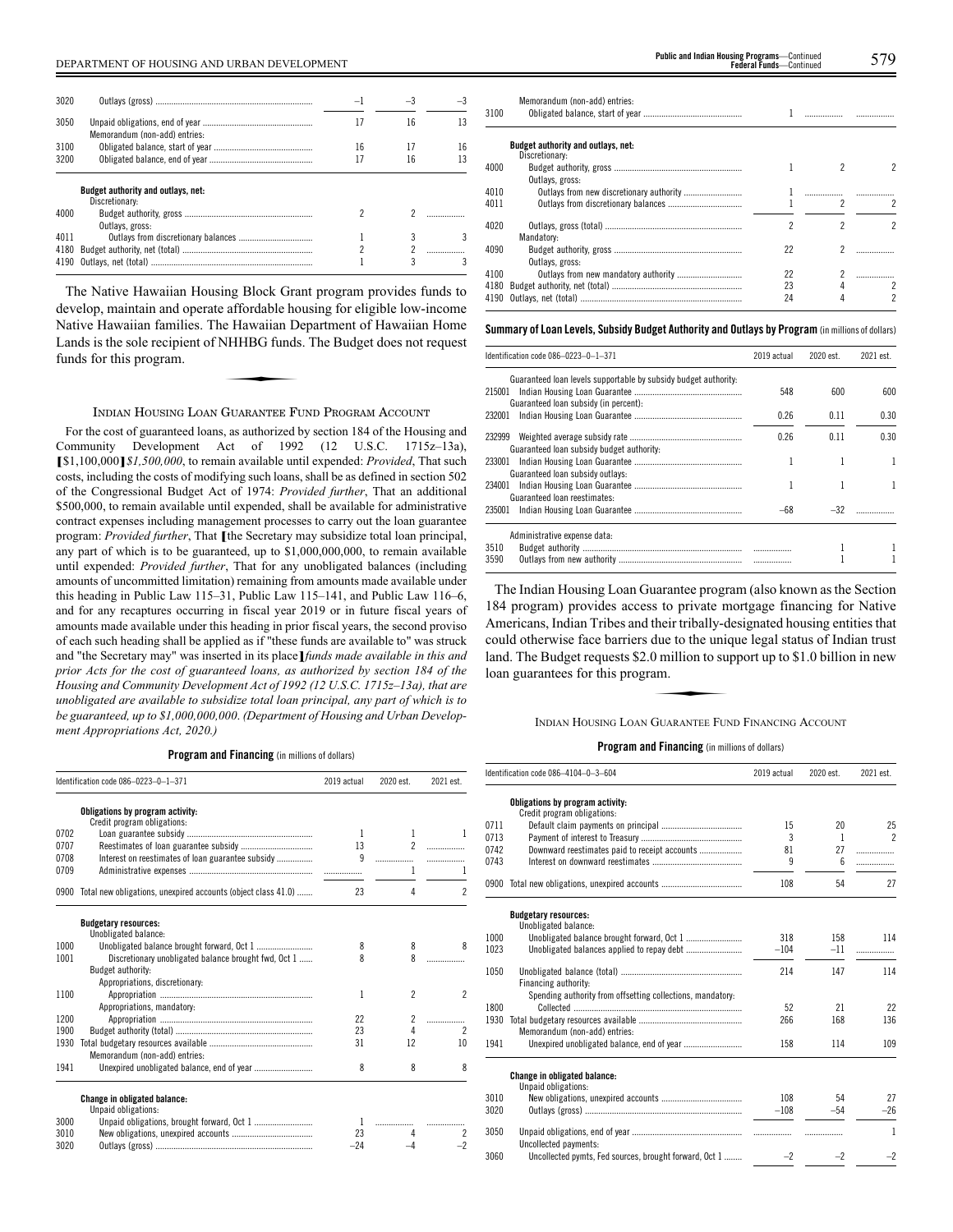| 3020 |                                                                         | $-1$ |    |    |
|------|-------------------------------------------------------------------------|------|----|----|
| 3050 | Memorandum (non-add) entries:                                           | 17   | 16 |    |
| 3100 |                                                                         | 16   | 17 | 16 |
| 3200 |                                                                         | 17   | 16 |    |
| 4000 | Budget authority and outlays, net:<br>Discretionary:<br>Outlays, gross: |      |    |    |
| 4011 |                                                                         |      |    |    |
| 4180 |                                                                         |      |    |    |
| 4190 |                                                                         |      |    |    |

The Native Hawaiian Housing Block Grant program provides funds to develop, maintain and operate affordable housing for eligible low-income Native Hawaiian families. The Hawaiian Department of Hawaiian Home Lands is the sole recipient of NHHBG funds. The Budget does not request funds for this program. e Hawaiian D<br>NHHBG funds<br>NHHBG funds

#### INDIAN HOUSING LOAN GUARANTEE FUND PROGRAM ACCOUNT

For the cost of guaranteed loans, as authorized by section 184 of the Housing and Community Development Act of 1992 (12 U.S.C. 1715z–13a), **[**\$1,100,000**]***\$1,500,000*, to remain available until expended: *Provided*, That such costs, including the costs of modifying such loans, shall be as defined in section 502 of the Congressional Budget Act of 1974: *Provided further*, That an additional \$500,000, to remain available until expended, shall be available for administrative contract expenses including management processes to carry out the loan guarantee program: *Provided further*, That **[**the Secretary may subsidize total loan principal, any part of which is to be guaranteed, up to \$1,000,000,000, to remain available until expended: *Provided further*, That for any unobligated balances (including amounts of uncommitted limitation) remaining from amounts made available under this heading in Public Law 115–31, Public Law 115–141, and Public Law 116–6, and for any recaptures occurring in fiscal year 2019 or in future fiscal years of amounts made available under this heading in prior fiscal years, the second proviso of each such heading shall be applied as if "these funds are available to" was struck and "the Secretary may" was inserted in its place**]***funds made available in this and prior Acts for the cost of guaranteed loans, as authorized by section 184 of the Housing and Community Development Act of 1992 (12 U.S.C. 1715z–13a), that are unobligated are available to subsidize total loan principal, any part of which is to be guaranteed, up to \$1,000,000,000*. *(Department of Housing and Urban Development Appropriations Act, 2020.)*

**Program and Financing** (in millions of dollars)

|      | Identification code 086-0223-0-1-371                               |              | 2020 est.                | 2021 est.                |
|------|--------------------------------------------------------------------|--------------|--------------------------|--------------------------|
|      | Obligations by program activity:                                   |              |                          |                          |
|      | Credit program obligations:                                        |              |                          |                          |
| 0702 |                                                                    | $\mathbf{1}$ | 1                        | 1                        |
| 0707 |                                                                    | 13           | $\mathfrak{p}$           | .                        |
| 0708 | Interest on reestimates of loan guarantee subsidy                  | 9            |                          |                          |
| 0709 |                                                                    |              | 1                        | 1                        |
|      | 0900 Total new obligations, unexpired accounts (object class 41.0) | 23           | 4                        | $\overline{\phantom{a}}$ |
|      | <b>Budgetary resources:</b>                                        |              |                          |                          |
|      | Unobligated balance:                                               |              |                          |                          |
| 1000 |                                                                    | 8            | 8                        | 8                        |
| 1001 | Discretionary unobligated balance brought fwd, Oct 1               | 8            | 8                        |                          |
|      | Budget authority:                                                  |              |                          |                          |
|      | Appropriations, discretionary:                                     |              |                          |                          |
| 1100 |                                                                    | 1            | $\overline{\phantom{a}}$ | $\overline{\phantom{a}}$ |
|      | Appropriations, mandatory:                                         |              |                          |                          |
| 1200 |                                                                    | 22           | $\overline{2}$           | .                        |
| 1900 |                                                                    | 23           | 4                        | 2                        |
| 1930 |                                                                    | 31           | 12                       | 10                       |
|      | Memorandum (non-add) entries:                                      |              |                          |                          |
| 1941 |                                                                    | 8            | 8                        | 8                        |
|      | <b>Change in obligated balance:</b>                                |              |                          |                          |
|      | Unpaid obligations:                                                |              |                          |                          |
| 3000 |                                                                    | $\mathbf{1}$ |                          |                          |
| 3010 |                                                                    | 23           | 4                        | 2                        |
| 3020 |                                                                    | $-24$        | $-4$                     | $-2$                     |

| 3100 | Memorandum (non-add) entries:                        |    |                          |                |
|------|------------------------------------------------------|----|--------------------------|----------------|
|      | Budget authority and outlays, net:<br>Discretionary: |    |                          |                |
| 4000 | Outlays, gross:                                      |    |                          | 2              |
| 4010 |                                                      |    |                          |                |
| 4011 |                                                      |    | $\overline{\phantom{a}}$ |                |
| 4020 | Mandatory:                                           |    | 2                        | 2              |
| 4090 | Outlays, gross:                                      | 22 | 2                        |                |
| 4100 |                                                      | 22 |                          |                |
| 4180 |                                                      | 23 | 4                        |                |
|      |                                                      | 24 |                          | $\overline{c}$ |
|      |                                                      |    |                          |                |

**Summary ofLoan Levels, Subsidy Budget Authority and Outlays by Program** (inmillionsof dollars)

| Identification code 086-0223-0-1-371                            | 2019 actual | 2020 est. | 2021 est. |
|-----------------------------------------------------------------|-------------|-----------|-----------|
| Guaranteed loan levels supportable by subsidy budget authority. |             |           |           |
|                                                                 | 548         | 600       | 600       |
| Guaranteed loan subsidy (in percent):                           |             |           |           |
| 232001                                                          | 0.26        | 0.11      | 0.30      |
| 232999<br>Guaranteed loan subsidy budget authority:             | 0.26        | 0.11      | 0.30      |
| Guaranteed loan subsidy outlays:                                | 1           | 1         |           |
| Guaranteed loan reestimates:                                    | 1           | 1         |           |
|                                                                 | $-68$       | $-32$     |           |
| Administrative expense data:                                    |             |           |           |
| 3510                                                            |             |           |           |
| 3590                                                            |             |           |           |

The Indian Housing Loan Guarantee program (also known as the Section 184 program) provides access to private mortgage financing for Native Americans, Indian Tribes and their tribally-designated housing entities that could otherwise face barriers due to the unique legal status of Indian trust land. The Budget requests \$2.0 million to support up to \$1.0 billion in new loan guarantees for this program. due to the unit<br>0 million to su<br>am.<br>GUARANTEE EUN

INDIAN HOUSING LOAN GUARANTEE FUND FINANCING ACCOUNT

|      | Identification code 086-4104-0-3-604                            | 2019 actual | 2020 est.       | 2021 est.      |
|------|-----------------------------------------------------------------|-------------|-----------------|----------------|
|      | Obligations by program activity:<br>Credit program obligations: |             |                 |                |
| 0711 |                                                                 | 15          | 20              | 25             |
| 0713 |                                                                 | 3           | $\mathbf{1}$    | $\mathfrak{p}$ |
| 0742 | Downward reestimates paid to receipt accounts                   | 81          | 27              | .              |
| 0743 |                                                                 | 9           | $6\overline{6}$ | .              |
| 0900 |                                                                 | 108         | 54              | 27             |
|      | <b>Budgetary resources:</b><br>Unobligated balance:             |             |                 |                |
| 1000 |                                                                 | 318         | 158             | 114            |
| 1023 |                                                                 | $-104$      | $-11$           | .              |
| 1050 | Financing authority:                                            | 214         | 147             | 114            |
|      | Spending authority from offsetting collections, mandatory:      |             |                 |                |
| 1800 |                                                                 | 52          | 21              | 22             |
| 1930 | Memorandum (non-add) entries:                                   | 266         | 168             | 136            |
| 1941 |                                                                 | 158         | 114             | 109            |
|      | <b>Change in obligated balance:</b><br>Unpaid obligations:      |             |                 |                |
| 3010 |                                                                 | 108         | 54              | 27             |
| 3020 |                                                                 | $-108$      | $-54$           | $-26$          |
| 3050 | Uncollected payments:                                           |             |                 | $\mathbf{1}$   |
| 3060 | Uncollected pymts, Fed sources, brought forward, Oct 1          | $-2$        | $-2$            | $-2$           |
|      |                                                                 |             |                 |                |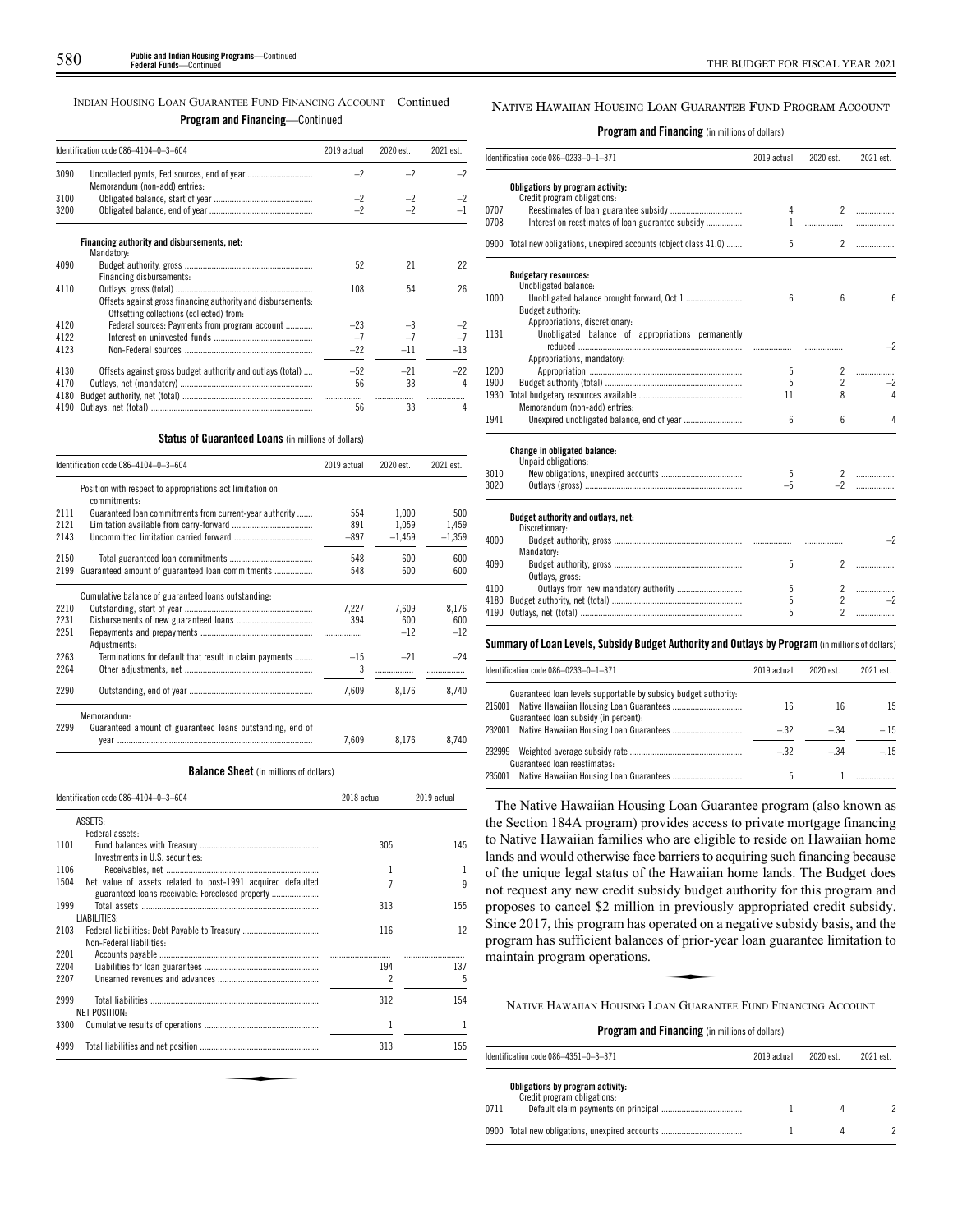#### INDIAN HOUSING LOAN GUARANTEE FUND FINANCING ACCOUNT—Continued **Program and Financing**—Continued

|              | Identification code 086-4104-0-3-604                                                                     | 2019 actual | 2020 est. | 2021 est. |
|--------------|----------------------------------------------------------------------------------------------------------|-------------|-----------|-----------|
| 3090         | Memorandum (non-add) entries:                                                                            | $-2$        | $-2$      | $-2$      |
| 3100         |                                                                                                          | $-2$        | $-2$      | $-2$      |
| 3200         |                                                                                                          | $-2$        |           |           |
|              | Financing authority and disbursements, net:<br>Mandatory:                                                |             |           |           |
| 4090         | Financing disbursements:                                                                                 | 52          | 21        | 22        |
| 4110         | Offsets against gross financing authority and disbursements:<br>Offsetting collections (collected) from: | 108         | 54        | 26        |
| 4120         | Federal sources: Payments from program account                                                           | $-23$       | $-3$      | $-2$      |
| 4122         |                                                                                                          | $-7$        | $-7$      | $-7$      |
| 4123         |                                                                                                          | $-22$       | $-11$     | $-13$     |
| 4130         | Offsets against gross budget authority and outlays (total)                                               | $-52$       | $-21$     | $-22$     |
| 4170<br>4180 |                                                                                                          | 56          | 33        | 4         |
| 4190         |                                                                                                          | 56          | 33        | 4         |

#### **Status of Guaranteed Loans** (in millions of dollars)

| Position with respect to appropriations act limitation on<br>commitments: |                                                        |          |          |
|---------------------------------------------------------------------------|--------------------------------------------------------|----------|----------|
| Guaranteed loan commitments from current-year authority                   | 554                                                    | 1.000    | 500      |
|                                                                           | 891                                                    | 1.059    | 1,459    |
|                                                                           | $-897$                                                 | $-1,459$ | $-1,359$ |
|                                                                           | 548                                                    | 600      | 600      |
| Guaranteed amount of guaranteed loan commitments                          | 548                                                    | 600      | 600      |
| Cumulative balance of guaranteed loans outstanding.                       |                                                        |          |          |
|                                                                           | 7,227                                                  | 7.609    | 8,176    |
|                                                                           | 394                                                    | 600      | 600      |
|                                                                           |                                                        | $-12$    | $-12$    |
| Adiustments:                                                              |                                                        |          |          |
|                                                                           | $-15$                                                  | $-21$    | $-24$    |
|                                                                           | 3                                                      |          |          |
|                                                                           | 7,609                                                  | 8.176    | 8,740    |
| Memorandum:                                                               |                                                        |          |          |
| Guaranteed amount of guaranteed loans outstanding, end of                 |                                                        |          |          |
|                                                                           | 7.609                                                  | 8.176    | 8.740    |
|                                                                           | Terminations for default that result in claim payments |          |          |

**Balance Sheet** (in millions of dollars)

| Identification code 086-4104-0-3-604 |                                                                           | 2018 actual              | 2019 actual |
|--------------------------------------|---------------------------------------------------------------------------|--------------------------|-------------|
|                                      | ASSETS:                                                                   |                          |             |
|                                      | Federal assets:                                                           |                          |             |
| 1101                                 | Investments in U.S. securities:                                           | 305                      | 145         |
| 1106                                 |                                                                           | 1                        | 1           |
| 1504                                 | Net value of assets related to post-1991 acquired defaulted               |                          | 9           |
| 1999                                 | LIABILITIES:                                                              | 313                      | 155         |
| 2103                                 | Federal liabilities: Debt Payable to Treasury<br>Non-Federal liabilities: | 116                      | 12          |
| 2201                                 |                                                                           |                          |             |
| 2204                                 |                                                                           | 194                      | 137         |
| 2207                                 |                                                                           | $\overline{\phantom{a}}$ | 5           |
| 2999                                 | NET POSITION:                                                             | 312                      | 154         |
| 3300                                 |                                                                           | 1                        | 1           |
| 4999                                 |                                                                           | 313                      | 155         |

#### NATIVE HAWAIIAN HOUSING LOAN GUARANTEE FUND PROGRAM ACCOUNT

#### **Program and Financing** (in millions of dollars)

|              | Identification code 086-0233-0-1-371                               | 2019 actual       | 2020 est.      | 2021 est. |
|--------------|--------------------------------------------------------------------|-------------------|----------------|-----------|
|              | Obligations by program activity:                                   |                   |                |           |
|              | Credit program obligations:                                        |                   | 2              |           |
| 0707<br>0708 | Interest on reestimates of loan guarantee subsidy                  | 4<br>$\mathbf{1}$ |                | .<br>.    |
|              |                                                                    |                   |                |           |
|              | 0900 Total new obligations, unexpired accounts (object class 41.0) | 5                 | $\overline{2}$ | .         |
|              | <b>Budgetary resources:</b><br>Unobligated balance:                |                   |                |           |
| 1000         |                                                                    | 6                 | 6              | 6         |
|              | Budget authority:                                                  |                   |                |           |
|              | Appropriations, discretionary:                                     |                   |                |           |
| 1131         | Unobligated balance of appropriations permanently                  |                   |                | $-2$      |
|              | Appropriations, mandatory:                                         |                   |                |           |
| 1200         |                                                                    | 5                 | 2              | .         |
| 1900         |                                                                    | 5                 | $\overline{c}$ | $-2$      |
| 1930         |                                                                    | 11                | 8              | 4         |
|              | Memorandum (non-add) entries:                                      |                   |                |           |
| 1941         |                                                                    | 6                 | 6              | 4         |
|              | Change in obligated balance:<br>Unpaid obligations:                |                   |                |           |
| 3010         |                                                                    | 5                 | 2              | .         |
| 3020         |                                                                    | $-5$              | $-2$           |           |
|              |                                                                    |                   |                |           |
|              | Budget authority and outlays, net:<br>Discretionary:               |                   |                |           |
| 4000         | Mandatory:                                                         |                   | .              | $-2$      |
| 4090         | Outlays, gross:                                                    | 5                 | $\mathcal{P}$  | .         |
| 4100         |                                                                    | 5                 | $\overline{2}$ | .         |
| 4180         |                                                                    | 5                 | $\overline{2}$ |           |
| 4190         |                                                                    | 5                 | $\overline{2}$ | .         |
|              |                                                                    |                   |                |           |

#### **Summary ofLoan Levels, Subsidy Budget Authority and Outlays by Program** (inmillionsof dollars)

| Identification code 086-0233-0-1-371                            | 2019 actual | 2020 est. | 2021 est. |
|-----------------------------------------------------------------|-------------|-----------|-----------|
| Guaranteed loan levels supportable by subsidy budget authority. |             |           |           |
| 215001                                                          | 16          | 16        | 15        |
| Guaranteed loan subsidy (in percent):                           |             |           |           |
| 232001                                                          | $-32$       | $-34$     | $-15$     |
| 232999                                                          | $-32$       | $-34$     | $-15$     |
| Guaranteed loan reestimates:                                    |             |           |           |
| 235001 Native Hawaiian Housing Loan Guarantees                  | .5          |           |           |

The Native Hawaiian Housing Loan Guarantee program (also known as the Section 184A program) provides access to private mortgage financing to Native Hawaiian families who are eligible to reside on Hawaiian home lands and would otherwise face barriers to acquiring such financing because of the unique legal status of the Hawaiian home lands. The Budget does not request any new credit subsidy budget authority for this program and proposes to cancel \$2 million in previously appropriated credit subsidy. Since 2017, this program has operated on a negative subsidy basis, and the program has sufficient balances of prior-year loan guarantee limitation to maintain program operations. The previously<br>operated on a r<br>cos of prior-year<br>cos Guaranti

#### NATIVE HAWAIIAN HOUSING LOAN GUARANTEE FUND FINANCING ACCOUNT

|      | ldentification code 086–4351–0–3–371                            | 2019 actual | 2020 est. | 2021 est. |
|------|-----------------------------------------------------------------|-------------|-----------|-----------|
| 0711 | Obligations by program activity:<br>Credit program obligations: |             |           |           |
|      |                                                                 |             |           |           |
|      | 0900 Total new obligations, unexpired accounts                  |             |           |           |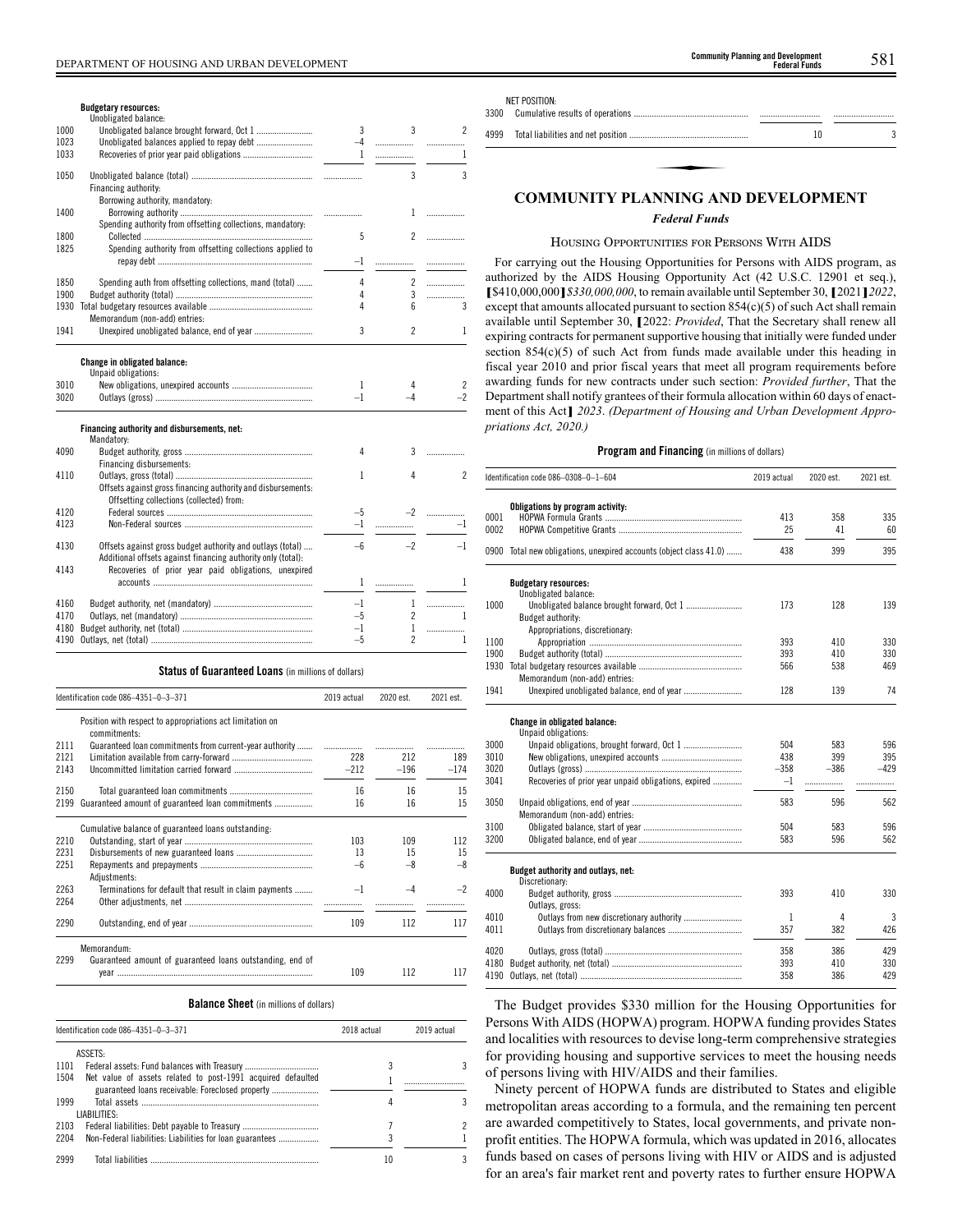|      | <b>Budgetary resources:</b><br>Unobligated balance:        |      |   |  |
|------|------------------------------------------------------------|------|---|--|
| 1000 |                                                            | 3    | 3 |  |
| 1023 |                                                            |      |   |  |
| 1033 |                                                            |      |   |  |
| 1050 |                                                            |      | 3 |  |
|      | Financing authority:                                       |      |   |  |
|      | Borrowing authority, mandatory:                            |      |   |  |
| 1400 |                                                            |      |   |  |
|      | Spending authority from offsetting collections, mandatory: |      |   |  |
| 1800 |                                                            | 5    |   |  |
| 1825 | Spending authority from offsetting collections applied to  |      |   |  |
|      |                                                            | $-1$ |   |  |
| 1850 | Spending auth from offsetting collections, mand (total)    | 4    |   |  |
| 1900 |                                                            | 4    |   |  |
| 1930 |                                                            |      |   |  |
|      | Memorandum (non-add) entries:                              |      |   |  |
| 1941 |                                                            | 3    |   |  |

### **Change in obligated balance:** Unpaid obligations:

|      | UNDAID ODIIRATIONS: |  |  |
|------|---------------------|--|--|
| 3010 |                     |  |  |
| 3020 |                     |  |  |

|      | Financing authority and disbursements, net:<br>Mandatory:                                                                  |      |      |  |
|------|----------------------------------------------------------------------------------------------------------------------------|------|------|--|
| 4090 |                                                                                                                            | 4    | 3    |  |
|      | Financing disbursements:                                                                                                   |      |      |  |
| 4110 |                                                                                                                            |      | 4    |  |
|      | Offsets against gross financing authority and disbursements:<br>Offsetting collections (collected) from:                   |      |      |  |
|      |                                                                                                                            |      |      |  |
| 4120 |                                                                                                                            | $-5$ |      |  |
| 4123 |                                                                                                                            |      |      |  |
| 4130 | Offsets against gross budget authority and outlays (total)<br>Additional offsets against financing authority only (total): |      | $-2$ |  |
| 4143 | Recoveries of prior year paid obligations, unexpired                                                                       |      |      |  |
|      |                                                                                                                            |      |      |  |
| 4160 |                                                                                                                            | $-1$ |      |  |
| 4170 |                                                                                                                            | $-5$ |      |  |
| 4180 |                                                                                                                            | $-1$ |      |  |
| 4190 |                                                                                                                            | $-5$ | 2    |  |

#### **Status of Guaranteed Loans** (in millions of dollars)

|              | Identification code 086-4351-0-3-371                                      | 2019 actual | 2020 est. | 2021 est. |
|--------------|---------------------------------------------------------------------------|-------------|-----------|-----------|
|              | Position with respect to appropriations act limitation on<br>commitments: |             |           |           |
| 2111         | Guaranteed loan commitments from current-year authority                   | .           |           |           |
| 2121         |                                                                           | 228         | 212       | 189       |
| 2143         |                                                                           | $-212$      | $-196$    | $-174$    |
| 2150         |                                                                           | 16          | 16        | 15        |
| 2199         | Guaranteed amount of guaranteed loan commitments                          | 16          | 16        | 15        |
|              | Cumulative balance of guaranteed loans outstanding:                       |             |           |           |
| 2210         |                                                                           | 103         | 109       | 112       |
| 2231         |                                                                           | 13          | 15        | 15        |
| 2251         | Adiustments:                                                              | –հ          | -8        | $-8$      |
| 2263<br>2264 | Terminations for default that result in claim payments                    | $-1$        |           | $-2$      |
| 2290         |                                                                           | 109         | 112       | 117       |
|              | Memorandum:                                                               |             |           |           |
| 2299         | Guaranteed amount of guaranteed loans outstanding, end of                 | 109         | 112       | 117       |

**Balance Sheet** (in millions of dollars)

| Identification code 086-4351-0-3-371                                | 2018 actual | 2019 actual |
|---------------------------------------------------------------------|-------------|-------------|
| ASSETS:                                                             |             |             |
| 1101                                                                |             |             |
| Net value of assets related to post-1991 acquired defaulted<br>1504 |             |             |
| 1999<br>LIABILITIES:                                                |             |             |
| 2103                                                                |             |             |
| 2204                                                                |             |             |
| 2999                                                                | 10          |             |

| 3300 | NET POSITION:                             |    |  |
|------|-------------------------------------------|----|--|
| 4999 |                                           | 10 |  |
|      |                                           |    |  |
|      |                                           |    |  |
|      | <b>COMMUNITY PLANNING AND DEVELOPMENT</b> |    |  |

#### *Federal Funds*

#### HOUSING OPPORTUNITIES FOR PERSONS WITH AIDS

For carrying out the Housing Opportunities for Persons with AIDS program, as authorized by the AIDS Housing Opportunity Act (42 U.S.C. 12901 et seq.), **[**\$410,000,000**]***\$330,000,000*, to remain available until September 30, **[**2021**]***2022*, except that amounts allocated pursuant to section 854(c)(5) of such Act shall remain available until September 30, **[**2022: *Provided*, That the Secretary shall renew all expiring contracts for permanent supportive housing that initially were funded under section 854(c)(5) of such Act from funds made available under this heading in fiscal year 2010 and prior fiscal years that meet all program requirements before awarding funds for new contracts under such section: *Provided further*, That the Department shall notify grantees of their formula allocation within 60 days of enactment of this Act**]** *2023*. *(Department of Housing and Urban Development Appropriations Act, 2020.)*

#### **Program and Financing** (in millions of dollars)

|      | Identification code 086-0308-0-1-604                               | 2019 actual | 2020 est. | 2021 est. |
|------|--------------------------------------------------------------------|-------------|-----------|-----------|
|      | Obligations by program activity:                                   |             |           |           |
| 0001 |                                                                    | 413         | 358       | 335       |
| 0002 |                                                                    | 25          | 41        | 60        |
|      | 0900 Total new obligations, unexpired accounts (object class 41.0) | 438         | 399       | 395       |
|      | <b>Budgetary resources:</b>                                        |             |           |           |
|      | Unobligated balance:                                               |             |           |           |
| 1000 |                                                                    | 173         | 128       | 139       |
|      | Budget authority:                                                  |             |           |           |
|      | Appropriations, discretionary:                                     |             |           |           |
| 1100 |                                                                    | 393         | 410       | 330       |
| 1900 |                                                                    | 393         | 410       | 330       |
| 1930 |                                                                    | 566         | 538       | 469       |
|      | Memorandum (non-add) entries:                                      |             |           |           |
| 1941 |                                                                    | 128         | 139       | 74        |
|      | Change in obligated balance:                                       |             |           |           |
|      | Unpaid obligations:                                                |             |           |           |
| 3000 |                                                                    | 504         | 583       | 596       |
| 3010 |                                                                    | 438         | 399       | 395       |
| 3020 |                                                                    | $-358$      | $-386$    | $-429$    |
| 3041 | Recoveries of prior year unpaid obligations, expired               | $^{-1}$     | .         | .         |
| 3050 |                                                                    | 583         | 596       | 562       |
|      | Memorandum (non-add) entries:                                      |             |           |           |
| 3100 |                                                                    | 504         | 583       | 596       |
| 3200 |                                                                    | 583         | 596       | 562       |
|      | Budget authority and outlays, net:                                 |             |           |           |
|      | Discretionary:                                                     |             |           |           |
| 4000 |                                                                    | 393         | 410       | 330       |
|      | Outlays, gross:                                                    |             |           |           |
| 4010 |                                                                    | 1           | 4         | 3         |
| 4011 |                                                                    | 357         | 382       | 426       |
| 4020 |                                                                    | 358         | 386       | 429       |
| 4180 |                                                                    | 393         | 410       | 330       |
| 4190 |                                                                    | 358         | 386       | 429       |
|      |                                                                    |             |           |           |

The Budget provides \$330 million for the Housing Opportunities for Persons With AIDS (HOPWA) program. HOPWA funding provides States and localities with resources to devise long-term comprehensive strategies for providing housing and supportive services to meet the housing needs of persons living with HIV/AIDS and their families.

Ninety percent of HOPWA funds are distributed to States and eligible metropolitan areas according to a formula, and the remaining ten percent are awarded competitively to States, local governments, and private nonprofit entities. The HOPWA formula, which was updated in 2016, allocates funds based on cases of persons living with HIV or AIDS and is adjusted for an area's fair market rent and poverty rates to further ensure HOPWA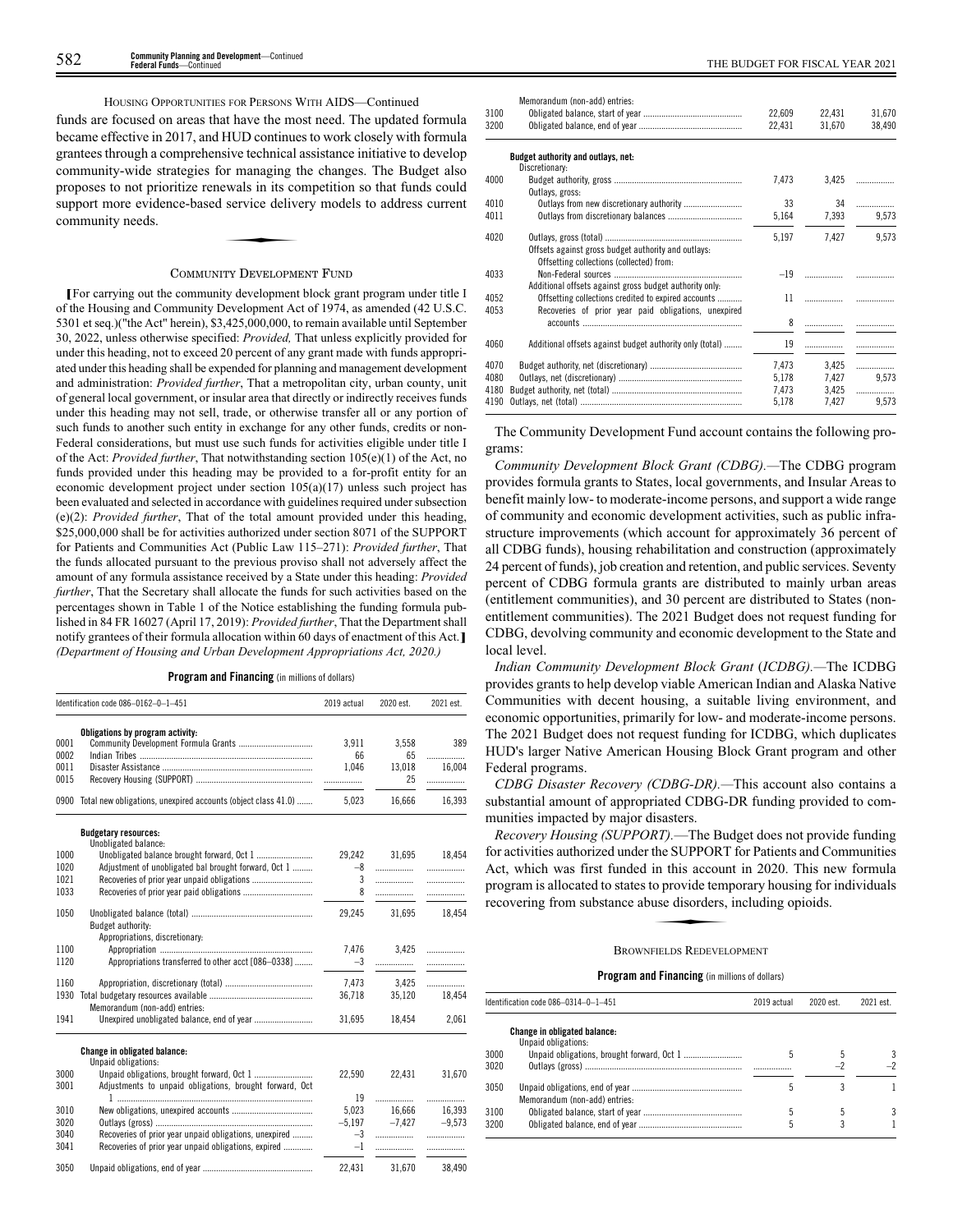#### HOUSING OPPORTUNITIES FOR PERSONS WITH AIDS—Continued

funds are focused on areas that have the most need. The updated formula became effective in 2017, and HUD continues to work closely with formula grantees through a comprehensive technical assistance initiative to develop community-wide strategies for managing the changes. The Budget also proposes to not prioritize renewals in its competition so that funds could support more evidence-based service delivery models to address current community needs. support more evidence-based service delivery models to address current community needs.

#### COMMUNITY DEVELOPMENT FUND

**[**For carrying out the community development block grant program under title I of the Housing and Community Development Act of 1974, as amended (42 U.S.C. 5301 et seq.)("the Act" herein), \$3,425,000,000, to remain available until September 30, 2022, unless otherwise specified: *Provided,* That unless explicitly provided for under this heading, not to exceed 20 percent of any grant made with funds appropriated under this heading shall be expended for planning and management development and administration: *Provided further*, That a metropolitan city, urban county, unit of general local government, or insular area that directly or indirectly receives funds under this heading may not sell, trade, or otherwise transfer all or any portion of such funds to another such entity in exchange for any other funds, credits or non-Federal considerations, but must use such funds for activities eligible under title I of the Act: *Provided further*, That notwithstanding section 105(e)(1) of the Act, no funds provided under this heading may be provided to a for-profit entity for an economic development project under section 105(a)(17) unless such project has been evaluated and selected in accordance with guidelines required under subsection (e)(2): *Provided further*, That of the total amount provided under this heading, \$25,000,000 shall be for activities authorized under section 8071 of the SUPPORT for Patients and Communities Act (Public Law 115–271): *Provided further*, That the funds allocated pursuant to the previous proviso shall not adversely affect the amount of any formula assistance received by a State under this heading: *Provided further*, That the Secretary shall allocate the funds for such activities based on the percentages shown in Table 1 of the Notice establishing the funding formula published in 84 FR 16027 (April 17, 2019): *Provided further*, That the Department shall notify grantees of their formula allocation within 60 days of enactment of this Act.**]** *(Department of Housing and Urban Development Appropriations Act, 2020.)*

#### **Program and Financing** (in millions of dollars)

|      | Identification code 086-0162-0-1-451                          | 2019 actual    | 2020 est. | 2021 est. |
|------|---------------------------------------------------------------|----------------|-----------|-----------|
|      | Obligations by program activity:                              |                |           |           |
| 0001 |                                                               | 3,911          | 3,558     | 389       |
| 0002 |                                                               | 66             | 65        | .         |
| 0011 |                                                               | 1,046          | 13,018    | 16,004    |
| 0015 |                                                               |                | 25        | .         |
| 0900 | Total new obligations, unexpired accounts (object class 41.0) | 5.023          | 16.666    | 16,393    |
|      | <b>Budgetary resources:</b><br>Unobligated balance:           |                |           |           |
| 1000 |                                                               | 29,242         | 31,695    | 18.454    |
| 1020 | Adjustment of unobligated bal brought forward, Oct 1          | $-8$           |           |           |
| 1021 |                                                               | $\overline{3}$ |           | .<br>.    |
| 1033 |                                                               | 8              |           |           |
|      |                                                               |                |           | .         |
| 1050 |                                                               | 29,245         | 31.695    | 18,454    |
|      | Budget authority:                                             |                |           |           |
|      | Appropriations, discretionary:                                |                |           |           |
| 1100 |                                                               | 7,476          | 3.425     | .         |
| 1120 | Appropriations transferred to other acct [086-0338]           | $-3$           |           |           |
| 1160 |                                                               | 7,473          | 3,425     |           |
| 1930 |                                                               | 36,718         | 35,120    | 18,454    |
|      | Memorandum (non-add) entries:                                 |                |           |           |
| 1941 |                                                               | 31,695         | 18,454    | 2,061     |
|      | Change in obligated balance:<br>Unpaid obligations:           |                |           |           |
| 3000 |                                                               | 22,590         | 22,431    | 31,670    |
| 3001 | Adjustments to unpaid obligations, brought forward, Oct       |                |           |           |
|      |                                                               | 19             |           | .         |
| 3010 |                                                               | 5.023          | 16,666    | 16,393    |
| 3020 |                                                               | $-5,197$       | $-7,427$  | $-9.573$  |
| 3040 | Recoveries of prior year unpaid obligations, unexpired        | $-3$           |           | .         |
| 3041 | Recoveries of prior year unpaid obligations, expired          | $-1$           |           | .         |
| 3050 |                                                               | 22.431         | 31.670    | 38.490    |

| THE BUDGET FOR FISCAL YEAR 2021 |  |  |  |
|---------------------------------|--|--|--|
|---------------------------------|--|--|--|

|      | Memorandum (non-add) entries:                                                                   |        |        |        |
|------|-------------------------------------------------------------------------------------------------|--------|--------|--------|
| 3100 |                                                                                                 | 22,609 | 22.431 | 31,670 |
| 3200 |                                                                                                 | 22,431 | 31,670 | 38,490 |
|      | Budget authority and outlays, net:<br>Discretionary:                                            |        |        |        |
| 4000 | Outlays, gross:                                                                                 | 7,473  | 3.425  | .      |
| 4010 |                                                                                                 | 33     | 34     | .      |
| 4011 |                                                                                                 | 5,164  | 7,393  | 9,573  |
|      |                                                                                                 |        |        |        |
| 4020 |                                                                                                 | 5,197  | 7,427  | 9,573  |
|      | Offsets against gross budget authority and outlays:<br>Offsetting collections (collected) from: |        |        |        |
| 4033 |                                                                                                 |        |        |        |
|      | Additional offsets against gross budget authority only.                                         |        |        |        |
| 4052 | Offsetting collections credited to expired accounts                                             | 11     | .      |        |
| 4053 | Recoveries of prior year paid obligations, unexpired                                            |        |        |        |
|      |                                                                                                 | 8      |        |        |
| 4060 | Additional offsets against budget authority only (total)                                        | 19     | .      |        |
| 4070 |                                                                                                 | 7,473  | 3,425  | .      |
| 4080 |                                                                                                 | 5.178  | 7,427  | 9.573  |
| 4180 |                                                                                                 | 7,473  | 3,425  | .      |
| 4190 |                                                                                                 | 5.178  | 7.427  | 9,573  |
|      |                                                                                                 |        |        |        |

The Community Development Fund account contains the following programs:

*Community Development Block Grant (CDBG).—*The CDBG program provides formula grants to States, local governments, and Insular Areas to benefit mainly low- to moderate-income persons, and support a wide range of community and economic development activities, such as public infrastructure improvements (which account for approximately 36 percent of all CDBG funds), housing rehabilitation and construction (approximately 24 percent of funds), job creation and retention, and public services. Seventy percent of CDBG formula grants are distributed to mainly urban areas (entitlement communities), and 30 percent are distributed to States (nonentitlement communities). The 2021 Budget does not request funding for CDBG, devolving community and economic development to the State and local level.

*Indian Community Development Block Grant* (*ICDBG).—*The ICDBG provides grants to help develop viable American Indian and Alaska Native Communities with decent housing, a suitable living environment, and economic opportunities, primarily for low- and moderate-income persons. The 2021 Budget does not request funding for ICDBG, which duplicates HUD's larger Native American Housing Block Grant program and other Federal programs.

*CDBG Disaster Recovery (CDBG-DR).—*This account also contains a substantial amount of appropriated CDBG-DR funding provided to communities impacted by major disasters.

*Recovery Housing (SUPPORT).*—The Budget does not provide funding for activities authorized under the SUPPORT for Patients and Communities Act, which was first funded in this account in 2020. This new formula<br>program is allocated to states to provide temporary housing for individuals<br>recovering from substance abuse disorders, including opioids.<br>RECOVERT IN RE program is allocated to states to provide temporary housing for individuals recovering from substance abuse disorders, including opioids.

#### **BROWNFIELDS REDEVELOPMENT**

|      | Identification code 086-0314-0-1-451                       |  | 2020 est. | 2021 est. |
|------|------------------------------------------------------------|--|-----------|-----------|
|      | <b>Change in obligated balance:</b><br>Unpaid obligations: |  |           |           |
| 3000 |                                                            |  |           |           |
| 3020 |                                                            |  | -2        |           |
| 3050 | Memorandum (non-add) entries:                              |  |           |           |
| 3100 |                                                            |  |           |           |
| 3200 |                                                            |  |           |           |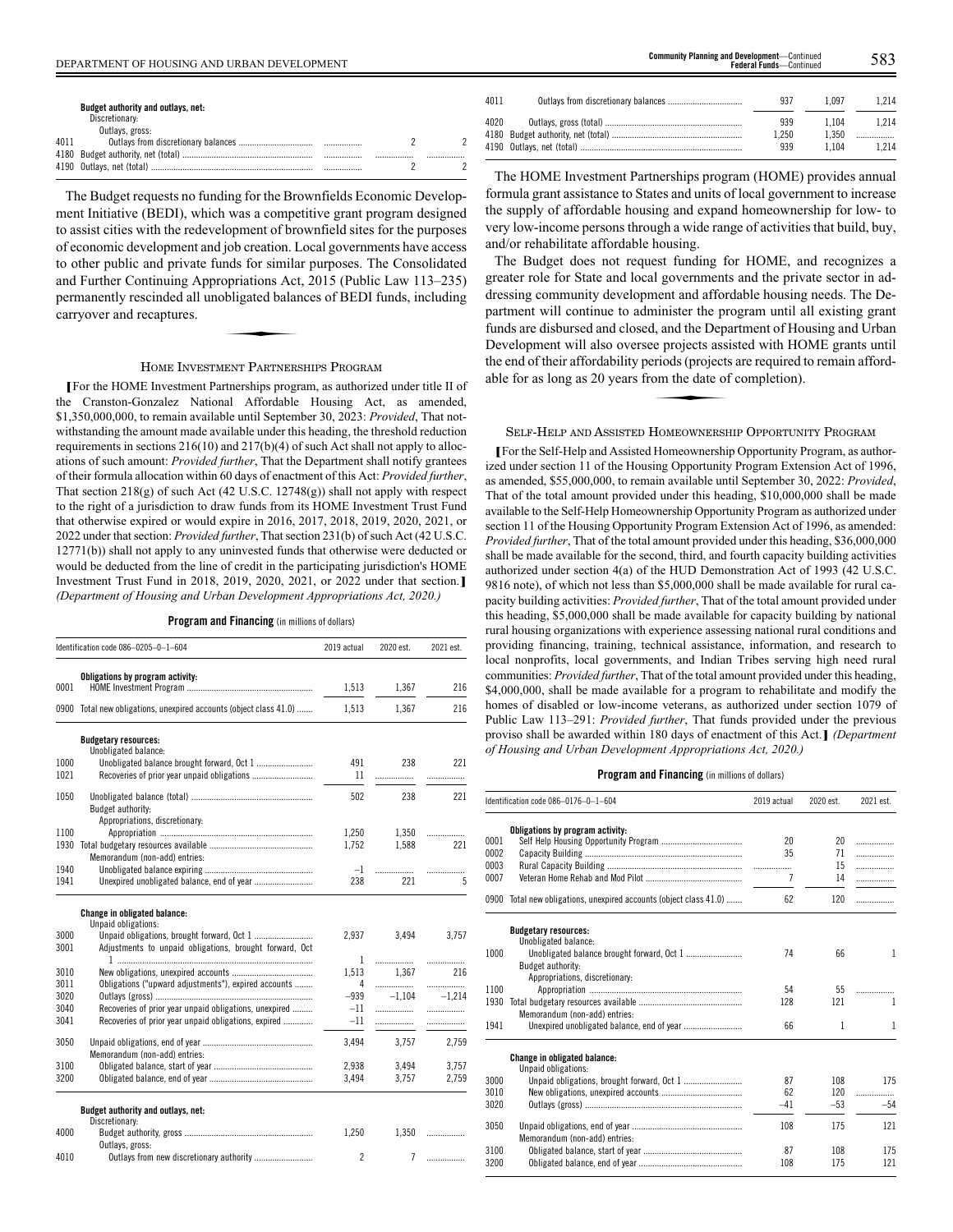|      | Budget authority and outlays, net:<br>Discretionary: |  |  |
|------|------------------------------------------------------|--|--|
|      | Outlays, gross:                                      |  |  |
| 4011 |                                                      |  |  |
|      |                                                      |  |  |
|      |                                                      |  |  |

The Budget requests no funding for the Brownfields Economic Development Initiative (BEDI), which was a competitive grant program designed to assist cities with the redevelopment of brownfield sites for the purposes of economic development and job creation. Local governments have access to other public and private funds for similar purposes. The Consolidated and Further Continuing Appropriations Act, 2015 (Public Law 113–235)<br>permanently rescinded all unobligated balances of BEDI funds, including<br>carryover and recaptures. permanently rescinded all unobligated balances of BEDI funds, including carryover and recaptures.

#### HOME INVESTMENT PARTNERSHIPS PROGRAM

**[**For the HOME Investment Partnerships program, as authorized under title II of the Cranston-Gonzalez National Affordable Housing Act, as amended, \$1,350,000,000, to remain available until September 30, 2023: *Provided*, That notwithstanding the amount made available under this heading, the threshold reduction requirements in sections 216(10) and 217(b)(4) of such Act shall not apply to allocations of such amount: *Provided further*, That the Department shall notify grantees of their formula allocation within 60 days of enactment of this Act: *Provided further*, That section 218(g) of such Act (42 U.S.C. 12748(g)) shall not apply with respect to the right of a jurisdiction to draw funds from its HOME Investment Trust Fund that otherwise expired or would expire in 2016, 2017, 2018, 2019, 2020, 2021, or 2022 under that section: *Provided further*, That section 231(b) of such Act (42 U.S.C. 12771(b)) shall not apply to any uninvested funds that otherwise were deducted or would be deducted from the line of credit in the participating jurisdiction's HOME Investment Trust Fund in 2018, 2019, 2020, 2021, or 2022 under that section.**]** *(Department of Housing and Urban Development Appropriations Act, 2020.)*

#### **Program and Financing** (in millions of dollars)

|      | Identification code 086-0205-0-1-604                               | 2019 actual    | 2020 est.      | 2021 est. |
|------|--------------------------------------------------------------------|----------------|----------------|-----------|
| 0001 | Obligations by program activity:                                   | 1,513          | 1,367          | 216       |
|      | 0900 Total new obligations, unexpired accounts (object class 41.0) | 1,513          | 1,367          | 216       |
|      | <b>Budgetary resources:</b>                                        |                |                |           |
| 1000 | Unobligated balance:                                               |                |                | 221       |
|      |                                                                    | 491            | 238            |           |
| 1021 |                                                                    | 11             | .              |           |
| 1050 | Budget authority:                                                  | 502            | 238            | 221       |
|      | Appropriations, discretionary:                                     |                |                |           |
| 1100 |                                                                    | 1,250          | 1,350          |           |
| 1930 |                                                                    | 1,752          | 1,588          | 221       |
|      | Memorandum (non-add) entries:                                      |                |                |           |
| 1940 |                                                                    | $-1$           |                | .         |
| 1941 |                                                                    | 238            | 221            | 5         |
|      | Change in obligated balance:                                       |                |                |           |
| 3000 | Unpaid obligations:                                                | 2.937          | 3,494          | 3.757     |
| 3001 | Adjustments to unpaid obligations, brought forward, Oct            |                |                |           |
|      |                                                                    | 1              | .              | .         |
| 3010 |                                                                    | 1.513          | 1.367          | 216       |
| 3011 | Obligations ("upward adjustments"), expired accounts               | 4              | .              |           |
| 3020 |                                                                    | $-939$         | $-1,104$       | $-1.214$  |
| 3040 | Recoveries of prior year unpaid obligations, unexpired             | $-11$          | .              | .         |
| 3041 | Recoveries of prior year unpaid obligations, expired               | $-11$          | .              | .         |
| 3050 |                                                                    | 3.494          | 3.757          | 2.759     |
|      | Memorandum (non-add) entries:                                      |                |                |           |
| 3100 |                                                                    | 2,938          | 3,494          | 3,757     |
| 3200 |                                                                    | 3,494          | 3,757          | 2,759     |
|      |                                                                    |                |                |           |
|      | Budget authority and outlays, net:                                 |                |                |           |
|      | Discretionary:                                                     |                |                |           |
| 4000 |                                                                    | 1,250          | 1,350          | .         |
|      | Outlays, gross:                                                    |                |                |           |
| 4010 | Outlays from new discretionary authority                           | $\overline{c}$ | $\overline{7}$ | .         |

| 4011 | 937   | 1.097 | 1.214 |
|------|-------|-------|-------|
| 4020 | 939   | 1.104 | 1.214 |
|      | 1.250 | 1.350 |       |
|      | 939   | 1.104 | 1.214 |

**Community Planning and Development—Continued<br>Federal Funds—Continued** 

The HOME Investment Partnerships program (HOME) provides annual formula grant assistance to States and units of local government to increase the supply of affordable housing and expand homeownership for low- to very low-income persons through a wide range of activities that build, buy, and/or rehabilitate affordable housing.

The Budget does not request funding for HOME, and recognizes a greater role for State and local governments and the private sector in addressing community development and affordable housing needs. The Department will continue to administer the program until all existing grant funds are disbursed and closed, and the Department of Housing and Urban Development will also oversee projects assisted with HOME grants until<br>the end of their affordability periods (projects are required to remain affordable for as long as 20 years from the date of completion). the end of their affordability periods (projects are required to remain affordable for as long as 20 years from the date of completion).

#### SELF-HELP AND ASSISTED HOMEOWNERSHIP OPPORTUNITY PROGRAM

**[**For the Self-Help and Assisted Homeownership Opportunity Program, as authorized under section 11 of the Housing Opportunity Program Extension Act of 1996, as amended, \$55,000,000, to remain available until September 30, 2022: *Provided*, That of the total amount provided under this heading, \$10,000,000 shall be made available to the Self-Help Homeownership Opportunity Program as authorized under section 11 of the Housing Opportunity Program Extension Act of 1996, as amended: *Provided further*, That of the total amount provided under this heading, \$36,000,000 shall be made available for the second, third, and fourth capacity building activities authorized under section 4(a) of the HUD Demonstration Act of 1993 (42 U.S.C. 9816 note), of which not less than \$5,000,000 shall be made available for rural capacity building activities: *Provided further*, That of the total amount provided under this heading, \$5,000,000 shall be made available for capacity building by national rural housing organizations with experience assessing national rural conditions and providing financing, training, technical assistance, information, and research to local nonprofits, local governments, and Indian Tribes serving high need rural communities: *Provided further*, That of the total amount provided under this heading, \$4,000,000, shall be made available for a program to rehabilitate and modify the homes of disabled or low-income veterans, as authorized under section 1079 of Public Law 113–291: *Provided further*, That funds provided under the previous proviso shall be awarded within 180 days of enactment of this Act.**]** *(Department of Housing and Urban Development Appropriations Act, 2020.)*

|      | Identification code 086-0176-0-1-604                          | 2019 actual | 2020 est.    | 2021 est. |
|------|---------------------------------------------------------------|-------------|--------------|-----------|
|      | Obligations by program activity:                              |             |              |           |
| 0001 |                                                               | 20          | 20           | .         |
| 0002 |                                                               | 35          | 71           | .         |
| 0003 |                                                               |             | 15           | .         |
| 0007 |                                                               | 7           | 14           | .         |
| 0900 | Total new obligations, unexpired accounts (object class 41.0) | 62          | 120          | .         |
|      | <b>Budgetary resources:</b><br>Unobligated balance:           |             |              |           |
| 1000 |                                                               | 74          | 66           | 1         |
|      | Budget authority:<br>Appropriations, discretionary:           |             |              |           |
| 1100 |                                                               | 54          | 55           |           |
| 1930 |                                                               | 128         | 121          |           |
|      | Memorandum (non-add) entries:                                 |             |              |           |
| 1941 |                                                               | 66          | $\mathbf{1}$ | 1         |
|      | <b>Change in obligated balance:</b><br>Unpaid obligations:    |             |              |           |
| 3000 |                                                               | 87          | 108          | 175       |
| 3010 |                                                               | 62          | 120          | .         |
| 3020 |                                                               | $-41$       | $-53$        | $-54$     |
| 3050 | Memorandum (non-add) entries:                                 | 108         | 175          | 121       |
| 3100 |                                                               | 87          | 108          | 175       |
| 3200 |                                                               | 108         | 175          | 121       |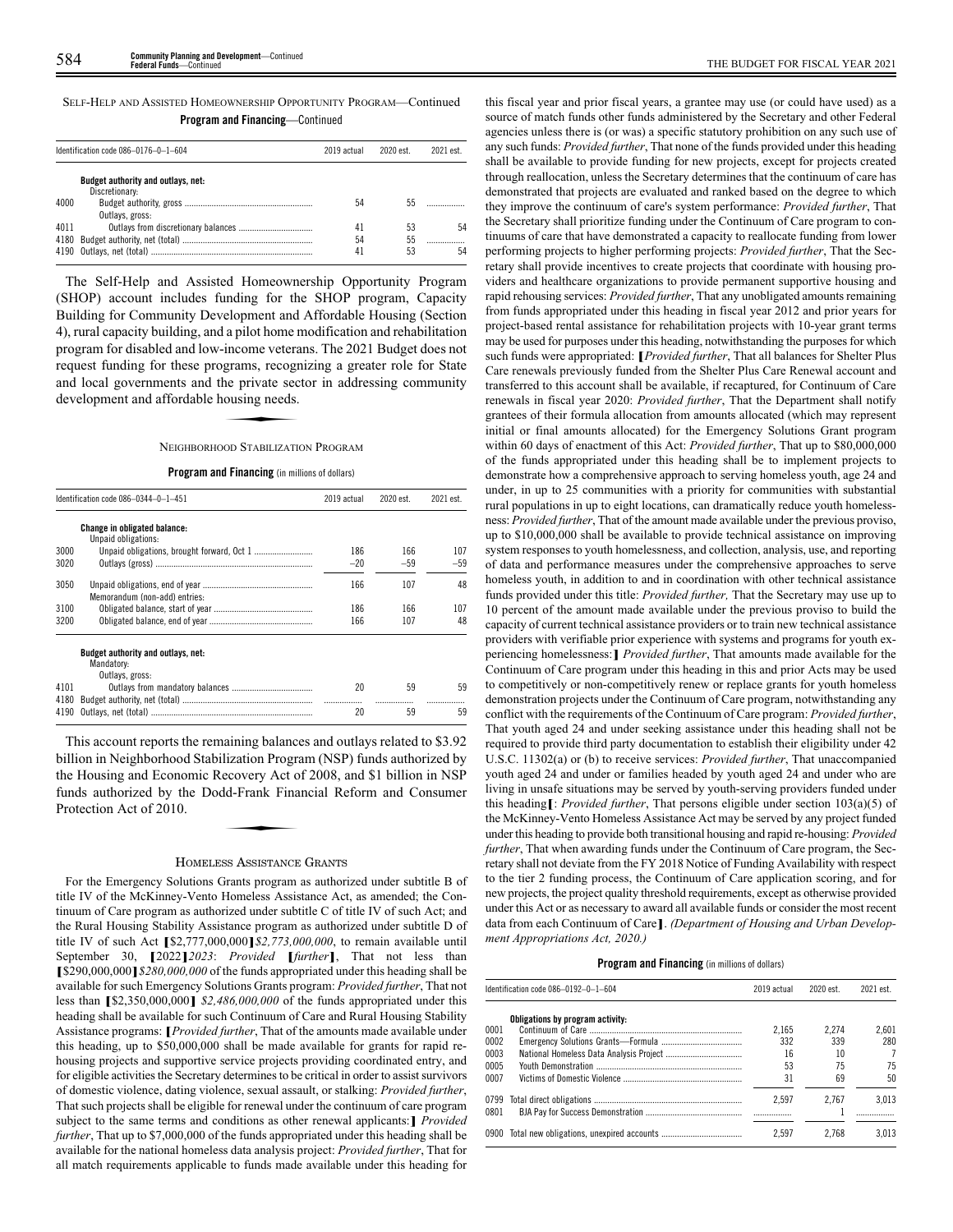|      | Identification code 086-0176-0-1-604                 | 2019 actual | 2020 est. | 2021 est |
|------|------------------------------------------------------|-------------|-----------|----------|
|      | Budget authority and outlays, net:<br>Discretionary: |             |           |          |
| 4000 | Outlays, gross:                                      | 54          | 55        |          |
| 4011 |                                                      | 41          | 53        | 54       |
|      |                                                      | 54          | 55        |          |
|      |                                                      | 41          | 53        | 54       |

The Self-Help and Assisted Homeownership Opportunity Program (SHOP) account includes funding for the SHOP program, Capacity Building for Community Development and Affordable Housing (Section 4), rural capacity building, and a pilot home modification and rehabilitation program for disabled and low-income veterans. The 2021 Budget does not request funding for these programs, recognizing a greater role for State and local governments and the private sector in addressing community development and affordable housing needs. meone veera<br>grams, recogr<br>he private sec<br>ousing needs.<br>ood Staru 174Tl

#### NEIGHBORHOOD STABILIZATION PROGRAM

#### **Program and Financing** (in millions of dollars)

|      | Identification code 086-0344-0-1-451                                | 2019 actual | 2020 est. | 2021 est. |
|------|---------------------------------------------------------------------|-------------|-----------|-----------|
|      | Change in obligated balance:<br>Unpaid obligations:                 |             |           |           |
| 3000 |                                                                     | 186         | 166       | 107       |
| 3020 |                                                                     | $-20$       | $-59$     | $-59$     |
| 3050 | Memorandum (non-add) entries:                                       | 166         | 107       | 48        |
| 3100 |                                                                     | 186         | 166       | 107       |
| 3200 |                                                                     | 166         | 107       | 48        |
|      | Budget authority and outlays, net:<br>Mandatory:<br>Outlays, gross: |             |           |           |
| 4101 |                                                                     | 20          | 59        | 59        |
| 4180 |                                                                     |             |           |           |
| 4190 |                                                                     | 20          | 59        | 59        |

This account reports the remaining balances and outlays related to \$3.92 billion in Neighborhood Stabilization Program (NSP) funds authorized by the Housing and Economic Recovery Act of 2008, and \$1 billion in NSP<br>funds authorized by the Dodd-Frank Financial Reform and Consumer<br>Protection Act of 2010. funds authorized by the Dodd-Frank Financial Reform and Consumer Protection Act of 2010.

#### HOMELESS ASSISTANCE GRANTS

For the Emergency Solutions Grants program as authorized under subtitle B of title IV of the McKinney-Vento Homeless Assistance Act, as amended; the Continuum of Care program as authorized under subtitle C of title IV of such Act; and the Rural Housing Stability Assistance program as authorized under subtitle D of title IV of such Act **[**\$2,777,000,000**]***\$2,773,000,000*, to remain available until September 30, **[**2022**]***2023*: *Provided* **[***further***]**, That not less than **[**\$290,000,000**]***\$280,000,000* of the funds appropriated under this heading shall be available for such Emergency Solutions Grants program: *Provided further*, That not less than **[**\$2,350,000,000**]** *\$2,486,000,000* of the funds appropriated under this heading shall be available for such Continuum of Care and Rural Housing Stability Assistance programs: **[***Provided further*, That of the amounts made available under this heading, up to \$50,000,000 shall be made available for grants for rapid rehousing projects and supportive service projects providing coordinated entry, and for eligible activities the Secretary determines to be critical in order to assist survivors of domestic violence, dating violence, sexual assault, or stalking: *Provided further*, That such projects shall be eligible for renewal under the continuum of care program subject to the same terms and conditions as other renewal applicants:**]** *Provided further*, That up to \$7,000,000 of the funds appropriated under this heading shall be available for the national homeless data analysis project: *Provided further*, That for all match requirements applicable to funds made available under this heading for

this fiscal year and prior fiscal years, a grantee may use (or could have used) as a source of match funds other funds administered by the Secretary and other Federal agencies unless there is (or was) a specific statutory prohibition on any such use of any such funds: *Provided further*, That none of the funds provided under this heading shall be available to provide funding for new projects, except for projects created through reallocation, unless the Secretary determines that the continuum of care has demonstrated that projects are evaluated and ranked based on the degree to which they improve the continuum of care's system performance: *Provided further*, That the Secretary shall prioritize funding under the Continuum of Care program to continuums of care that have demonstrated a capacity to reallocate funding from lower performing projects to higher performing projects: *Provided further*, That the Secretary shall provide incentives to create projects that coordinate with housing providers and healthcare organizations to provide permanent supportive housing and rapid rehousing services: *Provided further*, That any unobligated amounts remaining from funds appropriated under this heading in fiscal year 2012 and prior years for project-based rental assistance for rehabilitation projects with 10-year grant terms may be used for purposes under this heading, notwithstanding the purposes for which such funds were appropriated: **[***Provided further*, That all balances for Shelter Plus Care renewals previously funded from the Shelter Plus Care Renewal account and transferred to this account shall be available, if recaptured, for Continuum of Care renewals in fiscal year 2020: *Provided further*, That the Department shall notify grantees of their formula allocation from amounts allocated (which may represent initial or final amounts allocated) for the Emergency Solutions Grant program within 60 days of enactment of this Act: *Provided further*, That up to \$80,000,000 of the funds appropriated under this heading shall be to implement projects to demonstrate how a comprehensive approach to serving homeless youth, age 24 and under, in up to 25 communities with a priority for communities with substantial rural populations in up to eight locations, can dramatically reduce youth homelessness: *Provided further*, That of the amount made available under the previous proviso, up to \$10,000,000 shall be available to provide technical assistance on improving system responses to youth homelessness, and collection, analysis, use, and reporting of data and performance measures under the comprehensive approaches to serve homeless youth, in addition to and in coordination with other technical assistance funds provided under this title: *Provided further,* That the Secretary may use up to 10 percent of the amount made available under the previous proviso to build the capacity of current technical assistance providers or to train new technical assistance providers with verifiable prior experience with systems and programs for youth experiencing homelessness:**]** *Provided further*, That amounts made available for the Continuum of Care program under this heading in this and prior Acts may be used to competitively or non-competitively renew or replace grants for youth homeless demonstration projects under the Continuum of Care program, notwithstanding any conflict with the requirements of the Continuum of Care program: *Provided further*, That youth aged 24 and under seeking assistance under this heading shall not be required to provide third party documentation to establish their eligibility under 42 U.S.C. 11302(a) or (b) to receive services: *Provided further*, That unaccompanied youth aged 24 and under or families headed by youth aged 24 and under who are living in unsafe situations may be served by youth-serving providers funded under this heading**[**: *Provided further*, That persons eligible under section 103(a)(5) of the McKinney-Vento Homeless Assistance Act may be served by any project funded under this heading to provide both transitional housing and rapid re-housing: *Provided further*, That when awarding funds under the Continuum of Care program, the Secretary shall not deviate from the FY 2018 Notice of Funding Availability with respect to the tier 2 funding process, the Continuum of Care application scoring, and for new projects, the project quality threshold requirements, except as otherwise provided under this Act or as necessary to award all available funds or consider the most recent data from each Continuum of Care**]**. *(Department of Housing and Urban Development Appropriations Act, 2020.)*

**Program and Financing** (in millions of dollars)

|              | Identification code 086-0192-0-1-604           | 2019 actual | 2020 est. | 2021 est. |
|--------------|------------------------------------------------|-------------|-----------|-----------|
| 0001         | Obligations by program activity:               | 2.165       | 2.274     | 2.601     |
| 0002         |                                                | 332         | 339       | 280       |
| 0003         |                                                | 16          | 10        |           |
| 0005         |                                                | 53          | 75        | 75        |
| 0007         |                                                | 31          | 69        | 50        |
| 0799<br>0801 |                                                | 2.597       | 2.767     | 3.013     |
|              | 0900 Total new obligations, unexpired accounts | 2.597       | 2.768     | 3.013     |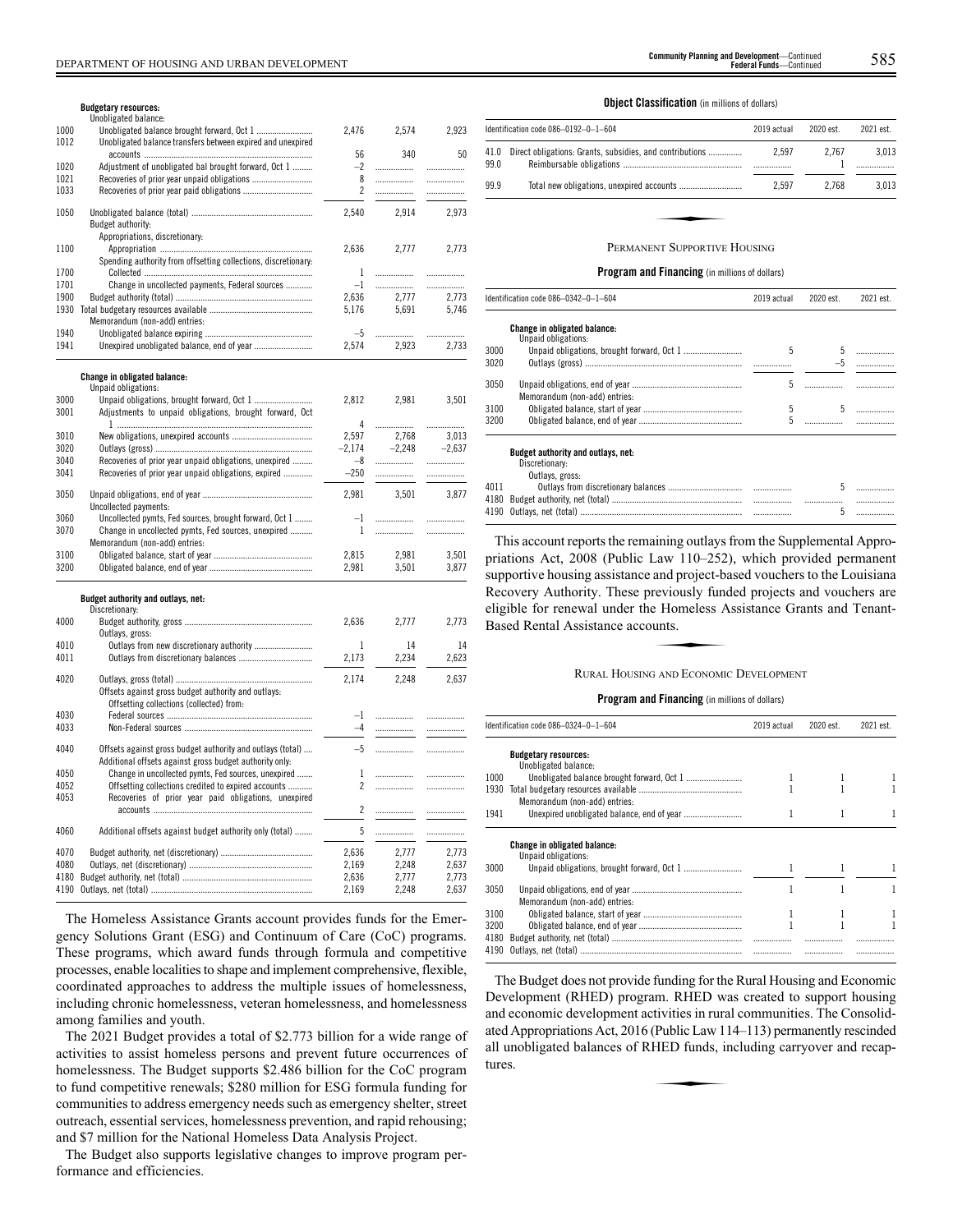|              | <b>Budgetary resources:</b>                                    |                          |          |            |
|--------------|----------------------------------------------------------------|--------------------------|----------|------------|
|              | Unobligated balance:                                           |                          |          |            |
| 1000<br>1012 | Unobligated balance transfers between expired and unexpired    | 2.476                    | 2,574    | 2,923      |
|              |                                                                | 56                       | 340      | 50         |
| 1020         | Adjustment of unobligated bal brought forward, Oct 1           | $-2$                     |          | .          |
| 1021         |                                                                | 8                        | .        | .          |
| 1033         |                                                                | $\overline{\phantom{a}}$ | .        | .          |
| 1050         |                                                                | 2.540                    | 2.914    | 2.973      |
|              | Budget authority:                                              |                          |          |            |
|              | Appropriations, discretionary:                                 |                          |          |            |
| 1100         |                                                                | 2,636                    | 2,777    | 2,773      |
|              | Spending authority from offsetting collections, discretionary: |                          |          |            |
| 1700         |                                                                | 1                        | .        | .          |
| 1701         | Change in uncollected payments, Federal sources                | $-1$                     | .        | .          |
| 1900         |                                                                | 2.636                    | 2.777    | 2.773      |
| 1930         |                                                                | 5,176                    | 5,691    | 5,746      |
|              | Memorandum (non-add) entries:                                  |                          |          |            |
| 1940         |                                                                | $-5$                     | .        | .          |
| 1941         |                                                                | 2,574                    | 2.923    | 2,733      |
|              | Change in obligated balance:<br>Unpaid obligations:            |                          |          |            |
| 3000         |                                                                | 2.812                    | 2,981    | 3.501      |
| 3001         | Adjustments to unpaid obligations, brought forward, Oct        | 4                        | .        |            |
| 3010         |                                                                | 2,597                    | 2.768    | .<br>3.013 |
| 3020         |                                                                | $-2,174$                 | $-2.248$ | $-2.637$   |
| 3040         | Recoveries of prior year unpaid obligations, unexpired         | $-8$                     |          | .          |
| 3041         | Recoveries of prior year unpaid obligations, expired           | $-250$                   | .        |            |
|              |                                                                |                          |          | .          |
| 3050         | Uncollected payments:                                          | 2,981                    | 3.501    | 3.877      |
| 3060         | Uncollected pymts, Fed sources, brought forward, Oct 1         | $-1$                     | .        | .          |
| 3070         | Change in uncollected pymts, Fed sources, unexpired            | $\mathbf{1}$             | .        |            |
|              | Memorandum (non-add) entries:                                  |                          |          | .          |
| 3100         |                                                                | 2,815                    | 2,981    | 3,501      |
| 3200         |                                                                | 2,981                    | 3,501    | 3,877      |
|              |                                                                |                          |          |            |
|              | Budget authority and outlays, net:                             |                          |          |            |
|              | Discretionary:                                                 |                          |          |            |
| 4000         |                                                                | 2,636                    | 2,777    | 2,773      |
|              | Outlays, gross:                                                |                          |          |            |
| 4010         |                                                                | 1                        | 14       | 14         |
| 4011         |                                                                | 2.173                    | 2.234    | 2.623      |
| 4020         |                                                                | 2,174                    | 2,248    | 2,637      |
|              | Offsets against gross budget authority and outlays:            |                          |          |            |
|              | Offsetting collections (collected) from:                       |                          |          |            |

| 4030 |                                                                                                                       | ۳     |       |       |
|------|-----------------------------------------------------------------------------------------------------------------------|-------|-------|-------|
| 4033 |                                                                                                                       | -4    |       |       |
| 4040 | Offsets against gross budget authority and outlays (total)<br>Additional offsets against gross budget authority only: | $-5$  | .     |       |
| 4050 | Change in uncollected pymts, Fed sources, unexpired                                                                   |       |       |       |
| 4052 | Offsetting collections credited to expired accounts                                                                   |       |       |       |
| 4053 | Recoveries of prior year paid obligations, unexpired                                                                  |       |       |       |
|      |                                                                                                                       |       |       |       |
| 4060 | Additional offsets against budget authority only (total)                                                              | 5     |       |       |
| 4070 |                                                                                                                       | 2.636 | 2.777 | 2.773 |
| 4080 |                                                                                                                       | 2.169 | 2.248 | 2.637 |
| 4180 |                                                                                                                       | 2.636 | 2.777 | 2.773 |
| 4190 |                                                                                                                       | 2.169 | 2.248 | 2.637 |
|      |                                                                                                                       |       |       |       |

The Homeless Assistance Grants account provides funds for the Emergency Solutions Grant (ESG) and Continuum of Care (CoC) programs. These programs, which award funds through formula and competitive processes, enable localities to shape and implement comprehensive, flexible, coordinated approaches to address the multiple issues of homelessness, including chronic homelessness, veteran homelessness, and homelessness among families and youth.

The 2021 Budget provides a total of \$2.773 billion for a wide range of activities to assist homeless persons and prevent future occurrences of homelessness. The Budget supports \$2.486 billion for the CoC program to fund competitive renewals; \$280 million for ESG formula funding for communities to address emergency needs such as emergency shelter, street outreach, essential services, homelessness prevention, and rapid rehousing; and \$7 million for the National Homeless Data Analysis Project.

The Budget also supports legislative changes to improve program performance and efficiencies.

#### **Object Classification** (in millions of dollars)

|              | Identification code 086-0192-0-1-604                     | 2019 actual | 2020 est. | 2021 est. |
|--------------|----------------------------------------------------------|-------------|-----------|-----------|
| 41.0<br>99.0 | Direct obligations: Grants, subsidies, and contributions | 2.597       | 2.767     | 3.013     |
| 99.9         |                                                          | 2.597       | 2.768     | 3.013     |
|              | PERMANENT SUPPORTIVE HOUSING                             |             |           |           |

### **Program and Financing** (in millions of dollars) Identification code 086–0342–0–1–604 2019 actual 2020 est. 2021 est.

|       | IUEIILIIIU4LIUII UUUE VOO–VJ4Z–V–I–OV4                      | 7013 duudi - | $7070$ ESI. | $707 + 0.81$ |
|-------|-------------------------------------------------------------|--------------|-------------|--------------|
|       | <b>Change in obligated balance:</b><br>Unpaid obligations:  |              |             |              |
| 3000  |                                                             | 5            | 5           |              |
| 3020  |                                                             |              | $-5$        |              |
| 3050  | Memorandum (non-add) entries:                               | 5            |             | .            |
| 3100  |                                                             | 5            | 5           |              |
| 3200  |                                                             | 5            |             |              |
|       | <b>Budget authority and outlays, net:</b><br>Discretionary: |              |             |              |
|       | Outlays, gross:                                             |              |             |              |
| 4011  |                                                             |              |             |              |
| 4180. |                                                             |              |             |              |
|       |                                                             |              | 5           |              |
|       |                                                             |              |             |              |

This account reports the remaining outlays from the Supplemental Appropriations Act, 2008 (Public Law 110–252), which provided permanent supportive housing assistance and project-based vouchers to the Louisiana Recovery Authority. These previously funded projects and vouchers are eligible for renewal under the Homeless Assistance Grants and Tenant-Based Rental Assistance accounts. and project of<br>reviously fund<br>e Homeless A<br>and ECONOMIC

#### RURAL HOUSING AND ECONOMIC DEVELOPMENT

#### **Program and Financing** (in millions of dollars)

|      | Identification code 086-0324-0-1-604                | 2019 actual | 2020 est. | 2021 est. |
|------|-----------------------------------------------------|-------------|-----------|-----------|
|      | <b>Budgetary resources:</b><br>Unobligated balance: |             |           |           |
| 1000 |                                                     |             |           |           |
| 1930 | Memorandum (non-add) entries:                       |             |           |           |
| 1941 |                                                     |             |           |           |
|      | Change in obligated balance:<br>Unpaid obligations: |             |           |           |
| 3000 |                                                     |             |           |           |
| 3050 | Memorandum (non-add) entries:                       |             |           |           |
| 3100 |                                                     |             |           |           |
| 3200 |                                                     |             |           |           |
| 4180 |                                                     |             |           |           |
| 4190 |                                                     |             |           |           |

The Budget does not provide funding for the Rural Housing and Economic Development (RHED) program. RHED was created to support housing and economic development activities in rural communities. The Consolidated Appropriations Act, 2016 (Public Law 114–113) permanently rescinded all unobligated balances of RHED funds, including carryover and recaptures. (Public Law 11)<br>HED funds, in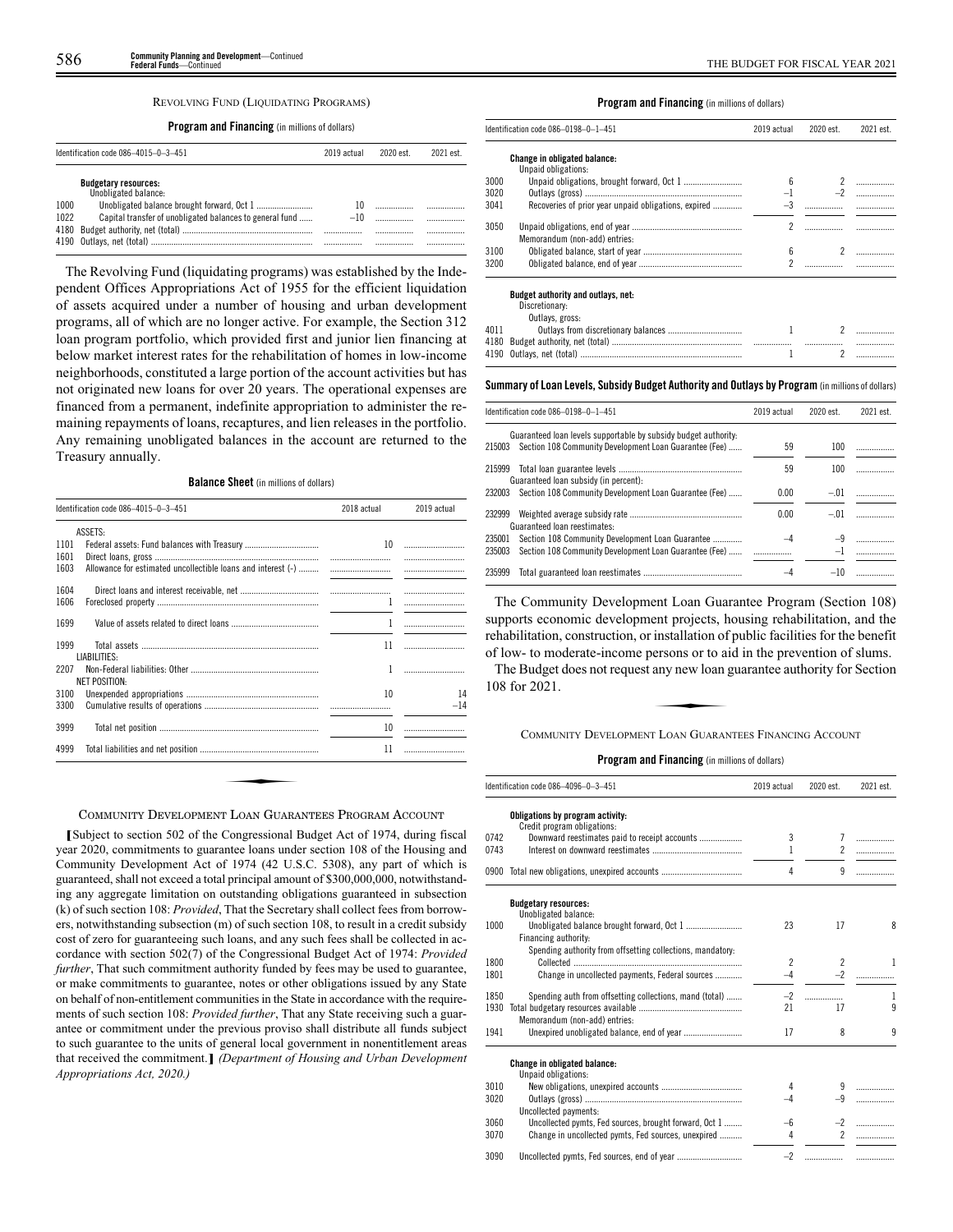#### REVOLVING FUND (LIQUIDATING PROGRAMS)

#### **Program and Financing** (in millions of dollars)

|      | Identification code 086-4015-0-3-451                     | 2019 actual | 2020 est | 2021 est |
|------|----------------------------------------------------------|-------------|----------|----------|
|      | <b>Budgetary resources:</b><br>Unobligated balance:      |             |          |          |
| 1000 |                                                          | 10          |          |          |
| 1022 | Capital transfer of unobligated balances to general fund | $-10$       |          |          |
| 4180 |                                                          |             | .<br>    | <br>     |

The Revolving Fund (liquidating programs) was established by the Independent Offices Appropriations Act of 1955 for the efficient liquidation of assets acquired under a number of housing and urban development programs, all of which are no longer active. For example, the Section 312 loan program portfolio, which provided first and junior lien financing at below market interest rates for the rehabilitation of homes in low-income neighborhoods, constituted a large portion of the account activities but has not originated new loans for over 20 years. The operational expenses are financed from a permanent, indefinite appropriation to administer the remaining repayments of loans, recaptures, and lien releases in the portfolio. Any remaining unobligated balances in the account are returned to the Treasury annually.

#### **Balance Sheet** (in millions of dollars)

|      | Identification code 086-4015-0-3-451 | 2018 actual | 2019 actual |
|------|--------------------------------------|-------------|-------------|
|      | ASSETS:                              |             |             |
| 1101 |                                      | 10          |             |
| 1601 |                                      |             |             |
| 1603 |                                      |             |             |
| 1604 |                                      |             |             |
| 1606 |                                      |             |             |
| 1699 |                                      | 1           |             |
| 1999 |                                      | 11          |             |
|      | LIABILITIES:                         |             |             |
| 2207 |                                      | 1           |             |
|      | NET POSITION:                        |             |             |
| 3100 |                                      | 10          | 14          |
| 3300 |                                      |             | $-14$       |
| 3999 |                                      | 10          |             |
| 4999 |                                      | 11          |             |

#### COMMUNITY DEVELOPMENT LOAN GUARANTEES PROGRAM ACCOUNT

**[**Subject to section 502 of the Congressional Budget Act of 1974, during fiscal year 2020, commitments to guarantee loans under section 108 of the Housing and Community Development Act of 1974 (42 U.S.C. 5308), any part of which is guaranteed, shall not exceed a total principal amount of \$300,000,000, notwithstanding any aggregate limitation on outstanding obligations guaranteed in subsection (k) of such section 108: *Provided*, That the Secretary shall collect fees from borrowers, notwithstanding subsection (m) of such section 108, to result in a credit subsidy cost of zero for guaranteeing such loans, and any such fees shall be collected in accordance with section 502(7) of the Congressional Budget Act of 1974: *Provided further*, That such commitment authority funded by fees may be used to guarantee, or make commitments to guarantee, notes or other obligations issued by any State on behalf of non-entitlement communities in the State in accordance with the requirements of such section 108: *Provided further*, That any State receiving such a guarantee or commitment under the previous proviso shall distribute all funds subject to such guarantee to the units of general local government in nonentitlement areas that received the commitment.**]** *(Department of Housing and Urban Development Appropriations Act, 2020.)*

#### **Program and Financing** (in millions of dollars)

|      | Identification code 086-0198-0-1-451                                    | 2019 actual | 2020 est. | 2021 est. |
|------|-------------------------------------------------------------------------|-------------|-----------|-----------|
|      | <b>Change in obligated balance:</b><br>Unpaid obligations:              |             |           |           |
| 3000 |                                                                         | 6           |           | .         |
| 3020 |                                                                         |             | $-2$      | .         |
| 3041 | Recoveries of prior year unpaid obligations, expired                    | $-3$        |           |           |
| 3050 | Memorandum (non-add) entries:                                           | 2           |           |           |
| 3100 |                                                                         | 6           |           | .         |
| 3200 |                                                                         | 2           |           |           |
|      | Budget authority and outlays, net:<br>Discretionary:<br>Outlays, gross: |             |           |           |
| 4011 |                                                                         |             |           |           |
| 4180 |                                                                         |             |           |           |

#### **Summary ofLoan Levels, Subsidy Budget Authority and Outlays by Program** (inmillionsof dollars)

4190 Outlays, net (total) ........................................................................ 1 2 .................

|        | Identification code 086-0198-0-1-451                            | 2019 actual | 2020 est. | 2021 est. |
|--------|-----------------------------------------------------------------|-------------|-----------|-----------|
|        | Guaranteed loan levels supportable by subsidy budget authority. |             |           |           |
| 215003 | Section 108 Community Development Loan Guarantee (Fee)          | 59          | 100       |           |
| 215999 | Guaranteed loan subsidy (in percent):                           | 59          | 100       |           |
| 232003 | Section 108 Community Development Loan Guarantee (Fee)          | 0.00        | $-.01$    |           |
| 232999 | Guaranteed loan reestimates:                                    | 0.00        | $-.01$    |           |
| 235001 | Section 108 Community Development Loan Guarantee                |             |           |           |
| 235003 | Section 108 Community Development Loan Guarantee (Fee)          |             |           |           |
| 235999 |                                                                 |             | $-10$     |           |

The Community Development Loan Guarantee Program (Section 108) supports economic development projects, housing rehabilitation, and the rehabilitation, construction, or installation of public facilities for the benefit

For low- to moderate-income persons or to aid in the prevention of slums.<br>The Budget does not request any new loan guarantee authority for Section<br>108 for 2021.<br>COMMINITY DEVELOPMENT LOAN GUARANTEES EINANCING ACCOUNT The Budget does not request any new loan guarantee authority for Section 108 for 2021.

#### COMMUNITY DEVELOPMENT LOAN GUARANTEES FINANCING ACCOUNT

|      | Identification code 086-4096-0-3-451                                               | 2019 actual              | 2020 est.                | 2021 est. |
|------|------------------------------------------------------------------------------------|--------------------------|--------------------------|-----------|
|      | Obligations by program activity:<br>Credit program obligations:                    |                          |                          |           |
| 0742 | Downward reestimates paid to receipt accounts                                      | 3                        | 7                        |           |
| 0743 |                                                                                    | 1                        | $\mathfrak{p}$           |           |
|      | 0900 Total new obligations, unexpired accounts                                     | 4                        | 9                        |           |
|      | <b>Budgetary resources:</b><br>Unobligated balance:                                |                          |                          |           |
| 1000 |                                                                                    | 23                       | 17                       | 8         |
|      | Financing authority:<br>Spending authority from offsetting collections, mandatory: |                          |                          |           |
| 1800 |                                                                                    | $\overline{\phantom{a}}$ | $\overline{\phantom{a}}$ |           |
| 1801 | Change in uncollected payments, Federal sources                                    | $-4$                     | $-2$                     |           |
| 1850 | Spending auth from offsetting collections, mand (total)                            | $-2$                     | .                        | 1         |
| 1930 | Memorandum (non-add) entries:                                                      | 21                       | 17                       | 9         |
| 1941 |                                                                                    | 17                       | 8                        | 9         |
|      | <b>Change in obligated balance:</b><br>Unpaid obligations:                         |                          |                          |           |
| 3010 |                                                                                    | 4                        | 9                        |           |
| 3020 | Uncollected payments:                                                              | -4                       | $-9$                     |           |
| 3060 | Uncollected pymts, Fed sources, brought forward, Oct 1                             | -6                       |                          |           |
| 3070 | Change in uncollected pymts, Fed sources, unexpired                                | 4                        | $\mathfrak{p}$           |           |
| 3090 |                                                                                    | $-2$                     | .                        |           |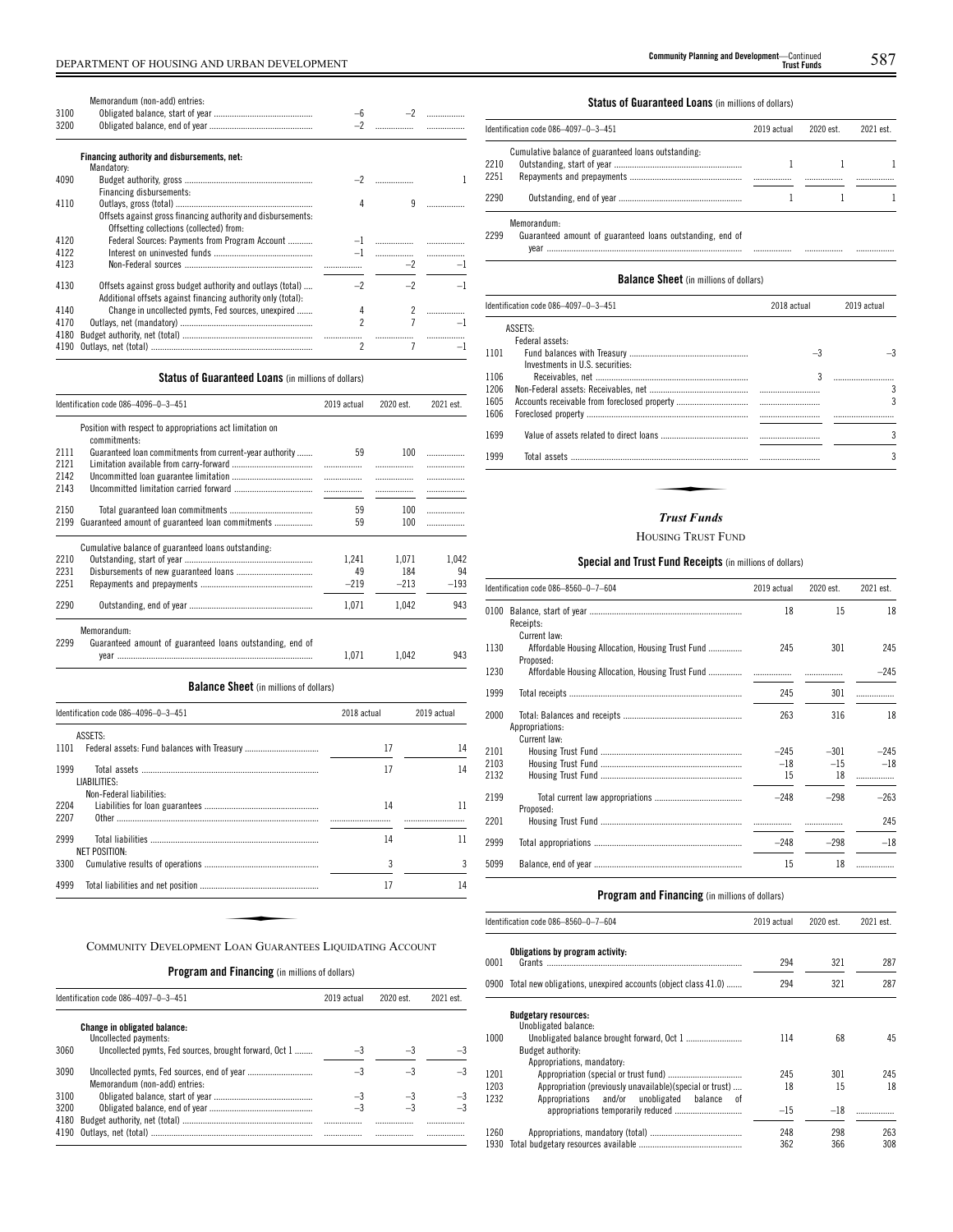| 3100<br>3200 | Memorandum (non-add) entries:                                                                                              |                |                |      |
|--------------|----------------------------------------------------------------------------------------------------------------------------|----------------|----------------|------|
|              | Financing authority and disbursements, net:<br>Mandatory:                                                                  |                |                |      |
| 4090         | Financing disbursements:                                                                                                   |                | $-2$           |      |
| 4110         | Offsets against gross financing authority and disbursements:<br>Offsetting collections (collected) from:                   | 4              | $\mathsf{q}$   |      |
| 4120         | Federal Sources: Payments from Program Account                                                                             |                |                |      |
| 4122         |                                                                                                                            |                |                |      |
| 4123         |                                                                                                                            |                |                | $-2$ |
| 4130         | Offsets against gross budget authority and outlays (total)<br>Additional offsets against financing authority only (total): | $-2$           | $-2$           |      |
| 4140         | Change in uncollected pymts, Fed sources, unexpired                                                                        | 4              | $\mathbf{2}$   |      |
| 4170<br>4180 |                                                                                                                            | $\mathfrak{p}$ |                |      |
| 4190         |                                                                                                                            | 2              | $\overline{7}$ |      |

#### **Status of Guaranteed Loans** (in millions of dollars) Identification code 086–4096–0–3–451 2019 actual 2020 est. 2021 est. Position with respect to appropriations act limitation on commitments: 2111 Guaranteed loan commitmentsfrom current-year authority ....... 59 100 ................. 2121 Limitation available from carry-forward .<br>2142 Uncommitted loan guarantee limitation . 2142 Uncommitted loan guarantee limitation<br>2143 Uncommitted limitation carried forward Uncommitted limitation carried forward ... 2150 Total guaranteed loan commitments ..................................... 59 100 ................. 2199 Guaranteed amount of guaranteed loan commitments .......... Cumulative balance of guaranteed loans outstanding: 2210 Outstanding, start of year ......................................................... 1,241 1,071 1,042 2231 Disbursements of new guaranteed loans .................................. 49 184 94 Repayments and prepayments .... 2290 Outstanding, end of year ....................................................... 1,071 1,042 943 Memorandum: 1,071 1,042 943 Guaranteed amount of guaranteed loans outstanding, end of year ....................................................................................... 2299 **Balance Sheet** (in millions of dollars)

|              | Identification code 086-4096-0-3-451                      | 2018 actual | 2019 actual |
|--------------|-----------------------------------------------------------|-------------|-------------|
|              | ASSETS:                                                   |             |             |
| 1101         |                                                           | 17          | 14          |
| 1999         | LIABILITIES:                                              | 17          | 14          |
| 2204<br>2207 | Non-Federal liabilities:                                  | 14          | 11          |
| 2999         | NET POSITION:                                             | 14          | 11          |
| 3300         |                                                           | 3           | 3           |
| 4999         |                                                           | 17          | 14          |
|              |                                                           |             |             |
|              | COMMUNITY DEVELOPMENT LOAN GUARANTEES LIQUIDATING ACCOUNT |             |             |

#### **Program and Financing** (in millions of dollars)

|              | Identification code 086-4097-0-3-451                   | 2019 actual | 2020 est. | 2021 est. |
|--------------|--------------------------------------------------------|-------------|-----------|-----------|
|              | Change in obligated balance:<br>Uncollected payments:  |             |           |           |
| 3060         | Uncollected pymts, Fed sources, brought forward, Oct 1 | $-3$        |           |           |
| 3090         | Memorandum (non-add) entries:                          | $-3$        | $-3$      |           |
| 3100         |                                                        | $-3$        | $-3$      |           |
| 3200         |                                                        | -3          |           |           |
| 4180<br>4190 |                                                        |             |           |           |

................. ................. .................

#### **Status of Guaranteed Loans** (in millions of dollars)

|      | Identification code 086-4097-0-3-451                                    | 2019 actual | 2020 est. | 2021 est. |
|------|-------------------------------------------------------------------------|-------------|-----------|-----------|
| 2210 | Cumulative balance of guaranteed loans outstanding.                     |             |           |           |
| 2251 |                                                                         |             |           |           |
| 2290 |                                                                         |             |           |           |
| 2200 | Memorandum:<br>Customtood amount of guaranteed leans outstanding and of |             |           |           |

Guaranteed amount of guaranteed loans outstanding, end of year ....................................................................................... 2299

#### **Balance Sheet** (in millions of dollars)

| 2019 actual |
|-------------|
|             |
|             |
| $-3$        |
|             |
|             |
| 3           |
| 3           |
|             |
| 3           |
| 3           |
|             |

#### *Trust Funds*

#### HOUSING TRUST FUND

#### **Special and Trust Fund Receipts** (in millions of dollars)

|              | Identification code 086-8560-0-7-604                                           | 2019 actual     | 2020 est.       | 2021 est.       |
|--------------|--------------------------------------------------------------------------------|-----------------|-----------------|-----------------|
|              | Receipts:                                                                      | 18              | 15              | 18              |
| 1130         | Current law:<br>Affordable Housing Allocation, Housing Trust Fund<br>Proposed: | 245             | 301             | 245             |
| 1230         |                                                                                |                 |                 | $-245$          |
| 1999         |                                                                                | 245             | 301             | .               |
| 2000         | Appropriations:                                                                | 263             | 316             | 18              |
|              | Current law:                                                                   |                 |                 |                 |
| 2101<br>2103 |                                                                                | $-245$<br>$-18$ | $-301$<br>$-15$ | $-245$<br>$-18$ |
| 2132         |                                                                                | 15              | 18              | .               |
| 2199         | Proposed:                                                                      | $-248$          | $-298$          | $-263$          |
| 2201         |                                                                                |                 |                 | 245             |
| 2999         |                                                                                | $-248$          | $-298$          | $-18$           |
| 5099         |                                                                                | 15              | 18              | .               |

|      | Identification code 086-8560-0-7-604                          | 2019 actual | 2020 est. | 2021 est. |
|------|---------------------------------------------------------------|-------------|-----------|-----------|
| 0001 | Obligations by program activity:                              | 294         | 321       | 287       |
| 0900 | Total new obligations, unexpired accounts (object class 41.0) | 294         | 321       | 287       |
|      | <b>Budgetary resources:</b>                                   |             |           |           |
| 1000 | Unobligated balance:                                          | 114         | 68        | 45        |
|      | Budget authority:                                             |             |           |           |
|      | Appropriations, mandatory:                                    |             |           |           |
| 1201 |                                                               | 245         | 301       | 245       |
| 1203 | Appropriation (previously unavailable)(special or trust)      | 18          | 15        | 18        |
| 1232 | Appropriations and/or unobligated<br>balance<br>0f            |             |           |           |
|      |                                                               | $-15$       | $-18$     |           |
| 1260 |                                                               | 248         | 298       | 263       |
| 1930 |                                                               | 362         | 366       | 308       |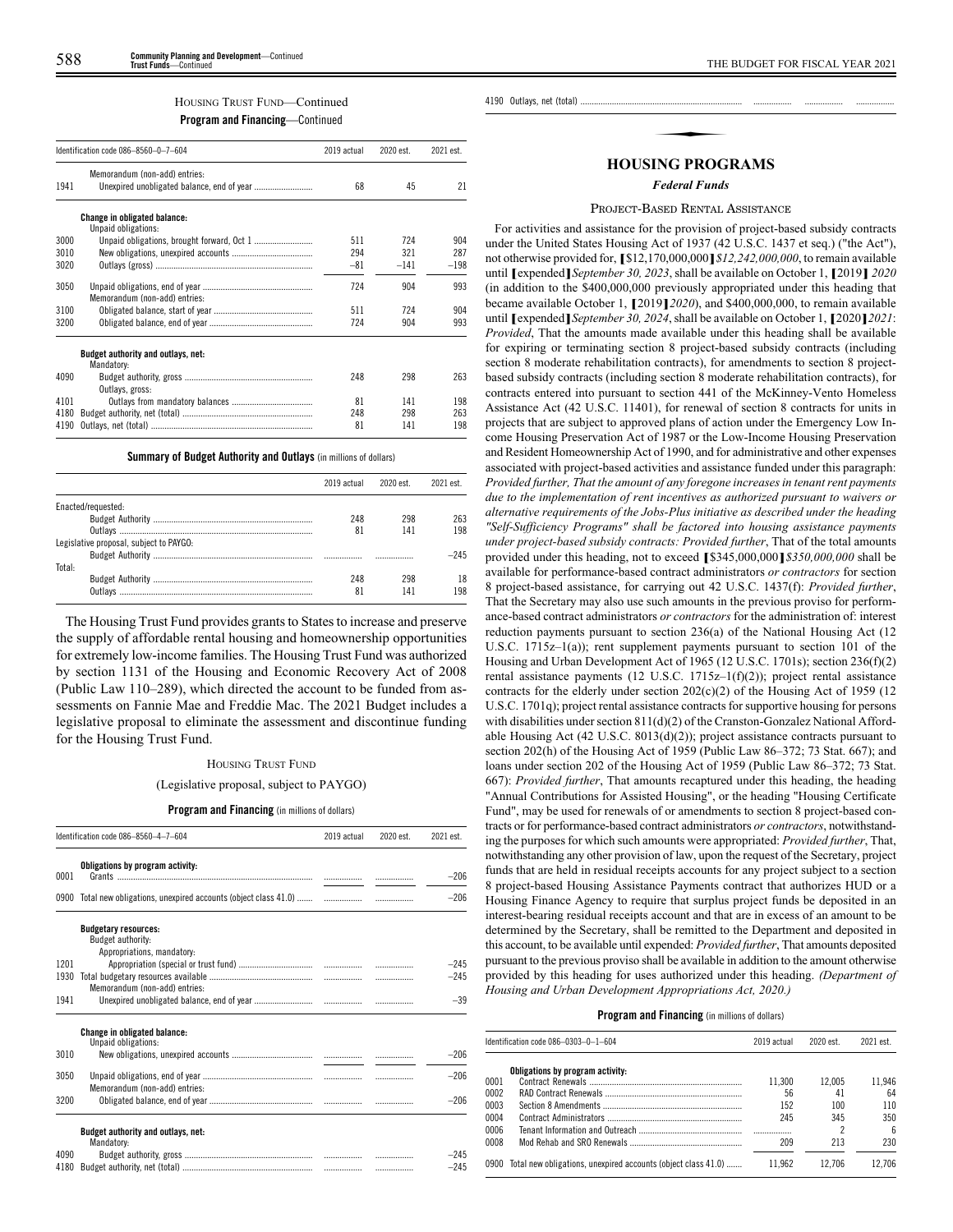#### HOUSING TRUST FUND—Continued **Program and Financing**—Continued

|      | Identification code 086-8560-0-7-604             | 2019 actual | 2020 est. | 2021 est. |
|------|--------------------------------------------------|-------------|-----------|-----------|
|      | Memorandum (non-add) entries:                    |             |           |           |
| 1941 |                                                  | 68          | 45        | 21        |
|      | Change in obligated balance:                     |             |           |           |
| 3000 | Unpaid obligations:                              | 511         | 724       | 904       |
| 3010 |                                                  | 294         | 321       | 287       |
| 3020 |                                                  | $-81$       | $-141$    | $-198$    |
| 3050 | Memorandum (non-add) entries:                    | 724         | 904       | 993       |
| 3100 |                                                  | 511         | 724       | 904       |
| 3200 |                                                  | 724         | 904       | 993       |
|      | Budget authority and outlays, net:<br>Mandatory: |             |           |           |
| 4090 | Outlays, gross:                                  | 248         | 298       | 263       |
| 4101 |                                                  | 81          | 141       | 198       |
| 4180 |                                                  | 248         | 298       | 263       |
| 4190 |                                                  | 81          | 141       | 198       |

#### **Summary of Budget Authority and Outlays** (in millions of dollars)

|                                         | 2019 actual | 2020 est. | 2021 est. |
|-----------------------------------------|-------------|-----------|-----------|
| Enacted/requested:                      |             |           |           |
|                                         | 248         | 298       | 263       |
|                                         | 81          | 141       | 198       |
| Legislative proposal, subject to PAYGO: |             |           |           |
|                                         |             |           | -245      |
| Total:                                  |             |           |           |
|                                         | 248         | 298       | 18        |
|                                         | 81          | 141       | 198       |

The Housing Trust Fund provides grants to States to increase and preserve the supply of affordable rental housing and homeownership opportunities for extremely low-income families. The Housing Trust Fund was authorized by section 1131 of the Housing and Economic Recovery Act of 2008 (Public Law 110–289), which directed the account to be funded from assessments on Fannie Mae and Freddie Mac. The 2021 Budget includes a legislative proposal to eliminate the assessment and discontinue funding for the Housing Trust Fund.

#### HOUSING TRUST FUND

(Legislative proposal, subject to PAYGO)

#### **Program and Financing** (in millions of dollars)

|      | Identification code 086-8560-4-7-604                                           | 2019 actual | 2020 est. | 2021 est. |
|------|--------------------------------------------------------------------------------|-------------|-----------|-----------|
| 0001 | Obligations by program activity:                                               |             |           | $-206$    |
|      | 0900 Total new obligations, unexpired accounts (object class 41.0)             |             |           | $-206$    |
|      | <b>Budgetary resources:</b><br>Budget authority:<br>Appropriations, mandatory: |             |           |           |
| 1201 |                                                                                |             |           | $-245$    |
| 1930 |                                                                                |             |           | $-245$    |
|      | Memorandum (non-add) entries:                                                  |             |           |           |
| 1941 |                                                                                |             |           | $-39$     |
|      | <b>Change in obligated balance:</b><br>Unpaid obligations:                     |             |           |           |
| 3010 |                                                                                |             |           | $-206$    |
| 3050 | Memorandum (non-add) entries:                                                  |             |           | $-206$    |
| 3200 |                                                                                |             |           | $-206$    |
|      | Budget authority and outlays, net:<br>Mandatory:                               |             |           |           |
| 4090 |                                                                                |             |           | $-245$    |
| 4180 |                                                                                |             |           | $-245$    |

4190 Outlavs, net (total)

# **EXAMPLE SERVE**<br> **EXAMPLE PROC HOUSING PROGRAMS**

#### *Federal Funds*

#### PROJECT-BASED RENTAL ASSISTANCE

For activities and assistance for the provision of project-based subsidy contracts under the United States Housing Act of 1937 (42 U.S.C. 1437 et seq.) ("the Act"), not otherwise provided for, **[**\$12,170,000,000**]***\$12,242,000,000*, to remain available until **[**expended**]***September 30, 2023*, shall be available on October 1, **[**2019**]** *<sup>2020</sup>* (in addition to the \$400,000,000 previously appropriated under this heading that became available October 1, **[**2019**]***2020*), and \$400,000,000, to remain available until **[**expended**]***September 30, 2024*, shall be available on October 1, **[**2020**]***2021*: *Provided*, That the amounts made available under this heading shall be available for expiring or terminating section 8 project-based subsidy contracts (including section 8 moderate rehabilitation contracts), for amendments to section 8 projectbased subsidy contracts (including section 8 moderate rehabilitation contracts), for contracts entered into pursuant to section 441 of the McKinney-Vento Homeless Assistance Act (42 U.S.C. 11401), for renewal of section 8 contracts for units in projects that are subject to approved plans of action under the Emergency Low Income Housing Preservation Act of 1987 or the Low-Income Housing Preservation and Resident Homeownership Act of 1990, and for administrative and other expenses associated with project-based activities and assistance funded under this paragraph: *Provided further, That the amount of any foregone increases in tenant rent payments due to the implementation of rent incentives as authorized pursuant to waivers or alternative requirements of the Jobs-Plus initiative as described under the heading "Self-Sufficiency Programs" shall be factored into housing assistance payments under project-based subsidy contracts: Provided further*, That of the total amounts provided under this heading, not to exceed **[**\$345,000,000**]***\$350,000,000* shall be available for performance-based contract administrators *or contractors* for section 8 project-based assistance, for carrying out 42 U.S.C. 1437(f): *Provided further*, That the Secretary may also use such amounts in the previous proviso for performance-based contract administrators *or contractors* for the administration of: interest reduction payments pursuant to section 236(a) of the National Housing Act (12 U.S.C. 1715z–1(a)); rent supplement payments pursuant to section 101 of the Housing and Urban Development Act of 1965 (12 U.S.C. 1701s); section 236(f)(2) rental assistance payments (12 U.S.C. 1715 $z$ –1(f)(2)); project rental assistance contracts for the elderly under section 202(c)(2) of the Housing Act of 1959 (12 U.S.C. 1701q); project rental assistance contracts for supportive housing for persons with disabilities under section 811(d)(2) of the Cranston-Gonzalez National Affordable Housing Act (42 U.S.C. 8013(d)(2)); project assistance contracts pursuant to section 202(h) of the Housing Act of 1959 (Public Law 86–372; 73 Stat. 667); and loans under section 202 of the Housing Act of 1959 (Public Law 86–372; 73 Stat. 667): *Provided further*, That amounts recaptured under this heading, the heading "Annual Contributions for Assisted Housing", or the heading "Housing Certificate Fund", may be used for renewals of or amendments to section 8 project-based contracts or for performance-based contract administrators *or contractors*, notwithstanding the purposes for which such amounts were appropriated: *Provided further*, That, notwithstanding any other provision of law, upon the request of the Secretary, project funds that are held in residual receipts accounts for any project subject to a section 8 project-based Housing Assistance Payments contract that authorizes HUD or a Housing Finance Agency to require that surplus project funds be deposited in an interest-bearing residual receipts account and that are in excess of an amount to be determined by the Secretary, shall be remitted to the Department and deposited in this account, to be available until expended: *Provided further*, That amounts deposited pursuant to the previous proviso shall be available in addition to the amount otherwise provided by this heading for uses authorized under this heading. *(Department of Housing and Urban Development Appropriations Act, 2020.)*

|      | Identification code 086-0303-0-1-604                               | 2019 actual | 2020 est. | 2021 est. |
|------|--------------------------------------------------------------------|-------------|-----------|-----------|
|      | Obligations by program activity:                                   |             |           |           |
| 0001 |                                                                    | 11.300      | 12.005    | 11.946    |
| 0002 |                                                                    | 56          | 41        | 64        |
| 0003 |                                                                    | 152         | 100       | 110       |
| 0004 |                                                                    | 245         | 345       | 350       |
| 0006 |                                                                    |             |           | ĥ         |
| 0008 |                                                                    | 209         | 213       | 230       |
|      | 0900 Total new obligations, unexpired accounts (object class 41.0) | 11.962      | 12.706    | 12.706    |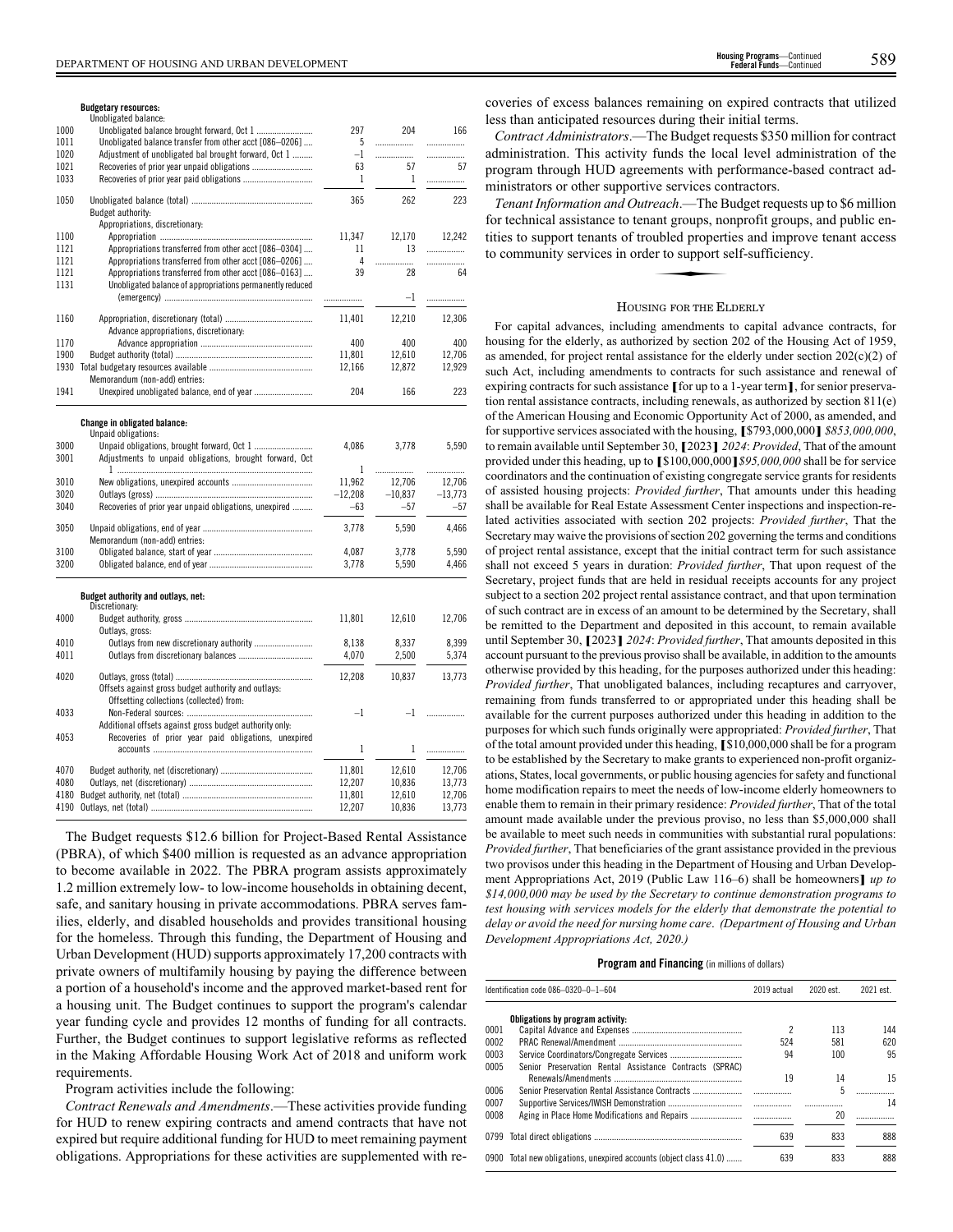**Budgetary resources:**

|      | Unobligated balance:                                      |           |           |           |
|------|-----------------------------------------------------------|-----------|-----------|-----------|
| 1000 |                                                           | 297       | 204       | 166       |
| 1011 | Unobligated balance transfer from other acct [086-0206]   | 5         |           | .         |
| 1020 | Adjustment of unobligated bal brought forward, Oct 1      | $-1$      |           |           |
| 1021 |                                                           | 63        | 57        | 57        |
| 1033 |                                                           | 1         | 1         | .         |
|      |                                                           |           |           |           |
| 1050 |                                                           | 365       | 262       | 223       |
|      | Budget authority:                                         |           |           |           |
|      | Appropriations, discretionary:                            |           |           |           |
| 1100 |                                                           | 11,347    | 12,170    | 12,242    |
| 1121 | Appropriations transferred from other acct [086-0304]     | 11        | 13        | .         |
| 1121 | Appropriations transferred from other acct [086-0206]     | 4         | .         | .         |
| 1121 | Appropriations transferred from other acct [086-0163]     | 39        | 28        | 64        |
| 1131 | Unobligated balance of appropriations permanently reduced |           |           |           |
|      |                                                           |           | $-1$      |           |
|      |                                                           | .         |           | .         |
| 1160 |                                                           | 11,401    | 12,210    | 12.306    |
|      | Advance appropriations, discretionary:                    |           |           |           |
| 1170 |                                                           | 400       | 400       | 400       |
| 1900 |                                                           |           |           |           |
|      |                                                           | 11,801    | 12,610    | 12,706    |
| 1930 |                                                           | 12,166    | 12,872    | 12,929    |
|      | Memorandum (non-add) entries:                             |           |           |           |
| 1941 |                                                           | 204       | 166       | 223       |
|      | Change in obligated balance:<br>Unpaid obligations:       |           |           |           |
| 3000 |                                                           | 4,086     | 3,778     | 5,590     |
| 3001 |                                                           |           |           |           |
|      | Adjustments to unpaid obligations, brought forward, Oct   |           |           |           |
|      |                                                           | 1         | .         | .         |
| 3010 |                                                           | 11,962    | 12,706    | 12.706    |
| 3020 |                                                           | $-12,208$ | $-10,837$ | $-13,773$ |
| 3040 | Recoveries of prior year unpaid obligations, unexpired    | $-63$     | $-57$     | $-57$     |
|      |                                                           |           |           |           |
| 3050 |                                                           | 3,778     | 5,590     | 4.466     |
|      | Memorandum (non-add) entries:                             |           |           |           |
| 3100 |                                                           | 4,087     | 3,778     | 5.590     |
| 3200 |                                                           | 3,778     | 5,590     | 4,466     |
|      | Budget authority and outlays, net:<br>Discretionary:      |           |           |           |
| 4000 |                                                           | 11,801    | 12,610    | 12,706    |
|      | Outlays, gross:                                           |           |           |           |
| 4010 |                                                           | 8,138     | 8,337     | 8,399     |
| 4011 |                                                           | 4,070     | 2,500     | 5,374     |
| 4020 |                                                           | 12,208    | 10,837    | 13,773    |
|      | Offsets against gross budget authority and outlays:       |           |           |           |
|      |                                                           |           |           |           |
|      | Offsetting collections (collected) from:                  |           |           |           |
| 4033 |                                                           | $-1$      | $-1$      | .         |
|      | Additional offsets against gross budget authority only:   |           |           |           |
| 4053 | Recoveries of prior year paid obligations, unexpired      |           |           |           |
|      |                                                           | 1         | 1         | .         |
|      |                                                           |           |           |           |
| 4070 |                                                           | 11,801    | 12,610    | 12.706    |
| 4080 |                                                           | 12,207    | 10,836    | 13.773    |
| 4180 |                                                           | 11,801    | 12,610    | 12,706    |
| 4190 |                                                           | 12,207    | 10,836    | 13,773    |

The Budget requests \$12.6 billion for Project-Based Rental Assistance (PBRA), of which \$400 million is requested as an advance appropriation to become available in 2022. The PBRA program assists approximately 1.2 million extremely low- to low-income households in obtaining decent, safe, and sanitary housing in private accommodations. PBRA serves families, elderly, and disabled households and provides transitional housing for the homeless. Through this funding, the Department of Housing and Urban Development (HUD) supports approximately 17,200 contracts with private owners of multifamily housing by paying the difference between a portion of a household's income and the approved market-based rent for a housing unit. The Budget continues to support the program's calendar year funding cycle and provides 12 months of funding for all contracts. Further, the Budget continues to support legislative reforms as reflected in the Making Affordable Housing Work Act of 2018 and uniform work requirements.

Program activities include the following:

*Contract Renewals and Amendments*.—These activities provide funding for HUD to renew expiring contracts and amend contracts that have not expired but require additional funding for HUD to meet remaining payment obligations. Appropriations for these activities are supplemented with recoveries of excess balances remaining on expired contracts that utilized less than anticipated resources during their initial terms.

*Contract Administrators*.—The Budget requests \$350 million for contract administration. This activity funds the local level administration of the program through HUD agreements with performance-based contract administrators or other supportive services contractors.

*Tenant Information and Outreach*.—The Budget requests up to \$6 million for technical assistance to tenant groups, nonprofit groups, and public entities to support tenants of troubled properties and improve tenant access to community services in order to support self-sufficiency. tities to support tenants of troubled properties and improve tenant access to community services in order to support self-sufficiency.

#### HOUSING FOR THE ELDERLY

For capital advances, including amendments to capital advance contracts, for housing for the elderly, as authorized by section 202 of the Housing Act of 1959, as amended, for project rental assistance for the elderly under section  $202(c)(2)$  of such Act, including amendments to contracts for such assistance and renewal of expiring contracts for such assistance **[**for up to a 1-year term**]**, for senior preservation rental assistance contracts, including renewals, as authorized by section 811(e) of the American Housing and Economic Opportunity Act of 2000, as amended, and for supportive services associated with the housing, **[**\$793,000,000**]** *\$853,000,000*, to remain available until September 30, **[**2023**]** *2024*: *Provided*, That of the amount provided under this heading, up to **[**\$100,000,000**]***\$95,000,000* shall be for service coordinators and the continuation of existing congregate service grants for residents of assisted housing projects: *Provided further*, That amounts under this heading shall be available for Real Estate Assessment Center inspections and inspection-related activities associated with section 202 projects: *Provided further*, That the Secretary may waive the provisions of section 202 governing the terms and conditions of project rental assistance, except that the initial contract term for such assistance shall not exceed 5 years in duration: *Provided further*, That upon request of the Secretary, project funds that are held in residual receipts accounts for any project subject to a section 202 project rental assistance contract, and that upon termination of such contract are in excess of an amount to be determined by the Secretary, shall be remitted to the Department and deposited in this account, to remain available until September 30, **[**2023**]** *2024*: *Provided further*, That amounts deposited in this account pursuant to the previous proviso shall be available, in addition to the amounts otherwise provided by this heading, for the purposes authorized under this heading: *Provided further*, That unobligated balances, including recaptures and carryover, remaining from funds transferred to or appropriated under this heading shall be available for the current purposes authorized under this heading in addition to the purposes for which such funds originally were appropriated: *Provided further*, That of the total amount provided under this heading, **[**\$10,000,000 shall be for a program to be established by the Secretary to make grants to experienced non-profit organizations, States, local governments, or public housing agencies for safety and functional home modification repairs to meet the needs of low-income elderly homeowners to enable them to remain in their primary residence: *Provided further*, That of the total amount made available under the previous proviso, no less than \$5,000,000 shall be available to meet such needs in communities with substantial rural populations: *Provided further*, That beneficiaries of the grant assistance provided in the previous two provisos under this heading in the Department of Housing and Urban Development Appropriations Act, 2019 (Public Law 116–6) shall be homeowners**]** *up to \$14,000,000 may be used by the Secretary to continue demonstration programs to test housing with services models for the elderly that demonstrate the potential to delay or avoid the need for nursing home care*. *(Department of Housing and Urban Development Appropriations Act, 2020.)*

**Program and Financing** (in millions of dollars)

|      | Identification code 086-0320-0-1-604                               | 2019 actual | 2020 est. | 2021 est. |
|------|--------------------------------------------------------------------|-------------|-----------|-----------|
|      | Obligations by program activity:                                   |             |           |           |
| 0001 |                                                                    | 2           | 113       | 144       |
| 0002 |                                                                    | 524         | 581       | 620       |
| 0003 |                                                                    | 94          | 100       | 95        |
| 0005 | Senior Preservation Rental Assistance Contracts (SPRAC)            |             |           |           |
|      |                                                                    | 19          | 14        | 15        |
| 0006 |                                                                    |             | 5         |           |
| 0007 |                                                                    |             |           | 14        |
| 0008 |                                                                    |             | 20        |           |
|      |                                                                    | 639         | 833       | 888       |
|      | 0900 Total new obligations, unexpired accounts (object class 41.0) | 639         | 833       | 888       |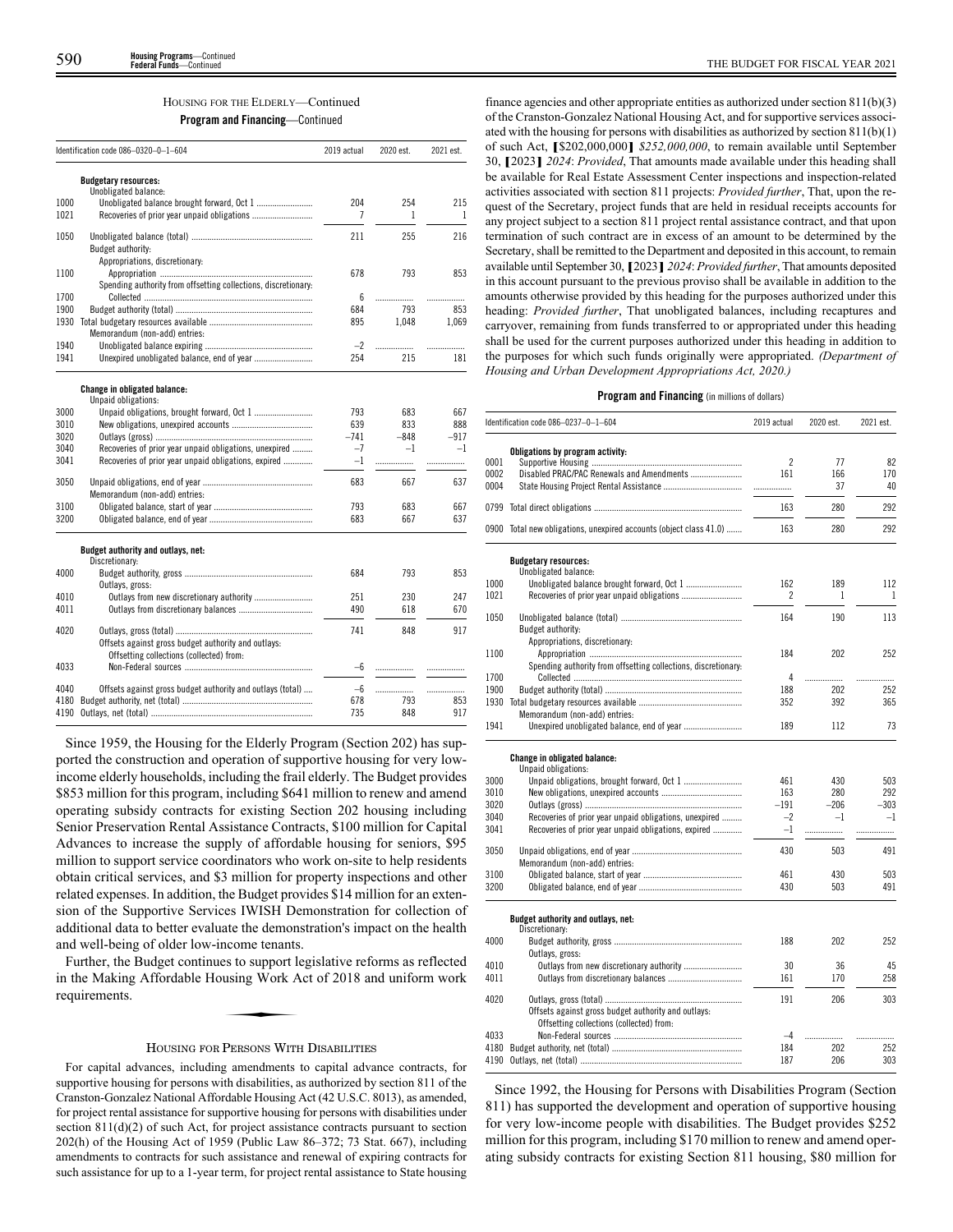#### HOUSING FOR THE ELDERLY—Continued

#### **Program and Financing**—Continued

|      | Identification code 086-0320-0-1-604                           | 2019 actual | 2020 est. | 2021 est. |
|------|----------------------------------------------------------------|-------------|-----------|-----------|
|      | <b>Budgetary resources:</b>                                    |             |           |           |
|      | Unobligated balance:                                           |             |           |           |
| 1000 |                                                                | 204         | 254       | 215       |
| 1021 |                                                                | 7           | 1         | 1         |
| 1050 |                                                                | 211         | 255       | 216       |
|      | Budget authority:                                              |             |           |           |
|      | Appropriations, discretionary:                                 |             |           |           |
| 1100 |                                                                | 678         | 793       | 853       |
|      | Spending authority from offsetting collections, discretionary: |             |           |           |
| 1700 |                                                                | 6           |           |           |
| 1900 |                                                                | 684         | 793       | 853       |
| 1930 |                                                                | 895         | 1.048     | 1.069     |
|      | Memorandum (non-add) entries:                                  |             |           |           |
| 1940 |                                                                | $-2$        |           |           |
| 1941 |                                                                | 254         | 215       | 181       |
|      | <b>Change in obligated balance:</b><br>Unpaid obligations:     |             |           |           |
| 3000 |                                                                | 793         | 683       | 667       |
| 3010 |                                                                | 639         | 833       | 888       |
| 3020 |                                                                | $-741$      | $-848$    | $-917$    |
| 3040 | Recoveries of prior year unpaid obligations, unexpired         | $-7$        | $-1$      | $-1$      |
| 3041 | Recoveries of prior year unpaid obligations, expired           | $-1$        |           |           |
| 3050 |                                                                | 683         | 667       | 637       |
|      | Memorandum (non-add) entries:                                  |             |           |           |
| 3100 | Obligated balance start of year                                | 793         | 683       | 667       |

| 3200         |                                                                                                 | 683        | 667        | 637        |
|--------------|-------------------------------------------------------------------------------------------------|------------|------------|------------|
|              | Budget authority and outlays, net:<br>Discretionary:                                            |            |            |            |
| 4000         | Outlays, gross:                                                                                 | 684        | 793        | 853        |
| 4010         |                                                                                                 | 251        | 230        | 247        |
| 4011         |                                                                                                 | 490        | 618        | 670        |
| 4020         | Offsets against gross budget authority and outlays:<br>Offsetting collections (collected) from: | 741        | 848        | 917        |
| 4033         |                                                                                                 | $-6$       |            |            |
| 4040         | Offsets against gross budget authority and outlays (total)                                      | $-6$       |            |            |
| 4180<br>4190 |                                                                                                 | 678<br>735 | 793<br>848 | 853<br>917 |

Since 1959, the Housing for the Elderly Program (Section 202) has supported the construction and operation of supportive housing for very lowincome elderly households, including the frail elderly. The Budget provides \$853 million for this program, including \$641 million to renew and amend operating subsidy contracts for existing Section 202 housing including Senior Preservation Rental Assistance Contracts, \$100 million for Capital Advances to increase the supply of affordable housing for seniors, \$95 million to support service coordinators who work on-site to help residents obtain critical services, and \$3 million for property inspections and other related expenses. In addition, the Budget provides \$14 million for an extension of the Supportive Services IWISH Demonstration for collection of additional data to better evaluate the demonstration's impact on the health and well-being of older low-income tenants.

Further, the Budget continues to support legislative reforms as reflected<br>the Making Affordable Housing Work Act of 2018 and uniform work<br>quirements. in the Making Affordable Housing Work Act of 2018 and uniform work requirements.

#### HOUSING FOR PERSONS WITH DISABILITIES

For capital advances, including amendments to capital advance contracts, for supportive housing for persons with disabilities, as authorized by section 811 of the Cranston-Gonzalez National Affordable Housing Act (42 U.S.C. 8013), as amended, for project rental assistance for supportive housing for persons with disabilities under section 811(d)(2) of such Act, for project assistance contracts pursuant to section 202(h) of the Housing Act of 1959 (Public Law 86–372; 73 Stat. 667), including amendments to contracts for such assistance and renewal of expiring contracts for such assistance for up to a 1-year term, for project rental assistance to State housing

finance agencies and other appropriate entities as authorized under section 811(b)(3) of the Cranston-Gonzalez National Housing Act, and for supportive services associated with the housing for persons with disabilities as authorized by section  $811(b)(1)$ of such Act, **[**\$202,000,000**]** *\$252,000,000*, to remain available until September 30, **[**2023**]** *2024*: *Provided*, That amounts made available under this heading shall be available for Real Estate Assessment Center inspections and inspection-related activities associated with section 811 projects: *Provided further*, That, upon the request of the Secretary, project funds that are held in residual receipts accounts for any project subject to a section 811 project rental assistance contract, and that upon termination of such contract are in excess of an amount to be determined by the Secretary, shall be remitted to the Department and deposited in this account, to remain available until September 30, **[**2023**]** *2024*: *Provided further*, That amounts deposited in this account pursuant to the previous proviso shall be available in addition to the amounts otherwise provided by this heading for the purposes authorized under this heading: *Provided further*, That unobligated balances, including recaptures and carryover, remaining from funds transferred to or appropriated under this heading shall be used for the current purposes authorized under this heading in addition to the purposes for which such funds originally were appropriated. *(Department of Housing and Urban Development Appropriations Act, 2020.)*

#### **Program and Financing** (in millions of dollars)

|      | Identification code 086-0237-0-1-604                                                            | 2019 actual    | 2020 est. | 2021 est. |
|------|-------------------------------------------------------------------------------------------------|----------------|-----------|-----------|
|      | Obligations by program activity:                                                                |                |           |           |
| 0001 |                                                                                                 | $\overline{c}$ | 77        | 82        |
| 0002 | Disabled PRAC/PAC Renewals and Amendments                                                       | 161            | 166       | 170       |
| 0004 |                                                                                                 | .              | 37        | 40        |
| 0799 |                                                                                                 | 163            | 280       | 292       |
|      | 0900 Total new obligations, unexpired accounts (object class 41.0)                              | 163            | 280       | 292       |
|      | <b>Budgetary resources:</b>                                                                     |                |           |           |
|      | Unobligated balance:                                                                            |                |           |           |
| 1000 |                                                                                                 | 162            | 189       | 112       |
| 1021 |                                                                                                 | 2              | 1         | 1         |
| 1050 | Budget authority:                                                                               | 164            | 190       | 113       |
|      | Appropriations, discretionary:                                                                  |                |           |           |
| 1100 |                                                                                                 | 184            | 202       | 252       |
|      | Spending authority from offsetting collections, discretionary:                                  |                |           |           |
| 1700 |                                                                                                 | 4              | .         |           |
| 1900 |                                                                                                 | 188            | 202       | 252       |
| 1930 |                                                                                                 | 352            | 392       | 365       |
| 1941 | Memorandum (non-add) entries:<br>Unexpired unobligated balance, end of year                     | 189            | 112       | 73        |
|      | <b>Change in obligated balance:</b><br>Unpaid obligations:                                      |                |           |           |
| 3000 | Unpaid obligations, brought forward, Oct 1                                                      | 461            | 430       | 503       |
| 3010 |                                                                                                 | 163            | 280       | 292       |
| 3020 |                                                                                                 | $-191$         | $-206$    | $-303$    |
| 3040 | Recoveries of prior year unpaid obligations, unexpired                                          | $-2$           | $-1$      | $-1$      |
| 3041 | Recoveries of prior year unpaid obligations, expired                                            | $-1$           |           | .         |
| 3050 | Memorandum (non-add) entries:                                                                   | 430            | 503       | 491       |
| 3100 |                                                                                                 | 461            | 430       | 503       |
| 3200 |                                                                                                 | 430            | 503       | 491       |
|      | Budget authority and outlays, net:<br>Discretionary:                                            |                |           |           |
| 4000 | Outlays, gross:                                                                                 | 188            | 202       | 252       |
| 4010 |                                                                                                 | 30             | 36        | 45        |
| 4011 |                                                                                                 | 161            | 170       | 258       |
| 4020 |                                                                                                 | 191            | 206       | 303       |
|      | Offsets against gross budget authority and outlays:<br>Offsetting collections (collected) from: |                |           |           |
| 4033 |                                                                                                 | $-4$           | .         | .         |
| 4180 |                                                                                                 | 184            | 202       | 252       |
|      |                                                                                                 | 187            | 206       | 303       |

Since 1992, the Housing for Persons with Disabilities Program (Section 811) has supported the development and operation of supportive housing for very low-income people with disabilities. The Budget provides \$252 million for this program, including \$170 million to renew and amend operating subsidy contracts for existing Section 811 housing, \$80 million for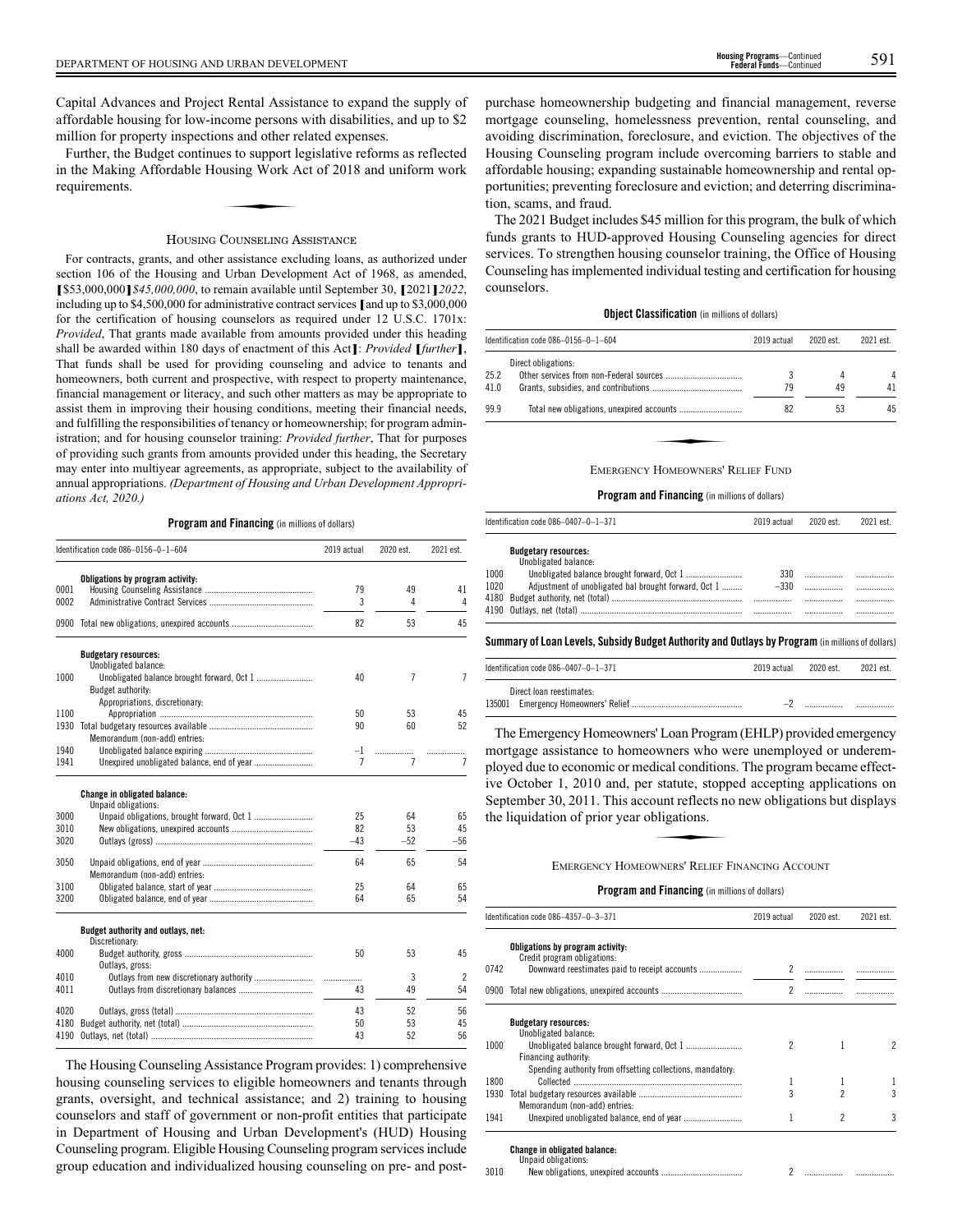Capital Advances and Project Rental Assistance to expand the supply of affordable housing for low-income persons with disabilities, and up to \$2 million for property inspections and other related expenses.

Further, the Budget continues to support legislative reforms as reflected<br>the Making Affordable Housing Work Act of 2018 and uniform work<br>quirements. in the Making Affordable Housing Work Act of 2018 and uniform work requirements.

#### HOUSING COUNSELING ASSISTANCE

For contracts, grants, and other assistance excluding loans, as authorized under section 106 of the Housing and Urban Development Act of 1968, as amended, **[**\$53,000,000**]***\$45,000,000*, to remain available until September 30, **[**2021**]***2022*, including up to \$4,500,000 for administrative contract services **[**and up to \$3,000,000 for the certification of housing counselors as required under 12 U.S.C. 1701x: *Provided*, That grants made available from amounts provided under this heading shall be awarded within 180 days of enactment of this Act**]**: *Provided* **[***further***]**, That funds shall be used for providing counseling and advice to tenants and homeowners, both current and prospective, with respect to property maintenance, financial management or literacy, and such other matters as may be appropriate to assist them in improving their housing conditions, meeting their financial needs, and fulfilling the responsibilities of tenancy or homeownership; for program administration; and for housing counselor training: *Provided further*, That for purposes of providing such grants from amounts provided under this heading, the Secretary may enter into multiyear agreements, as appropriate, subject to the availability of annual appropriations. *(Department of Housing and Urban Development Appropriations Act, 2020.)*

#### **Program and Financing** (in millions of dollars)

| Obligations by program activity:<br>0001<br>79<br>49<br>0002<br>3<br>4<br>82<br>53<br>0900 Total new obligations, unexpired accounts<br><b>Budgetary resources:</b><br>Unobligated balance:<br>1000<br>40<br>7<br>Budget authority:<br>Appropriations, discretionary:<br>1100<br>53<br>50<br>1930<br>90<br>60<br>Memorandum (non-add) entries:<br>1940<br>-1<br>.<br>$\overline{7}$<br>7<br>1941<br>Change in obligated balance:<br>Unpaid obligations:<br>3000<br>25<br>64<br>53<br>3010<br>82<br>3020<br>$-43$<br>$-52$<br>3050<br>64<br>65<br>Memorandum (non-add) entries:<br>3100<br>25<br>64<br>3200<br>65<br>64 | 41<br>Δ<br>45<br>$\overline{7}$<br>45<br>52<br>7 |
|------------------------------------------------------------------------------------------------------------------------------------------------------------------------------------------------------------------------------------------------------------------------------------------------------------------------------------------------------------------------------------------------------------------------------------------------------------------------------------------------------------------------------------------------------------------------------------------------------------------------|--------------------------------------------------|
|                                                                                                                                                                                                                                                                                                                                                                                                                                                                                                                                                                                                                        |                                                  |
|                                                                                                                                                                                                                                                                                                                                                                                                                                                                                                                                                                                                                        |                                                  |
|                                                                                                                                                                                                                                                                                                                                                                                                                                                                                                                                                                                                                        |                                                  |
|                                                                                                                                                                                                                                                                                                                                                                                                                                                                                                                                                                                                                        |                                                  |
|                                                                                                                                                                                                                                                                                                                                                                                                                                                                                                                                                                                                                        |                                                  |
|                                                                                                                                                                                                                                                                                                                                                                                                                                                                                                                                                                                                                        |                                                  |
|                                                                                                                                                                                                                                                                                                                                                                                                                                                                                                                                                                                                                        |                                                  |
|                                                                                                                                                                                                                                                                                                                                                                                                                                                                                                                                                                                                                        |                                                  |
|                                                                                                                                                                                                                                                                                                                                                                                                                                                                                                                                                                                                                        |                                                  |
|                                                                                                                                                                                                                                                                                                                                                                                                                                                                                                                                                                                                                        |                                                  |
|                                                                                                                                                                                                                                                                                                                                                                                                                                                                                                                                                                                                                        |                                                  |
|                                                                                                                                                                                                                                                                                                                                                                                                                                                                                                                                                                                                                        |                                                  |
|                                                                                                                                                                                                                                                                                                                                                                                                                                                                                                                                                                                                                        | 65                                               |
|                                                                                                                                                                                                                                                                                                                                                                                                                                                                                                                                                                                                                        | 45                                               |
|                                                                                                                                                                                                                                                                                                                                                                                                                                                                                                                                                                                                                        | $-56$                                            |
|                                                                                                                                                                                                                                                                                                                                                                                                                                                                                                                                                                                                                        | 54                                               |
|                                                                                                                                                                                                                                                                                                                                                                                                                                                                                                                                                                                                                        | 65                                               |
|                                                                                                                                                                                                                                                                                                                                                                                                                                                                                                                                                                                                                        | 54                                               |
| Budget authority and outlays, net:<br>Discretionary:                                                                                                                                                                                                                                                                                                                                                                                                                                                                                                                                                                   |                                                  |
| 50<br>53<br>4000<br>Outlays, gross:                                                                                                                                                                                                                                                                                                                                                                                                                                                                                                                                                                                    | 45                                               |
| Outlays from new discretionary authority<br>3<br>4010<br>$\ldots$                                                                                                                                                                                                                                                                                                                                                                                                                                                                                                                                                      | $\overline{\phantom{a}}$                         |
| 4011<br>49<br>43                                                                                                                                                                                                                                                                                                                                                                                                                                                                                                                                                                                                       | 54                                               |
| 52<br>4020<br>43                                                                                                                                                                                                                                                                                                                                                                                                                                                                                                                                                                                                       | 56                                               |
| 4180<br>50<br>53                                                                                                                                                                                                                                                                                                                                                                                                                                                                                                                                                                                                       | 45                                               |
| 43<br>52<br>4190                                                                                                                                                                                                                                                                                                                                                                                                                                                                                                                                                                                                       | 56                                               |

The Housing Counseling Assistance Program provides: 1) comprehensive housing counseling services to eligible homeowners and tenants through grants, oversight, and technical assistance; and 2) training to housing counselors and staff of government or non-profit entities that participate in Department of Housing and Urban Development's (HUD) Housing Counseling program. Eligible Housing Counseling program services include group education and individualized housing counseling on pre- and post-

The 2021 Budget includes \$45 million for this program, the bulk of which funds grants to HUD-approved Housing Counseling agencies for direct services. To strengthen housing counselor training, the Office of Housing Counseling has implemented individual testing and certification for housing counselors.

#### **Object Classification** (in millions of dollars)

|      | Identification code 086-0156-0-1-604 | 2019 actual | 2020 est. | 2021 est. |
|------|--------------------------------------|-------------|-----------|-----------|
|      | Direct obligations:                  |             |           |           |
| 25.2 |                                      |             | 4         | 4         |
| 41.0 |                                      | 79          | 49        | 41        |
| 99.9 |                                      | 82          | 53        | 45        |
|      |                                      |             |           |           |
|      | EMERGENCY HOMEOWNERS' RELIEF FIND    |             |           |           |

#### EMERGENCY HOMEOWNERS' RELIEF FUND

#### **Program and Financing** (in millions of dollars)

|      | Identification code 086-0407-0-1-371                 | 2019 actual | 2020 est | 2021 est. |
|------|------------------------------------------------------|-------------|----------|-----------|
|      | <b>Budgetary resources:</b><br>Unobligated balance:  |             |          |           |
| 1000 |                                                      | 330         |          |           |
| 1020 | Adjustment of unobligated bal brought forward, Oct 1 | $-330$      |          |           |
|      |                                                      | <br>        | <br>     |           |

#### **Summary ofLoan Levels, Subsidy Budget Authority and Outlays by Program** (inmillionsof dollars)

| Identification code 086-0407-0-1-371 | 2019 actual | 2020 est. | 2021 est. |
|--------------------------------------|-------------|-----------|-----------|
| Direct loan reestimates:             |             |           |           |

The Emergency Homeowners' Loan Program (EHLP) provided emergency mortgage assistance to homeowners who were unemployed or underemployed due to economic or medical conditions. The program became effect-Figure 2010 and, per statute, stopped accepting applications on<br>September 30, 2011. This account reflects no new obligations but displays<br>the liquidation of prior year obligations.<br>FINERGENCY HOMEOWNERS' RELIEF FINANCING A September 30, 2011. This account reflects no new obligations but displays the liquidation of prior year obligations.

#### EMERGENCY HOMEOWNERS' RELIEF FINANCING ACCOUNT

|      | Identification code 086-4357-0-3-371                            | 2019 actual    | 2020 est. | 2021 est. |
|------|-----------------------------------------------------------------|----------------|-----------|-----------|
|      | Obligations by program activity:<br>Credit program obligations: |                |           |           |
| 0742 | Downward reestimates paid to receipt accounts                   |                |           |           |
|      | 0900 Total new obligations, unexpired accounts                  | $\overline{c}$ |           |           |
|      | <b>Budgetary resources:</b>                                     |                |           |           |
|      | Unobligated balance:                                            | 2              |           | 2         |
| 1000 | Financing authority:                                            |                |           |           |
|      | Spending authority from offsetting collections, mandatory:      |                |           |           |
| 1800 |                                                                 | 1              |           |           |
| 1930 |                                                                 | 3              | 2         |           |
|      | Memorandum (non-add) entries:                                   |                |           |           |
| 1941 |                                                                 | 1              | 2         | 3         |
|      | <b>Change in obligated balance:</b><br>Unpaid obligations:      |                |           |           |
| 3010 |                                                                 | 2              |           |           |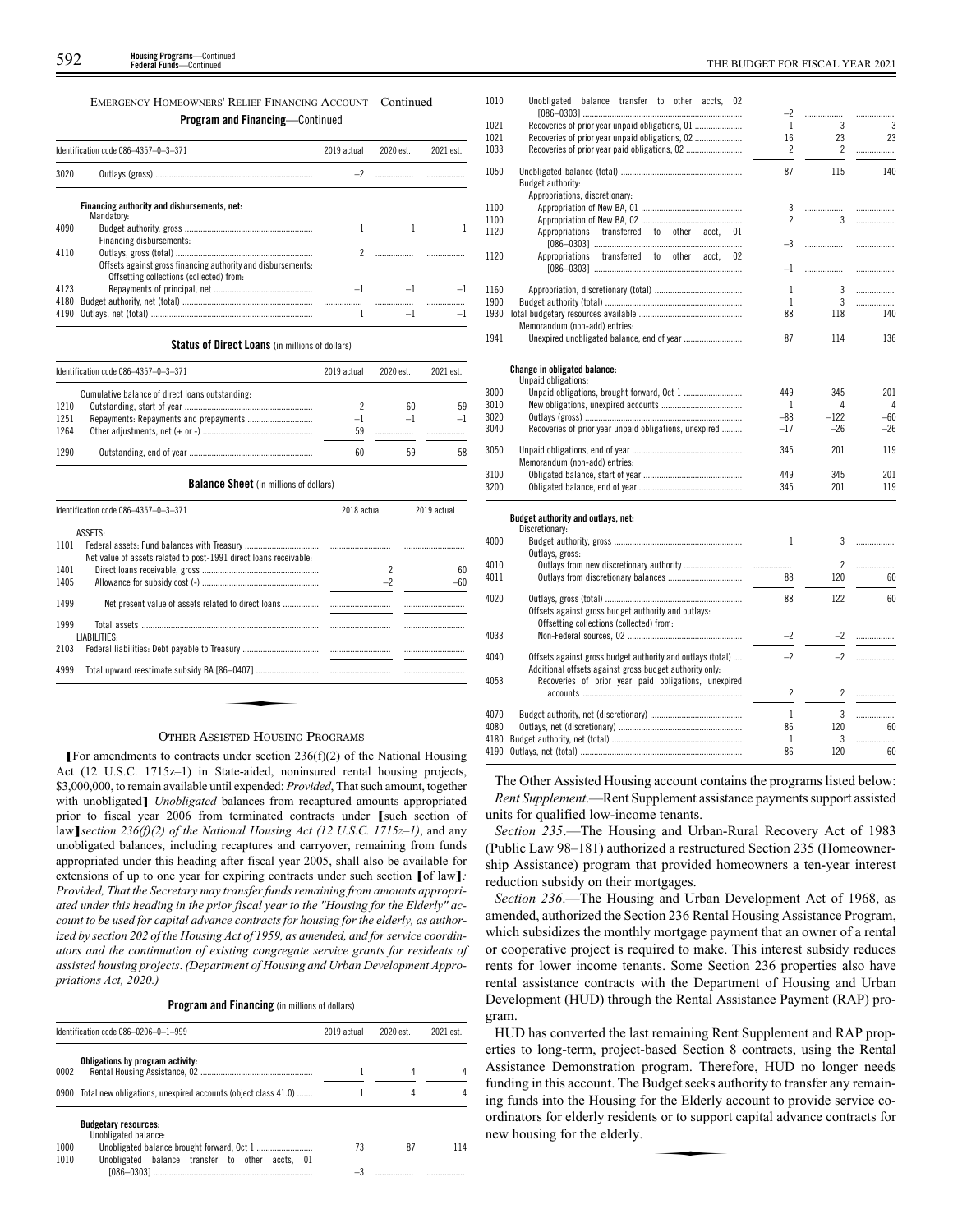#### EMERGENCY HOMEOWNERS' RELIEF FINANCING ACCOUNT—Continued **Program and Financing**—Continued

 $\overline{1}$ 

1

1<sup>1</sup>

4

|  |  |  |  | igi ani anu Financhig—Continuet |  |  |  |  |
|--|--|--|--|---------------------------------|--|--|--|--|
|--|--|--|--|---------------------------------|--|--|--|--|

|      | Identification code 086-4357-0-3-371                         | 2019 actual | 2020 est. | 2021 est. |
|------|--------------------------------------------------------------|-------------|-----------|-----------|
| 3020 |                                                              |             |           |           |
|      | Financing authority and disbursements, net:                  |             |           |           |
|      | Mandatory:                                                   |             |           |           |
| 4090 |                                                              |             |           |           |
|      | Financing disbursements:                                     |             |           |           |
| 4110 |                                                              |             |           |           |
|      | Offsets against gross financing authority and disbursements: |             |           |           |
|      | Offsetting collections (collected) from:                     |             |           |           |
| 4123 |                                                              |             |           |           |
| 4180 |                                                              |             |           |           |
| 4190 |                                                              |             |           |           |
|      |                                                              |             |           |           |

#### **Status of Direct Loans** (in millions of dollars)

|                      | Identification code 086-4357-0-3-371            | 2019 actual                    | 2020 est | 2021 est. |
|----------------------|-------------------------------------------------|--------------------------------|----------|-----------|
| 1210<br>1251<br>1264 | Cumulative balance of direct loans outstanding: | $\overline{\phantom{0}}$<br>59 | 60       | 59        |
| 1290                 |                                                 | 60                             | 59       | 58        |

#### **Balance Sheet** (in millions of dollars)

|      | Identification code 086-4357-0-3-371                              | 2018 actual | 2019 actual |
|------|-------------------------------------------------------------------|-------------|-------------|
|      | ASSETS:                                                           |             |             |
| 1101 | Net value of assets related to post-1991 direct loans receivable: |             |             |
| 1401 |                                                                   |             | 60          |
| 1405 |                                                                   | $-2$        | $-60$       |
| 1499 |                                                                   |             |             |
| 1999 | LIABILITIES:                                                      |             |             |
| 2103 |                                                                   |             |             |
| 4999 |                                                                   |             |             |
|      |                                                                   |             |             |
|      |                                                                   |             |             |
|      | $\sim$ $\blacksquare$ $\blacksquare$                              |             |             |

#### OTHER ASSISTED HOUSING PROGRAMS

**[**For amendments to contracts under section 236(f)(2) of the National Housing Act (12 U.S.C. 1715z–1) in State-aided, noninsured rental housing projects, \$3,000,000, to remain available until expended: *Provided*, That such amount, together with unobligated**]** *Unobligated* balances from recaptured amounts appropriated prior to fiscal year 2006 from terminated contracts under **[**such section of law**]***section 236(f)(2) of the National Housing Act (12 U.S.C. 1715z–1)*, and any unobligated balances, including recaptures and carryover, remaining from funds appropriated under this heading after fiscal year 2005, shall also be available for extensions of up to one year for expiring contracts under such section **[**of law**]***: Provided, That the Secretary may transfer funds remaining from amounts appropriated under this heading in the prior fiscal year to the "Housing for the Elderly" account to be used for capital advance contracts for housing for the elderly, as authorized by section 202 of the Housing Act of 1959, as amended, and for service coordinators and the continuation of existing congregate service grants for residents of assisted housing projects*. *(Department of Housing and Urban Development Appropriations Act, 2020.)*

**Program and Financing** (in millions of dollars)

|              | Identification code 086-0206-0-1-999                                                                   | 2019 actual | 2020 est. | 2021 est. |
|--------------|--------------------------------------------------------------------------------------------------------|-------------|-----------|-----------|
| 0002         | Obligations by program activity:                                                                       |             | 4         |           |
|              | 0900 Total new obligations, unexpired accounts (object class 41.0)                                     |             | 4         | 4         |
| 1000<br>1010 | <b>Budgetary resources:</b><br>Unobligated balance:<br>Unobligated balance transfer to other accts. 01 | 73          | 87        | 114       |
|              |                                                                                                        |             |           |           |

| 1010         | Unobligated balance transfer to other accts, 02            |                    |                |                |
|--------------|------------------------------------------------------------|--------------------|----------------|----------------|
|              |                                                            | $-2$               | .              | .              |
| 1021<br>1021 | Recoveries of prior year unpaid obligations, 01            | $\mathbf{1}$<br>16 | 3<br>23        | 3<br>23        |
| 1033         | Recoveries of prior year unpaid obligations, 02            | $\overline{c}$     | $\overline{c}$ | .              |
|              |                                                            |                    |                |                |
| 1050         |                                                            | 87                 | 115            | 140            |
|              | Budget authority:                                          |                    |                |                |
|              | Appropriations, discretionary:                             |                    |                |                |
| 1100         |                                                            | 3                  | .              |                |
| 1100         |                                                            | $\overline{2}$     | 3              |                |
| 1120         | Appropriations<br>transferred to<br>other acct.<br>01      |                    |                |                |
|              |                                                            | $-3$               |                | .              |
| 1120         | Appropriations transferred to other acct.<br>02            | $-1$               |                | .              |
|              |                                                            |                    |                |                |
| 1160         |                                                            | $\mathbf{1}$       | 3              | .              |
| 1900         |                                                            | 1                  | 3              | .              |
| 1930         |                                                            | 88                 | 118            | 140            |
|              | Memorandum (non-add) entries:                              |                    |                |                |
| 1941         | Unexpired unobligated balance, end of year                 | 87                 | 114            | 136            |
|              |                                                            |                    |                |                |
|              | <b>Change in obligated balance:</b>                        |                    |                |                |
|              | Unpaid obligations:                                        | 449                | 345            | 201            |
| 3000<br>3010 |                                                            | 1                  | 4              | $\overline{4}$ |
| 3020         |                                                            | $-88$              | $-122$         | $-60$          |
| 3040         | Recoveries of prior year unpaid obligations, unexpired     | $-17$              | $-26$          | $-26$          |
|              |                                                            |                    |                |                |
| 3050         |                                                            | 345                | 201            | 119            |
|              | Memorandum (non-add) entries:                              |                    |                |                |
| 3100         |                                                            | 449                | 345            | 201            |
| 3200         |                                                            | 345                | 201            | 119            |
|              |                                                            |                    |                |                |
|              | Budget authority and outlays, net:<br>Discretionary:       |                    |                |                |
| 4000         |                                                            | 1                  | 3              | .              |
|              | Outlays, gross:                                            |                    |                |                |
| 4010         |                                                            |                    | 2              | .              |
| 4011         |                                                            | 88                 | 120            | 60             |
|              |                                                            |                    |                |                |
| 4020         |                                                            | 88                 | 122            | 60             |
|              | Offsets against gross budget authority and outlays:        |                    |                |                |
|              | Offsetting collections (collected) from:                   |                    |                |                |
| 4033         |                                                            | $-2$               | $-2$           | .              |
| 4040         | Offsets against gross budget authority and outlays (total) | $-2$               | $-2$           | .              |
|              | Additional offsets against gross budget authority only:    |                    |                |                |
| 4053         | Recoveries of prior year paid obligations, unexpired       |                    |                |                |
|              |                                                            | 2                  | 2              |                |
|              |                                                            | $\mathbf{1}$       | 3              |                |
| 4070<br>4080 |                                                            | 86                 | 120            | .<br>60        |
| 4180         |                                                            | 1                  | 3              | .              |
|              |                                                            | 86                 | 120            | 60             |
|              |                                                            |                    |                |                |
|              |                                                            |                    |                |                |

The Other Assisted Housing account contains the programs listed below: *Rent Supplement*.—Rent Supplement assistance payments support assisted units for qualified low-income tenants.

*Section 235*.—The Housing and Urban-Rural Recovery Act of 1983 (Public Law 98–181) authorized a restructured Section 235 (Homeownership Assistance) program that provided homeowners a ten-year interest reduction subsidy on their mortgages.

*Section 236*.—The Housing and Urban Development Act of 1968, as amended, authorized the Section 236 Rental Housing Assistance Program, which subsidizes the monthly mortgage payment that an owner of a rental or cooperative project is required to make. This interest subsidy reduces rents for lower income tenants. Some Section 236 properties also have rental assistance contracts with the Department of Housing and Urban Development (HUD) through the Rental Assistance Payment (RAP) program.

HUD has converted the last remaining Rent Supplement and RAP properties to long-term, project-based Section 8 contracts, using the Rental Assistance Demonstration program. Therefore, HUD no longer needs funding in this account. The Budget seeks authority to transfer any remain-Finally in this decount. The Budget seeks durintly to transfer any remaining funds into the Housing for the Elderly account to provide service coordinators for elderly residents or to support capital advance contracts for ordinators for elderly residents or to support capital advance contracts for new housing for the elderly.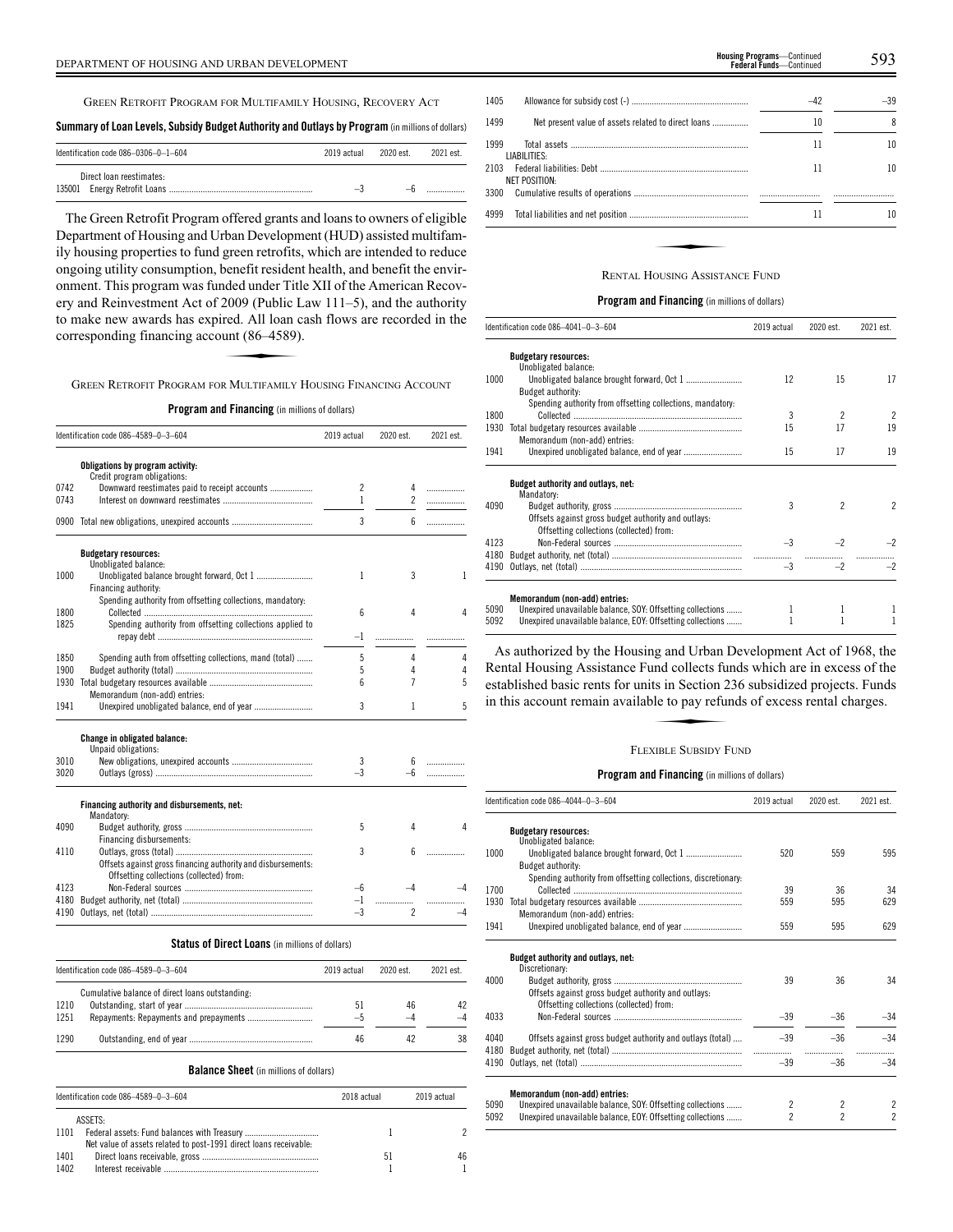GREEN RETROFIT PROGRAM FOR MULTIFAMILY HOUSING, RECOVERY ACT

#### **Summary ofLoan Levels, Subsidy Budget Authority and Outlays by Program** (inmillionsof dollars)

| Identification code $086-0306-0-1-604$ | 2019 actual | 2020 est. | 2021 est. |
|----------------------------------------|-------------|-----------|-----------|
| Direct loan reestimates:               | $-3$        |           |           |

The Green Retrofit Program offered grants and loans to owners of eligible Department of Housing and Urban Development (HUD) assisted multifamily housing properties to fund green retrofits, which are intended to reduce ongoing utility consumption, benefit resident health, and benefit the environment. This program was funded under Title XII of the American Recovery and Reinvestment Act of 2009 (Public Law 111–5), and the authority<br>to make new awards has expired. All loan cash flows are recorded in the<br>corresponding financing account (86–4589).<br>GREEN RETROFIT PROGRAM FOR MULTIFAMI to make new awards has expired. All loan cash flows are recorded in the corresponding financing account (86 –4589).

GREEN RETROFIT PROGRAM FOR MULTIFAMILY HOUSING FINANCING ACCOUNT

#### **Program and Financing** (in millions of dollars)

|      | Identification code 086-4589-0-3-604                         | 2019 actual    | 2020 est.      | 2021 est.                |
|------|--------------------------------------------------------------|----------------|----------------|--------------------------|
|      | Obligations by program activity:                             |                |                |                          |
| 0742 | Credit program obligations:                                  | $\overline{c}$ | 4              |                          |
| 0743 | Downward reestimates paid to receipt accounts                | 1              | 2              | .                        |
|      |                                                              |                |                | .                        |
| 0900 |                                                              | 3              | 6              | .                        |
|      | <b>Budgetary resources:</b>                                  |                |                |                          |
|      | Unobligated balance:                                         |                |                |                          |
| 1000 |                                                              | 1              | 3              | 1                        |
|      | Financing authority:                                         |                |                |                          |
|      | Spending authority from offsetting collections, mandatory:   |                |                |                          |
| 1800 |                                                              | 6              | 4              | 4                        |
| 1825 | Spending authority from offsetting collections applied to    |                |                |                          |
|      |                                                              | $-1$           | .              | .                        |
| 1850 | Spending auth from offsetting collections, mand (total)      | 5              | 4              | 4                        |
| 1900 |                                                              | 5              | 4              | 4                        |
| 1930 |                                                              | 6              | $\overline{7}$ | 5                        |
|      | Memorandum (non-add) entries:                                |                |                |                          |
| 1941 | Unexpired unobligated balance, end of year                   | 3              | 1              | 5                        |
|      | <b>Change in obligated balance:</b><br>Unpaid obligations:   |                |                |                          |
| 3010 |                                                              | 3              | 6              | .                        |
| 3020 |                                                              | $-3$           | $-6$           | .                        |
|      | Financing authority and disbursements, net:<br>Mandatory:    |                |                |                          |
| 4090 | Financing disbursements:                                     | 5              | 4              | 4                        |
| 4110 |                                                              | 3              | 6              | .                        |
|      | Offsets against gross financing authority and disbursements: |                |                |                          |
|      | Offsetting collections (collected) from:                     |                |                |                          |
| 4123 |                                                              | $-6$           | $-4$           | $\overline{\phantom{a}}$ |
| 4180 |                                                              | $-1$           |                |                          |
| 4190 |                                                              | $-3$           | $\overline{c}$ | -4                       |
|      | <b>Status of Direct Loans</b> (in millions of dollars)       |                |                |                          |
|      | Identification code 086-4589-0-3-604                         | 2019 actual    | 2020 est.      | 2021 est.                |
|      | Cumulative balance of direct loans outstanding:              |                |                |                          |
| 1210 |                                                              | 51             | 46             | 42                       |
| 1251 |                                                              | $-5$           | $-4$           | -4                       |
|      |                                                              |                |                |                          |
| 1290 |                                                              | 46             | 42             | 38                       |

**Balance Sheet** (in millions of dollars)

|      | Identification code 086-4589-0-3-604                              | 2018 actual | 2019 actual |
|------|-------------------------------------------------------------------|-------------|-------------|
|      | ASSETS:                                                           |             |             |
| 1101 |                                                                   |             |             |
|      | Net value of assets related to post-1991 direct loans receivable: |             |             |
| 1401 |                                                                   | 51          | 46          |
| 1402 |                                                                   |             |             |
|      |                                                                   |             |             |

| 1405 |                                                     | $-42$ | $-39$ |
|------|-----------------------------------------------------|-------|-------|
| 1499 | Net present value of assets related to direct loans | 10    | 8     |
| 1999 | LIABILITIES:                                        | 11    | 10    |
|      | NET POSITION:                                       | 11    | 10    |
| 3300 |                                                     |       |       |
| 4999 |                                                     | 11    | 10    |
|      |                                                     |       |       |
|      | <b>RENTAL HOUSING ASSISTANCE FUND</b>               |       |       |

#### **Program and Financing** (in millions of dollars)

|      | Identification code 086-4041-0-3-604                                                            | 2019 actual | 2020 est.                | 2021 est.      |
|------|-------------------------------------------------------------------------------------------------|-------------|--------------------------|----------------|
|      | <b>Budgetary resources:</b><br>Unobligated balance:                                             |             |                          |                |
| 1000 |                                                                                                 | 12          | 15                       | 17             |
|      | Budget authority:<br>Spending authority from offsetting collections, mandatory:                 |             |                          |                |
| 1800 |                                                                                                 | 3           | $\overline{\phantom{a}}$ | $\overline{c}$ |
| 1930 | Memorandum (non-add) entries:                                                                   | 15          | 17                       | 19             |
| 1941 |                                                                                                 | 15          | 17                       | 19             |
|      | Budget authority and outlays, net:<br>Mandatory:                                                |             |                          |                |
| 4090 | Offsets against gross budget authority and outlays:<br>Offsetting collections (collected) from: | 3           | $\mathfrak{p}$           | $\overline{2}$ |
| 4123 |                                                                                                 | $-3$        | $-2$                     | $-2$           |
| 4180 |                                                                                                 |             |                          |                |
| 4190 |                                                                                                 | $-3$        | $-2$                     | $-2$           |
|      | Memorandum (non-add) entries:                                                                   |             |                          |                |
| 5090 | Unexpired unavailable balance, SOY: Offsetting collections                                      | 1           |                          | 1              |
| 5092 | Unexpired unavailable balance, EOY: Offsetting collections                                      |             |                          | 1              |

As authorized by the Housing and Urban Development Act of 1968, the Rental Housing Assistance Fund collects funds which are in excess of the established basic rents for units in Section 236 subsidized projects. Funds in this account remain available to pay refunds of excess rental charges. established basic rents for units in Section 236 subsidized projects. Funds in this account remain available to pay refunds of excess rental charges.

#### FLEXIBLE SUBSIDY FUND

|              | Identification code 086-4044-0-3-604                                                            | 2019 actual | 2020 est.  | 2021 est.      |
|--------------|-------------------------------------------------------------------------------------------------|-------------|------------|----------------|
|              | <b>Budgetary resources:</b><br>Unobligated balance:                                             |             |            |                |
| 1000         | Budget authority:                                                                               | 520         | 559        | 595            |
|              | Spending authority from offsetting collections, discretionary:                                  |             |            |                |
| 1700         |                                                                                                 | 39          | 36         | 34             |
| 1930         | Memorandum (non-add) entries:                                                                   | 559         | 595        | 629            |
| 1941         |                                                                                                 | 559         | 595        | 629            |
|              | Budget authority and outlays, net:<br>Discretionary:                                            |             |            |                |
| 4000         | Offsets against gross budget authority and outlays:<br>Offsetting collections (collected) from: | 39          | 36         | 34             |
| 4033         |                                                                                                 | $-39$       | $-36$      | $-34$          |
| 4040<br>4180 | Offsets against gross budget authority and outlays (total)                                      | $-39$       | $-36$<br>. | $-34$<br>.     |
| 4190         |                                                                                                 | $-39$       | $-36$      | $-34$          |
|              | Memorandum (non-add) entries:                                                                   |             |            |                |
| 5090         | Unexpired unavailable balance, SOY: Offsetting collections                                      | 2           | 2          | $\overline{c}$ |
| 5092         | Unexpired unavailable balance, EOY: Offsetting collections                                      | 2           | 2          | $\overline{c}$ |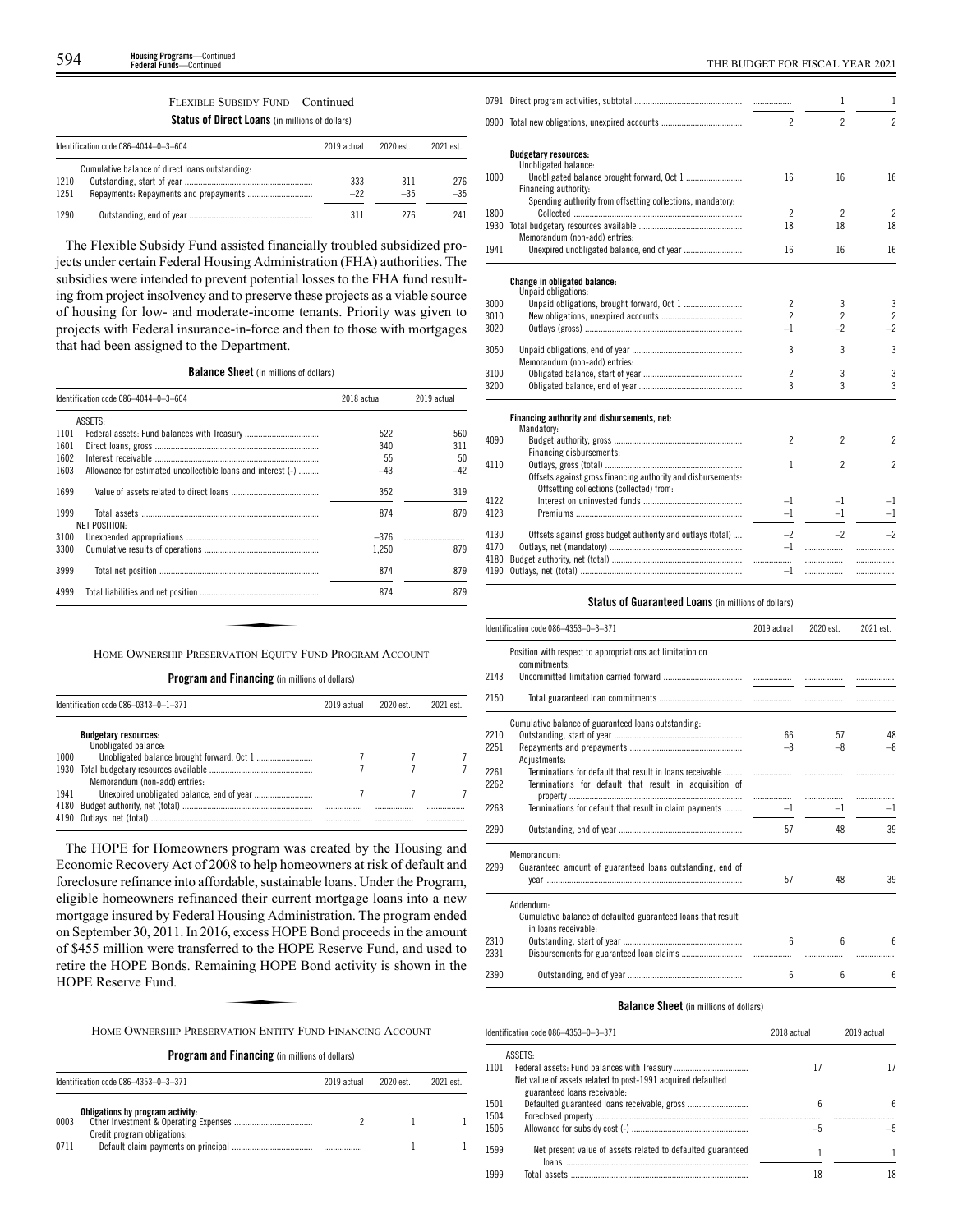#### FLEXIBLE SUBSIDY FUND—Continued

**Status of Direct Loans** (in millions of dollars)

|              | Identification code $086-4044-0-3-604$          | 2019 actual  | 2020 est     | 2021 est     |
|--------------|-------------------------------------------------|--------------|--------------|--------------|
| 1210<br>1251 | Cumulative balance of direct loans outstanding: | 333<br>$-22$ | 311<br>$-35$ | 276<br>$-35$ |
| 1290         |                                                 | 311          | 276          | 241          |

The Flexible Subsidy Fund assisted financially troubled subsidized projects under certain Federal Housing Administration (FHA) authorities. The subsidies were intended to prevent potential losses to the FHA fund resulting from project insolvency and to preserve these projects as a viable source of housing for low- and moderate-income tenants. Priority was given to projects with Federal insurance-in-force and then to those with mortgages that had been assigned to the Department.

**Balance Sheet** (in millions of dollars)

|      | Identification code 086-4044-0-3-604                         | 2018 actual | 2019 actual |
|------|--------------------------------------------------------------|-------------|-------------|
|      | ASSETS:                                                      |             |             |
| 1101 |                                                              | 522         | 560         |
| 1601 |                                                              | 340         | 311         |
| 1602 |                                                              | 55          | 50          |
| 1603 | Allowance for estimated uncollectible loans and interest (-) | $-43$       | $-42$       |
| 1699 |                                                              | 352         | 319         |
| 1999 | <b>NET POSITION:</b>                                         | 874         | 879         |
| 3100 |                                                              | $-376$      |             |
| 3300 |                                                              | 1.250       | 879         |
| 3999 |                                                              | 874         | 879         |
| 4999 |                                                              | 874         | 879         |

**Program and Financing** (in millions of dollars)

|      | Identification code 086-0343-0-1-371                | 2019 actual | 2020 est | 2021 est. |
|------|-----------------------------------------------------|-------------|----------|-----------|
|      | <b>Budgetary resources:</b><br>Unobligated balance: |             |          |           |
| 1000 |                                                     |             |          |           |
| 1930 | Memorandum (non-add) entries:                       |             |          |           |
| 1941 |                                                     |             |          |           |
| 4180 |                                                     | .           | .<br>.   | .<br>.    |

The HOPE for Homeowners program was created by the Housing and Economic Recovery Act of 2008 to help homeowners at risk of default and foreclosure refinance into affordable, sustainable loans. Under the Program, eligible homeowners refinanced their current mortgage loans into a new mortgage insured by Federal Housing Administration. The program ended on September 30, 2011. In 2016, excess HOPE Bond proceeds in the amount of \$455 million were transferred to the HOPE Reserve Fund, and used to retire the HOPE Bonds. Remaining HOPE Bond activity is shown in the HOPE Reserve Fund.<br>HOPE Reserve Fund.<br>HOME OWNERSHIP PRESERVATION ENTITY FUND FINAN retire the HOPE Bonds. Remaining HOPE Bond activity is shown in the HOPE Reserve Fund.

HOME OWNERSHIP PRESERVATION ENTITY FUND FINANCING ACCOUNT

#### **Program and Financing** (in millions of dollars)

|      | Identification code 086-4353-0-3-371 | 2019 actual | 2020 est | 2021 est. |
|------|--------------------------------------|-------------|----------|-----------|
| 0003 | Obligations by program activity:     |             |          |           |
| 0711 | Credit program obligations:          |             |          |           |

|      |                                                              |                          | 1                        | 1              |
|------|--------------------------------------------------------------|--------------------------|--------------------------|----------------|
|      |                                                              | $\overline{c}$           | $\overline{2}$           | $\overline{c}$ |
|      | <b>Budgetary resources:</b>                                  |                          |                          |                |
| 1000 | Unobligated balance:                                         | 16                       | 16                       | 16             |
|      | Financing authority:                                         |                          |                          |                |
| 1800 | Spending authority from offsetting collections, mandatory:   | $\overline{c}$           | $\overline{c}$           | $\overline{c}$ |
| 1930 |                                                              | 18                       | 18                       | 18             |
|      | Memorandum (non-add) entries:                                |                          |                          |                |
| 1941 |                                                              | 16                       | 16                       | 16             |
|      |                                                              |                          |                          |                |
|      |                                                              |                          |                          |                |
|      | Change in obligated balance:<br>Unpaid obligations:          |                          |                          |                |
| 3000 |                                                              | $\overline{c}$           | 3                        | 3              |
| 3010 |                                                              | $\overline{\phantom{a}}$ | $\overline{\phantom{a}}$ | $\overline{2}$ |
| 3020 |                                                              | $-1$                     | $-2$                     | $-2$           |
|      |                                                              |                          |                          |                |
| 3050 |                                                              | 3                        | 3                        | 3              |
|      | Memorandum (non-add) entries:                                |                          |                          |                |
| 3100 |                                                              | $\overline{c}$           | 3                        | 3              |
| 3200 |                                                              | 3                        | 3                        | 3              |
|      |                                                              |                          |                          |                |
|      | Financing authority and disbursements, net:<br>Mandatory:    |                          |                          |                |
| 4090 |                                                              | $\mathfrak{p}$           | 2                        | $\overline{2}$ |
|      | Financing disbursements:                                     |                          |                          |                |
| 4110 |                                                              | 1                        | $\overline{2}$           | $\overline{2}$ |
|      | Offsets against gross financing authority and disbursements: |                          |                          |                |
|      | Offsetting collections (collected) from:                     |                          |                          |                |
| 4122 |                                                              | $-1$                     | $-1$                     | $-1$           |
| 4123 |                                                              | $-1$                     | $-1$                     | $-1$           |
|      |                                                              |                          |                          |                |
| 4130 | Offsets against gross budget authority and outlays (total)   | $-2$                     | $-2$                     | $-2$           |
| 4170 |                                                              | $-1$                     | .                        | .              |
| 4180 |                                                              |                          | .                        |                |
| 4190 |                                                              | $-1$                     | .                        | .              |

#### **Status of Guaranteed Loans** (in millions of dollars)

|              | Identification code 086-4353-0-3-371                                                 | 2019 actual | 2020 est.       | 2021 est. |
|--------------|--------------------------------------------------------------------------------------|-------------|-----------------|-----------|
|              | Position with respect to appropriations act limitation on                            |             |                 |           |
|              | commitments:                                                                         |             |                 |           |
| 2143         |                                                                                      |             |                 |           |
| 2150         |                                                                                      |             |                 |           |
|              | Cumulative balance of guaranteed loans outstanding.                                  |             |                 |           |
| 2210         |                                                                                      | 66          | 57              | 48        |
| 2251         | Adiustments:                                                                         | $-8$        | $-8$            | $-8$      |
| 2261         | Terminations for default that result in loans receivable                             |             |                 |           |
| 2262         | Terminations for default that result in acquisition of                               |             |                 |           |
|              |                                                                                      |             |                 | .         |
| 2263         | Terminations for default that result in claim payments                               | $-1$        | $-1$            | -1        |
| 2290         |                                                                                      | 57          | 48              | 39        |
|              | Memorandum:                                                                          |             |                 |           |
| 2299         | Guaranteed amount of guaranteed loans outstanding, end of                            |             |                 |           |
|              |                                                                                      | 57          | 48              | 39        |
|              | Addendum:                                                                            |             |                 |           |
|              | Cumulative balance of defaulted guaranteed loans that result<br>in loans receivable: |             |                 |           |
| 2310<br>2331 |                                                                                      | ĥ           | ĥ               | հ         |
|              |                                                                                      |             |                 |           |
| 2390         |                                                                                      | 6           | $6\overline{6}$ | 6         |

#### **Balance Sheet** (in millions of dollars)

|      | Identification code 086-4353-0-3-371                        | 2018 actual | 2019 actual |
|------|-------------------------------------------------------------|-------------|-------------|
|      | ASSETS:                                                     |             |             |
| 1101 |                                                             |             |             |
|      | Net value of assets related to post-1991 acquired defaulted |             |             |
|      | guaranteed loans receivable:                                |             |             |
| 1501 |                                                             | h           |             |
| 1504 |                                                             |             |             |
| 1505 |                                                             | —ე          |             |
| 1599 | Net present value of assets related to defaulted guaranteed |             |             |
| 1999 |                                                             | 18          | 18          |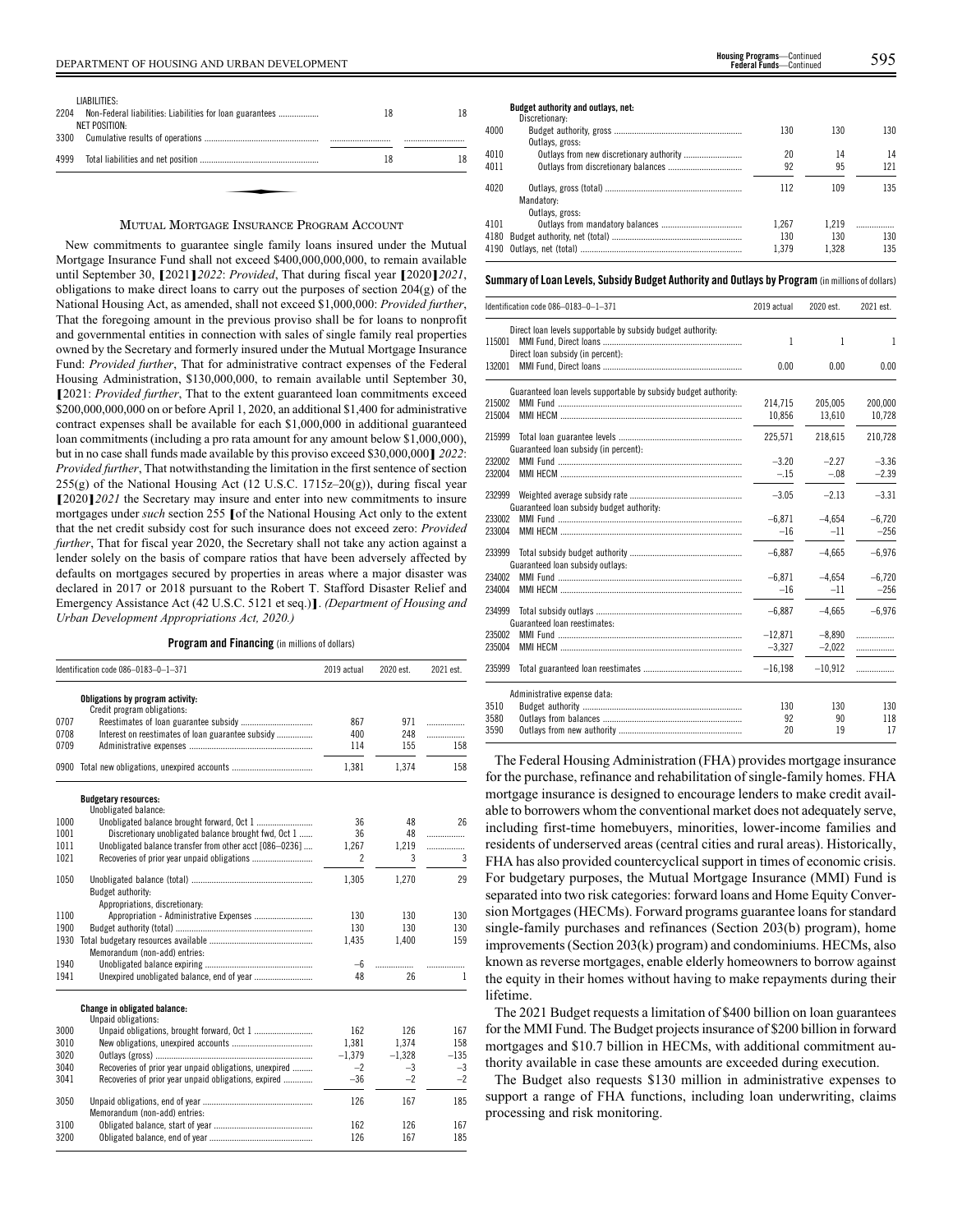| 2204<br>3300 | LIABILITIES:<br>NET POSITION:                                                                | 18 | 18 |
|--------------|----------------------------------------------------------------------------------------------|----|----|
| 4999         |                                                                                              | 18 | 18 |
|              | $M_{\text{max}}$ . $M_{\text{max}}$ $L_{\text{max}}$ , , $D_{\text{max}}$ , $A_{\text{max}}$ |    |    |

#### MUTUAL MORTGAGE INSURANCE PROGRAM ACCOUNT

New commitments to guarantee single family loans insured under the Mutual Mortgage Insurance Fund shall not exceed \$400,000,000,000, to remain available until September 30, **[**2021**]***2022*: *Provided*, That during fiscal year **[**2020**]***2021*, obligations to make direct loans to carry out the purposes of section 204(g) of the National Housing Act, as amended, shall not exceed \$1,000,000: *Provided further*, That the foregoing amount in the previous proviso shall be for loans to nonprofit and governmental entities in connection with sales of single family real properties owned by the Secretary and formerly insured under the Mutual Mortgage Insurance Fund: *Provided further*, That for administrative contract expenses of the Federal Housing Administration, \$130,000,000, to remain available until September 30, **[**2021: *Provided further*, That to the extent guaranteed loan commitments exceed \$200,000,000,000 on or before April 1, 2020, an additional \$1,400 for administrative contract expenses shall be available for each \$1,000,000 in additional guaranteed loan commitments (including a pro rata amount for any amount below \$1,000,000), but in no case shall funds made available by this proviso exceed \$30,000,000**]** *2022*: *Provided further*, That notwithstanding the limitation in the first sentence of section 255(g) of the National Housing Act (12 U.S.C. 1715z–20(g)), during fiscal year **[**2020**]***2021* the Secretary may insure and enter into new commitments to insure mortgages under *such* section 255 **[**of the National Housing Act only to the extent that the net credit subsidy cost for such insurance does not exceed zero: *Provided further*, That for fiscal year 2020, the Secretary shall not take any action against a lender solely on the basis of compare ratios that have been adversely affected by defaults on mortgages secured by properties in areas where a major disaster was declared in 2017 or 2018 pursuant to the Robert T. Stafford Disaster Relief and Emergency Assistance Act (42 U.S.C. 5121 et seq.)**]**. *(Department of Housing and Urban Development Appropriations Act, 2020.)*

**Program and Financing** (in millions of dollars)

|      | Identification code 086-0183-0-1-371                            | 2019 actual    | 2020 est. | 2021 est. |
|------|-----------------------------------------------------------------|----------------|-----------|-----------|
|      | Obligations by program activity:<br>Credit program obligations: |                |           |           |
| 0707 |                                                                 | 867            | 971       | .         |
| 0708 | Interest on reestimates of loan guarantee subsidy               | 400            | 248       | .         |
| 0709 |                                                                 | 114            | 155       | 158       |
| 0900 |                                                                 | 1,381          | 1,374     | 158       |
|      | <b>Budgetary resources:</b><br>Unobligated balance:             |                |           |           |
| 1000 |                                                                 | 36             | 48        | 26        |
| 1001 | Discretionary unobligated balance brought fwd, Oct 1            | 36             | 48        | .         |
| 1011 | Unobligated balance transfer from other acct [086-0236]         | 1,267          | 1,219     | .         |
| 1021 |                                                                 | $\overline{2}$ | 3         | 3         |
| 1050 | Budget authority:                                               | 1,305          | 1,270     | 29        |
|      | Appropriations, discretionary:                                  |                |           |           |
| 1100 | Appropriation - Administrative Expenses                         | 130            | 130       | 130       |
| 1900 |                                                                 | 130            | 130       | 130       |
| 1930 | Memorandum (non-add) entries:                                   | 1,435          | 1,400     | 159       |
| 1940 |                                                                 | -6             | .         |           |
| 1941 |                                                                 | 48             | 26        | 1         |
|      | Change in obligated balance:                                    |                |           |           |
|      | Unpaid obligations:                                             |                |           |           |
| 3000 |                                                                 | 162            | 126       | 167       |
| 3010 |                                                                 | 1.381          | 1.374     | 158       |
| 3020 |                                                                 | $-1,379$       | $-1,328$  | $-135$    |
| 3040 | Recoveries of prior year unpaid obligations, unexpired          | $-2$           | $-3$      | $-3$      |
| 3041 | Recoveries of prior year unpaid obligations, expired            | $-36$          | $-2$      | $-2$      |
| 3050 | Memorandum (non-add) entries:                                   | 126            | 167       | 185       |
| 3100 |                                                                 | 162            | 126       | 167       |
| 3200 |                                                                 | 126            | 167       | 185       |

#### **Budget authority and outlays, net:**

|      | Discretionary:                                      |       |       |     |
|------|-----------------------------------------------------|-------|-------|-----|
| 4000 |                                                     | 130   | 130   | 130 |
|      | Outlays, gross:                                     |       |       |     |
| 4010 |                                                     | 20    | 14    | 14  |
| 4011 |                                                     | 92    | 95    | 121 |
| 4020 |                                                     | 112   | 109   | 135 |
|      | Mandatory:                                          |       |       |     |
|      | Outlays, gross:                                     |       |       |     |
| 4101 |                                                     | 1.267 | 1.219 |     |
|      |                                                     | 130   | 130   | 130 |
|      | 4190   Outlays, net (total) …………………………………………………………… | 1.379 | 1.328 | 135 |
|      |                                                     |       |       |     |

#### **Summary ofLoan Levels, Subsidy Budget Authority and Outlays by Program** (inmillionsof dollars)

|                      | Identification code 086-0183-0-1-371                            | 2019 actual           | 2020 est.            | 2021 est.          |
|----------------------|-----------------------------------------------------------------|-----------------------|----------------------|--------------------|
| 115001               | Direct loan levels supportable by subsidy budget authority.     | 1                     | 1                    | 1                  |
| 132001               | Direct loan subsidy (in percent):                               | 0.00                  | 0.00                 | 0.00               |
|                      | Guaranteed loan levels supportable by subsidy budget authority: |                       |                      |                    |
| 215002<br>215004     |                                                                 | 214,715<br>10.856     | 205,005<br>13.610    | 200.000<br>10.728  |
| 215999               | Guaranteed loan subsidy (in percent):                           | 225.571               | 218.615              | 210.728            |
| 232002<br>232004     |                                                                 | $-3.20$<br>$-.15$     | $-2.27$<br>$-.08$    | $-3.36$<br>$-2.39$ |
| 232999               | Guaranteed loan subsidy budget authority:                       | $-3.05$               | $-2.13$              | $-3.31$            |
| 233002<br>233004     |                                                                 | $-6.871$<br>$-16$     | $-4.654$<br>$-11$    | $-6.720$<br>$-256$ |
| 233999               | Guaranteed loan subsidy outlays:                                | $-6.887$              | $-4.665$             | $-6.976$           |
| 234002<br>234004     |                                                                 | $-6.871$<br>$-16$     | $-4,654$<br>$-11$    | $-6,720$<br>$-256$ |
| 234999               | Guaranteed loan reestimates:                                    | $-6.887$              | $-4.665$             | $-6.976$           |
| 235002<br>235004     |                                                                 | $-12.871$<br>$-3,327$ | $-8,890$<br>$-2,022$ | .<br>.             |
| 235999               |                                                                 | $-16,198$             | $-10,912$            | .                  |
| 3510<br>3580<br>3590 | Administrative expense data:                                    | 130<br>92<br>20       | 130<br>90<br>19      | 130<br>118<br>17   |

The Federal Housing Administration (FHA) provides mortgage insurance for the purchase, refinance and rehabilitation of single-family homes. FHA mortgage insurance is designed to encourage lenders to make credit available to borrowers whom the conventional market does not adequately serve, including first-time homebuyers, minorities, lower-income families and residents of underserved areas (central cities and rural areas). Historically, FHA has also provided countercyclical support in times of economic crisis. For budgetary purposes, the Mutual Mortgage Insurance (MMI) Fund is separated into two risk categories: forward loans and Home Equity Conversion Mortgages (HECMs). Forward programs guarantee loans for standard single-family purchases and refinances (Section 203(b) program), home improvements (Section 203(k) program) and condominiums. HECMs, also known as reverse mortgages, enable elderly homeowners to borrow against the equity in their homes without having to make repayments during their lifetime.

The 2021 Budget requests a limitation of \$400 billion on loan guarantees for the MMI Fund. The Budget projects insurance of \$200 billion in forward mortgages and \$10.7 billion in HECMs, with additional commitment authority available in case these amounts are exceeded during execution.

The Budget also requests \$130 million in administrative expenses to support a range of FHA functions, including loan underwriting, claims processing and risk monitoring.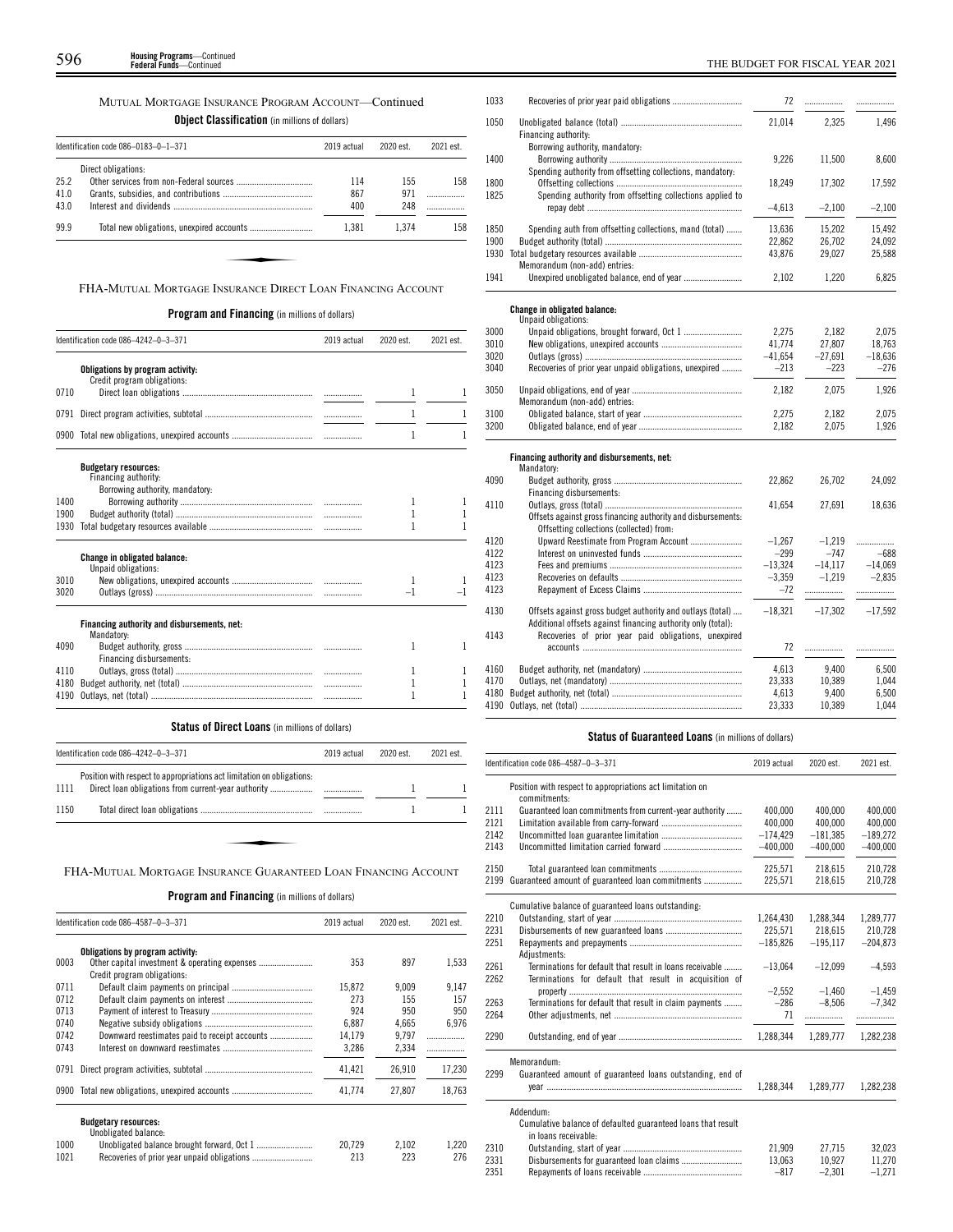#### MUTUAL MORTGAGE INSURANCE PROGRAM ACCOUNT—Continued

**Object Classification** (in millions of dollars)

|      | Identification code 086-0183-0-1-371                        | 2019 actual | 2020 est. | 2021 est. |
|------|-------------------------------------------------------------|-------------|-----------|-----------|
|      | Direct obligations:                                         |             |           |           |
| 25.2 |                                                             | 114         | 155       | 158       |
| 41.0 |                                                             | 867         | 971       |           |
| 43.0 |                                                             | 400         | 248       |           |
| 99.9 |                                                             | 1.381       | 1.374     | 158       |
|      |                                                             |             |           |           |
|      |                                                             |             |           |           |
|      | FHA-MUTUAL MORTGAGE INSURANCE DIRECT LOAN FINANCING ACCOUNT |             |           |           |

### **Program and Financing** (in millions of dollars)

|      | Identification code 086-4242-0-3-371                            |  | 2020 est.<br>2021 est.<br>2019 actual |   |
|------|-----------------------------------------------------------------|--|---------------------------------------|---|
|      | Obligations by program activity:<br>Credit program obligations: |  |                                       |   |
| 0710 |                                                                 |  | 1                                     | 1 |
| 0791 |                                                                 |  | 1                                     |   |
|      |                                                                 |  | 1                                     |   |
|      | <b>Budgetary resources:</b>                                     |  |                                       |   |
|      | Financing authority:                                            |  |                                       |   |
|      | Borrowing authority, mandatory:                                 |  |                                       |   |
| 1400 |                                                                 |  | 1                                     |   |
| 1900 |                                                                 |  |                                       |   |
| 1930 |                                                                 |  |                                       |   |
|      | <b>Change in obligated balance:</b>                             |  |                                       |   |
|      | Unpaid obligations:                                             |  |                                       |   |
| 3010 |                                                                 |  | 1                                     |   |
| 3020 |                                                                 |  | -1                                    |   |
|      | Financing authority and disbursements, net:<br>Mandatory:       |  |                                       |   |
| 4090 |                                                                 |  | 1                                     | 1 |
|      | Financing disbursements:                                        |  |                                       |   |
| 4110 |                                                                 |  | 1                                     | ı |
| 4180 |                                                                 |  | 1                                     |   |
| 4190 |                                                                 |  |                                       |   |
|      |                                                                 |  |                                       |   |

#### **Status of Direct Loans** (in millions of dollars)

|      | Identification code 086-4242-0-3-371                                   |  | 2020 est. | 2021 est. |
|------|------------------------------------------------------------------------|--|-----------|-----------|
| 1111 | Position with respect to appropriations act limitation on obligations. |  |           |           |
| 1150 |                                                                        |  |           |           |

**Program and Financing** (in millions of dollars)

|      | Identification code 086-4587-0-3-371           |        | 2020 est. | 2021 est. |
|------|------------------------------------------------|--------|-----------|-----------|
|      | Obligations by program activity:               |        |           |           |
| 0003 |                                                | 353    | 897       | 1,533     |
|      | Credit program obligations:                    |        |           |           |
| 0711 |                                                | 15.872 | 9.009     | 9.147     |
| 0712 |                                                | 273    | 155       | 157       |
| 0713 |                                                | 924    | 950       | 950       |
| 0740 |                                                | 6.887  | 4.665     | 6.976     |
| 0742 | Downward reestimates paid to receipt accounts  | 14.179 | 9.797     |           |
| 0743 |                                                | 3,286  | 2,334     |           |
| 0791 |                                                | 41,421 | 26.910    | 17.230    |
|      | 0900 Total new obligations, unexpired accounts | 41.774 | 27.807    | 18,763    |
|      | <b>Budgetary resources:</b>                    |        |           |           |
|      | Unobligated balance:                           |        |           |           |
| 1000 |                                                | 20.729 | 2.102     | 1.220     |
| 1021 |                                                | 213    | 223       | 276       |

| 1033         |                                                                                                                            | 72        | .         | .         |
|--------------|----------------------------------------------------------------------------------------------------------------------------|-----------|-----------|-----------|
| 1050         | Financing authority:                                                                                                       | 21.014    | 2.325     | 1.496     |
| 1400         | Borrowing authority, mandatory:                                                                                            | 9.226     | 11,500    | 8,600     |
| 1800<br>1825 | Spending authority from offsetting collections, mandatory:<br>Spending authority from offsetting collections applied to    | 18.249    | 17.302    | 17,592    |
|              |                                                                                                                            | $-4,613$  | $-2,100$  | $-2,100$  |
| 1850         | Spending auth from offsetting collections, mand (total)                                                                    | 13,636    | 15,202    | 15,492    |
| 1900         |                                                                                                                            | 22,862    | 26,702    | 24,092    |
|              | Memorandum (non-add) entries:                                                                                              | 43,876    | 29,027    | 25,588    |
| 1941         |                                                                                                                            | 2,102     | 1,220     | 6,825     |
|              | Change in obligated balance:                                                                                               |           |           |           |
|              | Unpaid obligations:                                                                                                        |           |           |           |
| 3000         |                                                                                                                            | 2,275     | 2,182     | 2,075     |
| 3010         |                                                                                                                            | 41,774    | 27,807    | 18,763    |
| 3020         |                                                                                                                            | $-41,654$ | $-27,691$ | $-18,636$ |
| 3040         | Recoveries of prior year unpaid obligations, unexpired                                                                     | $-213$    | $-223$    | $-276$    |
| 3050         | Memorandum (non-add) entries:                                                                                              | 2.182     | 2.075     | 1,926     |
| 3100         |                                                                                                                            | 2,275     | 2,182     | 2,075     |
| 3200         |                                                                                                                            | 2,182     | 2,075     | 1,926     |
|              | Financing authority and disbursements, net:<br>Mandatory:                                                                  |           |           |           |
| 4090         | Financing disbursements:                                                                                                   | 22,862    | 26,702    | 24,092    |
| 4110         |                                                                                                                            | 41,654    | 27,691    | 18,636    |
|              | Offsets against gross financing authority and disbursements:<br>Offsetting collections (collected) from:                   |           |           |           |
| 4120         | Upward Reestimate from Program Account                                                                                     | $-1,267$  | $-1,219$  |           |
| 4122         |                                                                                                                            | $-299$    | $-747$    | $-688$    |
| 4123         |                                                                                                                            | $-13,324$ | $-14,117$ | $-14,069$ |
| 4123         |                                                                                                                            | $-3.359$  | $-1.219$  | $-2.835$  |
| 4123         |                                                                                                                            | $-72$     |           | .         |
|              |                                                                                                                            |           |           |           |
| 4130         | Offsets against gross budget authority and outlays (total)<br>Additional offsets against financing authority only (total): | $-18,321$ | $-17,302$ | $-17,592$ |
| 4143         | Recoveries of prior year paid obligations, unexpired                                                                       | 72        | .         |           |
|              |                                                                                                                            |           |           |           |
| 4160         |                                                                                                                            | 4,613     | 9.400     | 6,500     |
| 4170         |                                                                                                                            | 23,333    | 10,389    | 1,044     |
| 4180         |                                                                                                                            | 4,613     | 9,400     | 6,500     |
|              |                                                                                                                            | 23,333    | 10,389    | 1,044     |
|              |                                                                                                                            |           |           |           |

### **Status of Guaranteed Loans** (in millions of dollars)

|      | Identification code 086–4587–0–3–371                                                 | 2019 actual | 2020 est.  | 2021 est.  |
|------|--------------------------------------------------------------------------------------|-------------|------------|------------|
|      | Position with respect to appropriations act limitation on<br>commitments:            |             |            |            |
| 2111 | Guaranteed loan commitments from current-year authority                              | 400.000     | 400.000    | 400.000    |
| 2121 |                                                                                      | 400.000     | 400.000    | 400.000    |
| 2142 |                                                                                      | $-174.429$  | $-181.385$ | $-189.272$ |
| 2143 |                                                                                      | $-400,000$  | $-400.000$ | $-400.000$ |
| 2150 |                                                                                      | 225.571     | 218.615    | 210.728    |
| 2199 | Guaranteed amount of guaranteed loan commitments                                     | 225,571     | 218.615    | 210,728    |
|      | Cumulative balance of guaranteed loans outstanding:                                  |             |            |            |
| 2210 |                                                                                      | 1,264,430   | 1,288,344  | 1,289,777  |
| 2231 |                                                                                      | 225.571     | 218.615    | 210.728    |
| 2251 |                                                                                      | $-185.826$  | $-195.117$ | $-204.873$ |
|      | Adiustments:                                                                         |             |            |            |
| 2261 | Terminations for default that result in loans receivable                             | $-13,064$   | $-12,099$  | $-4,593$   |
| 2262 | Terminations for default that result in acquisition of                               |             |            |            |
|      |                                                                                      | $-2.552$    | $-1.460$   | $-1.459$   |
| 2263 | Terminations for default that result in claim payments                               | $-286$      | $-8.506$   | $-7.342$   |
| 2264 |                                                                                      | 71          | .          | .          |
| 2290 |                                                                                      | 1,288,344   | 1,289,777  | 1,282,238  |
|      | Memorandum:                                                                          |             |            |            |
| 2299 | Guaranteed amount of guaranteed loans outstanding, end of                            |             |            |            |
|      |                                                                                      | 1,288,344   | 1,289,777  | 1,282,238  |
|      | Addendum:                                                                            |             |            |            |
|      | Cumulative balance of defaulted guaranteed loans that result<br>in loans receivable: |             |            |            |
|      |                                                                                      | 21,909      |            |            |
| 2310 |                                                                                      |             | 27,715     | 32,023     |
| 2331 |                                                                                      | 13,063      | 10.927     | 11,270     |
| 2351 |                                                                                      | $-817$      | $-2.301$   | $-1,271$   |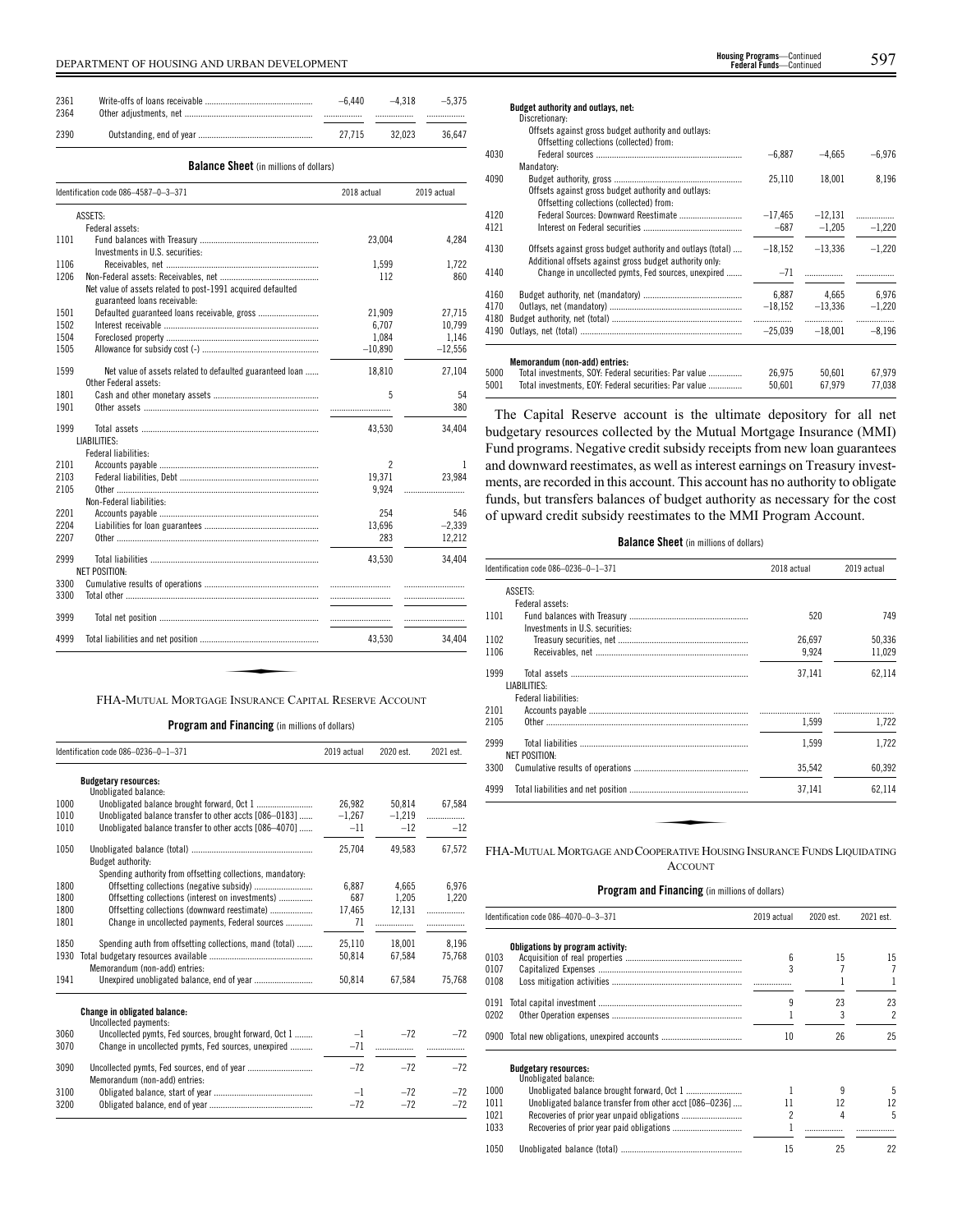| 2361 | $-6.440$ | $-4.318$ | $-5.375$ |
|------|----------|----------|----------|
| 2364 |          |          |          |
| 2390 | 27.715   | 32 023   | 36.647   |

**Balance Sheet** (in millions of dollars)

|      | Identification code 086-4587-0-3-371                                              | 2018 actual | 2019 actual |
|------|-----------------------------------------------------------------------------------|-------------|-------------|
|      | ASSETS:                                                                           |             |             |
|      | Federal assets:                                                                   |             |             |
| 1101 |                                                                                   | 23,004      | 4,284       |
|      | Investments in U.S. securities:                                                   |             |             |
| 1106 |                                                                                   | 1,599       | 1.722       |
| 1206 |                                                                                   | 112         | 860         |
|      | Net value of assets related to post-1991 acquired defaulted                       |             |             |
|      | guaranteed loans receivable:                                                      |             |             |
| 1501 |                                                                                   | 21,909      | 27,715      |
| 1502 |                                                                                   | 6.707       | 10,799      |
| 1504 |                                                                                   | 1,084       | 1,146       |
| 1505 |                                                                                   | $-10.890$   | $-12.556$   |
| 1599 | Net value of assets related to defaulted guaranteed loan<br>Other Federal assets: | 18.810      | 27.104      |
| 1801 |                                                                                   | 5           | 54          |
| 1901 |                                                                                   |             | 380         |
| 1999 | LIABILITIES:                                                                      | 43,530      | 34,404      |
|      | Federal liabilities:                                                              |             |             |
| 2101 |                                                                                   | 2           | 1           |
| 2103 |                                                                                   | 19.371      | 23.984      |
| 2105 |                                                                                   | 9,924       |             |
|      | Non-Federal liabilities:                                                          |             |             |
| 2201 |                                                                                   | 254         | 546         |
| 2204 |                                                                                   | 13,696      | $-2,339$    |
| 2207 |                                                                                   | 283         | 12.212      |
| 2999 | NET POSITION:                                                                     | 43,530      | 34.404      |
| 3300 |                                                                                   |             |             |
| 3300 |                                                                                   |             |             |
| 3999 |                                                                                   |             |             |
| 4999 |                                                                                   | 43.530      | 34.404      |

#### **Program and Financing** (in millions of dollars)

|                                                              | 2019 actual                                                                                                                                                                                                                                                                                                   | 2020 est.                                     | 2021 est.                                                                |
|--------------------------------------------------------------|---------------------------------------------------------------------------------------------------------------------------------------------------------------------------------------------------------------------------------------------------------------------------------------------------------------|-----------------------------------------------|--------------------------------------------------------------------------|
| <b>Budgetary resources:</b>                                  |                                                                                                                                                                                                                                                                                                               |                                               |                                                                          |
|                                                              |                                                                                                                                                                                                                                                                                                               |                                               |                                                                          |
|                                                              |                                                                                                                                                                                                                                                                                                               |                                               | 67.584                                                                   |
|                                                              |                                                                                                                                                                                                                                                                                                               |                                               | .                                                                        |
|                                                              |                                                                                                                                                                                                                                                                                                               |                                               | $-12$                                                                    |
|                                                              | 25.704                                                                                                                                                                                                                                                                                                        | 49,583                                        | 67.572                                                                   |
| <b>Budget authority:</b>                                     |                                                                                                                                                                                                                                                                                                               |                                               |                                                                          |
| Spending authority from offsetting collections, mandatory.   |                                                                                                                                                                                                                                                                                                               |                                               |                                                                          |
|                                                              | 6,887                                                                                                                                                                                                                                                                                                         | 4,665                                         | 6,976                                                                    |
| Offsetting collections (interest on investments)             | 687                                                                                                                                                                                                                                                                                                           | 1,205                                         | 1,220                                                                    |
| Offsetting collections (downward reestimate)                 | 17,465                                                                                                                                                                                                                                                                                                        | 12,131                                        | .                                                                        |
| Change in uncollected payments, Federal sources              | 71                                                                                                                                                                                                                                                                                                            | .                                             |                                                                          |
|                                                              | 25.110                                                                                                                                                                                                                                                                                                        | 18.001                                        | 8.196                                                                    |
|                                                              |                                                                                                                                                                                                                                                                                                               |                                               | 75.768                                                                   |
|                                                              |                                                                                                                                                                                                                                                                                                               |                                               |                                                                          |
| Unexpired unobligated balance, end of year                   | 50,814                                                                                                                                                                                                                                                                                                        | 67.584                                        | 75,768                                                                   |
| <b>Change in obligated balance:</b><br>Uncollected payments: |                                                                                                                                                                                                                                                                                                               |                                               |                                                                          |
| Uncollected pymts, Fed sources, brought forward, Oct 1       |                                                                                                                                                                                                                                                                                                               | $-72$                                         | $-72$                                                                    |
| Change in uncollected pymts, Fed sources, unexpired          |                                                                                                                                                                                                                                                                                                               | .                                             |                                                                          |
|                                                              | $-72$                                                                                                                                                                                                                                                                                                         | $-72$                                         | $-72$                                                                    |
|                                                              |                                                                                                                                                                                                                                                                                                               |                                               | $-72$                                                                    |
|                                                              | $-72$                                                                                                                                                                                                                                                                                                         | $-72$                                         | $-72$                                                                    |
|                                                              | Identification code 086-0236-0-1-371<br>Unobligated balance:<br>Unobligated balance transfer to other accts [086-0183]<br>Unobligated balance transfer to other accts [086-4070]<br>Spending auth from offsetting collections, mand (total)<br>Memorandum (non-add) entries:<br>Memorandum (non-add) entries: | 26.982<br>$-1.267$<br>$-11$<br>50.814<br>$-1$ | 50.814<br>$-1.219$<br>$-12$<br>67.584<br>$-1$ and $-1$<br>$-71$<br>$-72$ |

#### **Budget authority and outlays, net:**

|      | Discretionary:                                             |           |           |          |
|------|------------------------------------------------------------|-----------|-----------|----------|
|      | Offsets against gross budget authority and outlays:        |           |           |          |
|      | Offsetting collections (collected) from:                   |           |           |          |
| 4030 |                                                            | $-6.887$  | $-4.665$  | $-6.976$ |
|      | Mandatory:                                                 |           |           |          |
| 4090 |                                                            | 25,110    | 18,001    | 8,196    |
|      | Offsets against gross budget authority and outlays:        |           |           |          |
|      | Offsetting collections (collected) from:                   |           |           |          |
| 4120 |                                                            | $-17.465$ | $-12.131$ | .        |
| 4121 |                                                            | $-687$    | $-1.205$  | $-1,220$ |
| 4130 | Offsets against gross budget authority and outlays (total) | $-18.152$ | $-13.336$ | $-1.220$ |
|      | Additional offsets against gross budget authority only:    |           |           |          |
| 4140 | Change in uncollected pymts, Fed sources, unexpired        |           |           |          |
|      |                                                            |           |           |          |
| 4160 |                                                            | 6.887     | 4.665     | 6.976    |
| 4170 |                                                            | $-18.152$ | $-13,336$ | $-1,220$ |
| 4180 |                                                            |           | .         | .        |
| 4190 |                                                            | $-25.039$ | $-18.001$ | $-8.196$ |

**Memorandum (non-add) entries:**

|      | $m$ viitio anuuni viivii-auu $\prime$ viiti 193.      |        |        |        |
|------|-------------------------------------------------------|--------|--------|--------|
| 5000 | Total investments, SOY: Federal securities: Par value | 26.975 | 50.601 | 67.979 |
| 5001 | Total investments. EOY: Federal securities: Par value | 50.601 | 67.979 | 77.038 |

The Capital Reserve account is the ultimate depository for all net budgetary resources collected by the Mutual Mortgage Insurance (MMI) Fund programs. Negative credit subsidy receipts from new loan guarantees and downward reestimates, as well as interest earnings on Treasury investments, are recorded in this account. This account has no authority to obligate funds, but transfers balances of budget authority as necessary for the cost of upward credit subsidy reestimates to the MMI Program Account.

#### **Balance Sheet** (in millions of dollars)

|      | Identification code 086-0236-0-1-371                                    | 2018 actual | 2019 actual |
|------|-------------------------------------------------------------------------|-------------|-------------|
|      | ASSETS:                                                                 |             |             |
|      | Federal assets:                                                         |             |             |
| 1101 | Investments in U.S. securities:                                         | 520         | 749         |
| 1102 |                                                                         | 26,697      | 50,336      |
| 1106 |                                                                         | 9,924       | 11,029      |
| 1999 | LIABILITIES:                                                            | 37,141      | 62.114      |
|      | Federal liabilities:                                                    |             |             |
| 2101 |                                                                         |             |             |
| 2105 |                                                                         | 1,599       | 1,722       |
| 2999 | <b>NET POSITION:</b>                                                    | 1,599       | 1,722       |
| 3300 |                                                                         | 35,542      | 60,392      |
| 4999 |                                                                         | 37,141      | 62,114      |
|      |                                                                         |             |             |
|      |                                                                         |             |             |
|      | FHA-MUTUAL MORTGAGE AND COOPERATIVE HOUSING INSURANCE FUNDS LIQUIDATING |             |             |

## ACCOUNT

|      | Identification code 086-4070-0-3-371                    | 2019 actual | 2020 est. | 2021 est.      |
|------|---------------------------------------------------------|-------------|-----------|----------------|
|      | Obligations by program activity:                        |             |           |                |
| 0103 |                                                         | 6           | 15        | 15             |
| 0107 |                                                         |             |           |                |
| 0108 |                                                         |             |           |                |
| 0191 |                                                         | 9           | 23        | 23             |
| 0202 |                                                         |             |           | $\overline{c}$ |
|      | 0900 Total new obligations, unexpired accounts          | 10          | 26        | 25             |
|      | <b>Budgetary resources:</b><br>Unobligated balance:     |             |           |                |
| 1000 |                                                         |             |           | 5              |
| 1011 | Unobligated balance transfer from other acct [086-0236] | 11          | 12        | 12             |
| 1021 |                                                         | 2           | 4         | 5              |
| 1033 |                                                         |             |           |                |
| 1050 |                                                         | 15          | 25        | 22             |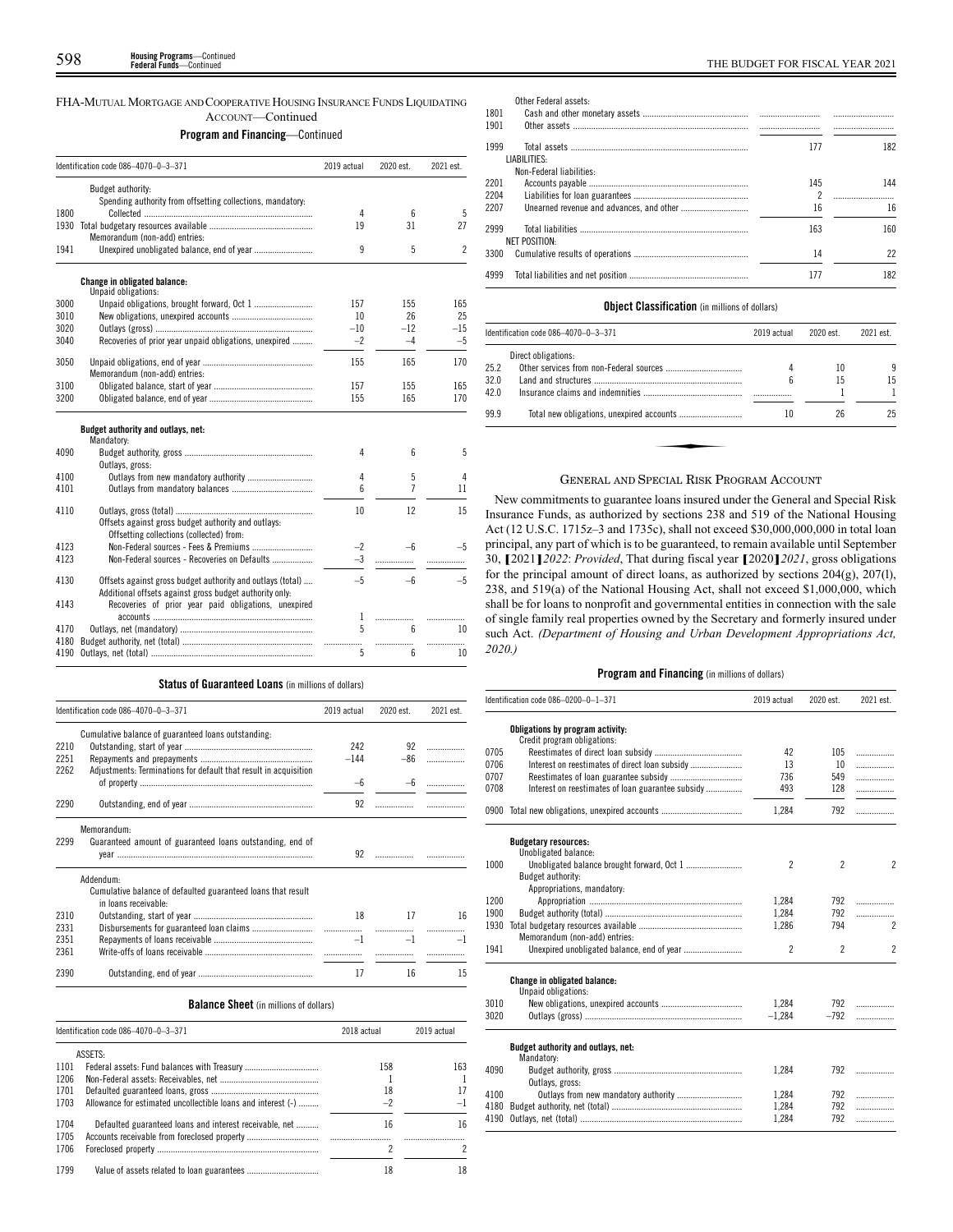FHA-MUTUAL MORTGAGE AND COOPERATIVE HOUSING INSURANCE FUNDS LIQUIDATING ACCOUNT—Continued

**Program and Financing**—Continued

|      | Identification code 086-4070-0-3-371                                                                                  | 2019 actual | 2020 est.      | 2021 est.                |
|------|-----------------------------------------------------------------------------------------------------------------------|-------------|----------------|--------------------------|
|      | Budget authority:                                                                                                     |             |                |                          |
|      | Spending authority from offsetting collections, mandatory:                                                            |             |                |                          |
| 1800 |                                                                                                                       | 4           | 6              | 5                        |
| 1930 |                                                                                                                       | 19          | 31             | 27                       |
|      | Memorandum (non-add) entries:                                                                                         |             |                |                          |
| 1941 |                                                                                                                       | 9           | 5              | $\overline{\phantom{a}}$ |
|      | <b>Change in obligated balance:</b>                                                                                   |             |                |                          |
|      | Unpaid obligations:                                                                                                   |             |                |                          |
| 3000 |                                                                                                                       | 157         | 155            | 165                      |
| 3010 |                                                                                                                       | 10          | 26             | 25                       |
| 3020 |                                                                                                                       | $-10$       | $-12$          | $-15$                    |
| 3040 | Recoveries of prior year unpaid obligations, unexpired                                                                | $-2$        | $-4$           | $-5$                     |
| 3050 | Memorandum (non-add) entries:                                                                                         | 155         | 165            | 170                      |
| 3100 |                                                                                                                       | 157         | 155            | 165                      |
| 3200 |                                                                                                                       | 155         | 165            | 170                      |
|      | Budget authority and outlays, net:<br>Mandatory:                                                                      |             |                |                          |
| 4090 |                                                                                                                       | 4           | 6              | 5                        |
|      | Outlays, gross:                                                                                                       |             |                |                          |
| 4100 |                                                                                                                       | 4           | 5              | 4                        |
| 4101 |                                                                                                                       | ĥ           | $\overline{7}$ | 11                       |
| 4110 |                                                                                                                       | 10          | 12             | 15                       |
|      | Offsets against gross budget authority and outlays:<br>Offsetting collections (collected) from:                       |             |                |                          |
| 4123 |                                                                                                                       | $-2$        | –հ             | $-5$                     |
| 4123 | Non-Federal sources - Recoveries on Defaults                                                                          | $-3$        |                |                          |
|      |                                                                                                                       |             |                |                          |
| 4130 | Offsets against gross budget authority and outlays (total)<br>Additional offsets against gross budget authority only: | $-5$        | $-6$           | $-5$                     |
| 4143 | Recoveries of prior year paid obligations, unexpired                                                                  |             |                |                          |
|      |                                                                                                                       | 1           | .              | .                        |
| 4170 |                                                                                                                       | 5           | 6              | 10                       |
| 4180 |                                                                                                                       | .           |                |                          |
| 4190 |                                                                                                                       | 5           | 6              | 10                       |

#### **Status of Guaranteed Loans** (in millions of dollars)

|      | Identification code 086-4070-0-3-371                                                 | 2019 actual | 2020 est. | 2021 est. |
|------|--------------------------------------------------------------------------------------|-------------|-----------|-----------|
|      | Cumulative balance of guaranteed loans outstanding.                                  |             |           |           |
| 2210 |                                                                                      | 242         | 92        | .         |
| 2251 |                                                                                      | $-144$      | $-86$     | .         |
| 2262 | Adjustments: Terminations for default that result in acquisition                     |             |           |           |
|      |                                                                                      | $-6$        |           | .         |
| 2290 |                                                                                      | 92          |           |           |
|      | Memorandum:                                                                          |             |           |           |
| 2299 | Guaranteed amount of guaranteed loans outstanding, end of                            |             |           |           |
|      |                                                                                      | 92          |           |           |
|      | Addendum:                                                                            |             |           |           |
|      | Cumulative balance of defaulted guaranteed loans that result<br>in loans receivable: |             |           |           |
| 2310 |                                                                                      | 18          | 17        | 16        |
| 2331 |                                                                                      |             |           |           |
| 2351 |                                                                                      | $-1$        | $-1$      |           |
| 2361 |                                                                                      |             |           |           |
| 2390 |                                                                                      | 17          | 16        | 15        |

#### **Balance Sheet** (in millions of dollars)

|              | Identification code 086-4070-0-3-371                         | 2018 actual | 2019 actual |
|--------------|--------------------------------------------------------------|-------------|-------------|
|              | ASSETS:                                                      |             |             |
| 1101         |                                                              | 158         | 163         |
| 1206         |                                                              |             |             |
| 1701         |                                                              | 18          |             |
| 1703         | Allowance for estimated uncollectible loans and interest (-) | -2          | ᅴ           |
| 1704<br>1705 | Defaulted guaranteed loans and interest receivable, net      | 16          | 16          |
| 1706         |                                                              |             |             |
| 1799         |                                                              | 18          | 18          |

Other Federal assets:

| 1801 |                          |     |     |
|------|--------------------------|-----|-----|
| 1901 |                          |     |     |
| 1999 |                          | 177 | 182 |
|      | LIABILITIES:             |     |     |
|      | Non-Federal liabilities: |     |     |
| 2201 |                          | 145 | 144 |
| 2204 |                          | 2   |     |
| 2207 |                          | 16  | 16  |
| 2999 |                          | 163 | 160 |
|      | NET POSITION:            |     |     |
| 3300 |                          | 14  | 22  |
| 4999 |                          | 177 | 182 |
|      |                          |     |     |

#### **Object Classification** (in millions of dollars)

| Identification code 086-4070-0-3-371 |                       | 2019 actual | 2020 est. | 2021 est. |
|--------------------------------------|-----------------------|-------------|-----------|-----------|
|                                      | Direct obligations:   |             |           |           |
| 25.2                                 |                       | 4           | 10        | 9         |
| 32.0                                 |                       | 6           | 15        | 15        |
| 42.0                                 |                       |             |           |           |
| 99.9                                 |                       | 26<br>10    | 25        |           |
|                                      |                       |             |           |           |
|                                      | $\alpha$ and $\alpha$ |             |           |           |

#### GENERAL AND SPECIAL RISK PROGRAM ACCOUNT

New commitments to guarantee loans insured under the General and Special Risk Insurance Funds, as authorized by sections 238 and 519 of the National Housing Act (12 U.S.C. 1715z–3 and 1735c), shall not exceed \$30,000,000,000 in total loan principal, any part of which is to be guaranteed, to remain available until September 30, **[**2021**]***2022*: *Provided*, That during fiscal year **[**2020**]***2021*, gross obligations for the principal amount of direct loans, as authorized by sections 204(g), 207(l), 238, and 519(a) of the National Housing Act, shall not exceed \$1,000,000, which shall be for loans to nonprofit and governmental entities in connection with the sale of single family real properties owned by the Secretary and formerly insured under such Act. *(Department of Housing and Urban Development Appropriations Act, 2020.)*

|      | Identification code 086-0200-0-1-371                       | 2019 actual    | 2020 est.      | 2021 est.      |
|------|------------------------------------------------------------|----------------|----------------|----------------|
|      | Obligations by program activity:                           |                |                |                |
|      | Credit program obligations:                                |                |                |                |
| 0705 |                                                            | 42             | 105            | .              |
| 0706 |                                                            | 13             | 10             | .              |
| 0707 |                                                            | 736            | 549            | .              |
| 0708 | Interest on reestimates of loan guarantee subsidy          | 493            | 128            | .              |
|      | 0900 Total new obligations, unexpired accounts             | 1,284          | 792            | .              |
|      | <b>Budgetary resources:</b>                                |                |                |                |
|      | Unobligated balance:                                       |                |                |                |
| 1000 |                                                            | $\mathfrak{p}$ | $\mathfrak{p}$ | $\overline{c}$ |
|      | Budget authority:                                          |                |                |                |
|      | Appropriations, mandatory:                                 |                |                |                |
| 1200 |                                                            | 1.284          | 792            | .              |
| 1900 |                                                            | 1,284          | 792            | .              |
| 1930 |                                                            | 1.286          | 794            | $\overline{2}$ |
|      | Memorandum (non-add) entries:                              |                |                |                |
| 1941 |                                                            | $\overline{c}$ | $\overline{2}$ | $\overline{c}$ |
|      | <b>Change in obligated balance:</b><br>Unpaid obligations: |                |                |                |
| 3010 |                                                            | 1.284          | 792            | .              |
| 3020 |                                                            | $-1,284$       | $-792$         | .              |
|      | Budget authority and outlays, net:                         |                |                |                |
|      | Mandatory:                                                 |                |                |                |
| 4090 |                                                            | 1.284          | 792            | .              |
|      | Outlays, gross:                                            |                |                |                |
| 4100 |                                                            | 1.284          | 792            | .              |
| 4180 |                                                            | 1,284          | 792            | .              |
| 4190 |                                                            | 1.284          | 792            |                |
|      |                                                            |                |                |                |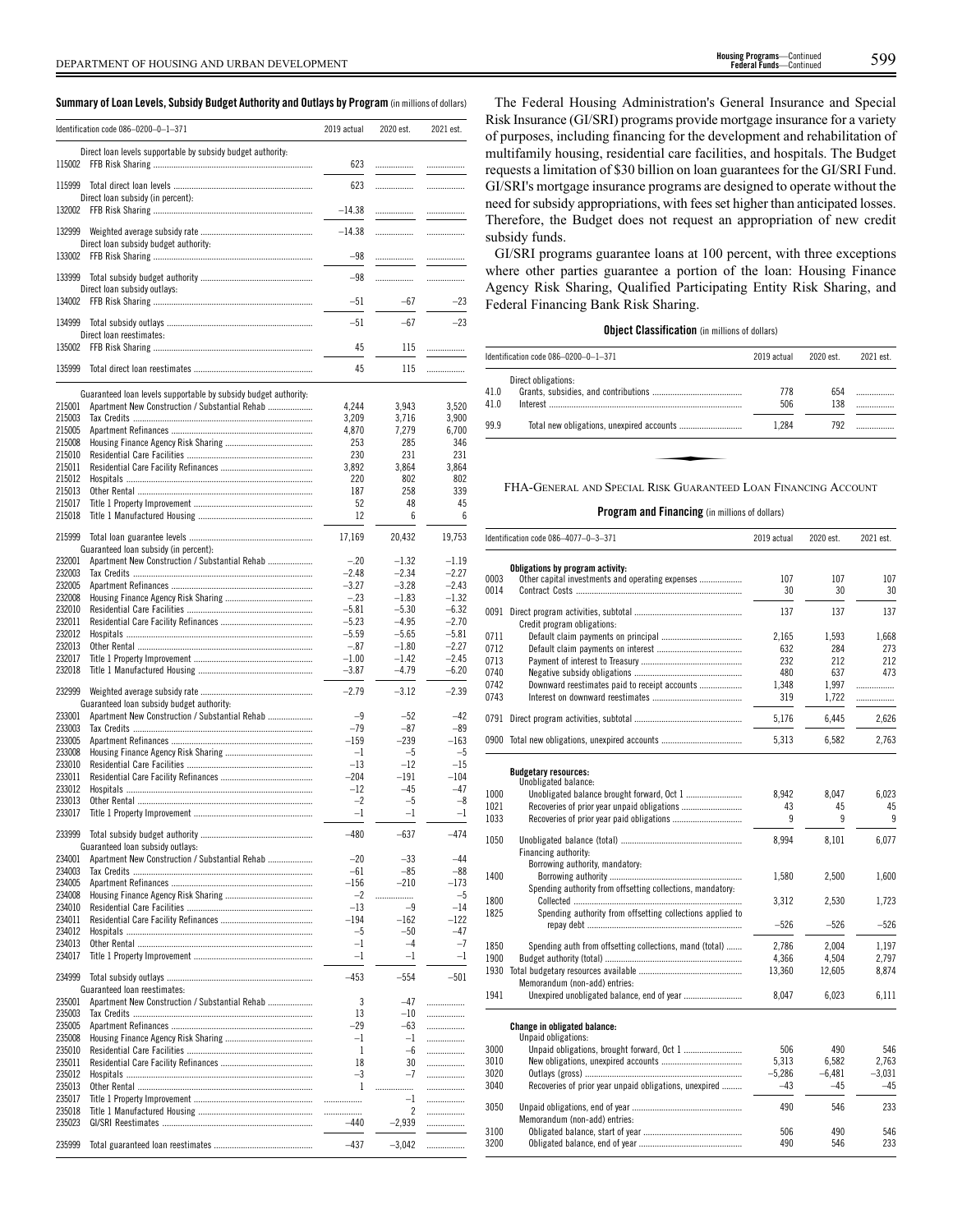| Summary of Loan Levels, Subsidy Budget Authority and Outlays by Program (in millions of dollars) |  |  |  |  |
|--------------------------------------------------------------------------------------------------|--|--|--|--|
|--------------------------------------------------------------------------------------------------|--|--|--|--|

|                  | Identification code 086-0200-0-1-371                            | 2019 actual    | 2020 est.      | 2021 est.      |
|------------------|-----------------------------------------------------------------|----------------|----------------|----------------|
| 115002           | Direct loan levels supportable by subsidy budget authority:     | 623            | .              | .              |
|                  |                                                                 |                |                |                |
| 115999           | Direct loan subsidy (in percent):                               | 623            |                | .              |
| 132002           |                                                                 | $-14.38$       | .              | .              |
| 132999           |                                                                 | $-14.38$       | .              | .              |
| 133002           | Direct loan subsidy budget authority:                           | $-98$          |                | .              |
|                  |                                                                 |                |                |                |
|                  | Direct loan subsidy outlays:                                    | $-98$          |                | .              |
| 134002           |                                                                 | $-51$          | $-67$          | $-23$          |
| 134999           |                                                                 | $-51$          | $-67$          | $-23$          |
| 135002           | Direct loan reestimates:                                        | 45             | 115            | .              |
| 135999           |                                                                 | 45             | 115            |                |
|                  |                                                                 |                |                |                |
|                  | Guaranteed loan levels supportable by subsidy budget authority: |                |                |                |
| 215001<br>215003 | Apartment New Construction / Substantial Rehab                  | 4,244<br>3,209 | 3,943<br>3,716 | 3,520<br>3,900 |
| 215005           |                                                                 | 4,870          | 7,279          | 6,700          |
| 215008           |                                                                 | 253            | 285            | 346            |
| 215010           |                                                                 | 230            | 231            | 231            |
| 215011           |                                                                 | 3,892          | 3,864          | 3,864          |
| 215012           |                                                                 | 220            | 802            | 802            |
| 215013           |                                                                 | 187            | 258            | 339            |
| 215017           |                                                                 |                | 48             |                |
| 215018           |                                                                 | 52<br>12       | 6              | 45<br>6        |
|                  |                                                                 |                |                |                |
| 215999           | Guaranteed loan subsidy (in percent):                           | 17,169         | 20,432         | 19,753         |
| 232001           | Apartment New Construction / Substantial Rehab                  | $-.20$         | $-1.32$        | $-1.19$        |
| 232003           |                                                                 | $-2.48$        | $-2.34$        | $-2.27$        |
| 232005           |                                                                 | $-3.27$        | $-3.28$        | $-2.43$        |
| 232008           |                                                                 | $-.23$         | $-1.83$        | $-1.32$        |
| 232010           |                                                                 | $-5.81$        | $-5.30$        | $-6.32$        |
| 232011           |                                                                 | $-5.23$        | $-4.95$        | $-2.70$        |
| 232012           |                                                                 | $-5.59$        | $-5.65$        | $-5.81$        |
| 232013           |                                                                 | $-.87$         | $-1.80$        | $-2.27$        |
| 232017           |                                                                 | $-1.00$        | $-1.42$        | $-2.45$        |
| 232018           |                                                                 | $-3.87$        | $-4.79$        | $-6.20$        |
| 232999           |                                                                 | $-2.79$        | $-3.12$        | $-2.39$        |
|                  | Guaranteed loan subsidy budget authority:                       |                |                |                |
| 233001           | Apartment New Construction / Substantial Rehab                  | $-9$           | $-52$          | $-42$          |
| 233003           |                                                                 | $-79$          | $-87$          | $-89$          |
| 233005           |                                                                 | $-159$         | $-239$         | $-163$         |
| 233008           |                                                                 | $-1$           | $-5$           | $-5$           |
| 233010           |                                                                 | $-13$          | $-12$          | $-15$          |
| 233011           |                                                                 | $-204$         | $-191$         | $-104$         |
| 233012           |                                                                 | $-12$          | $-45$          | $-47$          |
| 233013           |                                                                 | $-2$           | $-5$           | $-8$           |
| 233017           |                                                                 | $-1$           | $^{-1}$        | $-1$           |
| 233999           |                                                                 | $-480$         | $-637$         | $-474$         |
|                  | Guaranteed loan subsidy outlays:                                |                |                |                |
| 234001<br>234003 | Apartment New Construction / Substantial Rehab                  | $-20$          | $-33$          | $-44$          |
|                  |                                                                 | $-61$          | -85            | -88            |
| 234005           |                                                                 | $-156$         | $-210$         | –173           |
| 234008           |                                                                 | $-2$           | .              | $-5$           |
| 234010           |                                                                 | $-13$          | $-9$           | $-14$          |
| 234011           |                                                                 | $-194$         | –162           | $-122$         |
| 234012           |                                                                 | $-5$           | $-50$          | -47            |
| 234013           |                                                                 | $-1$           | $-4$           | $-7$           |
| 234017           |                                                                 | $^{-1}$        | $-1$           | $-1$           |
| 234999           | Guaranteed loan reestimates:                                    | $-453$         | $-554$         | $-501$         |
| 235001           | Apartment New Construction / Substantial Rehab                  | 3              | $-47$          |                |
| 235003           |                                                                 | 13             | $^{-10}$       |                |
| 235005           |                                                                 | $-29$          | $-63$          | .              |
| 235008           |                                                                 | $\mathbf{-1}$  | $-1$           | .              |
| 235010           |                                                                 | 1              | $-6$           |                |
| 235011           |                                                                 | 18             | 30             |                |
| 235012           |                                                                 | -3             | -7             | .              |
|                  |                                                                 |                |                |                |
| 235013           |                                                                 | 1              | .              | .              |
| 235017           |                                                                 | .              | $^{-1}$        | .              |
| 235018           |                                                                 | .              | 2              | .              |
| 235023           |                                                                 | -440           | $-2,939$       | .              |
| 235999           |                                                                 | $-437$         | $-3,042$       | .              |

The Federal Housing Administration's General Insurance and Special Risk Insurance (GI/SRI) programs provide mortgage insurance for a variety of purposes, including financing for the development and rehabilitation of multifamily housing, residential care facilities, and hospitals. The Budget requests a limitation of \$30 billion on loan guarantees for the GI/SRI Fund. GI/SRI's mortgage insurance programs are designed to operate without the need for subsidy appropriations, with fees set higher than anticipated losses. Therefore, the Budget does not request an appropriation of new credit subsidy funds.

GI/SRI programs guarantee loans at 100 percent, with three exceptions where other parties guarantee a portion of the loan: Housing Finance Agency Risk Sharing, Qualified Participating Entity Risk Sharing, and Federal Financing Bank Risk Sharing.

#### **Object Classification** (in millions of dollars)

|      | Identification code 086-0200-0-1-371                           | 2019 actual | 2020 est. | 2021 est. |
|------|----------------------------------------------------------------|-------------|-----------|-----------|
|      | Direct obligations:                                            |             |           |           |
| 41.0 |                                                                | 778         | 654       |           |
| 41.0 |                                                                | 506         | 138       |           |
| 99.9 |                                                                | 1.284       | 792       |           |
|      |                                                                |             |           |           |
|      |                                                                |             |           |           |
|      | FHA-GENERAL AND SPECIAL RISK GUARANTEED LOAN FINANCING ACCOUNT |             |           |           |

|      | Identification code 086-4077-0-3-371                       | 2019 actual | 2020 est. | 2021 est. |
|------|------------------------------------------------------------|-------------|-----------|-----------|
|      | Obligations by program activity:                           |             |           |           |
| 0003 | Other capital investments and operating expenses           | 107         | 107       | 107       |
| 0014 |                                                            | 30          | 30        | 30        |
| 0091 |                                                            | 137         | 137       | 137       |
|      | Credit program obligations:                                |             |           |           |
| 0711 |                                                            | 2.165       | 1,593     | 1,668     |
| 0712 |                                                            | 632         | 284       | 273       |
| 0713 |                                                            | 232         | 212       | 212       |
| 0740 |                                                            | 480         | 637       | 473       |
|      |                                                            |             |           |           |
| 0742 | Downward reestimates paid to receipt accounts              | 1,348       | 1,997     | .         |
| 0743 |                                                            | 319         | 1,722     | .         |
| 0791 |                                                            | 5,176       | 6,445     | 2,626     |
|      | 0900 Total new obligations, unexpired accounts             | 5,313       | 6,582     | 2,763     |
|      | <b>Budgetary resources:</b>                                |             |           |           |
|      | Unobligated balance:                                       |             |           |           |
| 1000 |                                                            | 8,942       | 8,047     | 6,023     |
| 1021 |                                                            | 43          | 45        | 45        |
| 1033 |                                                            | 9           | 9         | 9         |
| 1050 | Financing authority:                                       | 8,994       | 8,101     | 6,077     |
|      | Borrowing authority, mandatory:                            |             |           |           |
| 1400 |                                                            | 1,580       | 2,500     | 1,600     |
|      | Spending authority from offsetting collections, mandatory: |             |           |           |
| 1800 |                                                            | 3,312       | 2,530     | 1,723     |
| 1825 | Spending authority from offsetting collections applied to  |             |           |           |
|      |                                                            | $-526$      | $-526$    | $-526$    |
| 1850 | Spending auth from offsetting collections, mand (total)    | 2,786       | 2,004     | 1,197     |
| 1900 |                                                            | 4,366       | 4,504     | 2,797     |
| 1930 |                                                            | 13,360      | 12,605    | 8,874     |
|      | Memorandum (non-add) entries:                              |             |           |           |
| 1941 |                                                            | 8,047       | 6,023     | 6,111     |
|      | <b>Change in obligated balance:</b>                        |             |           |           |
|      | Unpaid obligations:                                        |             |           |           |
| 3000 |                                                            | 506         | 490       | 546       |
| 3010 |                                                            | 5,313       | 6,582     | 2.763     |
| 3020 |                                                            | $-5,286$    | $-6,481$  | $-3,031$  |
| 3040 | Recoveries of prior year unpaid obligations, unexpired     | $-43$       | $-45$     | $-45$     |
| 3050 |                                                            | 490         | 546       | 233       |
|      | Memorandum (non-add) entries:                              |             |           |           |
| 3100 |                                                            | 506         | 490       | 546       |
| 3200 | Obligated balance, end of year                             | 490         | 546       | 233       |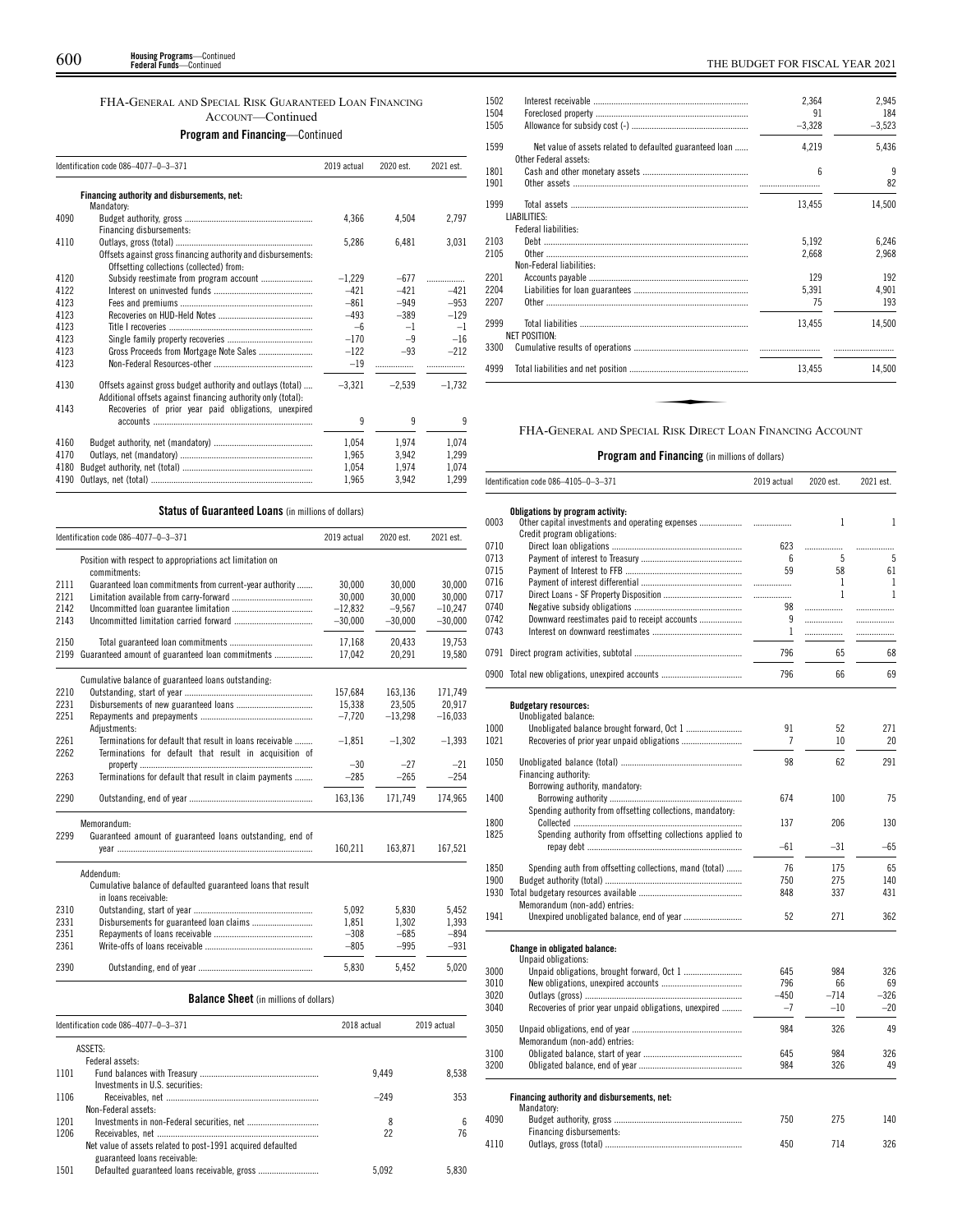#### FHA-GENERAL AND SPECIAL RISK GUARANTEED LOAN FINANCING ACCOUNT—Continued **Program and Financing**—Continued

|      | Identification code 086-4077-0-3-371                                                                                       | 2019 actual | 2020 est. | 2021 est. |
|------|----------------------------------------------------------------------------------------------------------------------------|-------------|-----------|-----------|
|      | Financing authority and disbursements, net:<br>Mandatory:                                                                  |             |           |           |
| 4090 | Financing disbursements:                                                                                                   | 4.366       | 4.504     | 2.797     |
| 4110 | Offsets against gross financing authority and disbursements:<br>Offsetting collections (collected) from:                   | 5,286       | 6,481     | 3,031     |
| 4120 |                                                                                                                            | $-1,229$    | $-677$    |           |
| 4122 |                                                                                                                            | $-421$      | $-421$    | $-421$    |
| 4123 |                                                                                                                            | $-861$      | $-949$    | $-953$    |
| 4123 |                                                                                                                            | $-493$      | $-389$    | $-129$    |
| 4123 |                                                                                                                            | $-6$        | $-1$      | $-1$      |
| 4123 |                                                                                                                            | $-170$      | $-9$      | $-16$     |
| 4123 | Gross Proceeds from Mortgage Note Sales                                                                                    | $-122$      | $-93$     | $-212$    |
| 4123 |                                                                                                                            | $-19$       | .         |           |
| 4130 | Offsets against gross budget authority and outlays (total)<br>Additional offsets against financing authority only (total): | $-3,321$    | $-2.539$  | $-1.732$  |
| 4143 | Recoveries of prior year paid obligations, unexpired                                                                       | 9           | 9         | 9         |
| 4160 |                                                                                                                            | 1.054       | 1.974     | 1.074     |
| 4170 |                                                                                                                            | 1,965       | 3,942     | 1.299     |
| 4180 |                                                                                                                            | 1,054       | 1,974     | 1,074     |
| 4190 |                                                                                                                            | 1,965       | 3,942     | 1,299     |

### **Status of Guaranteed Loans** (in millions of dollars)

|      | Identification code 086-4077-0-3-371                                      | 2019 actual | 2020 est. | 2021 est.   |
|------|---------------------------------------------------------------------------|-------------|-----------|-------------|
|      | Position with respect to appropriations act limitation on<br>commitments: |             |           |             |
| 2111 | Guaranteed loan commitments from current-year authority                   | 30.000      | 30,000    | 30,000      |
| 2121 |                                                                           | 30,000      | 30,000    | 30,000      |
| 2142 |                                                                           | $-12,832$   | $-9,567$  | $-10,247$   |
| 2143 |                                                                           | $-30,000$   | $-30,000$ | $-30,000$   |
| 2150 |                                                                           | 17,168      | 20.433    | 19,753      |
| 2199 | Guaranteed amount of guaranteed loan commitments                          | 17,042      | 20,291    | 19,580      |
|      | Cumulative balance of guaranteed loans outstanding.                       |             |           |             |
| 2210 |                                                                           | 157,684     | 163,136   | 171,749     |
| 2231 |                                                                           | 15,338      | 23,505    | 20,917      |
| 2251 | Adjustments:                                                              | $-7.720$    | $-13,298$ | $-16,033$   |
| 2261 | Terminations for default that result in loans receivable                  | $-1,851$    | $-1,302$  | $-1,393$    |
| 2262 | Terminations for default that result in acquisition of                    |             |           |             |
|      |                                                                           | $-30$       | $-27$     | $-21$       |
| 2263 | Terminations for default that result in claim payments                    | $-285$      | $-265$    | $-254$      |
| 2290 |                                                                           | 163,136     | 171,749   | 174,965     |
|      | Memorandum:                                                               |             |           |             |
| 2299 | Guaranteed amount of guaranteed loans outstanding, end of                 | 160,211     | 163,871   | 167,521     |
|      | Addendum:                                                                 |             |           |             |
|      | Cumulative balance of defaulted guaranteed loans that result              |             |           |             |
|      | in loans receivable:                                                      |             |           |             |
| 2310 |                                                                           | 5.092       | 5.830     | 5.452       |
| 2331 |                                                                           | 1,851       | 1,302     | 1,393       |
| 2351 |                                                                           | $-308$      | $-685$    | $-894$      |
| 2361 |                                                                           | $-805$      | $-995$    | $-931$      |
| 2390 |                                                                           | 5,830       | 5,452     | 5,020       |
|      | <b>Balance Sheet</b> (in millions of dollars)                             |             |           |             |
|      | Identification code 086-4077-0-3-371                                      | 2018 actual |           | 2019 actual |

|      |                                                             |        | 1.9.7011001 |
|------|-------------------------------------------------------------|--------|-------------|
|      | ASSETS:                                                     |        |             |
|      | Federal assets:                                             |        |             |
| 1101 |                                                             | 9.449  | 8.538       |
|      | Investments in U.S. securities:                             |        |             |
| 1106 |                                                             | $-249$ | 353         |
|      | Non-Federal assets:                                         |        |             |
| 1201 |                                                             | 8      | 6           |
| 1206 |                                                             | 22     | 76          |
|      | Net value of assets related to post-1991 acquired defaulted |        |             |
|      | guaranteed loans receivable:                                |        |             |
| 1501 |                                                             | 5.092  | 5.830       |
|      |                                                             |        |             |

| 2,945    | 2,364    |                                                                                   | 1502 |
|----------|----------|-----------------------------------------------------------------------------------|------|
| 184      | 91       |                                                                                   | 1504 |
| $-3,523$ | $-3,328$ |                                                                                   | 1505 |
| 5,436    | 4.219    | Net value of assets related to defaulted guaranteed loan<br>Other Federal assets: | 1599 |
| 9        | 6        |                                                                                   | 1801 |
| 82       |          |                                                                                   | 1901 |
| 14,500   | 13,455   |                                                                                   | 1999 |
|          |          | LIABILITIES:                                                                      |      |
|          |          | Federal liabilities:                                                              |      |
| 6.246    | 5.192    |                                                                                   | 2103 |
| 2,968    | 2,668    |                                                                                   | 2105 |
|          |          | Non-Federal liabilities:                                                          |      |
| 192      | 129      |                                                                                   | 2201 |
| 4,901    | 5,391    |                                                                                   | 2204 |
| 193      | 75       |                                                                                   | 2207 |
| 14,500   | 13,455   | <b>NET POSITION:</b>                                                              | 2999 |
|          |          |                                                                                   | 3300 |
| 14,500   | 13,455   |                                                                                   | 4999 |
|          |          | FHA-GENERAL AND SPECIAL RISK DIRECT LOAN FINANCING ACCOUNT                        |      |

|      | Identification code 086-4105-0-3-371                       | 2019 actual  | 2020 est.    | 2021 est.    |
|------|------------------------------------------------------------|--------------|--------------|--------------|
|      | Obligations by program activity:                           |              |              |              |
| 0003 | Other capital investments and operating expenses           | .            | 1            | $\mathbf{1}$ |
|      | Credit program obligations:                                |              |              |              |
| 0710 |                                                            | 623          | .            |              |
| 0713 |                                                            | 6            | 5            | 5            |
| 0715 |                                                            | 59           | 58           | 61           |
| 0716 |                                                            | .            | $\mathbf{1}$ | 1            |
| 0717 |                                                            | .            | 1            | $\mathbf{1}$ |
| 0740 |                                                            | 98           | .            |              |
| 0742 | Downward reestimates paid to receipt accounts              | 9            | .            | .            |
| 0743 |                                                            | $\mathbf{1}$ |              |              |
| 0791 |                                                            | 796          | 65           | 68           |
|      | 0900 Total new obligations, unexpired accounts             | 796          | 66           | 69           |
|      | <b>Budgetary resources:</b><br>Unobligated balance:        |              |              |              |
| 1000 |                                                            | 91           | 52           | 271          |
| 1021 |                                                            | 7            | 10           | 20           |
| 1050 |                                                            | 98           | 62           | 291          |
|      | Financing authority:                                       |              |              |              |
|      | Borrowing authority, mandatory:                            |              |              |              |
| 1400 |                                                            | 674          | 100          | 75           |
|      | Spending authority from offsetting collections, mandatory: |              |              |              |
| 1800 |                                                            | 137          | 206          | 130          |
| 1825 | Spending authority from offsetting collections applied to  | $-61$        | $-31$        | -65          |
|      |                                                            |              |              |              |
| 1850 | Spending auth from offsetting collections, mand (total)    | 76           | 175          | 65           |
| 1900 |                                                            | 750          | 275          | 140          |
| 1930 |                                                            | 848          | 337          | 431          |
|      | Memorandum (non-add) entries:                              |              |              |              |
| 1941 |                                                            | 52           | 271          | 362          |
|      | <b>Change in obligated balance:</b>                        |              |              |              |
| 3000 | Unpaid obligations:                                        | 645          | 984          | 326          |
| 3010 |                                                            | 796          | 66           | 69           |
| 3020 |                                                            | $-450$       | $-714$       | $-326$       |
| 3040 | Recoveries of prior year unpaid obligations, unexpired     | $-7$         | $-10$        | $-20$        |
|      |                                                            |              |              |              |
| 3050 | Memorandum (non-add) entries:                              | 984          | 326          | 49           |
| 3100 |                                                            | 645          | 984          | 326          |
| 3200 |                                                            | 984          | 326          | 49           |
|      |                                                            |              |              |              |
|      | Financing authority and disbursements, net:<br>Mandatory:  |              |              |              |
| 4090 |                                                            | 750          | 275          | 140          |
|      | Financing disbursements:                                   |              |              |              |
| 4110 |                                                            | 450          | 714          | 326          |
|      |                                                            |              |              |              |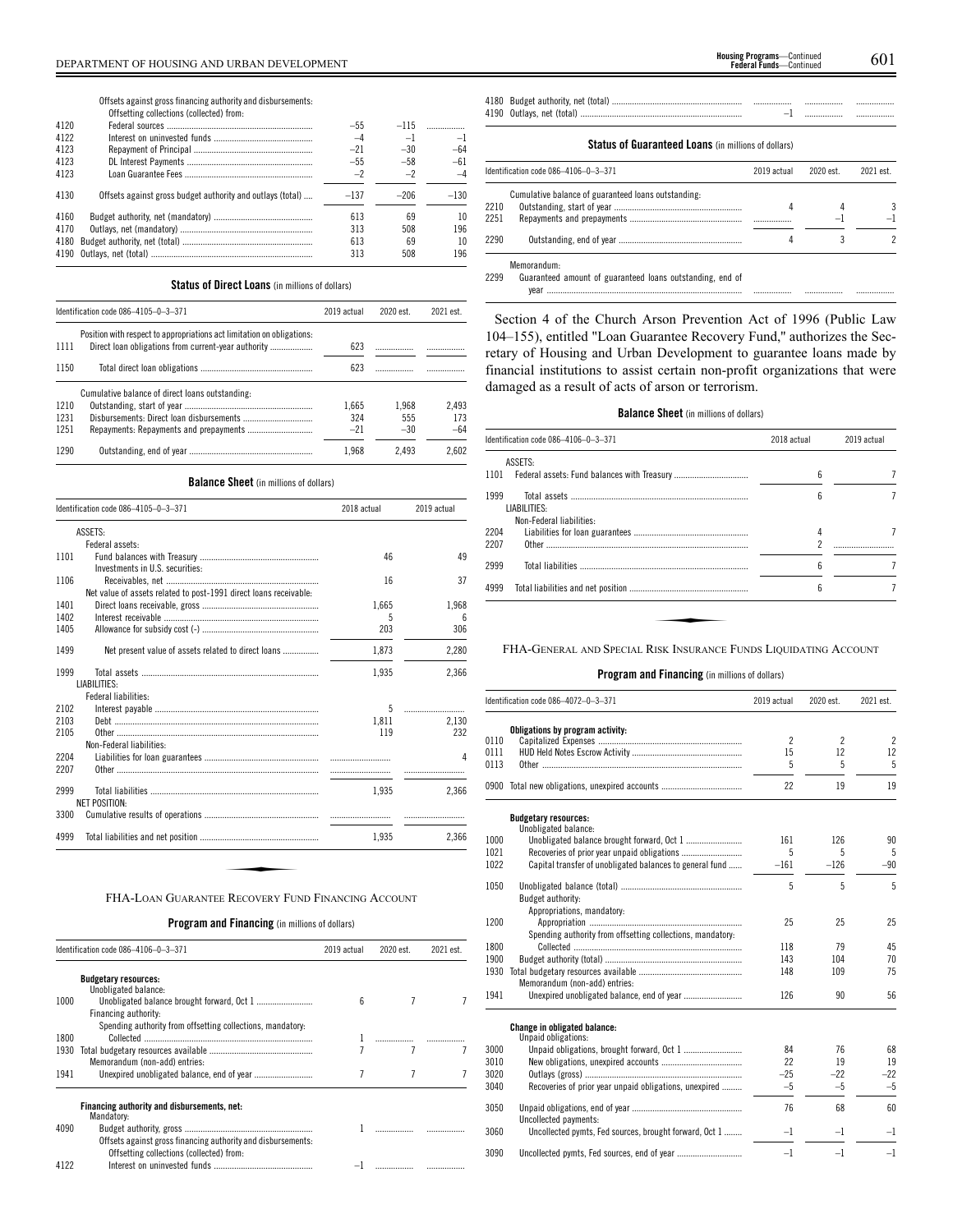Offsets against grossfinancing authority and disbursements:

|      | Offsetting collections (collected) from:                   |        |        |        |
|------|------------------------------------------------------------|--------|--------|--------|
| 4120 |                                                            | $-55$  | $-115$ |        |
| 4122 |                                                            | $-4$   | $-1$   | $-1$   |
| 4123 |                                                            | $-21$  | $-30$  | $-64$  |
| 4123 |                                                            | $-55$  | $-58$  | $-61$  |
| 4123 |                                                            | $-2$   | $-2$   | $-4$   |
| 4130 | Offsets against gross budget authority and outlays (total) | $-137$ | $-206$ | $-130$ |
| 4160 |                                                            | 613    | 69     | 10     |
| 4170 |                                                            | 313    | 508    | 196    |
| 4180 |                                                            | 613    | 69     | 10     |
| 4190 |                                                            | 313    | 508    | 196    |
|      |                                                            |        |        |        |

#### **Status of Direct Loans** (in millions of dollars)

|      | Identification code 086-4105-0-3-371                                   | 2019 actual | 2020 est. | 2021 est. |
|------|------------------------------------------------------------------------|-------------|-----------|-----------|
| 1111 | Position with respect to appropriations act limitation on obligations: | 623         |           |           |
| 1150 |                                                                        | 623         |           |           |
|      | Cumulative balance of direct loans outstanding:                        |             |           |           |
| 1210 |                                                                        | 1.665       | 1.968     | 2.493     |
| 1231 |                                                                        | 324         | 555       | 173       |
| 1251 |                                                                        | $-21$       | $-30$     | $-64$     |
| 1290 |                                                                        | 1.968       | 2.493     | 2.602     |

#### **Balance Sheet** (in millions of dollars)

|      | Identification code 086-4105-0-3-371                              | 2018 actual | 2019 actual |
|------|-------------------------------------------------------------------|-------------|-------------|
|      | ASSETS:                                                           |             |             |
|      | Federal assets:                                                   |             |             |
| 1101 |                                                                   | 46          | 49          |
|      | Investments in U.S. securities:                                   |             |             |
| 1106 |                                                                   | 16          | 37          |
|      | Net value of assets related to post-1991 direct loans receivable: |             |             |
| 1401 |                                                                   | 1.665       | 1,968       |
| 1402 |                                                                   | 5           | 6           |
| 1405 |                                                                   | 203         | 306         |
| 1499 | Net present value of assets related to direct loans               | 1,873       | 2,280       |
| 1999 |                                                                   | 1.935       | 2.366       |
|      | LIABILITIES:                                                      |             |             |
|      | <b>Federal liabilities:</b>                                       |             |             |
| 2102 |                                                                   | 5           |             |
| 2103 |                                                                   | 1,811       | 2.130       |
| 2105 |                                                                   | 119         | 232         |
|      | Non-Federal liabilities:                                          |             |             |
| 2204 |                                                                   |             | 4           |
| 2207 |                                                                   |             |             |
| 2999 |                                                                   | 1.935       | 2.366       |
|      | <b>NET POSITION:</b>                                              |             |             |
| 3300 |                                                                   |             |             |
| 4999 |                                                                   | 1.935       | 2,366       |

#### **Program and Financing** (in millions of dollars)

|      | Identification code 086-4106-0-3-371                                                                     | 2019 actual | 2020 est. | 2021 est. |
|------|----------------------------------------------------------------------------------------------------------|-------------|-----------|-----------|
|      | <b>Budgetary resources:</b><br>Unobligated balance:                                                      |             |           |           |
| 1000 |                                                                                                          | հ           |           |           |
|      | Financing authority:                                                                                     |             |           |           |
|      | Spending authority from offsetting collections, mandatory.                                               |             |           |           |
| 1800 |                                                                                                          |             |           |           |
| 1930 | Memorandum (non-add) entries:                                                                            |             |           |           |
| 1941 |                                                                                                          |             |           |           |
|      | Financing authority and disbursements, net:<br>Mandatory:                                                |             |           |           |
| 4090 | Offsets against gross financing authority and disbursements:<br>Offsetting collections (collected) from: |             |           |           |
| 4122 |                                                                                                          |             |           |           |

|  |     | <br> |
|--|-----|------|
|  | $-$ | <br> |

#### **Status of Guaranteed Loans** (in millions of dollars)

|              | Identification code 086-4106-0-3-371                                     | 2019 actual | 2020 est. | 2021 est. |
|--------------|--------------------------------------------------------------------------|-------------|-----------|-----------|
| 2210<br>2251 | Cumulative balance of guaranteed loans outstanding.                      |             | - 1       | 3         |
| 2290         |                                                                          |             |           |           |
| 2299         | Memorandum:<br>Guaranteed amount of guaranteed loans outstanding, end of |             |           |           |

Section 4 of the Church Arson Prevention Act of 1996 (Public Law 104–155), entitled "Loan Guarantee Recovery Fund,'' authorizes the Secretary of Housing and Urban Development to guarantee loans made by financial institutions to assist certain non-profit organizations that were damaged as a result of acts of arson or terrorism.

#### **Balance Sheet** (in millions of dollars)

|      | Identification code 086-4106-0-3-371                             | 2018 actual |  |
|------|------------------------------------------------------------------|-------------|--|
|      | ASSETS:                                                          |             |  |
|      | 1101 Federal assets: Fund balances with Treasury                 | 6           |  |
| 1999 | LIABILITIES:                                                     | 6           |  |
|      | Non-Federal liabilities:                                         |             |  |
| 2204 |                                                                  | 4           |  |
| 2207 |                                                                  | 2           |  |
| 2999 |                                                                  | 6           |  |
| 4999 |                                                                  | 6           |  |
|      |                                                                  |             |  |
|      |                                                                  |             |  |
|      | FHA-GENERAL AND SPECIAL RISK INSURANCE FUNDS LIQUIDATING ACCOUNT |             |  |

|      | Identification code 086-4072-0-3-371                       | 2019 actual    | 2020 est.                | 2021 est.      |
|------|------------------------------------------------------------|----------------|--------------------------|----------------|
| 0110 | Obligations by program activity:                           | $\overline{2}$ | $\overline{\phantom{a}}$ | $\overline{2}$ |
| 0111 |                                                            | 15             | 12                       | 12             |
| 0113 |                                                            | 5              | 5                        | 5              |
|      |                                                            |                |                          |                |
|      | 0900 Total new obligations, unexpired accounts             | 22             | 19                       | 19             |
|      | <b>Budgetary resources:</b><br>Unobligated balance:        |                |                          |                |
| 1000 |                                                            | 161            | 126                      | 90             |
| 1021 |                                                            | 5              | 5                        | 5              |
| 1022 | Capital transfer of unobligated balances to general fund   | $-161$         | $-126$                   | $-90$          |
| 1050 | Budget authority:                                          | 5              | 5                        | 5              |
|      | Appropriations, mandatory:                                 |                |                          |                |
| 1200 |                                                            | 25             | 25                       | 25             |
|      | Spending authority from offsetting collections, mandatory. |                |                          |                |
| 1800 |                                                            | 118            | 79                       | 45             |
| 1900 |                                                            | 143            | 104                      | 70             |
| 1930 |                                                            | 148            | 109                      | 75             |
|      | Memorandum (non-add) entries:                              |                |                          |                |
| 1941 |                                                            | 126            | 90                       | 56             |
|      | Change in obligated balance:<br>Unpaid obligations:        |                |                          |                |
| 3000 |                                                            | 84             | 76                       | 68             |
| 3010 |                                                            | 22             | 19                       | 19             |
| 3020 |                                                            | $-25$          | $-22$                    | $-22$          |
| 3040 | Recoveries of prior year unpaid obligations, unexpired     | $-5$           | $-5$                     | $-5$           |
| 3050 | Uncollected payments:                                      | 76             | 68                       | 60             |
| 3060 | Uncollected pymts, Fed sources, brought forward, Oct 1     | $-1$           | $-1$                     | $-1$           |
| 3090 |                                                            | $-1$           | $-1$                     | $-1$           |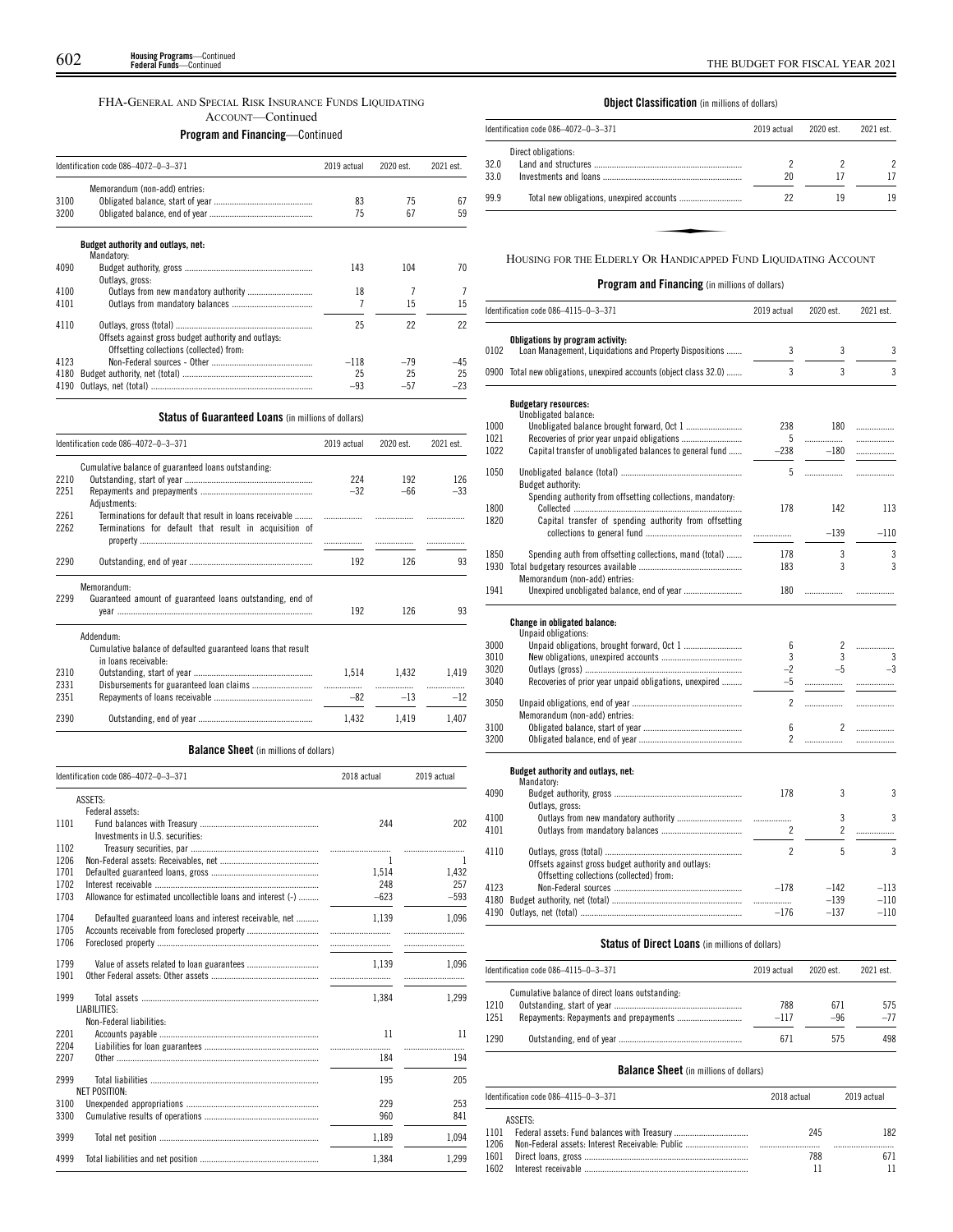### FHA-GENERAL AND SPECIAL RISK INSURANCE FUNDS LIQUIDATING ACCOUNT—Continued

**Program and Financing**—Continued

|      | Identification code 086-4072-0-3-371                                                            | 2019 actual | 2020 est. | 2021 est. |
|------|-------------------------------------------------------------------------------------------------|-------------|-----------|-----------|
|      | Memorandum (non-add) entries:                                                                   |             |           |           |
| 3100 |                                                                                                 | 83          | 75        | 67        |
| 3200 |                                                                                                 | 75          | 67        | 59        |
|      | Budget authority and outlays, net:<br>Mandatory:                                                |             |           |           |
| 4090 |                                                                                                 | 143         | 104       | 70        |
|      | Outlays, gross:                                                                                 |             |           |           |
| 4100 |                                                                                                 | 18          |           |           |
| 4101 |                                                                                                 | 7           | 15        | 15        |
| 4110 | Offsets against gross budget authority and outlays:<br>Offsetting collections (collected) from: | 25          | 22        | 22        |
| 4123 |                                                                                                 | $-118$      | $-79$     | $-45$     |
| 4180 |                                                                                                 | 25          | 25        | 25        |
| 4190 |                                                                                                 | $-93$       | $-57$     | $-23$     |

### Identification code 086–4072–0–3–371 2019 actual 2020 est. 2021 est. Cumulative balance of guaranteed loans outstanding:

**Status of Guaranteed Loans** (in millions of dollars)

| 2210         |                                                                                                                    | 224   | 192   | 126        |
|--------------|--------------------------------------------------------------------------------------------------------------------|-------|-------|------------|
| 2251         | Adiustments:                                                                                                       | $-32$ | $-66$ | $-33$      |
| 2261<br>2262 | Terminations for default that result in loans receivable<br>Terminations for default that result in acquisition of | .     |       |            |
| 2290         |                                                                                                                    | 192   | 126   | 93         |
|              | Memorandum:                                                                                                        |       |       |            |
| 2299         | Guaranteed amount of guaranteed loans outstanding, end of                                                          | 192   | 126   | 93         |
|              | Addendum:<br>Cumulative balance of defaulted guaranteed loans that result<br>in loans receivable:                  |       |       |            |
| 2310<br>2331 |                                                                                                                    | 1.514 | 1.432 | 1.419      |
| 2351         |                                                                                                                    | $-82$ | $-13$ | .<br>$-12$ |
| 2390         |                                                                                                                    | 1.432 | 1.419 | 1.407      |

#### **Balance Sheet** (in millions of dollars)

|      | Identification code 086-4072-0-3-371                         | 2018 actual | 2019 actual |
|------|--------------------------------------------------------------|-------------|-------------|
|      | ASSETS:                                                      |             |             |
|      | Federal assets:                                              |             |             |
| 1101 |                                                              | 244         | 202         |
| 1102 | Investments in U.S. securities:                              |             |             |
| 1206 |                                                              | 1           |             |
| 1701 |                                                              | 1,514       | 1,432       |
| 1702 |                                                              | 248         | 257         |
| 1703 | Allowance for estimated uncollectible loans and interest (-) | $-623$      | $-593$      |
|      |                                                              |             |             |
| 1704 | Defaulted guaranteed loans and interest receivable, net      | 1.139       | 1.096       |
| 1705 |                                                              |             |             |
| 1706 |                                                              |             |             |
|      |                                                              |             |             |
| 1799 |                                                              | 1.139       | 1.096       |
| 1901 |                                                              |             |             |
| 1999 |                                                              | 1.384       | 1.299       |
|      | LIABILITIES:                                                 |             |             |
|      | Non-Federal liabilities:                                     |             |             |
| 2201 |                                                              | 11          | 11          |
| 2204 |                                                              |             |             |
| 2207 |                                                              | 184         | 194         |
|      |                                                              |             |             |
| 2999 |                                                              | 195         | 205         |
|      | <b>NET POSITION:</b>                                         |             |             |
| 3100 |                                                              | 229         | 253         |
| 3300 |                                                              | 960         | 841         |
| 3999 |                                                              | 1.189       | 1.094       |
|      |                                                              |             |             |
| 4999 |                                                              | 1,384       | 1,299       |

#### **Object Classification** (in millions of dollars)

|      | Identification code 086-4072-0-3-371                            | 2019 actual | 2020 est. | 2021 est. |
|------|-----------------------------------------------------------------|-------------|-----------|-----------|
| 32.0 | Direct obligations:                                             |             |           |           |
| 33.0 |                                                                 | 20          | 17        |           |
| 99.9 |                                                                 | 22          | 19        | 19        |
|      |                                                                 |             |           |           |
|      | HOUSING FOR THE ELDERLY OR HANDICAPPED FUND LIQUIDATING ACCOUNT |             |           |           |

### **Program and Financing** (in millions of dollars)

|              | Identification code 086-4115-0-3-371                                                        | 2019 actual              | 2020 est.      | 2021 est. |
|--------------|---------------------------------------------------------------------------------------------|--------------------------|----------------|-----------|
| 0102         | Obligations by program activity:<br>Loan Management, Liquidations and Property Dispositions | 3                        | 3              | 3         |
|              | 0900 Total new obligations, unexpired accounts (object class 32.0)                          | 3                        | 3              | 3         |
|              | <b>Budgetary resources:</b>                                                                 |                          |                |           |
|              | Unobligated balance:                                                                        |                          |                |           |
| 1000<br>1021 |                                                                                             | 238<br>5                 | 180<br>.       | .         |
| 1022         | Capital transfer of unobligated balances to general fund                                    | $-238$                   | $-180$         | .<br>.    |
|              |                                                                                             |                          |                |           |
| 1050         |                                                                                             | 5                        | .              | .         |
|              | Budget authority:                                                                           |                          |                |           |
|              | Spending authority from offsetting collections, mandatory:                                  |                          |                |           |
| 1800<br>1820 | Capital transfer of spending authority from offsetting                                      | 178                      | 142            | 113       |
|              |                                                                                             | .                        | $-139$         | $-110$    |
|              |                                                                                             |                          |                |           |
| 1850         | Spending auth from offsetting collections, mand (total)                                     | 178                      | 3              | 3         |
| 1930         |                                                                                             | 183                      | 3              | 3         |
|              | Memorandum (non-add) entries:                                                               |                          |                |           |
| 1941         |                                                                                             | 180                      | .              |           |
|              | Change in obligated balance:<br>Unpaid obligations:                                         |                          |                |           |
| 3000         |                                                                                             | 6                        | 2              | .         |
| 3010         |                                                                                             | 3                        | 3              | 3         |
| 3020         |                                                                                             | $-2$                     | $-5$           | $-3$      |
| 3040         | Recoveries of prior year unpaid obligations, unexpired                                      | $-5$                     | .              |           |
| 3050         |                                                                                             | $\overline{2}$           | .              | .         |
|              | Memorandum (non-add) entries:                                                               |                          |                |           |
| 3100         |                                                                                             | 6                        | $\overline{2}$ | .         |
| 3200         |                                                                                             | $\overline{2}$           | .              | .         |
|              | Budget authority and outlays, net:<br>Mandatory:                                            |                          |                |           |
| 4090         |                                                                                             | 178                      | 3              | 3         |
|              | Outlays, gross:                                                                             |                          |                |           |
| 4100         |                                                                                             | .                        | 3              | 3         |
| 4101         |                                                                                             | 2                        | $\overline{c}$ | .         |
| 4110         | Offsets against gross budget authority and outlays:                                         | $\overline{\phantom{a}}$ | 5              | 3         |
|              | Offsetting collections (collected) from:                                                    |                          |                |           |
| 4123         |                                                                                             | $-178$                   | $-142$         | $-113$    |
| 4180         |                                                                                             |                          | $-139$         | $-110$    |
|              |                                                                                             | $-176$                   | $-137$         | $-110$    |

#### **Status of Direct Loans** (in millions of dollars)

|      | Identification code 086-4115-0-3-371<br>2019 actual<br>2020 est. |        | 2021 est. |       |
|------|------------------------------------------------------------------|--------|-----------|-------|
|      | Cumulative balance of direct loans outstanding:                  |        |           |       |
| 1210 |                                                                  | 788    | 671       | 575   |
| 1251 |                                                                  | $-117$ | $-96$     | $-77$ |
| 1290 |                                                                  | 671    | 575       | 498   |

#### **Balance Sheet** (in millions of dollars)

|      | Identification code 086-4115-0-3-371             | 2018 actual | 2019 actual |  |
|------|--------------------------------------------------|-------------|-------------|--|
|      | ASSETS-                                          |             |             |  |
|      | 1101 Federal assets: Fund balances with Treasury | 245         | 182         |  |
| 1206 |                                                  |             |             |  |
|      |                                                  | 788         | 671         |  |
|      |                                                  |             |             |  |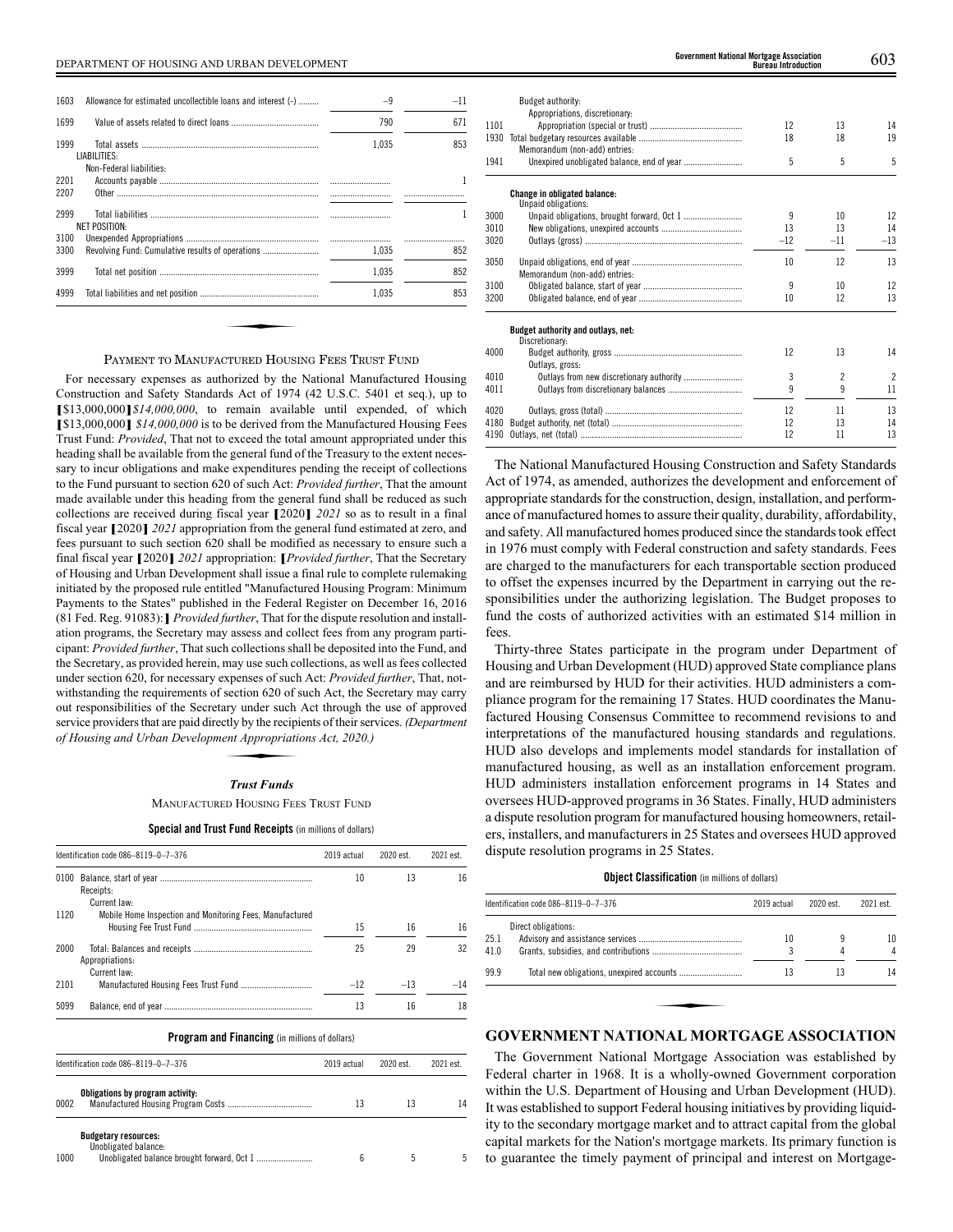### DEPARTMENT OF HOUSING AND URBAN DEVELOPMENT 603 **Government National Mortgage Association**

| 1603         | Allowance for estimated uncollectible loans and interest (-)                                                                         | $-9$  | $-11$ |
|--------------|--------------------------------------------------------------------------------------------------------------------------------------|-------|-------|
| 1699         |                                                                                                                                      | 790   | 671   |
| 1999         | LIABILITIES:                                                                                                                         | 1.035 | 853   |
| 2201<br>2207 | Non-Federal liabilities:                                                                                                             |       |       |
| 2999         | NET POSITION:                                                                                                                        |       |       |
| 3100<br>3300 | Revolving Fund: Cumulative results of operations                                                                                     | 1.035 | 852   |
| 3999         |                                                                                                                                      | 1.035 | 852   |
| 4999         |                                                                                                                                      | 1.035 | 853   |
|              |                                                                                                                                      |       |       |
|              | $\mathbf{D}$ , and an and $\mathbf{M}$ , and an anomaly $\mathbf{H}$ , and an anomaly $\mathbf{D}$ and $\mathbf{D}$ and $\mathbf{D}$ |       |       |

#### PAYMENT TO MANUFACTURED HOUSING FEES TRUST FUND

For necessary expenses as authorized by the National Manufactured Housing Construction and Safety Standards Act of 1974 (42 U.S.C. 5401 et seq.), up to **[**\$13,000,000**]***\$14,000,000*, to remain available until expended, of which **[**\$13,000,000**]** *\$14,000,000* is to be derived from the Manufactured Housing Fees Trust Fund: *Provided*, That not to exceed the total amount appropriated under this heading shall be available from the general fund of the Treasury to the extent necessary to incur obligations and make expenditures pending the receipt of collections to the Fund pursuant to section 620 of such Act: *Provided further*, That the amount made available under this heading from the general fund shall be reduced as such collections are received during fiscal year **[**2020**]** *<sup>2021</sup>*so as to result in a final fiscal year **[**2020**]** *<sup>2021</sup>*appropriation from the general fund estimated at zero, and fees pursuant to such section 620 shall be modified as necessary to ensure such a final fiscal year **[**2020**]** *<sup>2021</sup>*appropriation: **[***Provided further*, That the Secretary of Housing and Urban Development shall issue a final rule to complete rulemaking initiated by the proposed rule entitled "Manufactured Housing Program: Minimum Payments to the States" published in the Federal Register on December 16, 2016 (81 Fed. Reg. 91083):**]***Provided further*, That for the dispute resolution and installation programs, the Secretary may assess and collect fees from any program participant: *Provided further*, That such collections shall be deposited into the Fund, and the Secretary, as provided herein, may use such collections, as well as fees collected under section 620, for necessary expenses of such Act: *Provided further*, That, notwithstanding the requirements of section 620 of such Act, the Secretary may carry out responsibilities of the Secretary under such Act through the use of approved service providers that are paid directly by the recipients of their services. *(Department of Housing and Urban Development Appropriations Act, 2020.)* section 620 of s<br>ary under such<br>ctly by the recipi<br>ent Appropriation

#### *Trust Funds*

MANUFACTURED HOUSING FEES TRUST FUND

| Special and Trust Fund Receipts (in millions of dollars) |  |  |
|----------------------------------------------------------|--|--|
|----------------------------------------------------------|--|--|

|      | Identification code 086-8119-0-7-376                     | 2019 actual | 2020 est. | 2021 est. |
|------|----------------------------------------------------------|-------------|-----------|-----------|
| 0100 | Receipts:<br>Current law:                                | 10          | 13        | 16        |
| 1120 | Mobile Home Inspection and Monitoring Fees, Manufactured | 15          | 16        | 16        |
| 2000 | Appropriations:<br>Current law:                          | 25          | 29        | 32        |
| 2101 |                                                          | $-12$       | $-13$     | $-14$     |
| 5099 |                                                          | 13          | 16        | 18        |

| Identification code 086-8119-0-7-376                        |  | 2019 actual | 2020 est. | 2021 est. |
|-------------------------------------------------------------|--|-------------|-----------|-----------|
| Obligations by program activity:<br>0002                    |  | 13          | 13        | 14        |
| <b>Budgetary resources:</b><br>Unobligated balance:<br>1000 |  | ĥ           |           |           |

|      | Budget authority:                                    |       |                |                |
|------|------------------------------------------------------|-------|----------------|----------------|
| 1101 | Appropriations, discretionary:                       | 12    | 13             | 14             |
| 1930 |                                                      | 18    | 18             | 19             |
|      |                                                      |       |                |                |
|      | Memorandum (non-add) entries:                        |       |                |                |
| 1941 |                                                      | 5     | 5              | 5              |
|      | <b>Change in obligated balance:</b>                  |       |                |                |
|      | Unpaid obligations:                                  |       |                |                |
| 3000 |                                                      | 9     | 10             | 12             |
| 3010 |                                                      | 13    | 13             | 14             |
| 3020 |                                                      | $-12$ | $-11$          | $-13$          |
| 3050 |                                                      | 10    | 12             | 13             |
|      | Memorandum (non-add) entries:                        |       |                |                |
| 3100 |                                                      | 9     | 10             | 12             |
| 3200 |                                                      | 10    | 12             | 13             |
|      |                                                      |       |                |                |
|      | Budget authority and outlays, net:<br>Discretionary: |       |                |                |
| 4000 |                                                      | 12    | 13             | 14             |
|      | Outlavs, gross:                                      |       |                |                |
| 4010 |                                                      | 3     | $\overline{2}$ | $\overline{2}$ |
| 4011 |                                                      | 9     | 9              | 11             |
| 4020 |                                                      | 12    | 11             | 13             |
| 4180 |                                                      | 12    | 13             | 14             |
| 4190 |                                                      | 12    | 11             | 13             |
|      |                                                      |       |                |                |

The National Manufactured Housing Construction and Safety Standards Act of 1974, as amended, authorizes the development and enforcement of appropriate standards for the construction, design, installation, and performance of manufactured homes to assure their quality, durability, affordability, and safety. All manufactured homes produced since the standards took effect in 1976 must comply with Federal construction and safety standards. Fees are charged to the manufacturers for each transportable section produced to offset the expenses incurred by the Department in carrying out the responsibilities under the authorizing legislation. The Budget proposes to fund the costs of authorized activities with an estimated \$14 million in fees.

Thirty-three States participate in the program under Department of Housing and Urban Development (HUD) approved State compliance plans and are reimbursed by HUD for their activities. HUD administers a compliance program for the remaining 17 States. HUD coordinates the Manufactured Housing Consensus Committee to recommend revisions to and interpretations of the manufactured housing standards and regulations. HUD also develops and implements model standards for installation of manufactured housing, as well as an installation enforcement program. HUD administers installation enforcement programs in 14 States and oversees HUD-approved programs in 36 States. Finally, HUD administers a dispute resolution program for manufactured housing homeowners, retailers, installers, and manufacturers in 25 States and oversees HUD approved dispute resolution programs in 25 States.

|  |  | <b>Object Classification</b> (in millions of dollars) |  |  |  |  |  |
|--|--|-------------------------------------------------------|--|--|--|--|--|
|--|--|-------------------------------------------------------|--|--|--|--|--|

|      | Identification code 086-8119-0-7-376            | 2019 actual | 2020 est. | 2021 est. |
|------|-------------------------------------------------|-------------|-----------|-----------|
|      | Direct obligations:                             |             |           |           |
| 25.1 |                                                 | 10          |           | 10        |
| 41.0 |                                                 |             | 4         | 4         |
| 99.9 |                                                 | 13          | 13        | 14        |
|      |                                                 |             |           |           |
|      | <b>GOVERNMENT NATIONAL MORTGAGE ASSOCIATION</b> |             |           |           |

The Government National Mortgage Association was established by Federal charter in 1968. It is a wholly-owned Government corporation within the U.S. Department of Housing and Urban Development (HUD). It was established to support Federal housing initiatives by providing liquidity to the secondary mortgage market and to attract capital from the global capital markets for the Nation's mortgage markets. Its primary function is to guarantee the timely payment of principal and interest on Mortgage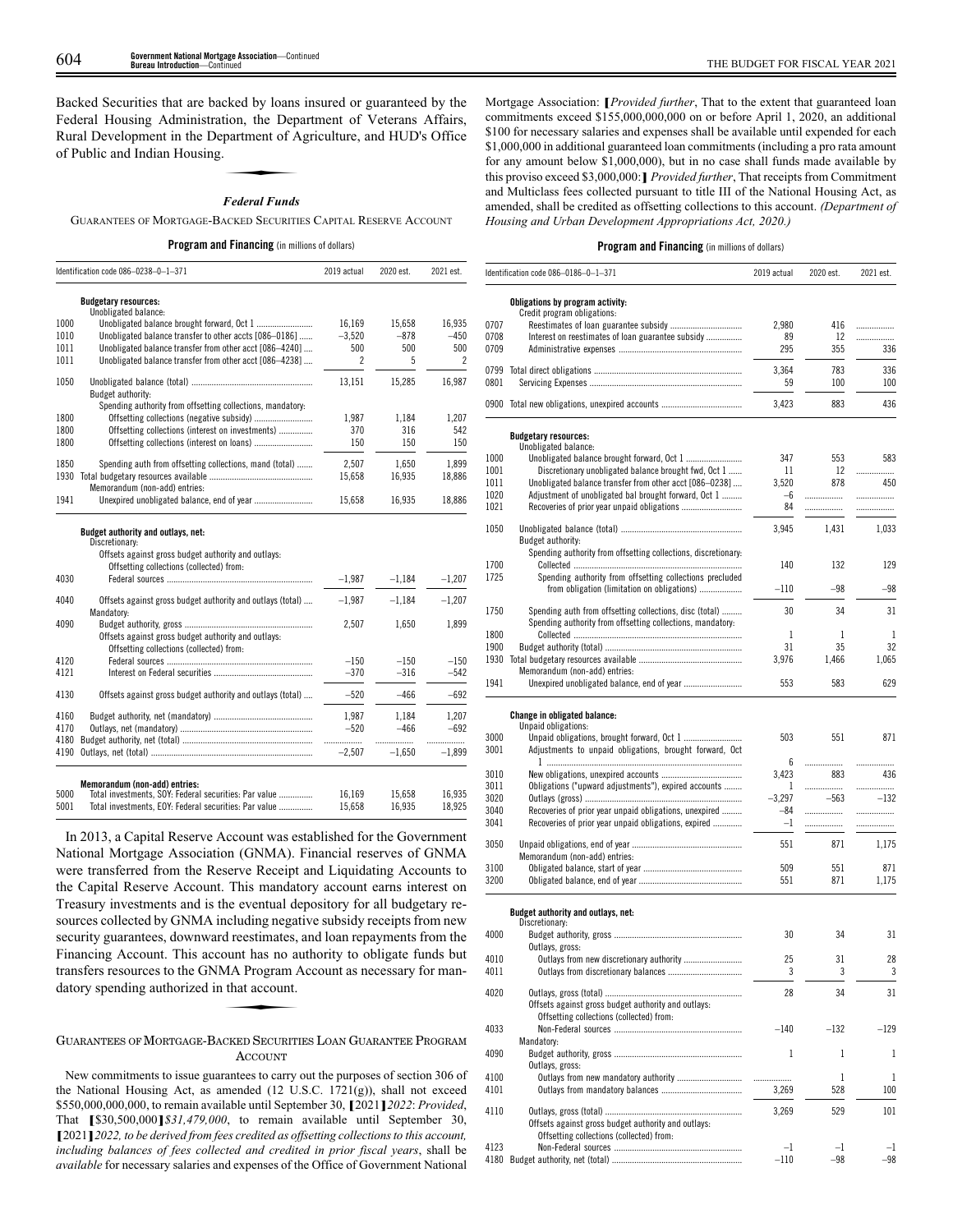Backed Securities that are backed by loans insured or guaranteed by the Bucked Securities that are stacked by Ioans Instated or guaranteed by the<br>Federal Housing Administration, the Department of Veterans Affairs,<br>Rural Development in the Department of Agriculture, and HUD's Office<br>of Public a Rural Development in the Department of Agriculture, and HUD's Office of Public and Indian Housing.

#### *Federal Funds*

GUARANTEES OF MORTGAGE-BACKED SECURITIES CAPITAL RESERVE ACCOUNT

#### **Program and Financing** (in millions of dollars)

|      | Identification code 086-0238-0-1-371                       | 2019 actual              | 2020 est. | 2021 est.      |
|------|------------------------------------------------------------|--------------------------|-----------|----------------|
|      | <b>Budgetary resources:</b>                                |                          |           |                |
|      | Unobligated balance:                                       |                          |           |                |
| 1000 |                                                            | 16,169                   | 15,658    | 16,935         |
| 1010 | Unobligated balance transfer to other accts [086-0186]     | $-3,520$                 | $-878$    | $-450$         |
| 1011 | Unobligated balance transfer from other acct [086-4240]    | 500                      | 500       | 500            |
| 1011 | Unobligated balance transfer from other acct [086-4238]    | $\overline{\phantom{a}}$ | 5         | $\overline{2}$ |
| 1050 |                                                            | 13,151                   | 15,285    | 16,987         |
|      | Budget authority:                                          |                          |           |                |
|      | Spending authority from offsetting collections, mandatory: |                          |           |                |
| 1800 | Offsetting collections (negative subsidy)                  | 1,987                    | 1,184     | 1,207          |
| 1800 | Offsetting collections (interest on investments)           | 370                      | 316       | 542            |
| 1800 |                                                            | 150                      | 150       | 150            |
| 1850 | Spending auth from offsetting collections, mand (total)    | 2.507                    | 1.650     | 1.899          |
| 1930 |                                                            | 15,658                   | 16,935    | 18,886         |
|      | Memorandum (non-add) entries:                              |                          |           |                |
| 1941 |                                                            | 15,658                   | 16,935    | 18,886         |
|      |                                                            |                          |           |                |
|      | Budget authority and outlays, net:                         |                          |           |                |
|      | Discretionary:                                             |                          |           |                |
|      | Offsets against gross budget authority and outlays:        |                          |           |                |
|      | Offsetting collections (collected) from:                   |                          |           |                |
| 4030 |                                                            | $-1.987$                 | $-1,184$  | $-1,207$       |
| 4040 | Offsets against gross budget authority and outlays (total) | $-1,987$                 | $-1.184$  | $-1,207$       |
|      | Mandatory:                                                 |                          |           |                |
| 4090 |                                                            | 2,507                    | 1,650     | 1,899          |
|      | Offsets against gross budget authority and outlays:        |                          |           |                |
|      | Offsetting collections (collected) from:                   |                          |           |                |
| 4120 |                                                            | $-150$                   | $-150$    | $-150$         |
| 4121 |                                                            | $-370$                   | $-316$    | $-542$         |
|      |                                                            |                          |           |                |
| 4130 | Offsets against gross budget authority and outlays (total) | $-520$                   | $-466$    | $-692$         |
| 4160 |                                                            | 1,987                    | 1.184     | 1.207          |
| 4170 |                                                            | $-520$                   | $-466$    | $-692$         |
| 4180 |                                                            | .                        | .         | .              |
| 4190 |                                                            | $-2,507$                 | $-1.650$  | $-1.899$       |
|      |                                                            |                          |           |                |
|      | Memorandum (non-add) entries:                              |                          |           |                |
| 5000 | Total investments, SOY: Federal securities: Par value      | 16,169                   | 15,658    | 16,935         |
| 5001 | Total investments, EOY: Federal securities: Par value      | 15,658                   | 16,935    | 18,925         |

1725

3

 $\overline{a}$ 

In 2013, a Capital Reserve Account was established for the Government National Mortgage Association (GNMA). Financial reserves of GNMA were transferred from the Reserve Receipt and Liquidating Accounts to the Capital Reserve Account. This mandatory account earns interest on Treasury investments and is the eventual depository for all budgetary resources collected by GNMA including negative subsidy receipts from new security guarantees, downward reestimates, and loan repayments from the Financing Account. This account has no authority to obligate funds but<br>Financing Account. This account has no authority to obligate funds but<br>transfers resources to the GNMA Program Account as necessary for man-<br>datory spe transfers resources to the GNMA Program Account as necessary for mandatory spending authorized in that account.

#### GUARANTEES OF MORTGAGE-BACKED SECURITIES LOAN GUARANTEE PROGRAM ACCOUNT

New commitments to issue guarantees to carry out the purposes of section 306 of the National Housing Act, as amended (12 U.S.C. 1721(g)), shall not exceed \$550,000,000,000, to remain available until September 30, **[**2021**]***2022*: *Provided*, That **[**\$30,500,000**]***\$31,479,000*, to remain available until September 30, **[**2021**]***2022, to be derived from fees credited as offsetting collections to this account, including balances of fees collected and credited in prior fiscal years*, shall be *available* for necessary salaries and expenses of the Office of Government National

Mortgage Association: **[***Provided further*, That to the extent that guaranteed loan commitments exceed \$155,000,000,000 on or before April 1, 2020, an additional \$100 for necessary salaries and expenses shall be available until expended for each \$1,000,000 in additional guaranteed loan commitments (including a pro rata amount for any amount below \$1,000,000), but in no case shall funds made available by this proviso exceed \$3,000,000:**]***Provided further*, That receipts from Commitment and Multiclass fees collected pursuant to title III of the National Housing Act, as amended, shall be credited as offsetting collections to this account. *(Department of Housing and Urban Development Appropriations Act, 2020.)*

|      | ldentification code 086–0186–0–1–371                           | 2019 actual | 2020 est. | 2021 est. |
|------|----------------------------------------------------------------|-------------|-----------|-----------|
|      | Obligations by program activity:                               |             |           |           |
|      | Credit program obligations:                                    |             |           |           |
| 0707 |                                                                | 2,980       | 416       |           |
| 0708 | Interest on reestimates of loan guarantee subsidy              | 89          | 12        |           |
| 0709 |                                                                | 295         | 355       | 336       |
|      |                                                                |             |           |           |
| 0799 |                                                                | 3,364       | 783       | 336       |
| 0801 |                                                                | 59          | 100       | 100       |
|      | 0900 Total new obligations, unexpired accounts                 | 3,423       | 883       | 436       |
|      |                                                                |             |           |           |
|      |                                                                |             |           |           |
|      | <b>Budgetary resources:</b><br>Unobligated balance:            |             |           |           |
| 1000 |                                                                | 347         | 553       | 583       |
| 1001 | Discretionary unobligated balance brought fwd, Oct 1           | 11          | 12        | .         |
| 1011 | Unobligated balance transfer from other acct [086-0238]        | 3,520       | 878       | 450       |
| 1020 | Adjustment of unobligated bal brought forward, Oct 1           | $-6$        |           |           |
| 1021 |                                                                | 84          | .         | .         |
|      |                                                                |             |           | .         |
| 1050 |                                                                | 3,945       | 1,431     | 1,033     |
|      | Budget authority:                                              |             |           |           |
|      | Spending authority from offsetting collections, discretionary: |             |           |           |
| 1700 |                                                                | 140         | 132       | 129       |
| 1725 | Spending authority from offsetting collections precluded       |             |           |           |
|      | from obligation (limitation on obligations)                    | $-110$      | -98       | $-98$     |
|      |                                                                |             |           |           |
| 1750 | Spending auth from offsetting collections, disc (total)        | 30          | 34        | 31        |
|      | Spending authority from offsetting collections, mandatory:     |             |           |           |
| 1800 |                                                                | 1           | 1         | 1         |
| 1900 |                                                                | 31          | 35        | 32        |
| 1930 |                                                                | 3,976       | 1,466     | 1,065     |
|      | Memorandum (non-add) entries:                                  |             |           |           |
| 1941 |                                                                | 553         | 583       | 629       |
|      |                                                                |             |           |           |
|      |                                                                |             |           |           |
|      | Change in obligated balance:                                   |             |           |           |
|      | Unpaid obligations:                                            |             |           |           |
| 3000 |                                                                | 503         | 551       | 871       |
| 3001 | Adjustments to unpaid obligations, brought forward, Oct        |             |           |           |
|      |                                                                | 6           |           |           |
| 3010 |                                                                | 3,423       | 883       | 436       |
| 3011 | Obligations ("upward adjustments"), expired accounts           | 1           |           |           |
| 3020 |                                                                | $-3,297$    | $-563$    | $-132$    |
| 3040 | Recoveries of prior year unpaid obligations, unexpired         | $-84$       |           |           |
| 3041 | Recoveries of prior year unpaid obligations, expired           | $-1$        | .         | .         |
|      |                                                                |             |           |           |
| 3050 |                                                                | 551         | 871       | 1,175     |
|      | Memorandum (non-add) entries:                                  |             |           |           |
| 3100 |                                                                | 509         | 551       | 871       |
| 3200 |                                                                | 551         | 871       | 1,175     |
|      |                                                                |             |           |           |
|      | Budget authority and outlays, net:                             |             |           |           |
|      | Discretionary:                                                 |             |           |           |
| 4000 |                                                                | 30          | 34        | 31        |
|      | Outlays, gross:                                                |             |           |           |
| 4010 | Outlays from new discretionary authority                       | 25          | 31        | 28        |
| 4011 |                                                                | 3           | 3         | 3         |
|      |                                                                |             |           |           |
| 4020 |                                                                | 28          | 34        | 31        |
|      | Offsets against gross budget authority and outlays:            |             |           |           |
|      | Offsetting collections (collected) from:                       |             |           |           |
| 4033 |                                                                | $-140$      | $-132$    | $-129$    |
|      | Mandatory:                                                     |             |           |           |
| 4090 |                                                                | 1           | 1         | 1         |
|      | Outlays, gross:                                                |             |           |           |
| 4100 | Outlays from new mandatory authority                           |             | 1         | 1         |
|      |                                                                |             |           |           |
| 4101 |                                                                | 3,269       | 528       | 100       |
| 4110 |                                                                | 3,269       | 529       | 101       |
|      | Offsets against gross budget authority and outlays:            |             |           |           |
|      | Offsetting collections (collected) from:                       |             |           |           |
| 4123 |                                                                | $^{-1}$     | $-1$      | $-1$      |
|      |                                                                | $-110$      | $-98$     | -98       |
|      |                                                                |             |           |           |
|      |                                                                |             |           |           |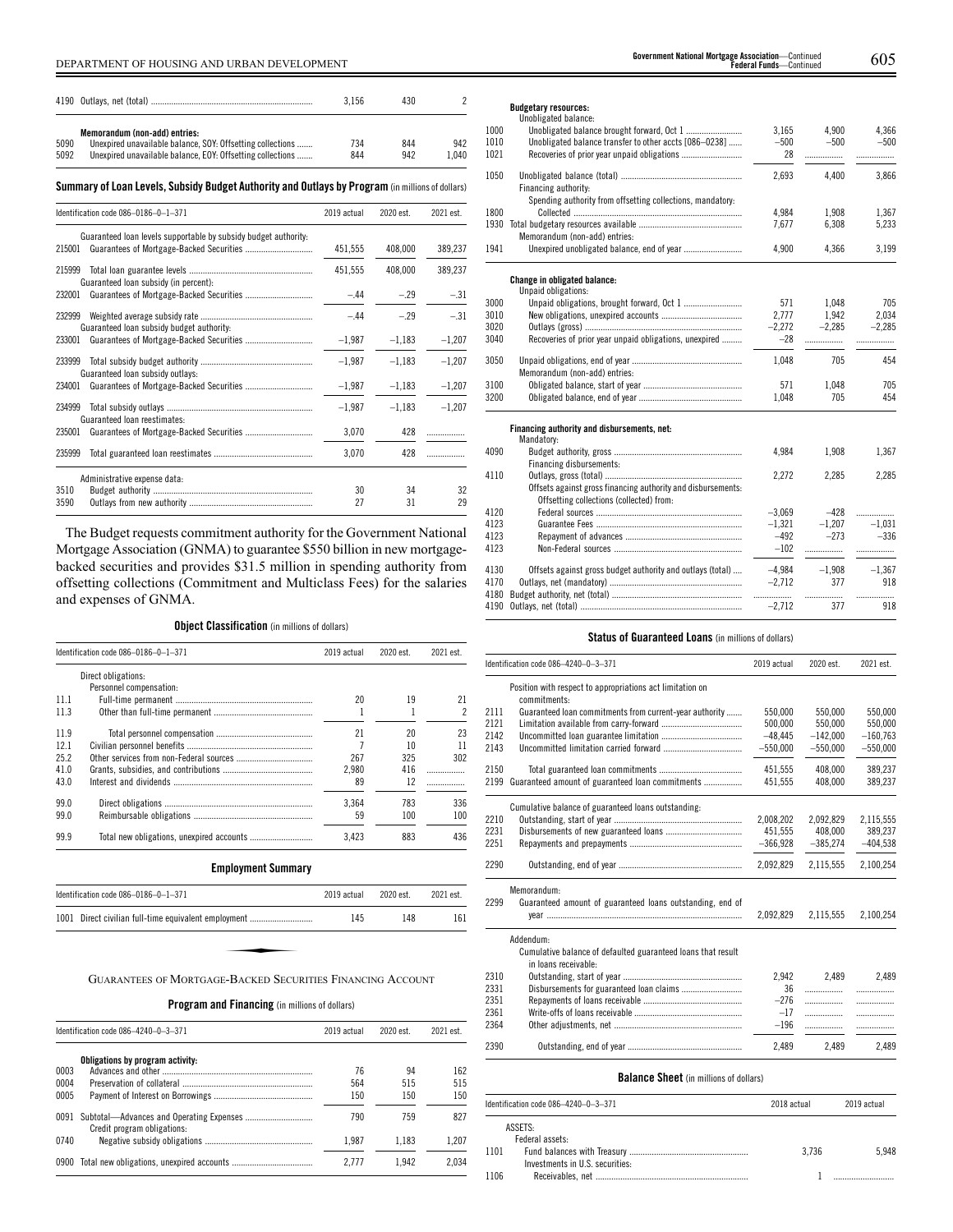### DEPARTMENT OF HOUSING AND URBAN DEVELOPMENT 605 **Government National Mortgage Association**—Continued

|      |                                                            | 3.156 | 430 |       |
|------|------------------------------------------------------------|-------|-----|-------|
|      | Memorandum (non-add) entries:                              |       |     |       |
| 5090 | Unexpired unavailable balance, SOY: Offsetting collections | 734   | 844 | 942   |
| 5092 | Unexpired unavailable balance, EOY: Offsetting collections | 844   | 942 | 1.040 |

### **Summary ofLoan Levels, Subsidy Budget Authority and Outlays by Program** (inmillionsof dollars)

| Identification code 086-0186-0-1-371                            | 2019 actual | 2020 est. | 2021 est. |
|-----------------------------------------------------------------|-------------|-----------|-----------|
| Guaranteed loan levels supportable by subsidy budget authority. |             |           |           |
| 215001                                                          | 451,555     | 408,000   | 389,237   |
| 215999<br>Guaranteed loan subsidy (in percent):                 | 451,555     | 408,000   | 389,237   |
| 232001                                                          | $-.44$      | $-.29$    | $-.31$    |
| 232999<br>Guaranteed loan subsidy budget authority:             | $-.44$      | $-.29$    | $-.31$    |
| 233001                                                          | $-1,987$    | $-1,183$  | $-1,207$  |
| 233999<br>Guaranteed loan subsidy outlays:                      | $-1.987$    | $-1,183$  | $-1,207$  |
| 234001                                                          | $-1,987$    | $-1,183$  | $-1,207$  |
| 234999<br>Guaranteed loan reestimates:                          | $-1,987$    | $-1,183$  | $-1,207$  |
| 235001                                                          | 3,070       | 428       |           |
| 235999                                                          | 3,070       | 428       |           |
| Administrative expense data:                                    |             |           |           |
| 3510                                                            | 30          | 34        | 32        |
| 3590                                                            | 27          | 31        | 29        |

The Budget requests commitment authority for the Government National Mortgage Association (GNMA) to guarantee \$550 billion in new mortgagebacked securities and provides \$31.5 million in spending authority from offsetting collections (Commitment and Multiclass Fees) for the salaries and expenses of GNMA.

### **Object Classification** (in millions of dollars)

|      | Identification code 086-0186-0-1-371                       | 2019 actual | 2020 est. | 2021 est. |
|------|------------------------------------------------------------|-------------|-----------|-----------|
|      | Direct obligations:                                        |             |           |           |
|      | Personnel compensation:                                    |             |           |           |
| 111  |                                                            | 20          | 19        | 21        |
| 11.3 |                                                            | 1           | 1         | 2         |
|      |                                                            |             |           |           |
| 11.9 |                                                            | 21          | 20        | 23        |
| 121  |                                                            | 7           | 10        | 11        |
| 25.2 |                                                            | 267         | 325       | 302       |
| 41.0 |                                                            | 2.980       | 416       | .         |
| 43.0 |                                                            | 89          | 12        | .         |
| 99.0 |                                                            | 3,364       | 783       | 336       |
| 99.0 |                                                            | 59          | 100       | 100       |
| 99.9 |                                                            | 3,423       | 883       | 436       |
|      | <b>Employment Summary</b>                                  |             |           |           |
|      | Identification code 086-0186-0-1-371                       | 2019 actual | 2020 est. | 2021 est. |
|      | 1001 Direct civilian full-time equivalent employment       | 145         | 148       | 161       |
|      | GUARANTEES OF MORTGAGE-BACKED SECURITIES FINANCING ACCOUNT |             |           |           |

#### **Program and Financing** (in millions of dollars)

|      | Identification code 086-4240-0-3-371 | 2019 actual | 2020 est | 2021 est. |
|------|--------------------------------------|-------------|----------|-----------|
|      | Obligations by program activity:     |             |          |           |
| 0003 |                                      | 76          | 94       | 162       |
| 0004 |                                      | 564         | 515      | 515       |
| 0005 |                                      | 150         | 150      | 150       |
|      | Credit program obligations:          | 790         | 759      | 827       |
| 0740 |                                      | 1.987       | 1.183    | 1.207     |
| 0900 |                                      | 2.777       | 1.942    | 2.034     |

### **Budgetary resources:** Unobligated balance:

|      | Unobligated balance:                                         |          |                        |          |
|------|--------------------------------------------------------------|----------|------------------------|----------|
| 1000 |                                                              | 3.165    | 4.900                  | 4.366    |
| 1010 | Unobligated balance transfer to other accts [086-0238]       | $-500$   | $-500$                 | $-500$   |
| 1021 |                                                              | 28       | .                      |          |
|      |                                                              |          |                        |          |
| 1050 |                                                              | 2,693    | 4.400                  | 3,866    |
|      | Financing authority:                                         |          |                        |          |
|      | Spending authority from offsetting collections, mandatory:   |          |                        |          |
| 1800 |                                                              | 4,984    | 1,908                  | 1,367    |
| 1930 |                                                              | 7.677    | 6,308                  | 5,233    |
|      | Memorandum (non-add) entries:                                |          |                        |          |
| 1941 |                                                              | 4,900    | 4,366                  | 3,199    |
|      |                                                              |          |                        |          |
|      |                                                              |          |                        |          |
|      | <b>Change in obligated balance:</b><br>Unpaid obligations:   |          |                        |          |
| 3000 |                                                              | 571      | 1.048                  | 705      |
| 3010 |                                                              | 2,777    | 1.942                  | 2.034    |
| 3020 |                                                              | $-2,272$ | $-2,285$               | $-2,285$ |
| 3040 |                                                              | $-28$    |                        |          |
|      | Recoveries of prior year unpaid obligations, unexpired       |          |                        |          |
| 3050 |                                                              | 1.048    | 705                    | 454      |
|      | Memorandum (non-add) entries:                                |          |                        |          |
| 3100 |                                                              | 571      | 1.048                  | 705      |
| 3200 |                                                              | 1,048    | 705                    | 454      |
|      |                                                              |          |                        |          |
|      |                                                              |          |                        |          |
|      | Financing authority and disbursements, net:<br>Mandatory:    |          |                        |          |
| 4090 |                                                              | 4.984    | 1.908                  | 1,367    |
|      | Financing disbursements:                                     |          |                        |          |
| 4110 |                                                              | 2.272    | 2.285                  | 2.285    |
|      |                                                              |          |                        |          |
|      | Offsets against gross financing authority and disbursements: |          |                        |          |
|      | Offsetting collections (collected) from:                     |          |                        |          |
| 4120 |                                                              | $-3.069$ | $-428$                 |          |
| 4123 |                                                              | $-1,321$ | $-1,207$               | $-1,031$ |
| 4123 |                                                              | $-492$   | $-273$                 | $-336$   |
| 4123 |                                                              | $-102$   |                        |          |
| 4130 | Offsets against gross budget authority and outlays (total)   |          | $-4.984 -1.908 -1.367$ |          |
| 4170 |                                                              | $-2,712$ | 377                    | 918      |
| 4180 |                                                              |          |                        | .        |
| 4190 |                                                              | $-2.712$ | 377                    | 918      |
|      |                                                              |          |                        |          |

#### **Status of Guaranteed Loans** (in millions of dollars)

|      | Identification code 086-4240-0-3-371                                                 | 2019 actual | 2020 est.  | 2021 est.  |
|------|--------------------------------------------------------------------------------------|-------------|------------|------------|
|      | Position with respect to appropriations act limitation on<br>commitments:            |             |            |            |
| 2111 | Guaranteed loan commitments from current-year authority                              | 550.000     | 550.000    | 550.000    |
| 2121 |                                                                                      | 500.000     | 550,000    | 550,000    |
| 2142 |                                                                                      | $-48.445$   | $-142.000$ | $-160,763$ |
| 2143 |                                                                                      | $-550,000$  | $-550,000$ | $-550,000$ |
| 2150 |                                                                                      | 451,555     | 408,000    | 389,237    |
| 2199 | Guaranteed amount of guaranteed loan commitments                                     | 451,555     | 408.000    | 389,237    |
|      | Cumulative balance of guaranteed loans outstanding.                                  |             |            |            |
| 2210 |                                                                                      | 2,008,202   | 2,092,829  | 2,115,555  |
| 2231 |                                                                                      | 451.555     | 408.000    | 389.237    |
| 2251 |                                                                                      | $-366.928$  | $-385.274$ | $-404.538$ |
| 2290 |                                                                                      | 2,092,829   | 2,115,555  | 2,100,254  |
|      | Memorandum:                                                                          |             |            |            |
| 2299 | Guaranteed amount of guaranteed loans outstanding, end of                            |             |            |            |
|      |                                                                                      | 2,092,829   | 2,115,555  | 2,100,254  |
|      | Addendum:                                                                            |             |            |            |
|      | Cumulative balance of defaulted guaranteed loans that result<br>in loans receivable: |             |            |            |
| 2310 |                                                                                      | 2.942       | 2.489      | 2,489      |
| 2331 |                                                                                      | 36          | .          | .          |
| 2351 |                                                                                      | $-276$      | .          | .          |
| 2361 |                                                                                      | $-17$       | .          |            |
| 2364 |                                                                                      | $-196$      | .          |            |
| 2390 |                                                                                      | 2,489       | 2.489      | 2,489      |

#### **Balance Sheet** (in millions of dollars)

L.

|      | ldentification code 086–4240–0–3–371 | 2018 actual | 2019 actual |
|------|--------------------------------------|-------------|-------------|
|      | ASSETS:<br>Federal assets:           |             |             |
| 1101 | Investments in U.S. securities:      | 3.736       | 5.948       |
| 1106 |                                      |             |             |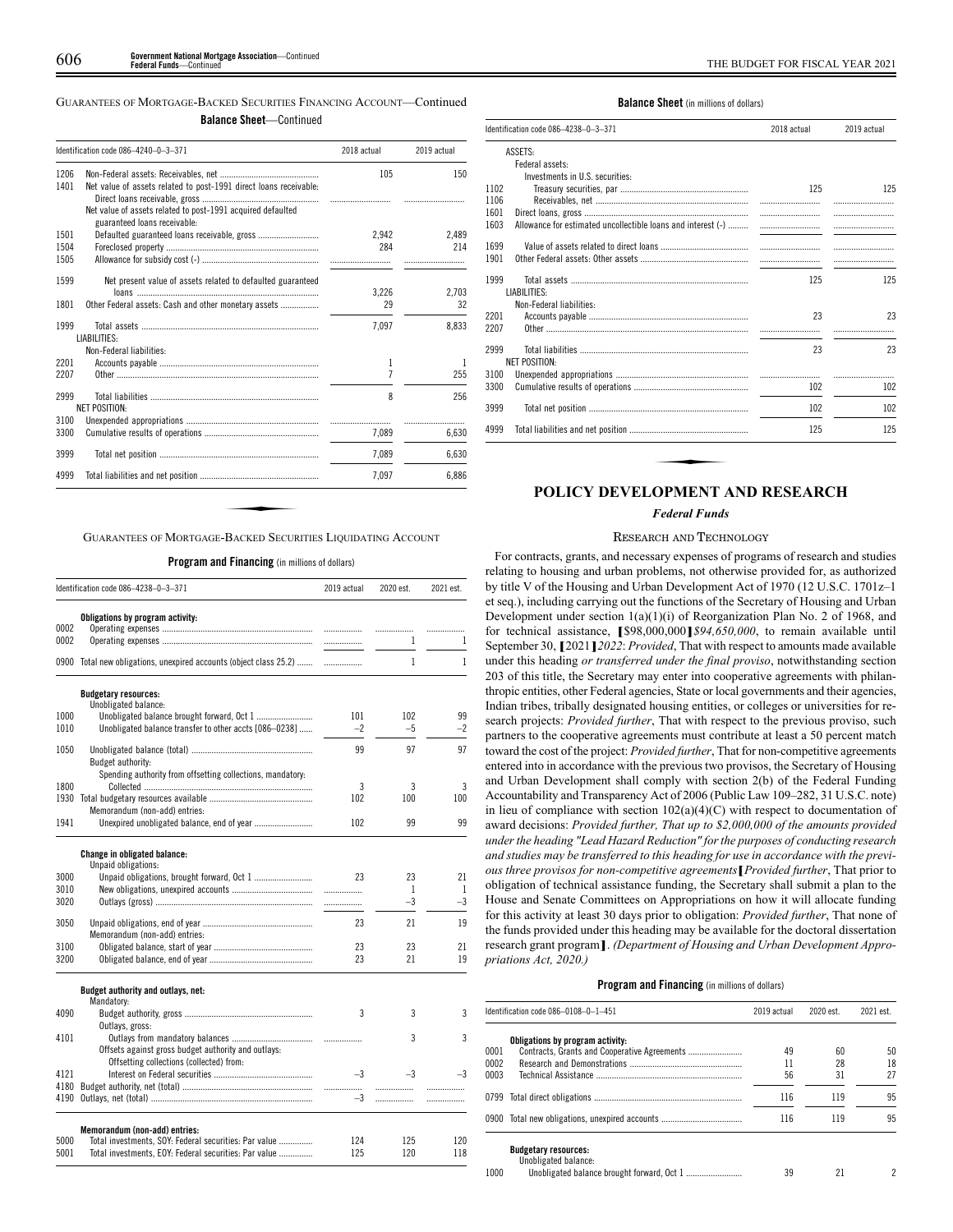GUARANTEES OF MORTGAGE-BACKED SECURITIES FINANCING ACCOUNT—Continued **Balance Sheet**—Continued

| Identification code 086-4240-0-3-371 |                                                                   | 2018 actual | 2019 actual |
|--------------------------------------|-------------------------------------------------------------------|-------------|-------------|
| 1206                                 |                                                                   | 105         | 150         |
| 1401                                 | Net value of assets related to post-1991 direct loans receivable: |             |             |
|                                      | Net value of assets related to post-1991 acquired defaulted       |             |             |
|                                      | guaranteed loans receivable:                                      |             |             |
| 1501                                 |                                                                   | 2.942       | 2.489       |
| 1504                                 |                                                                   | 284         | 214         |
| 1505                                 |                                                                   |             |             |
| 1599                                 | Net present value of assets related to defaulted guaranteed       |             |             |
|                                      |                                                                   | 3.226       | 2.703       |
| 1801                                 | Other Federal assets: Cash and other monetary assets              | 29          | 32          |
| 1999                                 |                                                                   | 7.097       | 8,833       |
|                                      | LIABILITIES:                                                      |             |             |
|                                      | Non-Federal liabilities:                                          |             |             |
| 2201                                 |                                                                   | 1           | 1           |
| 2207                                 |                                                                   | 7           | 255         |
| 2999                                 |                                                                   | 8           | 256         |
|                                      | <b>NET POSITION:</b>                                              |             |             |
| 3100                                 |                                                                   |             |             |
| 3300                                 |                                                                   | 7.089       | 6,630       |
| 3999                                 |                                                                   | 7,089       | 6,630       |
|                                      |                                                                   | 7.097       | 6,886       |

#### **Program and Financing** (in millions of dollars)

|              | Identification code 086-4238-0-3-371                               |      | 2020 est. | 2021 est. |  |
|--------------|--------------------------------------------------------------------|------|-----------|-----------|--|
|              | Obligations by program activity:                                   |      |           |           |  |
| 0002<br>0002 |                                                                    | .    | .<br>1    | .<br>1    |  |
|              |                                                                    |      |           |           |  |
|              | 0900 Total new obligations, unexpired accounts (object class 25.2) |      | 1         | 1         |  |
|              | <b>Budgetary resources:</b><br>Unobligated balance:                |      |           |           |  |
| 1000         | Unobligated balance brought forward, Oct 1                         | 101  | 102       | 99        |  |
| 1010         | Unobligated balance transfer to other accts [086-0238]             | $-2$ | $-5$      | $-2$      |  |
| 1050         |                                                                    | 99   | 97        | 97        |  |
|              | Budget authority:                                                  |      |           |           |  |
|              | Spending authority from offsetting collections, mandatory:         |      |           |           |  |
| 1800         |                                                                    | 3    | 3         | 3         |  |
| 1930         |                                                                    | 102  | 100       | 100       |  |
|              | Memorandum (non-add) entries:                                      |      |           |           |  |
| 1941         |                                                                    | 102  | 99        | 99        |  |
|              | Change in obligated balance:                                       |      |           |           |  |
|              | Unpaid obligations:                                                |      |           |           |  |
| 3000         | Unpaid obligations, brought forward, Oct 1                         | 23   | 23        | 21        |  |
| 3010         |                                                                    |      | 1         | 1         |  |
| 3020         |                                                                    | .    | $-3$      | $-3$      |  |
| 3050         |                                                                    | 23   | 21        | 19        |  |
|              | Memorandum (non-add) entries:                                      |      |           |           |  |
| 3100         |                                                                    | 23   | 23        | 21        |  |
| 3200         |                                                                    | 23   | 21        | 19        |  |
|              | Budget authority and outlays, net:                                 |      |           |           |  |
|              | Mandatory:                                                         |      |           |           |  |
| 4090         |                                                                    | 3    | 3         | 3         |  |
|              | Outlays, gross:                                                    |      |           |           |  |
| 4101         |                                                                    |      | 3         | 3         |  |
|              | Offsets against gross budget authority and outlays:                |      |           |           |  |
|              | Offsetting collections (collected) from:                           |      |           |           |  |
| 4121         |                                                                    | $-3$ | $-3$      | $-3$      |  |
| 4180         |                                                                    |      | .         |           |  |
| 4190         |                                                                    | $-3$ | .         | .         |  |
|              | Memorandum (non-add) entries:                                      |      |           |           |  |
| 5000         | Total investments, SOY: Federal securities: Par value              | 124  | 125       | 120       |  |
| 5001         | Total investments, EOY: Federal securities: Par value              | 125  | 120       | 118       |  |

#### **Balance Sheet** (in millions of dollars)

|      | Identification code 086-4238-0-3-371                         | 2018 actual                       | 2019 actual |  |
|------|--------------------------------------------------------------|-----------------------------------|-------------|--|
|      | ASSETS:                                                      |                                   |             |  |
|      | Federal assets:                                              |                                   |             |  |
|      | Investments in U.S. securities:                              |                                   |             |  |
| 1102 |                                                              | 125                               | 125         |  |
| 1106 |                                                              |                                   |             |  |
| 1601 |                                                              |                                   |             |  |
| 1603 | Allowance for estimated uncollectible loans and interest (-) | the control of the control of the |             |  |
| 1699 |                                                              |                                   |             |  |
| 1901 |                                                              |                                   |             |  |
| 1999 |                                                              | 125                               | 125         |  |
|      | LIABILITIES:                                                 |                                   |             |  |
|      | Non-Federal liabilities:                                     |                                   |             |  |
| 2201 |                                                              | 23                                | 23          |  |
| 2207 |                                                              |                                   |             |  |
| 2999 |                                                              | 23                                | 23          |  |
|      | NET POSITION:                                                |                                   |             |  |
| 3100 |                                                              |                                   |             |  |
| 3300 |                                                              | 102                               | 102         |  |
| 3999 |                                                              | 102                               | 102         |  |
| 4999 |                                                              | 125                               | 125         |  |

#### **POLICY DEVELOPMENT AND RESEARCH**

#### *Federal Funds*

#### RESEARCH AND TECHNOLOGY

For contracts, grants, and necessary expenses of programs of research and studies relating to housing and urban problems, not otherwise provided for, as authorized by title V of the Housing and Urban Development Act of 1970 (12 U.S.C. 1701z–1 et seq.), including carrying out the functions of the Secretary of Housing and Urban Development under section  $1(a)(1)(i)$  of Reorganization Plan No. 2 of 1968, and for technical assistance, **[**\$98,000,000**]***\$94,650,000*, to remain available until September 30, **[**2021**]***2022*: *Provided*, That with respect to amounts made available under this heading *or transferred under the final proviso*, notwithstanding section 203 of this title, the Secretary may enter into cooperative agreements with philanthropic entities, other Federal agencies, State or local governments and their agencies, Indian tribes, tribally designated housing entities, or colleges or universities for research projects: *Provided further*, That with respect to the previous proviso, such partners to the cooperative agreements must contribute at least a 50 percent match toward the cost of the project: *Provided further*, That for non-competitive agreements entered into in accordance with the previous two provisos, the Secretary of Housing and Urban Development shall comply with section 2(b) of the Federal Funding Accountability and Transparency Act of 2006 (Public Law 109–282, 31 U.S.C. note) in lieu of compliance with section 102(a)(4)(C) with respect to documentation of award decisions: *Provided further, That up to \$2,000,000 of the amounts provided under the heading "Lead Hazard Reduction" for the purposes of conducting research and studies may be transferred to this heading for use in accordance with the previous three provisos for non-competitive agreements***[***Provided further*, That prior to obligation of technical assistance funding, the Secretary shall submit a plan to the House and Senate Committees on Appropriations on how it will allocate funding for this activity at least 30 days prior to obligation: *Provided further*, That none of the funds provided under this heading may be available for the doctoral dissertation research grant program**]**. *(Department of Housing and Urban Development Appropriations Act, 2020.)*

|      | Identification code 086-0108-0-1-451<br>2019 actual |     | 2020 est. | 2021 est. |
|------|-----------------------------------------------------|-----|-----------|-----------|
|      | Obligations by program activity:                    |     |           |           |
| 0001 |                                                     | 49  | 60        | 50        |
| 0002 |                                                     | 11  | 28        | 18        |
| 0003 |                                                     | 56  | 31        | 27        |
|      |                                                     | 116 | 119       | 95        |
|      | 0900 Total new obligations, unexpired accounts      | 116 | 119       | 95        |
|      | <b>Budgetary resources:</b><br>Unobligated balance: |     |           |           |
| 1000 |                                                     | 39  | 21        |           |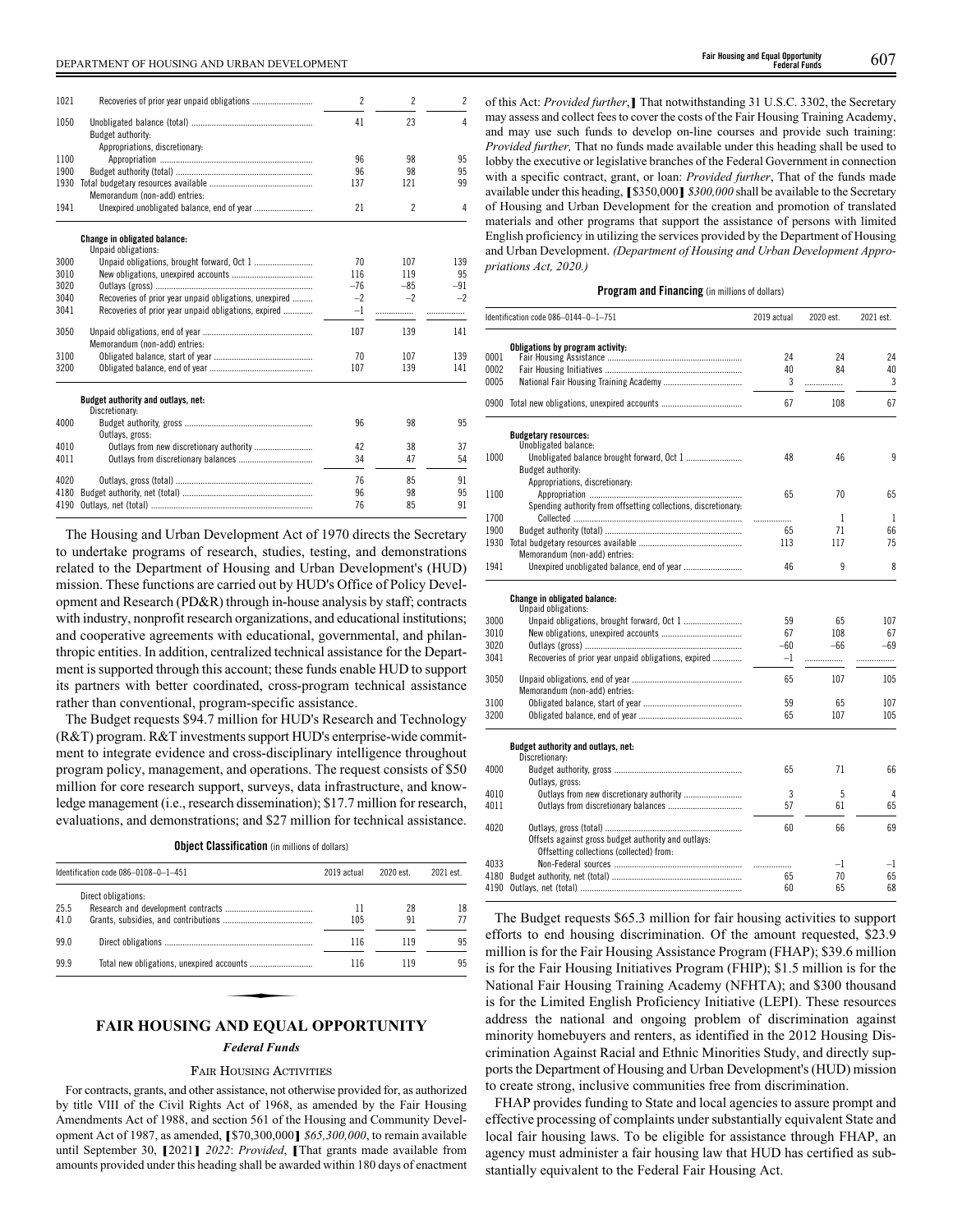| 1021 |                                                        | 2     | $\overline{\phantom{a}}$ | $\overline{\phantom{a}}$ |
|------|--------------------------------------------------------|-------|--------------------------|--------------------------|
| 1050 |                                                        | 41    | 23                       | 4                        |
|      | <b>Budget authority:</b>                               |       |                          |                          |
|      | Appropriations, discretionary:                         |       |                          |                          |
| 1100 |                                                        | 96    | 98                       | 95                       |
| 1900 |                                                        | 96    | 98                       | 95                       |
| 1930 |                                                        | 137   | 121                      | 99                       |
|      | Memorandum (non-add) entries:                          |       |                          |                          |
| 1941 |                                                        | 21    | $\overline{\phantom{a}}$ | 4                        |
|      | <b>Change in obligated balance:</b>                    |       |                          |                          |
|      | Unpaid obligations:                                    |       |                          |                          |
| 3000 |                                                        | 70    | 107                      | 139                      |
| 3010 |                                                        | 116   | 119                      | 95                       |
| 3020 |                                                        | $-76$ | $-85$                    | $-91$                    |
| 3040 | Recoveries of prior year unpaid obligations, unexpired | $-2$  | $-2$                     | $-2$                     |
| 3041 | Recoveries of prior year unpaid obligations, expired   | $-1$  | .                        |                          |
| 3050 |                                                        | 107   | 139                      | 141                      |
|      | Memorandum (non-add) entries:                          |       |                          |                          |
| 3100 |                                                        | 70    | 107                      | 139                      |
| 3200 |                                                        | 107   | 139                      | 141                      |
|      | Budget authority and outlays, net:<br>Discretionary:   |       |                          |                          |
| 4000 |                                                        | 96    | 98                       | 95                       |
|      | Outlays, gross:                                        |       |                          |                          |
| 4010 | Outlays from new discretionary authority               | 42    | 38                       | 37                       |
| 4011 |                                                        | 34    | 47                       | 54                       |
| 4020 |                                                        | 76    | 85                       | 91                       |
| 4180 |                                                        | 96    | 98                       | 95                       |
| 4190 |                                                        | 76    | 85                       | 91                       |

The Housing and Urban Development Act of 1970 directs the Secretary to undertake programs of research, studies, testing, and demonstrations related to the Department of Housing and Urban Development's (HUD) mission. These functions are carried out by HUD's Office of Policy Development and Research (PD&R) through in-house analysis by staff; contracts with industry, nonprofit research organizations, and educational institutions; and cooperative agreements with educational, governmental, and philanthropic entities. In addition, centralized technical assistance for the Department is supported through this account; these funds enable HUD to support its partners with better coordinated, cross-program technical assistance rather than conventional, program-specific assistance.

The Budget requests \$94.7 million for HUD's Research and Technology (R&T) program. R&T investments support HUD's enterprise-wide commitment to integrate evidence and cross-disciplinary intelligence throughout program policy, management, and operations. The request consists of \$50 million for core research support, surveys, data infrastructure, and knowledge management (i.e., research dissemination); \$17.7 million for research, evaluations, and demonstrations; and \$27 million for technical assistance.

|  |  |  | <b>Object Classification</b> (in millions of dollars) |  |  |  |  |
|--|--|--|-------------------------------------------------------|--|--|--|--|
|--|--|--|-------------------------------------------------------|--|--|--|--|

|      | Identification code 086-0108-0-1-451<br>2019 actual |     | 2020 est. | 2021 est. |
|------|-----------------------------------------------------|-----|-----------|-----------|
|      | Direct obligations:                                 |     |           |           |
| 25.5 |                                                     | 11  | 28        | 18        |
| 41.0 |                                                     | 105 | 91        | 77        |
| 99.0 |                                                     | 116 | 119       | 95        |
| 99.9 |                                                     | 116 | 119       | 95        |

### **FAIR HOUSING AND EQUAL OPPORTUNITY**

### *Federal Funds*

#### FAIR HOUSING ACTIVITIES

For contracts, grants, and other assistance, not otherwise provided for, as authorized by title VIII of the Civil Rights Act of 1968, as amended by the Fair Housing Amendments Act of 1988, and section 561 of the Housing and Community Development Act of 1987, as amended, **[**\$70,300,000**]** *\$65,300,000*, to remain available until September 30, **[**2021**]** *2022*: *Provided*, **[**That grants made available from amounts provided under this heading shall be awarded within 180 days of enactment

of this Act: *Provided further*,**]** That notwithstanding 31 U.S.C. 3302, the Secretary may assess and collect fees to cover the costs of the Fair Housing Training Academy, and may use such funds to develop on-line courses and provide such training: *Provided further,* That no funds made available under this heading shall be used to lobby the executive or legislative branches of the Federal Government in connection with a specific contract, grant, or loan: *Provided further*, That of the funds made available under this heading, **[**\$350,000**]** *\$300,000* shall be available to the Secretary of Housing and Urban Development for the creation and promotion of translated materials and other programs that support the assistance of persons with limited English proficiency in utilizing the services provided by the Department of Housing and Urban Development. *(Department of Housing and Urban Development Appropriations Act, 2020.)*

#### **Program and Financing** (in millions of dollars)

|      | Identification code 086-0144-0-1-751                           | 2019 actual | 2020 est.    | 2021 est.    |
|------|----------------------------------------------------------------|-------------|--------------|--------------|
|      | Obligations by program activity:                               |             |              |              |
| 0001 |                                                                | 24          | 24           | 24           |
| 0002 |                                                                | 40          | 84           | 40           |
| 0005 |                                                                | 3           | .            | 3            |
|      | 0900 Total new obligations, unexpired accounts                 | 67          | 108          | 67           |
|      | <b>Budgetary resources:</b>                                    |             |              |              |
|      | Unobligated balance:                                           |             |              |              |
| 1000 | <b>Budget authority:</b>                                       | 48          | 46           | 9            |
|      | Appropriations, discretionary:                                 |             |              |              |
| 1100 |                                                                | 65          | 70           | 65           |
|      | Spending authority from offsetting collections, discretionary: |             |              |              |
| 1700 |                                                                | .           | $\mathbf{1}$ | $\mathbf{1}$ |
| 1900 |                                                                | 65          | 71           | 66           |
| 1930 |                                                                | 113         | 117          | 75           |
|      | Memorandum (non-add) entries:                                  |             |              |              |
| 1941 |                                                                | 46          | 9            | 8            |
| 3000 | <b>Change in obligated balance:</b><br>Unpaid obligations:     | 59          | 65           | 107          |
| 3010 |                                                                | 67          | 108          | 67           |
| 3020 |                                                                | $-60$       | $-66$        | $-69$        |
| 3041 | Recoveries of prior year unpaid obligations, expired           | $-1$        |              |              |
|      |                                                                |             | .            | .            |
| 3050 | Memorandum (non-add) entries:                                  | 65          | 107          | 105          |
| 3100 |                                                                | 59          | 65           | 107          |
| 3200 |                                                                | 65          | 107          | 105          |
|      | Budget authority and outlays, net:<br>Discretionary:           |             |              |              |
| 4000 |                                                                | 65          | 71           | 66           |
|      | Outlays, gross:                                                |             |              |              |
| 4010 |                                                                | 3           | 5            | 4            |
| 4011 |                                                                | 57          | 61           | 65           |
| 4020 | Offsets against gross budget authority and outlays:            | 60          | 66           | 69           |
| 4033 | Offsetting collections (collected) from:                       |             | -1           | $^{-1}$      |
| 4180 |                                                                | .<br>65     | 70           | 65           |
|      |                                                                | 60          | 65           | 68           |
|      |                                                                |             |              |              |

The Budget requests \$65.3 million for fair housing activities to support efforts to end housing discrimination. Of the amount requested, \$23.9 million is for the Fair Housing Assistance Program (FHAP); \$39.6 million is for the Fair Housing Initiatives Program (FHIP); \$1.5 million is for the National Fair Housing Training Academy (NFHTA); and \$300 thousand is for the Limited English Proficiency Initiative (LEPI). These resources address the national and ongoing problem of discrimination against minority homebuyers and renters, as identified in the 2012 Housing Discrimination Against Racial and Ethnic Minorities Study, and directly supports the Department of Housing and Urban Development's (HUD) mission to create strong, inclusive communities free from discrimination.

FHAP provides funding to State and local agencies to assure prompt and effective processing of complaints under substantially equivalent State and local fair housing laws. To be eligible for assistance through FHAP, an agency must administer a fair housing law that HUD has certified as substantially equivalent to the Federal Fair Housing Act.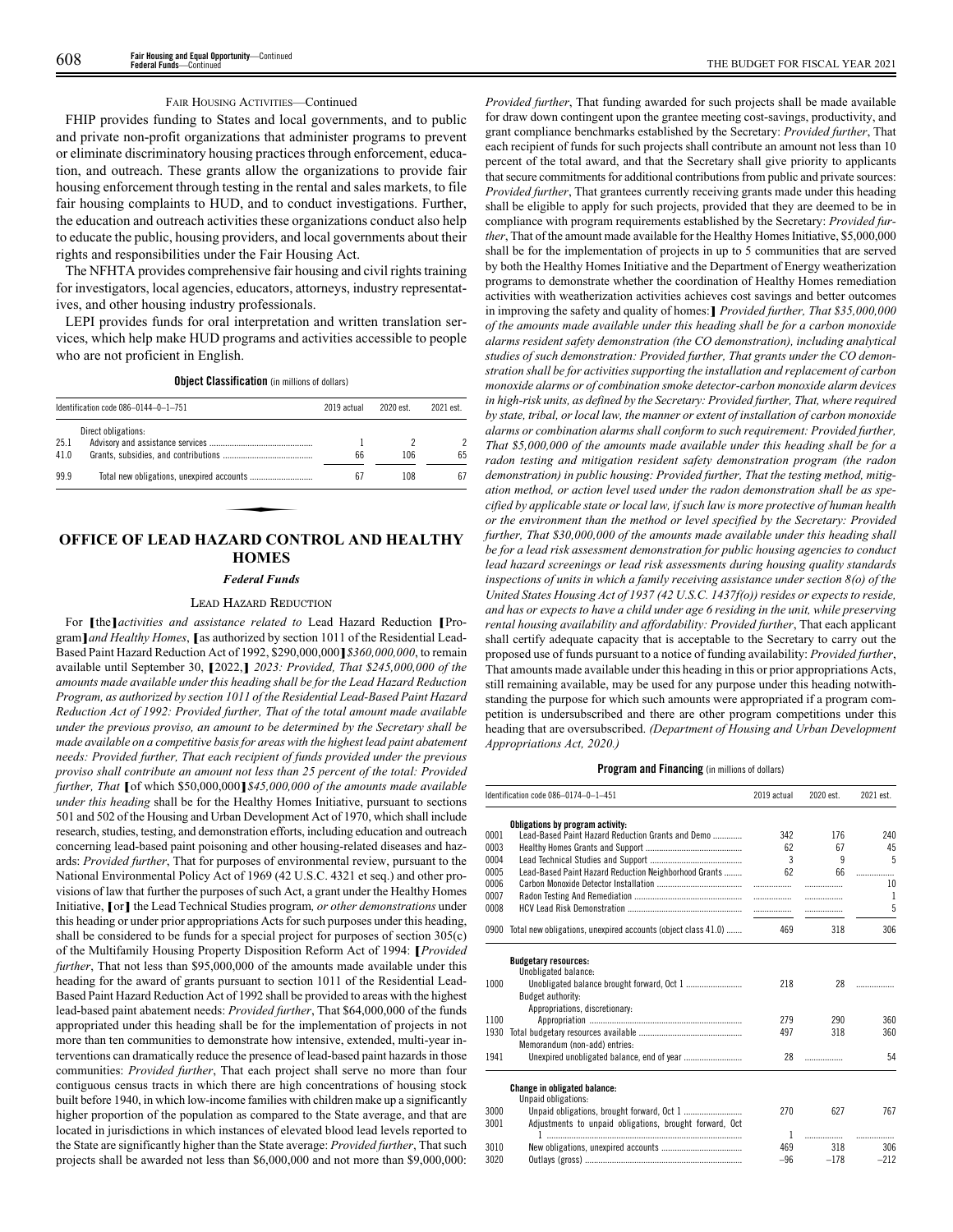#### FAIR HOUSING ACTIVITIES—Continued

FHIP provides funding to States and local governments, and to public and private non-profit organizations that administer programs to prevent or eliminate discriminatory housing practices through enforcement, education, and outreach. These grants allow the organizations to provide fair housing enforcement through testing in the rental and sales markets, to file fair housing complaints to HUD, and to conduct investigations. Further, the education and outreach activities these organizations conduct also help to educate the public, housing providers, and local governments about their rights and responsibilities under the Fair Housing Act.

The NFHTA provides comprehensive fair housing and civil rights training for investigators, local agencies, educators, attorneys, industry representatives, and other housing industry professionals.

LEPI provides funds for oral interpretation and written translation services, which help make HUD programs and activities accessible to people who are not proficient in English.

**Object Classification** (in millions of dollars)

|      | Identification code 086-0144-0-1-751<br>2019 actual |    | 2020 est. | 2021 est. |
|------|-----------------------------------------------------|----|-----------|-----------|
|      | Direct obligations:                                 |    |           |           |
| 25.1 |                                                     |    |           | 2         |
| 41.0 |                                                     | 66 | 106       | 65        |
| 99.9 |                                                     | 67 | 108       | 67        |
|      |                                                     |    |           |           |
|      |                                                     |    |           |           |
|      |                                                     |    |           |           |
|      | <b>OFFICE OF LEAD HAZARD CONTROL AND HEALTHY</b>    |    |           |           |

# **HOMES**

#### *Federal Funds*

#### LEAD HAZARD REDUCTION

For **[**the**]***activities and assistance related to* Lead Hazard Reduction **[**Program**]***and Healthy Homes*, **[**as authorized by section 1011 of the Residential Lead-Based Paint Hazard Reduction Act of 1992, \$290,000,000**]***\$360,000,000*, to remain available until September 30, **[**2022,**]** *2023: Provided, That \$245,000,000 of the amounts made available under this heading shall be for the Lead Hazard Reduction Program, as authorized by section 1011 of the Residential Lead-Based Paint Hazard Reduction Act of 1992: Provided further, That of the total amount made available under the previous proviso, an amount to be determined by the Secretary shall be made available on a competitive basis for areas with the highest lead paint abatement needs: Provided further, That each recipient of funds provided under the previous proviso shall contribute an amount not less than 25 percent of the total: Provided further, That* **[**of which \$50,000,000**]***\$45,000,000 of the amounts made available under this heading* shall be for the Healthy Homes Initiative, pursuant to sections 501 and 502 of the Housing and Urban Development Act of 1970, which shall include research, studies, testing, and demonstration efforts, including education and outreach concerning lead-based paint poisoning and other housing-related diseases and hazards: *Provided further*, That for purposes of environmental review, pursuant to the National Environmental Policy Act of 1969 (42 U.S.C. 4321 et seq.) and other provisions of law that further the purposes of such Act, a grant under the Healthy Homes Initiative, **[**or**]** the Lead Technical Studies program*, or other demonstrations* under this heading or under prior appropriations Acts for such purposes under this heading, shall be considered to be funds for a special project for purposes of section 305(c) of the Multifamily Housing Property Disposition Reform Act of 1994: **[***Provided further*, That not less than \$95,000,000 of the amounts made available under this heading for the award of grants pursuant to section 1011 of the Residential Lead-Based Paint Hazard Reduction Act of 1992 shall be provided to areas with the highest lead-based paint abatement needs: *Provided further*, That \$64,000,000 of the funds appropriated under this heading shall be for the implementation of projects in not more than ten communities to demonstrate how intensive, extended, multi-year interventions can dramatically reduce the presence of lead-based paint hazards in those communities: *Provided further*, That each project shall serve no more than four contiguous census tracts in which there are high concentrations of housing stock built before 1940, in which low-income families with children make up a significantly higher proportion of the population as compared to the State average, and that are located in jurisdictions in which instances of elevated blood lead levels reported to the State are significantly higher than the State average: *Provided further*, That such projects shall be awarded not less than \$6,000,000 and not more than \$9,000,000:

*Provided further*, That funding awarded for such projects shall be made available for draw down contingent upon the grantee meeting cost-savings, productivity, and grant compliance benchmarks established by the Secretary: *Provided further*, That each recipient of funds for such projects shall contribute an amount not less than 10 percent of the total award, and that the Secretary shall give priority to applicants that secure commitments for additional contributions from public and private sources: *Provided further*, That grantees currently receiving grants made under this heading shall be eligible to apply for such projects, provided that they are deemed to be in compliance with program requirements established by the Secretary: *Provided further*, That of the amount made available for the Healthy Homes Initiative, \$5,000,000 shall be for the implementation of projects in up to 5 communities that are served by both the Healthy Homes Initiative and the Department of Energy weatherization programs to demonstrate whether the coordination of Healthy Homes remediation activities with weatherization activities achieves cost savings and better outcomes in improving the safety and quality of homes:**]** *Provided further, That \$35,000,000 of the amounts made available under this heading shall be for a carbon monoxide alarms resident safety demonstration (the CO demonstration), including analytical studies of such demonstration: Provided further, That grants under the CO demonstration shall be for activities supporting the installation and replacement of carbon monoxide alarms or of combination smoke detector-carbon monoxide alarm devices in high-risk units, as defined by the Secretary: Provided further, That, where required by state, tribal, or local law, the manner or extent of installation of carbon monoxide alarms or combination alarms shall conform to such requirement: Provided further, That \$5,000,000 of the amounts made available under this heading shall be for a radon testing and mitigation resident safety demonstration program (the radon demonstration) in public housing: Provided further, That the testing method, mitigation method, or action level used under the radon demonstration shall be as specified by applicable state or local law, if such law is more protective of human health or the environment than the method or level specified by the Secretary: Provided further, That \$30,000,000 of the amounts made available under this heading shall be for a lead risk assessment demonstration for public housing agencies to conduct lead hazard screenings or lead risk assessments during housing quality standards inspections of units in which a family receiving assistance under section 8(o) of the United States Housing Act of 1937 (42 U.S.C. 1437f(o)) resides or expects to reside, and has or expects to have a child under age 6 residing in the unit, while preserving rental housing availability and affordability: Provided further*, That each applicant shall certify adequate capacity that is acceptable to the Secretary to carry out the proposed use of funds pursuant to a notice of funding availability: *Provided further*, That amounts made available under this heading in this or prior appropriations Acts, still remaining available, may be used for any purpose under this heading notwithstanding the purpose for which such amounts were appropriated if a program competition is undersubscribed and there are other program competitions under this heading that are oversubscribed. *(Department of Housing and Urban Development Appropriations Act, 2020.)*

|      | Identification code 086-0174-0-1-451                          |       | 2020 est. | 2021 est.    |
|------|---------------------------------------------------------------|-------|-----------|--------------|
|      | Obligations by program activity:                              |       |           |              |
| 0001 | Lead-Based Paint Hazard Reduction Grants and Demo             | 342   | 176       | 240          |
| 0003 |                                                               | 62    | 67        | 45           |
| 0004 |                                                               | 3     | 9         | 5            |
| 0005 | Lead-Based Paint Hazard Reduction Neighborhood Grants         | 62    | 66        | .            |
| 0006 |                                                               |       | .         | 10           |
| 0007 |                                                               |       | .         | $\mathbf{1}$ |
| 0008 |                                                               |       | .         | 5            |
| 0900 | Total new obligations, unexpired accounts (object class 41.0) | 469   | 318       | 306          |
|      | <b>Budgetary resources:</b>                                   |       |           |              |
|      | Unobligated balance:                                          |       |           |              |
| 1000 |                                                               | 218   | 28        |              |
|      | Budget authority:                                             |       |           |              |
|      | Appropriations, discretionary:                                |       |           |              |
| 1100 |                                                               | 279   | 290       | 360          |
| 1930 | Memorandum (non-add) entries:                                 | 497   | 318       | 360          |
| 1941 |                                                               | 28    | .         | 54           |
|      | <b>Change in obligated balance:</b><br>Unpaid obligations:    |       |           |              |
| 3000 |                                                               | 270   | 627       | 767          |
| 3001 | Adjustments to unpaid obligations, brought forward, Oct       |       |           |              |
|      |                                                               | 1     |           | .            |
| 3010 |                                                               | 469   | 318       | 306          |
| 3020 |                                                               | $-96$ | $-178$    | $-212$       |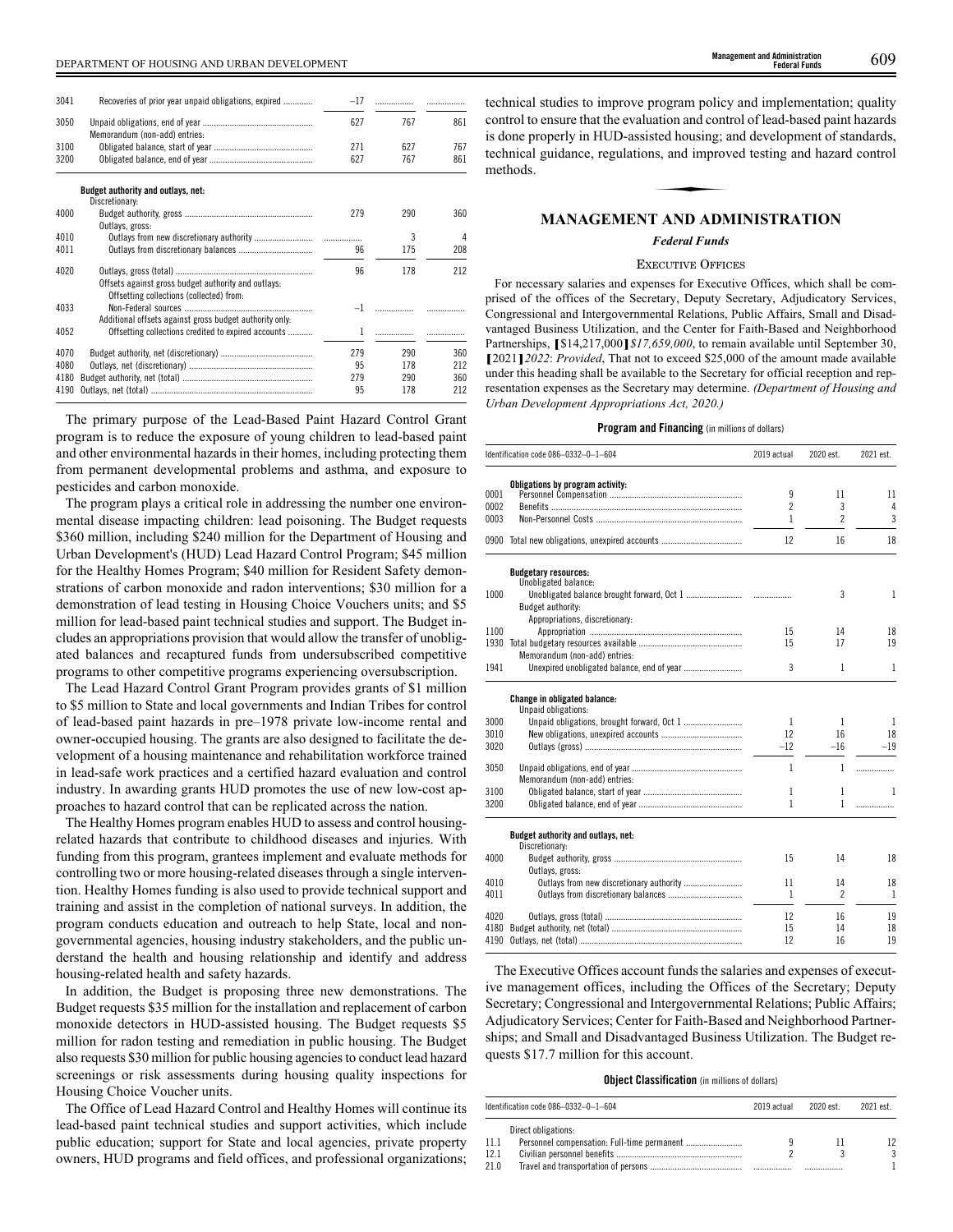| 3041 | Recoveries of prior year unpaid obligations, expired                                            | $-17$ | .   |     |
|------|-------------------------------------------------------------------------------------------------|-------|-----|-----|
| 3050 | Memorandum (non-add) entries:                                                                   | 627   | 767 | 861 |
| 3100 |                                                                                                 | 271   | 627 | 767 |
| 3200 |                                                                                                 | 627   | 767 | 861 |
|      | Budget authority and outlays, net:<br>Discretionary:                                            |       |     |     |
| 4000 | Outlays, gross:                                                                                 | 279   | 290 | 360 |
| 4010 |                                                                                                 | .     | 3   | 4   |
| 4011 |                                                                                                 | 96    | 175 | 208 |
| 4020 | Offsets against gross budget authority and outlays:<br>Offsetting collections (collected) from: | 96    | 178 | 212 |
| 4033 | Additional offsets against gross budget authority only:                                         | $-1$  |     |     |
| 4052 | Offsetting collections credited to expired accounts                                             | 1     |     |     |
| 4070 |                                                                                                 | 279   | 290 | 360 |
| 4080 |                                                                                                 | 95    | 178 | 212 |
| 4180 |                                                                                                 | 279   | 290 | 360 |
| 4190 |                                                                                                 | 95    | 178 | 212 |

The primary purpose of the Lead-Based Paint Hazard Control Grant program is to reduce the exposure of young children to lead-based paint and other environmental hazards in their homes, including protecting them from permanent developmental problems and asthma, and exposure to pesticides and carbon monoxide.

The program plays a critical role in addressing the number one environmental disease impacting children: lead poisoning. The Budget requests \$360 million, including \$240 million for the Department of Housing and Urban Development's (HUD) Lead Hazard Control Program; \$45 million for the Healthy Homes Program; \$40 million for Resident Safety demonstrations of carbon monoxide and radon interventions; \$30 million for a demonstration of lead testing in Housing Choice Vouchers units; and \$5 million for lead-based paint technical studies and support. The Budget includes an appropriations provision that would allow the transfer of unobligated balances and recaptured funds from undersubscribed competitive programs to other competitive programs experiencing oversubscription.

The Lead Hazard Control Grant Program provides grants of \$1 million to \$5 million to State and local governments and Indian Tribes for control of lead-based paint hazards in pre–1978 private low-income rental and owner-occupied housing. The grants are also designed to facilitate the development of a housing maintenance and rehabilitation workforce trained in lead-safe work practices and a certified hazard evaluation and control industry. In awarding grants HUD promotes the use of new low-cost approaches to hazard control that can be replicated across the nation.

The Healthy Homes program enables HUD to assess and control housingrelated hazards that contribute to childhood diseases and injuries. With funding from this program, grantees implement and evaluate methods for controlling two or more housing-related diseases through a single intervention. Healthy Homes funding is also used to provide technical support and training and assist in the completion of national surveys. In addition, the program conducts education and outreach to help State, local and nongovernmental agencies, housing industry stakeholders, and the public understand the health and housing relationship and identify and address housing-related health and safety hazards.

In addition, the Budget is proposing three new demonstrations. The Budget requests \$35 million for the installation and replacement of carbon monoxide detectors in HUD-assisted housing. The Budget requests \$5 million for radon testing and remediation in public housing. The Budget also requests \$30 million for public housing agencies to conduct lead hazard screenings or risk assessments during housing quality inspections for Housing Choice Voucher units.

The Office of Lead Hazard Control and Healthy Homes will continue its lead-based paint technical studies and support activities, which include public education; support for State and local agencies, private property owners, HUD programs and field offices, and professional organizations; technical studies to improve program policy and implementation; quality control to ensure that the evaluation and control of lead-based paint hazards is done properly in HUD-assisted housing; and development of standards,<br>is done properly in HUD-assisted housing; and development of standards,<br>technical guidance, regulations, and improved testing and hazard control<br>metho technical guidance, regulations, and improved testing and hazard control methods.

#### **MANAGEMENT AND ADMINISTRATION**

#### *Federal Funds*

#### EXECUTIVE OFFICES

For necessary salaries and expenses for Executive Offices, which shall be comprised of the offices of the Secretary, Deputy Secretary, Adjudicatory Services, Congressional and Intergovernmental Relations, Public Affairs, Small and Disadvantaged Business Utilization, and the Center for Faith-Based and Neighborhood Partnerships, **[**\$14,217,000**]***\$17,659,000*, to remain available until September 30, **[**2021**]***2022*: *Provided*, That not to exceed \$25,000 of the amount made available under this heading shall be available to the Secretary for official reception and representation expenses as the Secretary may determine. *(Department of Housing and Urban Development Appropriations Act, 2020.)*

#### **Program and Financing** (in millions of dollars)

|      | Identification code 086-0332-0-1-604                 |       | 2020 est.                | 2021 est.    |
|------|------------------------------------------------------|-------|--------------------------|--------------|
|      | Obligations by program activity:                     |       |                          |              |
| 0001 |                                                      | 9     | 11                       | 11           |
| 0002 |                                                      | 2     | 3                        | 4            |
| 0003 |                                                      | 1     | $\overline{\phantom{a}}$ | 3            |
|      | 0900 Total new obligations, unexpired accounts       | 12    | 16                       | 18           |
|      | <b>Budgetary resources:</b><br>Unobligated balance:  |       |                          |              |
| 1000 |                                                      |       | 3                        | $\mathbf{1}$ |
|      | Budget authority:                                    |       |                          |              |
|      | Appropriations, discretionary:                       |       |                          |              |
| 1100 |                                                      | 15    | 14                       | 18           |
| 1930 |                                                      | 15    | 17                       | 19           |
|      | Memorandum (non-add) entries:                        |       |                          |              |
| 1941 |                                                      | 3     | 1                        | 1            |
|      | Change in obligated balance:<br>Unpaid obligations:  |       |                          |              |
| 3000 |                                                      | 1     | 1                        | 1            |
| 3010 |                                                      | 12    | 16                       | 18           |
| 3020 |                                                      | $-12$ | $-16$                    | $-19$        |
| 3050 | Memorandum (non-add) entries:                        | 1     | 1                        | .            |
| 3100 |                                                      | 1     | 1                        | 1            |
| 3200 |                                                      | 1     | 1                        | .            |
|      | Budget authority and outlays, net:<br>Discretionary: |       |                          |              |
| 4000 |                                                      | 15    | 14                       | 18           |
|      | Outlays, gross:                                      |       |                          |              |
| 4010 | Outlays from new discretionary authority             | 11    | 14                       | 18           |
| 4011 |                                                      | 1     | $\overline{\phantom{a}}$ | 1            |
| 4020 |                                                      | 12    | 16                       | 19           |
| 4180 |                                                      | 15    | 14                       | 18           |
| 4190 |                                                      | 12    | 16                       | 19           |
|      |                                                      |       |                          |              |

The Executive Offices account funds the salaries and expenses of executive management offices, including the Offices of the Secretary; Deputy Secretary; Congressional and Intergovernmental Relations; Public Affairs; Adjudicatory Services; Center for Faith-Based and Neighborhood Partnerships; and Small and Disadvantaged Business Utilization. The Budget requests \$17.7 million for this account.

**Object Classification** (in millions of dollars)

| Identification code 086-0332-0-1-604 |                     | 2019 actual | 2020 est. | 2021 est. |
|--------------------------------------|---------------------|-------------|-----------|-----------|
|                                      | Direct obligations: |             |           |           |
| 11.1                                 |                     |             |           |           |
| 12.1                                 |                     |             |           |           |
| 21.0                                 |                     |             |           |           |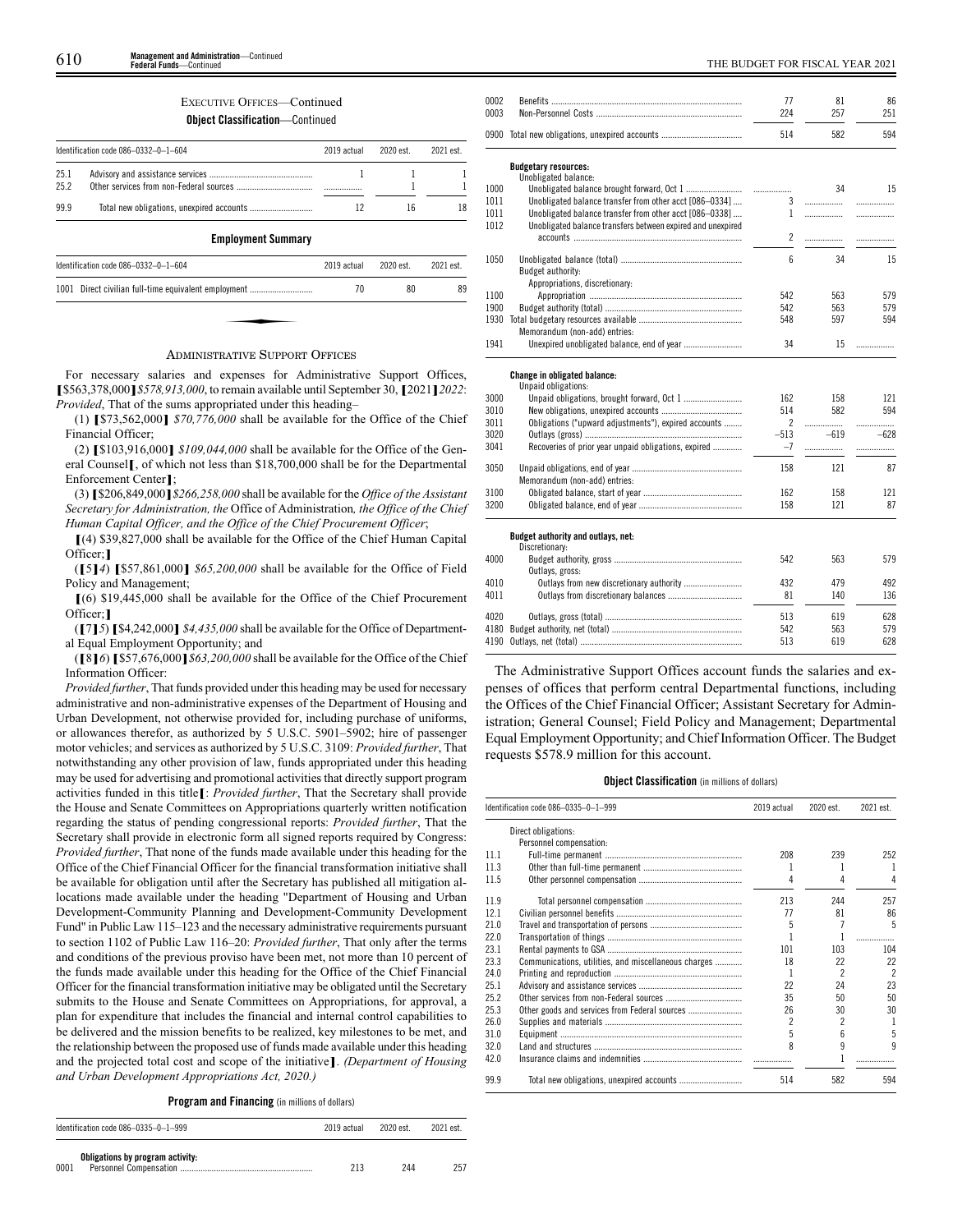**Management and Administration**—Continued **Federal Funds**—Continued

#### EXECUTIVE OFFICES—Continued

### **Object Classification**—Continued

|              | Identification code 086-0332-0-1-604 | 2019 actual | 2020 est | 2021 est. |
|--------------|--------------------------------------|-------------|----------|-----------|
| 25.1<br>25.2 |                                      |             |          |           |
| 99.9         |                                      | 12          | 16       | 18        |
|              | <b>Employment Summary</b>            |             |          |           |

| Identification code 086-0332-0-1-604                 | 2019 actual | 2020 est. | 2021 est. |
|------------------------------------------------------|-------------|-----------|-----------|
| 1001 Direct civilian full-time equivalent employment | 70          | 80        | 89        |
|                                                      |             |           |           |
|                                                      |             |           |           |

#### ADMINISTRATIVE SUPPORT OFFICES

For necessary salaries and expenses for Administrative Support Offices, **[**\$563,378,000**]***\$578,913,000*, to remain available until September 30, **[**2021**]***2022*: *Provided*, That of the sums appropriated under this heading–

(1) **[**\$73,562,000**]** *\$70,776,000* shall be available for the Office of the Chief Financial Officer;

(2) **[**\$103,916,000**]** *\$109,044,000* shall be available for the Office of the General Counsel**[**, of which not less than \$18,700,000 shall be for the Departmental Enforcement Center**]**;

(3) **[**\$206,849,000**]***\$266,258,000* shall be available for the *Office of the Assistant Secretary for Administration, the* Office of Administration*, the Office of the Chief Human Capital Officer, and the Office of the Chief Procurement Officer*;

**[**(4) \$39,827,000 shall be available for the Office of the Chief Human Capital Officer;**]**

(**[**5**]***4*) **[**\$57,861,000**]** *\$65,200,000* shall be available for the Office of Field Policy and Management;

**[**(6) \$19,445,000 shall be available for the Office of the Chief Procurement Officer;**]**

(**[**7**]***5*) **[**\$4,242,000**]** *\$4,435,000* shall be available for the Office of Departmental Equal Employment Opportunity; and

(**[**8**]***6*) **[**\$57,676,000**]***\$63,200,000* shall be available for the Office of the Chief Information Officer:

*Provided further*, That funds provided under this heading may be used for necessary administrative and non-administrative expenses of the Department of Housing and Urban Development, not otherwise provided for, including purchase of uniforms, or allowances therefor, as authorized by 5 U.S.C. 5901–5902; hire of passenger motor vehicles; and services as authorized by 5 U.S.C. 3109: *Provided further*, That notwithstanding any other provision of law, funds appropriated under this heading may be used for advertising and promotional activities that directly support program activities funded in this title**[**: *Provided further*, That the Secretary shall provide the House and Senate Committees on Appropriations quarterly written notification regarding the status of pending congressional reports: *Provided further*, That the Secretary shall provide in electronic form all signed reports required by Congress: *Provided further*, That none of the funds made available under this heading for the Office of the Chief Financial Officer for the financial transformation initiative shall be available for obligation until after the Secretary has published all mitigation allocations made available under the heading "Department of Housing and Urban Development-Community Planning and Development-Community Development Fund" in Public Law 115–123 and the necessary administrative requirements pursuant to section 1102 of Public Law 116–20: *Provided further*, That only after the terms and conditions of the previous proviso have been met, not more than 10 percent of the funds made available under this heading for the Office of the Chief Financial Officer for the financial transformation initiative may be obligated until the Secretary submits to the House and Senate Committees on Appropriations, for approval, a plan for expenditure that includes the financial and internal control capabilities to be delivered and the mission benefits to be realized, key milestones to be met, and the relationship between the proposed use of funds made available under this heading and the projected total cost and scope of the initiative**]**. *(Department of Housing and Urban Development Appropriations Act, 2020.)*

**Program and Financing** (in millions of dollars)

| Identification code $086-0335-0-1-999$   | 2019 actual | 2020 est | 2021 est. |
|------------------------------------------|-------------|----------|-----------|
| Obligations by program activity:<br>0001 | 213         | 244      | 257       |

| 0002 |                                                             | 77             | 81     | 86     |
|------|-------------------------------------------------------------|----------------|--------|--------|
| 0003 |                                                             | 224            | 257    | 251    |
|      | 0900 Total new obligations, unexpired accounts              | 514            | 582    | 594    |
|      | <b>Budgetary resources:</b>                                 |                |        |        |
|      | Unobligated balance:                                        |                |        |        |
| 1000 |                                                             | .              | 34     | 15     |
| 1011 | Unobligated balance transfer from other acct [086-0334]     | 3              |        | .      |
| 1011 | Unobligated balance transfer from other acct [086-0338]     | $\mathbf{1}$   |        | .      |
| 1012 | Unobligated balance transfers between expired and unexpired |                |        |        |
|      |                                                             | $\overline{2}$ | .      | .      |
| 1050 |                                                             | 6              | 34     | 15     |
|      | Budget authority:                                           |                |        |        |
|      | Appropriations, discretionary:                              |                |        |        |
| 1100 |                                                             | 542            | 563    | 579    |
| 1900 |                                                             | 542            | 563    | 579    |
| 1930 |                                                             | 548            | 597    | 594    |
|      | Memorandum (non-add) entries:                               |                |        |        |
| 1941 |                                                             | 34             | 15     | .      |
|      | <b>Change in obligated balance:</b><br>Unpaid obligations:  |                |        |        |
| 3000 |                                                             | 162            | 158    | 121    |
| 3010 |                                                             | 514            | 582    | 594    |
| 3011 | Obligations ("upward adjustments"), expired accounts        | 2              | .      | .      |
| 3020 |                                                             | $-513$         | $-619$ | $-628$ |
| 3041 | Recoveries of prior year unpaid obligations, expired        | $-7$           |        | .      |
| 3050 |                                                             | 158            | 121    | 87     |
|      | Memorandum (non-add) entries:                               |                |        |        |
| 3100 |                                                             | 162            | 158    | 121    |
| 3200 |                                                             | 158            | 121    | 87     |
|      |                                                             |                |        |        |
|      | Budget authority and outlays, net:<br>Discretionary:        |                |        |        |
| 4000 |                                                             | 542            | 563    | 579    |
|      | Outlays, gross:                                             |                |        |        |
| 4010 | Outlays from new discretionary authority                    | 432            | 479    | 492    |
| 4011 |                                                             | 81             | 140    | 136    |
| 4020 |                                                             | 513            | 619    | 628    |
| 4180 |                                                             | 542            | 563    | 579    |
| 4190 |                                                             | 513            | 619    | 628    |
|      |                                                             |                |        |        |

The Administrative Support Offices account funds the salaries and expenses of offices that perform central Departmental functions, including the Offices of the Chief Financial Officer; Assistant Secretary for Administration; General Counsel; Field Policy and Management; Departmental Equal Employment Opportunity; and Chief Information Officer. The Budget requests \$578.9 million for this account.

#### **Object Classification** (in millions of dollars)

| Identification code 086-0335-0-1-999 |                                                      | 2019 actual | 2020 est. | 2021 est.                |
|--------------------------------------|------------------------------------------------------|-------------|-----------|--------------------------|
|                                      | Direct obligations:                                  |             |           |                          |
|                                      | Personnel compensation:                              |             |           |                          |
| 11.1                                 |                                                      | 208         | 239       | 252                      |
| 11.3                                 |                                                      |             |           |                          |
| 11.5                                 |                                                      |             | 4         | 4                        |
| 11.9                                 |                                                      | 213         | 244       | 257                      |
| 12.1                                 |                                                      | 77          | 81        | 86                       |
| 21.0                                 |                                                      | 5           |           | 5                        |
| 22.0                                 |                                                      |             |           | .                        |
| 23.1                                 |                                                      | 101         | 103       | 104                      |
| 23.3                                 | Communications, utilities, and miscellaneous charges | 18          | 22        | 22                       |
| 24.0                                 |                                                      |             | 2         | $\overline{\phantom{a}}$ |
| 25.1                                 |                                                      | 22          | 24        | 23                       |
| 25.2                                 |                                                      | 35          | 50        | 50                       |
| 25.3                                 | Other goods and services from Federal sources        | 26          | 30        | 30                       |
| 26.0                                 |                                                      | 2           | 2         | 1                        |
| 31.0                                 |                                                      | 5           | հ         | 5                        |
| 32.0                                 |                                                      | 8           | 9         | q                        |
| 42.0                                 |                                                      |             |           |                          |
| 99.9                                 |                                                      | 514         | 582       | 594                      |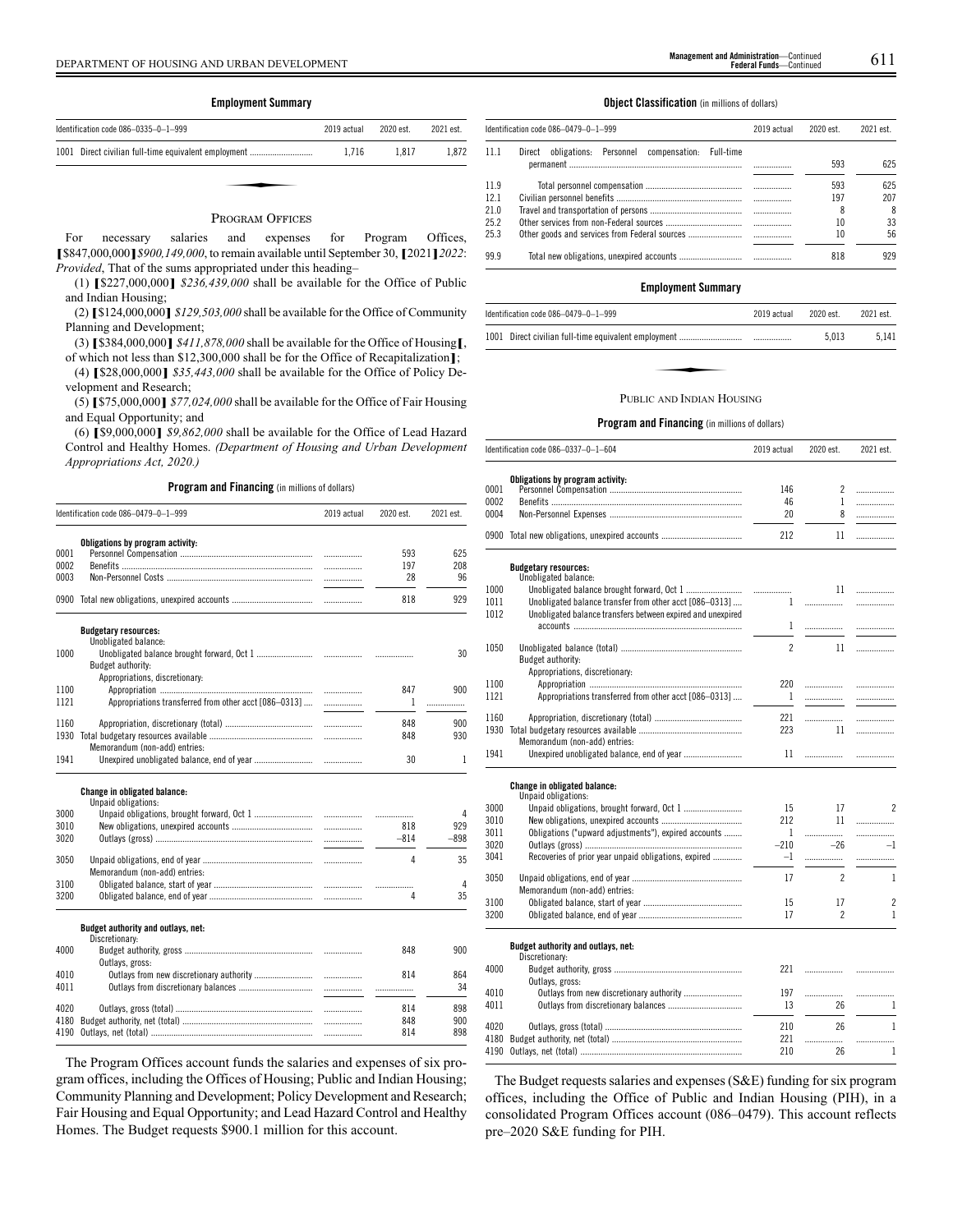#### **Employment Summary**

| Identification code 086-0335-0-1-999                 | 2019 actual | 2020 est. | 2021 est. |
|------------------------------------------------------|-------------|-----------|-----------|
| 1001 Direct civilian full-time equivalent employment | 1.716       | 1.817     | 1.872     |
|                                                      |             |           |           |
| n - - - - - - - - - - - - -                          |             |           |           |

#### PROGRAM OFFICES

For necessary salaries and expenses for Program Offices, **[**\$847,000,000**]***\$900,149,000*, to remain available until September 30, **[**2021**]***2022*: *Provided*, That of the sums appropriated under this heading–

(1) **[**\$227,000,000**]** *\$236,439,000* shall be available for the Office of Public and Indian Housing;

(2) **[**\$124,000,000**]** *\$129,503,000* shall be available for the Office of Community Planning and Development;

(3) **[**\$384,000,000**]** *\$411,878,000* shall be available for the Office of Housing**[**,

of which not less than \$12,300,000 shall be for the Office of Recapitalization**]**; (4) **[**\$28,000,000**]** *\$35,443,000* shall be available for the Office of Policy Development and Research;

(5) **[**\$75,000,000**]** *\$77,024,000* shall be available for the Office of Fair Housing and Equal Opportunity; and

(6) **[**\$9,000,000**]** *\$9,862,000* shall be available for the Office of Lead Hazard Control and Healthy Homes. *(Department of Housing and Urban Development Appropriations Act, 2020.)*

#### **Program and Financing** (in millions of dollars)

|              | Identification code 086-0479-0-1-999                       |       | 2020 est. | 2021 est. |
|--------------|------------------------------------------------------------|-------|-----------|-----------|
|              | Obligations by program activity:                           |       |           |           |
| 0001         |                                                            | .     | 593       | 625       |
| 0002         |                                                            | .     | 197       | 208       |
| 0003         |                                                            | .     | 28        | 96        |
| 0900         |                                                            |       | 818       | 929       |
|              | <b>Budgetary resources:</b><br>Unobligated balance:        |       |           |           |
| 1000         | Budget authority:                                          |       |           | 30        |
|              | Appropriations, discretionary:                             |       |           |           |
| 1100         |                                                            | .     | 847       | 900       |
| 1121         | Appropriations transferred from other acct [086-0313]      | .     | 1         | .         |
|              |                                                            |       |           |           |
| 1160         |                                                            | .     | 848       | 900       |
| 1930         | Memorandum (non-add) entries:                              | .     | 848       | 930       |
| 1941         |                                                            |       | 30        | 1         |
| 3000<br>3010 | <b>Change in obligated balance:</b><br>Unpaid obligations: | <br>. | .<br>818  | 4<br>929  |
| 3020         |                                                            | .     | $-814$    | $-898$    |
| 3050         | Memorandum (non-add) entries:                              | .     | 4         | 35        |
| 3100         |                                                            |       |           | 4         |
| 3200         |                                                            | .     | 4         | 35        |
|              | Budget authority and outlays, net:                         |       |           |           |
|              | Discretionary:                                             |       |           |           |
| 4000         | Outlays, gross:                                            |       | 848       | 900       |
| 4010         |                                                            | .     | 814       | 864       |
| 4011         |                                                            |       | .         | 34        |
| 4020         |                                                            | .     | 814       | 898       |
| 4180         |                                                            |       | 848       | 900       |
| 4190         |                                                            | .     | 814       | 898       |

The Program Offices account funds the salaries and expenses of six program offices, including the Offices of Housing; Public and Indian Housing; Community Planning and Development; Policy Development and Research; Fair Housing and Equal Opportunity; and Lead Hazard Control and Healthy Homes. The Budget requests \$900.1 million for this account.

**Object Classification** (in millions of dollars)

| Identification code 086-0479-0-1-999 |                                                             | 2019 actual | 2020 est. | 2021 est. |
|--------------------------------------|-------------------------------------------------------------|-------------|-----------|-----------|
| 11.1                                 | obligations: Personnel compensation:<br>Direct<br>Full-time |             | 593       | 625       |
|                                      |                                                             |             |           |           |
| 11.9                                 |                                                             |             | 593       | 625       |
| 12.1                                 |                                                             |             | 197       | 207       |
| 21.0                                 |                                                             |             | 8         | 8         |
| 25.2                                 |                                                             |             | 10        | 33        |
| 253                                  |                                                             |             | 10        | 56        |
| 99.9                                 |                                                             |             | 818       | 929       |

#### **Employment Summary**

| Identification code 086-0479-0-1-999 | 2019 actual | 2020 est. | 2021 est. |
|--------------------------------------|-------------|-----------|-----------|
|                                      |             | 5.013     | 5.141     |
|                                      |             |           |           |
| PERLIC AND INDIAN HOUSING            |             |           |           |

#### PUBLIC AND INDIAN HOUSING

#### **Program and Financing** (in millions of dollars)

|      | Identification code 086-0337-0-1-604                        | 2019 actual    | 2020 est.      | 2021 est.                |
|------|-------------------------------------------------------------|----------------|----------------|--------------------------|
|      | Obligations by program activity:                            |                |                |                          |
| 0001 |                                                             | 146            | 2              | .                        |
| 0002 |                                                             | 46             | $\mathbf{1}$   | .                        |
| 0004 |                                                             | 20             | 8              | .                        |
|      | 0900 Total new obligations, unexpired accounts              | 212            | 11             | .                        |
|      | <b>Budgetary resources:</b>                                 |                |                |                          |
|      | Unobligated balance:                                        |                |                |                          |
| 1000 |                                                             |                | 11             | .                        |
| 1011 | Unobligated balance transfer from other acct [086-0313]     | 1              |                | .                        |
| 1012 | Unobligated balance transfers between expired and unexpired |                |                |                          |
|      |                                                             | 1              | .              | .                        |
| 1050 |                                                             | $\overline{2}$ | 11             | .                        |
|      | <b>Budget authority:</b>                                    |                |                |                          |
|      | Appropriations, discretionary:                              |                |                |                          |
| 1100 |                                                             | 220            | .              | .                        |
| 1121 | Appropriations transferred from other acct [086-0313]       | $\mathbf{1}$   | .              | .                        |
|      |                                                             |                |                |                          |
| 1160 |                                                             | 221            | .              | .                        |
|      |                                                             | 223            | 11             | .                        |
|      | Memorandum (non-add) entries:                               |                |                |                          |
| 1941 |                                                             | 11             |                | .                        |
|      |                                                             |                |                |                          |
|      | <b>Change in obligated balance:</b><br>Unpaid obligations:  |                |                |                          |
| 3000 |                                                             | 15             | 17             | $\overline{\mathcal{L}}$ |
| 3010 |                                                             | 212            | 11             | .                        |
| 3011 | Obligations ("upward adjustments"), expired accounts        | 1              | .              | .                        |
| 3020 |                                                             | $-210$         | $-26$          | $^{-1}$                  |
| 3041 | Recoveries of prior year unpaid obligations, expired        | $-1$           | .              | .                        |
|      |                                                             |                |                |                          |
| 3050 |                                                             | 17             | $\overline{2}$ | 1                        |
|      | Memorandum (non-add) entries:                               |                |                |                          |
| 3100 |                                                             | 15             | 17             | $\overline{c}$           |
| 3200 |                                                             | 17             | $\overline{2}$ | 1                        |
|      |                                                             |                |                |                          |
|      | Budget authority and outlays, net:<br>Discretionary:        |                |                |                          |
| 4000 |                                                             | 221            |                | .                        |
|      | Outlays, gross:                                             |                |                |                          |
| 4010 | Outlays from new discretionary authority                    | 197            | .              |                          |
| 4011 |                                                             | 13             | 26             | 1                        |
|      |                                                             |                |                |                          |
| 4020 |                                                             | 210            | 26             | 1                        |
| 4180 |                                                             | 221            |                | .                        |
|      |                                                             | 210            | 26             | 1                        |
|      |                                                             |                |                |                          |

The Budget requests salaries and expenses (S&E) funding for six program offices, including the Office of Public and Indian Housing (PIH), in a consolidated Program Offices account (086–0479). This account reflects pre–2020 S&E funding for PIH.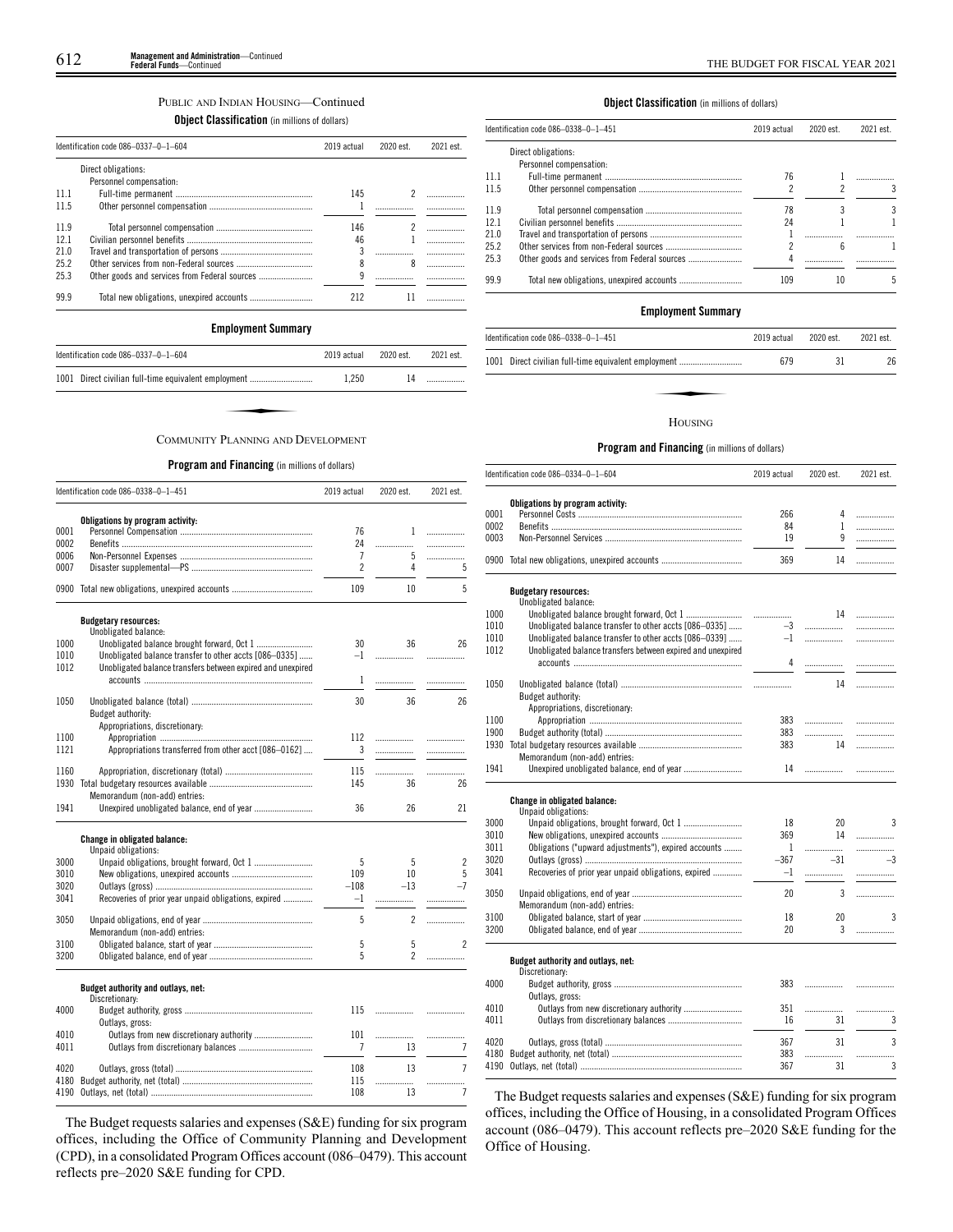#### PUBLIC AND INDIAN HOUSING—Continued

#### **Object Classification** (in millions of dollars)

|      | Identification code 086-0337-0-1-604 | 2019 actual | 2020 est. | 2021 est. |
|------|--------------------------------------|-------------|-----------|-----------|
|      | Direct obligations:                  |             |           |           |
|      | Personnel compensation:              |             |           |           |
| 11 1 |                                      | 145         |           |           |
| 11.5 |                                      |             |           |           |
| 119  |                                      | 146         |           |           |
| 12.1 |                                      | 46          |           |           |
| 210  |                                      | 3           |           |           |
| 25.2 |                                      | 8           | 8         |           |
| 25.3 |                                      | 9           |           |           |
| 99.9 |                                      | 212         |           |           |

#### **Employment Summary**

| Identification code 086-0337-0-1-604                 | 2019 actual | 2020 est. | 2021 est. |
|------------------------------------------------------|-------------|-----------|-----------|
| 1001 Direct civilian full-time equivalent employment | 1.250       | 14        |           |
|                                                      |             |           |           |
| COMMUNITY PLANNING AND DEVELOPMENT                   |             |           |           |

#### **Program and Financing** (in millions of dollars)

|      | Identification code 086-0338-0-1-451                        | 2019 actual    | 2020 est.      | 2021 est.                |
|------|-------------------------------------------------------------|----------------|----------------|--------------------------|
|      | Obligations by program activity:                            |                |                |                          |
| 0001 |                                                             | 76             | 1              | .                        |
| 0002 |                                                             | 24             | .              | .                        |
| 0006 |                                                             | $\overline{7}$ | 5              | .                        |
| 0007 |                                                             | $\overline{c}$ | 4              | 5                        |
| 0900 |                                                             | 109            | 10             | 5                        |
|      | <b>Budgetary resources:</b>                                 |                |                |                          |
| 1000 | Unobligated balance:                                        | 30             | 36             | 26                       |
| 1010 | Unobligated balance transfer to other accts [086-0335]      | $-1$           | .              |                          |
| 1012 | Unobligated balance transfers between expired and unexpired |                |                | .                        |
|      |                                                             | 1              | .              | .                        |
|      |                                                             |                |                |                          |
| 1050 |                                                             | 30             | 36             | 26                       |
|      | Budget authority:                                           |                |                |                          |
| 1100 | Appropriations, discretionary:                              | 112            |                |                          |
| 1121 | Appropriations transferred from other acct [086-0162]       | 3              | .              | .                        |
|      |                                                             |                | .              | .                        |
| 1160 |                                                             | 115            |                | .                        |
| 1930 |                                                             | 145            | 36             | 26                       |
|      | Memorandum (non-add) entries:                               |                |                |                          |
| 1941 |                                                             | 36             | 26             | 21                       |
|      | <b>Change in obligated balance:</b>                         |                |                |                          |
|      | Unpaid obligations:                                         |                |                |                          |
| 3000 |                                                             | 5              | 5              | 2                        |
| 3010 |                                                             | 109            | 10             | 5                        |
| 3020 |                                                             | $-108$         | $-13$          | $-7$                     |
| 3041 | Recoveries of prior year unpaid obligations, expired        | $-1$           | .              | .                        |
| 3050 |                                                             | 5              | $\overline{c}$ | .                        |
|      | Memorandum (non-add) entries:                               |                |                |                          |
| 3100 |                                                             | 5              | 5              | $\overline{\phantom{a}}$ |
| 3200 |                                                             | 5              | $\overline{c}$ | .                        |
|      |                                                             |                |                |                          |
|      | Budget authority and outlays, net:<br>Discretionary:        |                |                |                          |
| 4000 |                                                             | 115            |                |                          |
|      | Outlays, gross:                                             |                |                |                          |
| 4010 |                                                             | 101            | .              | .                        |
| 4011 |                                                             | $\overline{7}$ | 13             | 7                        |
|      |                                                             |                |                |                          |
| 4020 |                                                             | 108            | 13             | $\overline{1}$           |
| 4180 |                                                             | 115            | .              | .                        |
| 4190 |                                                             | 108            | 13             | 7                        |

The Budget requests salaries and expenses (S&E) funding for six program offices, including the Office of Community Planning and Development (CPD), in a consolidated Program Offices account (086–0479). This account reflects pre–2020 S&E funding for CPD.

#### **Object Classification** (in millions of dollars)

|      | ldentification code 086–0338–0–1–451 | 2019 actual | 2020 est. | 2021 est. |
|------|--------------------------------------|-------------|-----------|-----------|
|      | Direct obligations:                  |             |           |           |
|      | Personnel compensation:              |             |           |           |
| 111  |                                      | 76          |           |           |
| 11.5 |                                      |             |           |           |
| 11.9 |                                      | 78          |           |           |
| 12.1 |                                      | 24          |           |           |
| 21.0 |                                      |             |           |           |
| 25.2 |                                      |             | հ         |           |
| 25.3 |                                      |             |           |           |
| 99 9 |                                      | 109         | 10        | 5         |

#### **Employment Summary**

| Identification code 086-0338-0-1-451                 | 2019 actual | 2020 est. | 2021 est. |
|------------------------------------------------------|-------------|-----------|-----------|
| 1001 Direct civilian full-time equivalent employment | 679         | 31        | 26        |
|                                                      |             |           |           |
| HOUSING                                              |             |           |           |

#### HOUSING

#### **Program and Financing** (in millions of dollars)

|      | Identification code 086-0334-0-1-604                        | 2019 actual  | 2020 est.    | 2021 est. |
|------|-------------------------------------------------------------|--------------|--------------|-----------|
|      | Obligations by program activity:                            |              |              |           |
| 0001 |                                                             | 266          | 4            | .         |
| 0002 |                                                             | 84           | $\mathbf{1}$ | .         |
| 0003 |                                                             | 19           | 9            | .         |
|      | 0900 Total new obligations, unexpired accounts              | 369          | 14           | .         |
|      | <b>Budgetary resources:</b>                                 |              |              |           |
|      | Unobligated balance:                                        |              |              |           |
| 1000 |                                                             |              | 14           | .         |
| 1010 | Unobligated balance transfer to other accts [086-0335]      | $-3$         |              | .         |
| 1010 | Unobligated balance transfer to other accts [086-0339]      | $-1$         |              |           |
| 1012 | Unobligated balance transfers between expired and unexpired |              |              |           |
|      |                                                             | 4            |              | .         |
| 1050 |                                                             |              | 14           |           |
|      | Budget authority:                                           |              |              |           |
|      | Appropriations, discretionary:                              |              |              |           |
| 1100 |                                                             | 383          |              | .         |
| 1900 |                                                             | 383          |              | .         |
|      |                                                             | 383          | 14           | .         |
|      | Memorandum (non-add) entries:                               |              |              |           |
| 1941 |                                                             | 14           |              |           |
|      |                                                             |              |              |           |
|      | <b>Change in obligated balance:</b><br>Unpaid obligations:  |              |              |           |
| 3000 | Unpaid obligations, brought forward, Oct 1                  | 18           | 20           | 3         |
| 3010 |                                                             | 369          | 14           | .         |
| 3011 | Obligations ("upward adjustments"), expired accounts        | $\mathbf{1}$ | .            |           |
| 3020 |                                                             | $-367$       | $-31$        | $-3$      |
| 3041 | Recoveries of prior year unpaid obligations, expired        | $-1$         | .            | .         |
|      |                                                             |              |              |           |
| 3050 |                                                             | 20           | 3            | .         |
|      | Memorandum (non-add) entries:                               |              |              |           |
| 3100 |                                                             | 18           | 20           | 3         |
| 3200 |                                                             | 20           | 3            | .         |
|      | Budget authority and outlays, net:                          |              |              |           |
|      | Discretionary:                                              |              |              |           |
| 4000 |                                                             | 383          |              | .         |
|      | Outlays, gross:                                             |              |              |           |
| 4010 | Outlays from new discretionary authority                    | 351          |              | .         |
| 4011 |                                                             | 16           | 31           | 3         |
|      |                                                             |              |              |           |
| 4020 |                                                             | 367          | 31           | 3         |
| 4180 |                                                             | 383          | .            | .         |
|      |                                                             | 367          | 31           | 3         |
|      |                                                             |              |              |           |

The Budget requests salaries and expenses (S&E) funding for six program offices, including the Office of Housing, in a consolidated Program Offices account (086–0479). This account reflects pre–2020 S&E funding for the Office of Housing.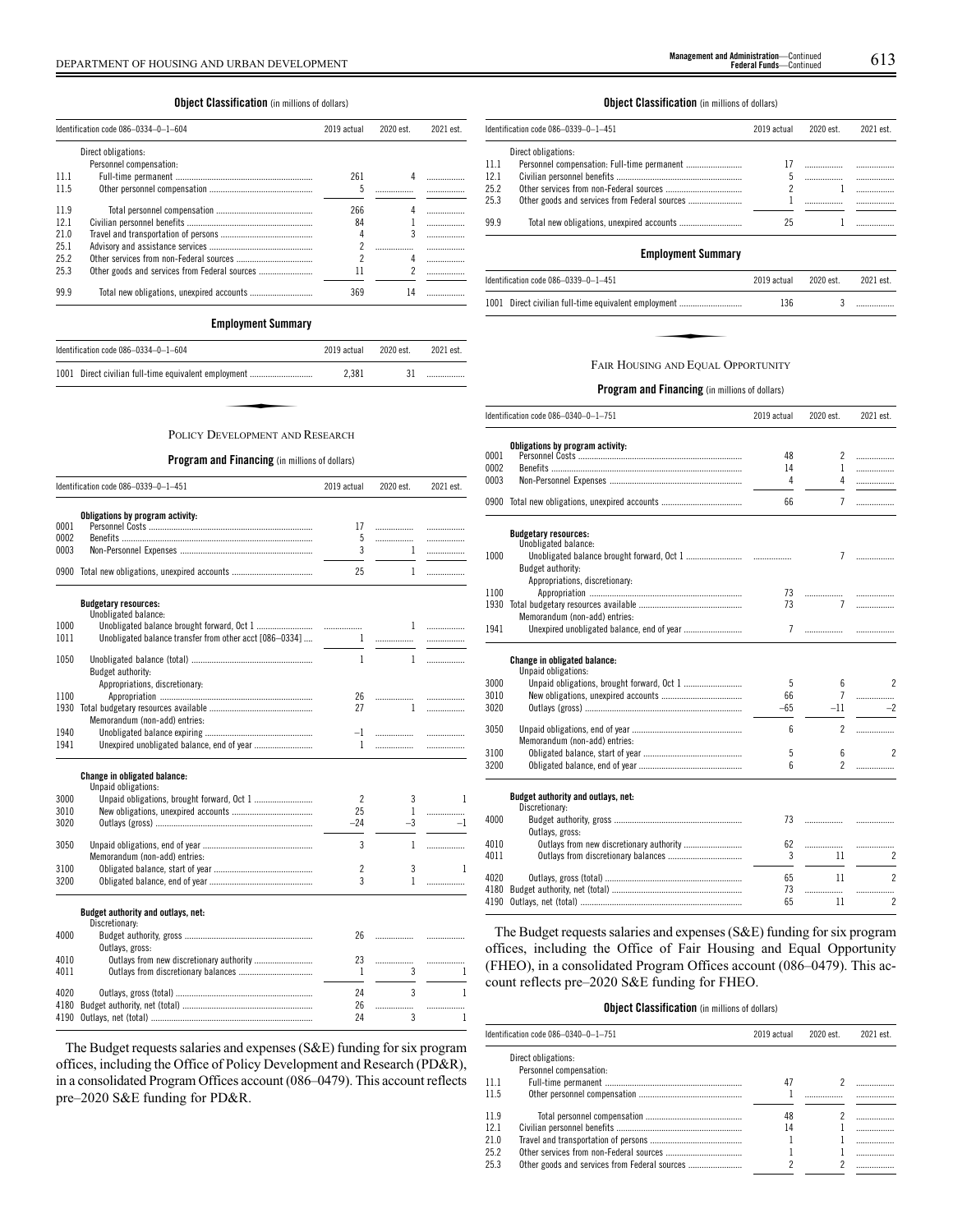#### **Object Classification** (in millions of dollars)

|      | Identification code 086-0334-0-1-604          | 2019 actual | 2020 est. | 2021 est. |
|------|-----------------------------------------------|-------------|-----------|-----------|
|      | Direct obligations:                           |             |           |           |
|      | Personnel compensation:                       |             |           |           |
| 11.1 |                                               | 261         | 4         |           |
| 11.5 |                                               | 5           |           |           |
| 119  |                                               | 266         | 4         |           |
| 12.1 |                                               | 84          |           | .         |
| 21.0 |                                               | 4           | 3         | .         |
| 25.1 |                                               | C           |           |           |
| 25.2 |                                               |             | 4         | .         |
| 25.3 | Other goods and services from Federal sources | 11          | 2         |           |
| 99.9 |                                               | 369         | 14        |           |

#### **Employment Summary**

| Identification code 086-0334-0-1-604                 | 2019 actual | 2020 est. | 2021 est. |
|------------------------------------------------------|-------------|-----------|-----------|
| 1001 Direct civilian full-time equivalent employment | 2.381       | 31        |           |
|                                                      |             |           |           |
| POLICY DEVELOPMENT AND RESEARCH                      |             |           |           |

#### **Program and Financing** (in millions of dollars)

|      | Identification code 086-0339-0-1-451                    | 2019 actual    | 2020 est.    | 2021 est. |
|------|---------------------------------------------------------|----------------|--------------|-----------|
|      | Obligations by program activity:                        |                |              |           |
| 0001 |                                                         | 17             |              | .         |
| 0002 |                                                         | 5              | .            | .         |
| 0003 |                                                         | 3              | $\mathbf{1}$ | .         |
|      |                                                         |                |              |           |
|      | 0900 Total new obligations, unexpired accounts          | 25             | $\mathbf{1}$ | .         |
|      | <b>Budgetary resources:</b>                             |                |              |           |
|      | Unobligated balance:                                    |                |              |           |
| 1000 |                                                         |                |              |           |
| 1011 | Unobligated balance transfer from other acct [086-0334] |                |              | .         |
|      |                                                         |                |              |           |
| 1050 |                                                         | $\mathbf{1}$   |              | 1         |
|      | Budget authority:                                       |                |              |           |
|      | Appropriations, discretionary:                          |                |              |           |
| 1100 |                                                         | 26             |              | .         |
| 1930 |                                                         | 27             | $\mathbf{1}$ |           |
|      | Memorandum (non-add) entries:                           |                |              |           |
| 1940 |                                                         |                | $-1$         | .         |
| 1941 |                                                         |                |              | .         |
|      |                                                         |                |              |           |
|      | Change in obligated balance:<br>Unpaid obligations:     |                |              |           |
| 3000 | Unpaid obligations, brought forward, Oct 1              | $\overline{c}$ | 3            | 1         |
| 3010 |                                                         | 25             |              | 1         |
| 3020 |                                                         | $-24$          | $-3$         | $-1$      |
|      |                                                         |                |              |           |
| 3050 |                                                         | 3              | 1            | .         |
|      | Memorandum (non-add) entries:                           |                |              |           |
| 3100 |                                                         | 2              | 3            | 1         |
| 3200 |                                                         | 3              | 1            | .         |
|      | Budget authority and outlays, net:                      |                |              |           |
|      | Discretionary:                                          |                |              |           |
| 4000 |                                                         |                |              | .         |
|      | Outlays, gross:                                         |                |              |           |
| 4010 | Outlays from new discretionary authority                | 23             |              | .         |
| 4011 |                                                         | 1              | 3            | 1         |
|      |                                                         |                |              |           |
| 4020 |                                                         | 24             | 3            | 1         |
| 4180 |                                                         | 26             | .            | .         |
| 4190 |                                                         | 24             | 3            | 1         |
|      |                                                         |                |              |           |

The Budget requests salaries and expenses (S&E) funding for six program offices, including the Office of Policy Development and Research (PD&R), in a consolidated Program Offices account (086–0479). This account reflects pre–2020 S&E funding for PD&R.

**Management and Administration—Continued<br><b>Federal Funds**—Continued

#### **Object Classification** (in millions of dollars)

|      | ldentification code 086–0339–0–1–451          | 2019 actual | 2020 est. | 2021 est. |
|------|-----------------------------------------------|-------------|-----------|-----------|
|      | Direct obligations:                           |             |           |           |
| 11.1 |                                               |             |           |           |
| 12.1 |                                               |             |           |           |
| 25.2 |                                               |             |           |           |
| 25.3 | Other goods and services from Federal sources |             |           |           |
| 99.9 |                                               | 25          |           |           |

#### **Employment Summary**

| Identification code 086-0339-0-1-451                 | 2019 actual | 2020 est. | 2021 est. |
|------------------------------------------------------|-------------|-----------|-----------|
| 1001 Direct civilian full-time equivalent employment | 136         |           |           |
|                                                      |             |           |           |
| FAIR HOUSING AND EQUAL OPPORTUNITY                   |             |           |           |

#### **Program and Financing** (in millions of dollars)

|      | Identification code 086-0340-0-1-751                | 2019 actual                   | 2020 est.      | 2021 est.                |
|------|-----------------------------------------------------|-------------------------------|----------------|--------------------------|
|      | Obligations by program activity:                    |                               |                |                          |
| 0001 |                                                     | 48                            | $\mathfrak{p}$ | .                        |
| 0002 |                                                     | 14                            | 1              | .                        |
| 0003 |                                                     | 4                             | 4              | .                        |
|      | 0900 Total new obligations, unexpired accounts      | 66                            | $\overline{7}$ | .                        |
|      | <b>Budgetary resources:</b><br>Unobligated balance: |                               |                |                          |
| 1000 |                                                     |                               | 7              | .                        |
|      | Budget authority:                                   |                               |                |                          |
|      | Appropriations, discretionary:                      |                               |                |                          |
| 1100 |                                                     | 73                            | .              |                          |
| 1930 |                                                     | 73                            | 7              | .                        |
|      | Memorandum (non-add) entries:                       |                               |                |                          |
| 1941 | Unexpired unobligated balance, end of year          | 7                             |                | .                        |
|      | Change in obligated balance:<br>Unpaid obligations: |                               |                |                          |
| 3000 |                                                     | 5                             | 6              | $\overline{\mathcal{C}}$ |
| 3010 |                                                     | 66                            | 7              | .                        |
| 3020 |                                                     | $-65$                         | $-11$          | $-2$                     |
| 3050 | Memorandum (non-add) entries:                       | $6\overline{6}$               | 2              | .                        |
| 3100 |                                                     | 5                             | 6              | $\mathfrak{p}$           |
| 3200 |                                                     | 6                             | $\overline{2}$ | .                        |
|      | Budget authority and outlays, net:                  |                               |                |                          |
| 4000 | Discretionary:                                      | 73                            |                |                          |
|      | Outlays, gross:                                     |                               |                |                          |
| 4010 |                                                     | 62                            | .              |                          |
| 4011 |                                                     | 3<br>$\overline{\phantom{0}}$ | 11             | $\overline{\mathcal{C}}$ |
| 4020 |                                                     | 65                            | 11             | $\overline{\mathcal{C}}$ |
| 4180 |                                                     | 73                            | .              | .                        |
| 4190 |                                                     | 65                            | 11             | $\overline{c}$           |

The Budget requests salaries and expenses (S&E) funding for six program offices, including the Office of Fair Housing and Equal Opportunity (FHEO), in a consolidated Program Offices account (086–0479). This account reflects pre–2020 S&E funding for FHEO.

### **Object Classification** (in millions of dollars)

|       | Identification code 086-0340-0-1-751 | 2019 actual | 2020 est. | 2021 est. |
|-------|--------------------------------------|-------------|-----------|-----------|
|       | Direct obligations:                  |             |           |           |
|       | Personnel compensation:              |             |           |           |
| -11.1 |                                      | 47          |           |           |
| 11.5  |                                      |             |           |           |
| 11.9  |                                      | 48          |           |           |
| 12.1  |                                      | 14          |           | .         |
| 21.0  |                                      |             |           | .         |
| 25.2  |                                      |             |           |           |
| 25.3  |                                      |             |           |           |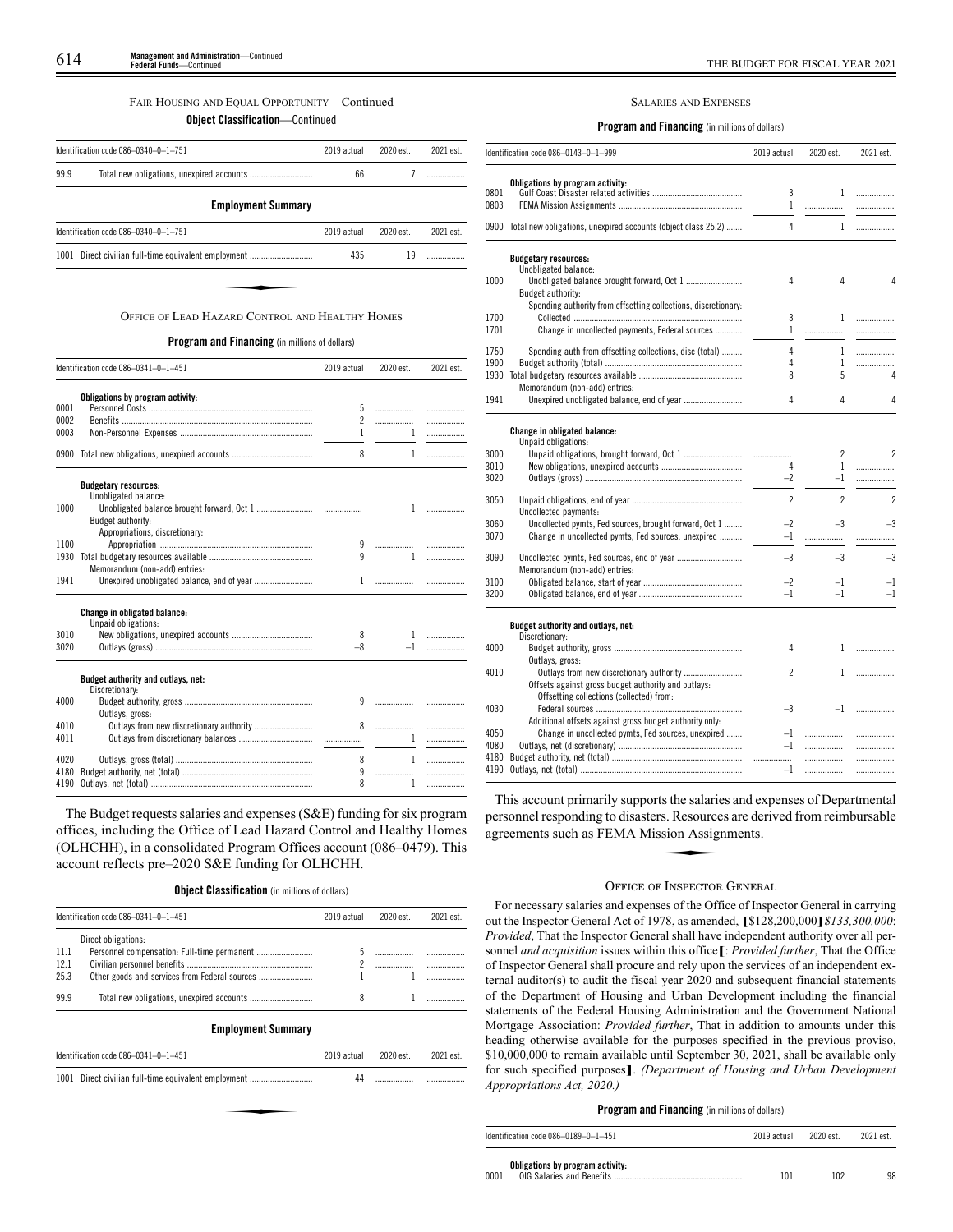#### FAIR HOUSING AND EQUAL OPPORTUNITY—Continued

**Object Classification**—Continued

|      |                                                 |             | 2020 est. | 2021 est. |
|------|-------------------------------------------------|-------------|-----------|-----------|
| 99.9 |                                                 | 66          |           |           |
|      | <b>Employment Summary</b>                       |             |           |           |
|      | Identification code $086-0340-0-1-751$          | 2019 actual | 2020 est. | 2021 est. |
| 1001 | Direct civilian full-time equivalent employment | 435         | 19        |           |

#### **Program and Financing** (in millions of dollars)

|                      | Identification code 086-0341-0-1-451                 | 2019 actual                           | 2020 est.    | 2021 est. |
|----------------------|------------------------------------------------------|---------------------------------------|--------------|-----------|
| 0001<br>0002<br>0003 | Obligations by program activity:                     | 5 <sup>5</sup><br>$\overline{2}$<br>1 |              | .         |
| 0900                 |                                                      | 8                                     | $\mathbf{1}$ | 1<br>.    |
|                      | <b>Budgetary resources:</b><br>Unobligated balance:  |                                       |              |           |
| 1000                 | Budget authority:<br>Appropriations, discretionary:  |                                       |              | 1         |
| 1100                 |                                                      |                                       |              |           |
| 1930                 |                                                      | 9                                     | $\mathbf{1}$ | .         |
| 1941                 | Memorandum (non-add) entries:                        |                                       |              |           |
|                      | Change in obligated balance:                         |                                       |              |           |
| 3010                 | Unpaid obligations:                                  | 8                                     |              | 1         |
| 3020                 |                                                      | $-8$                                  | $-1$         | .         |
|                      | Budget authority and outlays, net:<br>Discretionary: |                                       |              |           |
| 4000                 | Outlays, gross:                                      | 9                                     |              | .         |
| 4010                 |                                                      | 8                                     |              |           |
| 4011                 |                                                      |                                       |              | 1         |
|                      |                                                      |                                       |              |           |
| 4020                 |                                                      | 8                                     | $\mathbf{1}$ | .         |
| 4180                 |                                                      | 9                                     |              |           |
| 4190                 |                                                      | 8                                     | 1            | .         |

The Budget requests salaries and expenses (S&E) funding for six program offices, including the Office of Lead Hazard Control and Healthy Homes (OLHCHH), in a consolidated Program Offices account (086–0479). This account reflects pre–2020 S&E funding for OLHCHH.

#### **Object Classification** (in millions of dollars)

|      | Identification code $086-0341-0-1-451$<br>2019 actual<br>2020 est. |  | 2021 est. |  |
|------|--------------------------------------------------------------------|--|-----------|--|
|      | Direct obligations:                                                |  |           |  |
| 11.1 |                                                                    |  |           |  |
| 12.1 |                                                                    |  |           |  |
| 25.3 | Other goods and services from Federal sources                      |  |           |  |
| 99.9 |                                                                    |  |           |  |

#### **Employment Summary**

| Identification code 086-0341-0-1-451                 | 2019 actual | 2020 est. | 2021 est. |
|------------------------------------------------------|-------------|-----------|-----------|
| 1001 Direct civilian full-time equivalent employment | 44          |           |           |
|                                                      |             |           |           |
|                                                      |             |           |           |

#### SALARIES AND EXPENSES

#### **Program and Financing** (in millions of dollars)

|      | Identification code 086-0143-0-1-999                               | 2019 actual    | 2020 est.      | 2021 est.      |
|------|--------------------------------------------------------------------|----------------|----------------|----------------|
|      | Obligations by program activity:                                   |                |                |                |
| 0801 |                                                                    | 3              | $\mathbf{1}$   | .              |
| 0803 |                                                                    | $\mathbf{1}$   | .              | .              |
|      | 0900 Total new obligations, unexpired accounts (object class 25.2) | $\overline{4}$ | $\mathbf{1}$   | .              |
|      | <b>Budgetary resources:</b>                                        |                |                |                |
|      | Unobligated balance:                                               |                |                |                |
| 1000 |                                                                    | 4              | 4              | 4              |
|      | Budget authority:                                                  |                |                |                |
| 1700 | Spending authority from offsetting collections, discretionary:     | 3              | $\mathbf{1}$   | .              |
| 1701 | Change in uncollected payments, Federal sources                    | $\mathbf{1}$   | .              | .              |
|      |                                                                    |                |                |                |
| 1750 | Spending auth from offsetting collections, disc (total)            | 4              | $\mathbf{1}$   | .              |
| 1900 |                                                                    | 4              | $\mathbf{1}$   | .              |
|      |                                                                    | 8              | 5              | 4              |
|      | Memorandum (non-add) entries:                                      |                |                |                |
| 1941 | Unexpired unobligated balance, end of year                         | 4              | 4              | 4              |
|      |                                                                    |                |                |                |
|      | <b>Change in obligated balance:</b><br>Unpaid obligations:         |                |                |                |
| 3000 |                                                                    |                | $\mathfrak{p}$ | $\mathfrak{p}$ |
| 3010 |                                                                    | 4              | $\mathbf{1}$   | .              |
| 3020 |                                                                    | $-2$           | $-1$           | .              |
| 3050 |                                                                    | $\overline{c}$ | $\overline{2}$ | $\overline{2}$ |
|      | Uncollected payments:                                              |                |                |                |
| 3060 | Uncollected pymts, Fed sources, brought forward, Oct 1             | $-2$           | $-3$           | $-3$           |
| 3070 | Change in uncollected pymts, Fed sources, unexpired                | $-1$           | .              | .              |
|      |                                                                    |                |                |                |
| 3090 | Uncollected pymts, Fed sources, end of year                        | $-3$           | $-3$           | $-3$           |
|      | Memorandum (non-add) entries:                                      |                |                |                |
| 3100 |                                                                    | $-2$           | $-1$           | $-1$           |
| 3200 |                                                                    | $-1$           | $-1$           | $-1$           |
|      | Budget authority and outlays, net:                                 |                |                |                |
|      | Discretionary:                                                     |                |                |                |
| 4000 |                                                                    | 4              | $\mathbf{1}$   | .              |
|      | Outlays, gross:                                                    |                |                |                |
| 4010 |                                                                    | $\mathfrak{p}$ | $\mathbf{1}$   | .              |
|      | Offsets against gross budget authority and outlays:                |                |                |                |
|      | Offsetting collections (collected) from:                           |                |                |                |
| 4030 |                                                                    | $-3$           |                |                |
|      | Additional offsets against gross budget authority only:            |                |                |                |
| 4050 | Change in uncollected pymts, Fed sources, unexpired                | $-1$           |                | .              |
| 4080 |                                                                    | $-1$           |                | .              |
| 4180 |                                                                    |                | .              | .              |
| 4190 |                                                                    | $-1$           |                |                |
|      |                                                                    |                |                |                |

This account primarily supports the salaries and expenses of Departmental<br>
ersonnel responding to disasters. Resources are derived from reimbursable<br>
greements such as FEMA Mission Assignments. personnel responding to disasters. Resources are derived from reimbursable agreements such as FEMA Mission Assignments.

#### OFFICE OF INSPECTOR GENERAL

For necessary salaries and expenses of the Office of Inspector General in carrying out the Inspector General Act of 1978, as amended, **[**\$128,200,000**]***\$133,300,000*: *Provided*, That the Inspector General shall have independent authority over all personnel *and acquisition* issues within this office**[**: *Provided further*, That the Office of Inspector General shall procure and rely upon the services of an independent external auditor(s) to audit the fiscal year 2020 and subsequent financial statements of the Department of Housing and Urban Development including the financial statements of the Federal Housing Administration and the Government National Mortgage Association: *Provided further*, That in addition to amounts under this heading otherwise available for the purposes specified in the previous proviso, \$10,000,000 to remain available until September 30, 2021, shall be available only for such specified purposes**]**. *(Department of Housing and Urban Development Appropriations Act, 2020.)*

| Identification code 086-0189-0-1-451                                  | 2019 actual | 2020 est. | 2021 est. |
|-----------------------------------------------------------------------|-------------|-----------|-----------|
| Obligations by program activity:<br>0001<br>OIG Salaries and Benefits | 101         | 102       | 98        |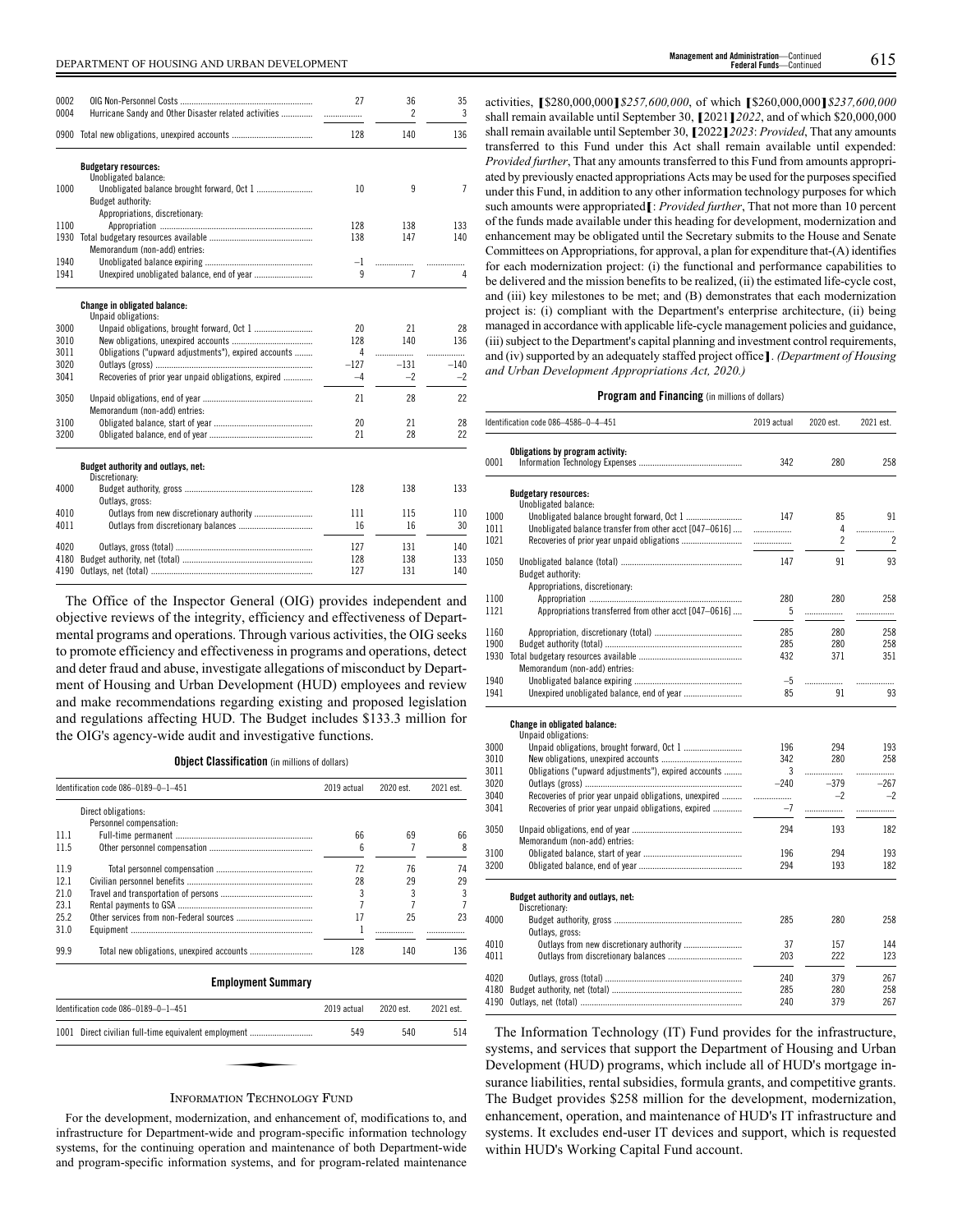| 0002<br>0004 | Hurricane Sandy and Other Disaster related activities                                   | 27<br>. | 36<br>2 | 35<br>3 |
|--------------|-----------------------------------------------------------------------------------------|---------|---------|---------|
| 0900         |                                                                                         | 128     | 140     | 136     |
|              | <b>Budgetary resources:</b>                                                             |         |         |         |
| 1000         | Unobligated balance:<br>Unobligated balance brought forward, Oct 1<br>Budget authority: | 10      | 9       | 7       |
|              | Appropriations, discretionary:                                                          |         |         |         |
| 1100         |                                                                                         | 128     | 138     | 133     |
| 1930         | Memorandum (non-add) entries:                                                           | 138     | 147     | 140     |
| 1940         |                                                                                         | $-1$    |         |         |
| 1941         |                                                                                         | 9       | 7       | 4       |
|              |                                                                                         |         |         |         |
|              | Change in obligated balance:<br>Unpaid obligations:                                     |         |         |         |
| 3000         |                                                                                         | 20      | 21      | 28      |
| 3010         |                                                                                         | 128     | 140     | 136     |
| 3011         | Obligations ("upward adjustments"), expired accounts                                    | 4       | .       |         |
| 3020         |                                                                                         | $-127$  | $-131$  | $-140$  |
| 3041         | Recoveries of prior year unpaid obligations, expired                                    | $-4$    | $-2$    | $-2$    |
| 3050         | Memorandum (non-add) entries:                                                           | 21      | 28      | 22      |
| 3100         |                                                                                         | 20      | 21      | 28      |
| 3200         |                                                                                         | 21      | 28      | 22      |
|              | Budget authority and outlays, net:<br>Discretionary:                                    |         |         |         |
| 4000         | Outlays, gross:                                                                         | 128     | 138     | 133     |
| 4010         |                                                                                         | 111     | 115     | 110     |
| 4011         |                                                                                         | 16      | 16      | 30      |
| 4020         |                                                                                         | 127     | 131     | 140     |
| 4180         |                                                                                         | 128     | 138     | 133     |
| 4190         |                                                                                         | 127     | 131     | 140     |
|              |                                                                                         |         |         |         |

The Office of the Inspector General (OIG) provides independent and objective reviews of the integrity, efficiency and effectiveness of Departmental programs and operations. Through various activities, the OIG seeks to promote efficiency and effectiveness in programs and operations, detect and deter fraud and abuse, investigate allegations of misconduct by Department of Housing and Urban Development (HUD) employees and review and make recommendations regarding existing and proposed legislation and regulations affecting HUD. The Budget includes \$133.3 million for the OIG's agency-wide audit and investigative functions.

**Object Classification** (in millions of dollars)

|      | Identification code 086-0189-0-1-451 |     | 2020 est. | 2021 est. |
|------|--------------------------------------|-----|-----------|-----------|
|      | Direct obligations:                  |     |           |           |
|      | Personnel compensation:              |     |           |           |
| 11 1 |                                      | 66  | 69        | 66        |
| 11.5 |                                      | ĥ   |           | 8         |
| 119  |                                      | 72  | 76        | 74        |
| 12.1 |                                      | 28  | 29        | 29        |
| 210  |                                      |     |           |           |
| 231  |                                      |     |           |           |
| 25.2 |                                      |     | 25        |           |
| 31.0 |                                      |     |           |           |
| 99.9 |                                      | 128 | 140       | 136       |

#### **Employment Summary**

| Identification code 086-0189-0-1-451                 | 2019 actual | 2020 est. | 2021 est. |
|------------------------------------------------------|-------------|-----------|-----------|
| 1001 Direct civilian full-time equivalent employment | 549         | 540       | 514       |
|                                                      |             |           |           |
| $\mathbf{r}$ and $\mathbf{r}$                        |             |           |           |

#### INFORMATION TECHNOLOGY FUND

For the development, modernization, and enhancement of, modifications to, and infrastructure for Department-wide and program-specific information technology systems, for the continuing operation and maintenance of both Department-wide and program-specific information systems, and for program-related maintenance

activities, **[**\$280,000,000**]***\$257,600,000*, of which **[**\$260,000,000**]***\$237,600,000* shall remain available until September 30, **[**2021**]***2022*, and of which \$20,000,000 shall remain available until September 30, **[**2022**]***2023*: *Provided*, That any amounts transferred to this Fund under this Act shall remain available until expended: *Provided further*, That any amounts transferred to this Fund from amounts appropriated by previously enacted appropriations Acts may be used for the purposes specified under this Fund, in addition to any other information technology purposes for which such amounts were appropriated**[**: *Provided further*, That not more than 10 percent of the funds made available under this heading for development, modernization and enhancement may be obligated until the Secretary submits to the House and Senate Committees on Appropriations, for approval, a plan for expenditure that-(A) identifies for each modernization project: (i) the functional and performance capabilities to be delivered and the mission benefits to be realized, (ii) the estimated life-cycle cost, and (iii) key milestones to be met; and (B) demonstrates that each modernization project is: (i) compliant with the Department's enterprise architecture, (ii) being managed in accordance with applicable life-cycle management policies and guidance, (iii) subject to the Department's capital planning and investment control requirements, and (iv) supported by an adequately staffed project office**]**. *(Department of Housing and Urban Development Appropriations Act, 2020.)*

#### **Program and Financing** (in millions of dollars)

|              | Identification code 086-4586-0-4-451                    |            | 2019 actual<br>2020 est. |                |
|--------------|---------------------------------------------------------|------------|--------------------------|----------------|
| 0001         | Obligations by program activity:                        | 342        | 280                      | 258            |
|              | <b>Budgetary resources:</b>                             |            |                          |                |
| 1000         | Unobligated balance:                                    | 147        | 85                       | 91             |
| 1011         | Unobligated balance transfer from other acct [047-0616] | .          | 4                        | .              |
| 1021         |                                                         | .          | $\overline{c}$           | $\overline{c}$ |
|              |                                                         |            |                          |                |
| 1050         |                                                         | 147        | 91                       | 93             |
|              | Budget authority:                                       |            |                          |                |
| 1100         | Appropriations, discretionary:                          | 280        | 280                      | 258            |
| 1121         | Appropriations transferred from other acct [047-0616]   | 5          | .                        | .              |
|              |                                                         |            |                          |                |
| 1160<br>1900 |                                                         | 285<br>285 | 280<br>280               | 258<br>258     |
| 1930         |                                                         | 432        | 371                      | 351            |
|              | Memorandum (non-add) entries:                           |            |                          |                |
| 1940         |                                                         | $-5$       | .                        | . <b>.</b>     |
| 1941         |                                                         | 85         | 91                       | 93             |
|              | Change in obligated balance:<br>Unpaid obligations:     |            |                          |                |
| 3000         |                                                         | 196        | 294                      | 193            |
| 3010         |                                                         | 342        | 280                      | 258            |
| 3011         | Obligations ("upward adjustments"), expired accounts    | 3          | .                        | .              |
| 3020         |                                                         | $-240$     | $-379$                   | $-267$         |
| 3040         | Recoveries of prior year unpaid obligations, unexpired  |            | $-2$                     | $-2$           |
| 3041         | Recoveries of prior year unpaid obligations, expired    | $-7$       | .                        | .              |
| 3050         | Memorandum (non-add) entries:                           | 294        | 193                      | 182            |
| 3100         |                                                         | 196        | 294                      | 193            |
| 3200         |                                                         | 294        | 193                      | 182            |
|              | Budget authority and outlays, net:                      |            |                          |                |
| 4000         | Discretionary:                                          | 285        | 280                      | 258            |
|              | Outlays, gross:                                         |            |                          |                |
| 4010         | Outlays from new discretionary authority                | 37         | 157                      | 144            |
| 4011         |                                                         | 203        | 222                      | 123            |
| 4020         |                                                         | 240        | 379                      | 267            |
| 4180         |                                                         | 285        | 280                      | 258            |
| 4190         |                                                         | 240        | 379                      | 267            |

The Information Technology (IT) Fund provides for the infrastructure, systems, and services that support the Department of Housing and Urban Development (HUD) programs, which include all of HUD's mortgage insurance liabilities, rental subsidies, formula grants, and competitive grants. The Budget provides \$258 million for the development, modernization, enhancement, operation, and maintenance of HUD's IT infrastructure and systems. It excludes end-user IT devices and support, which is requested within HUD's Working Capital Fund account.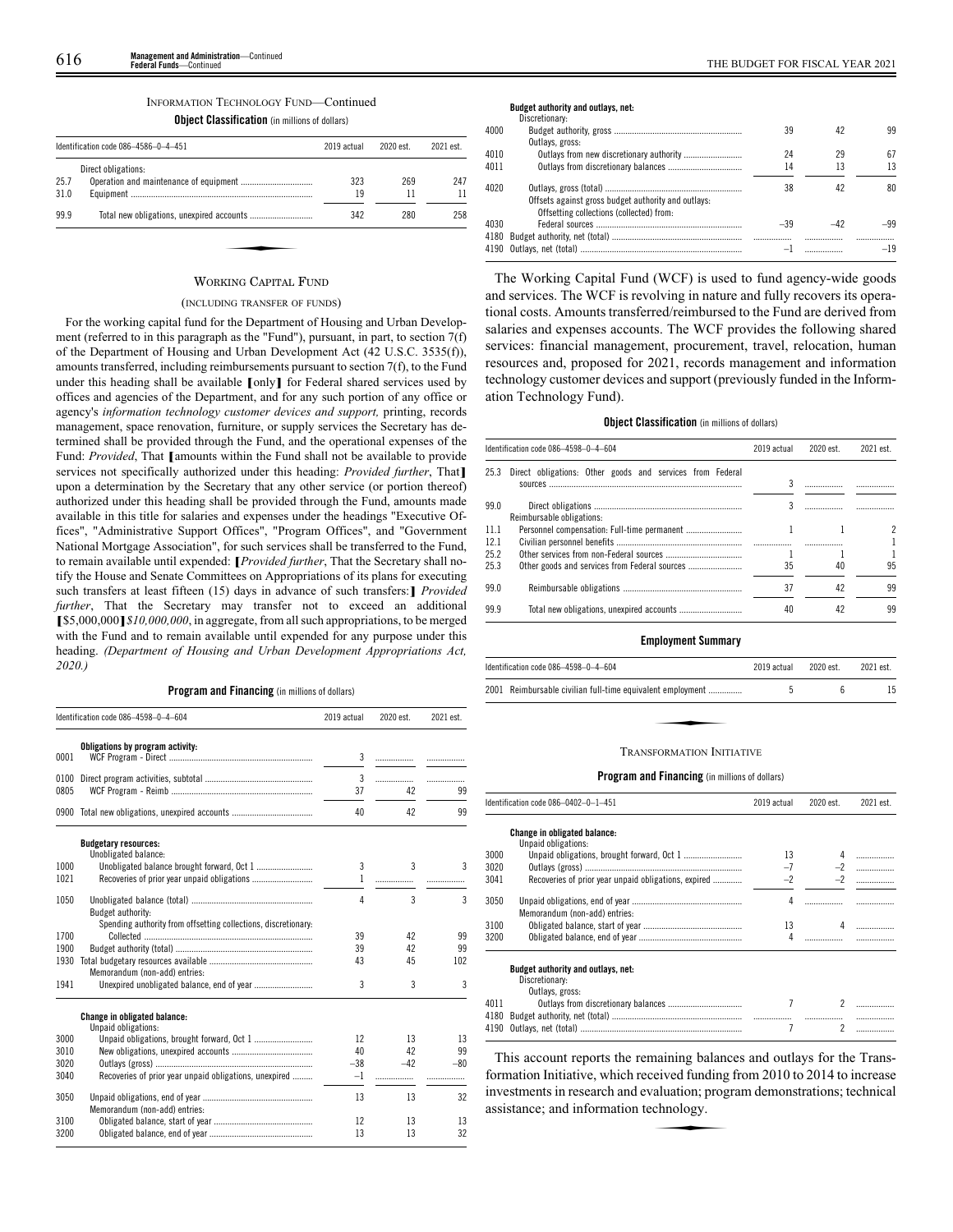#### INFORMATION TECHNOLOGY FUND—Continued

**Object Classification** (in millions of dollars)

|      | Identification code 086-4586-0-4-451                 | 2019 actual | 2020 est. | 2021 est. |
|------|------------------------------------------------------|-------------|-----------|-----------|
|      | Direct obligations:                                  |             |           |           |
| 25.7 |                                                      | 323         | 269       | 247       |
| 31.0 |                                                      | 19          | 11        | 11        |
| 99.9 |                                                      | 342         | 280       | 258       |
|      |                                                      |             |           |           |
|      |                                                      |             |           |           |
|      | $\mathbf{W}$ = = = = = $\alpha$ = = = = $\mathbf{W}$ |             |           |           |

#### WORKING CAPITAL FUND

#### (INCLUDING TRANSFER OF FUNDS)

For the working capital fund for the Department of Housing and Urban Development (referred to in this paragraph as the "Fund"), pursuant, in part, to section 7(f) of the Department of Housing and Urban Development Act (42 U.S.C. 3535(f)), amounts transferred, including reimbursements pursuant to section 7(f), to the Fund under this heading shall be available **[**only**]** for Federal shared services used by offices and agencies of the Department, and for any such portion of any office or agency's *information technology customer devices and support,* printing, records management, space renovation, furniture, or supply services the Secretary has determined shall be provided through the Fund, and the operational expenses of the Fund: *Provided*, That **[**amounts within the Fund shall not be available to provide services not specifically authorized under this heading: *Provided further*, That**]** upon a determination by the Secretary that any other service (or portion thereof) authorized under this heading shall be provided through the Fund, amounts made available in this title for salaries and expenses under the headings "Executive Offices", "Administrative Support Offices", "Program Offices", and "Government National Mortgage Association", for such services shall be transferred to the Fund, to remain available until expended: **[***Provided further*, That the Secretary shall notify the House and Senate Committees on Appropriations of its plans for executing such transfers at least fifteen (15) days in advance of such transfers:**]** *Provided further*, That the Secretary may transfer not to exceed an additional **[**\$5,000,000**]***\$10,000,000*, in aggregate, from all such appropriations, to be merged with the Fund and to remain available until expended for any purpose under this heading. *(Department of Housing and Urban Development Appropriations Act, 2020.)*

#### **Program and Financing** (in millions of dollars)

|      | Identification code 086-4598-0-4-604                                                | 2019 actual    | 2020 est. | 2021 est. |
|------|-------------------------------------------------------------------------------------|----------------|-----------|-----------|
| 0001 | Obligations by program activity:                                                    | 3              | .         |           |
| 0100 |                                                                                     | $\overline{3}$ | .         | .         |
| 0805 |                                                                                     | 37             | 42        | 99        |
| 0900 |                                                                                     | 40             | 42        | 99        |
|      | <b>Budgetary resources:</b><br>Unobligated balance:                                 |                |           |           |
| 1000 |                                                                                     | 3              | 3         | 3         |
| 1021 |                                                                                     | 1              | .         |           |
| 1050 |                                                                                     | 4              | 3         | 3         |
|      | Budget authority:<br>Spending authority from offsetting collections, discretionary: |                |           |           |
| 1700 |                                                                                     | 39             | 42        | 99        |
| 1900 |                                                                                     | 39             | 42        | 99        |
| 1930 | Memorandum (non-add) entries:                                                       | 43             | 45        | 102       |
| 1941 |                                                                                     | 3              | 3         | 3         |
|      | <b>Change in obligated balance:</b><br>Unpaid obligations:                          |                |           |           |
| 3000 |                                                                                     | 12             | 13        | 13        |
| 3010 |                                                                                     | 40             | 42        | 99        |
| 3020 |                                                                                     | $-38$          | $-42$     | $-80$     |
| 3040 | Recoveries of prior year unpaid obligations, unexpired                              | -1             | .         |           |
| 3050 | Memorandum (non-add) entries:                                                       | 13             | 13        | 32        |
| 3100 |                                                                                     | 12             | 13        | 13        |
| 3200 |                                                                                     | 13             | 13        | 32        |

|  | Budget authority and outlays, net: |  |  |  |
|--|------------------------------------|--|--|--|
|--|------------------------------------|--|--|--|

|      | Discretionary:                                      |       |       |       |
|------|-----------------------------------------------------|-------|-------|-------|
| 4000 |                                                     | 39    | 42    | 99    |
|      | Outlays, gross:                                     |       |       |       |
| 4010 |                                                     | 24    | 29    | 67    |
| 4011 |                                                     | 14    | 13    | 13    |
| 4020 |                                                     | 38    |       | 80    |
|      | Offsets against gross budget authority and outlays: |       |       |       |
|      | Offsetting collections (collected) from:            |       |       |       |
| 4030 |                                                     | $-39$ | $-42$ | -99   |
|      |                                                     |       |       |       |
|      |                                                     |       |       | $-19$ |
|      |                                                     |       |       |       |

The Working Capital Fund (WCF) is used to fund agency-wide goods and services. The WCF is revolving in nature and fully recovers its operational costs. Amounts transferred/reimbursed to the Fund are derived from salaries and expenses accounts. The WCF provides the following shared services: financial management, procurement, travel, relocation, human resources and, proposed for 2021, records management and information technology customer devices and support (previously funded in the Information Technology Fund).

#### **Object Classification** (in millions of dollars)

|      | Identification code 086-4598-0-4-604                      | 2019 actual | 2020 est. | 2021 est. |
|------|-----------------------------------------------------------|-------------|-----------|-----------|
| 25.3 | Direct obligations: Other goods and services from Federal | 3           |           |           |
| 99.0 | Reimbursable obligations:                                 |             |           |           |
| 111  |                                                           |             |           |           |
| 121  |                                                           |             |           |           |
| 25.2 |                                                           |             |           |           |
| 25.3 | Other goods and services from Federal sources             | 35          | 40        | 95        |
| 99.0 |                                                           | 37          | 42        | 99        |
| 99.9 |                                                           | 40          | 42        | 99        |

#### **Employment Summary**

| Identification code 086-4598-0-4-604                       | 2019 actual | 2020 est. | 2021 est. |
|------------------------------------------------------------|-------------|-----------|-----------|
| 2001 Reimbursable civilian full-time equivalent employment |             | 6         | 15        |
|                                                            |             |           |           |
| <b>TRANSFORMATION INITIATIVE</b>                           |             |           |           |

#### **Program and Financing** (in millions of dollars)

| Identification code 086-0402-0-1-451 |                                                                         | 2019 actual | 2020 est. | 2021 est. |
|--------------------------------------|-------------------------------------------------------------------------|-------------|-----------|-----------|
|                                      | <b>Change in obligated balance:</b>                                     |             |           |           |
|                                      | Unpaid obligations:                                                     |             |           |           |
| 3000                                 |                                                                         | 13          |           | .         |
| 3020                                 |                                                                         | $-7$        | $-2$      | .         |
| 3041                                 | Recoveries of prior year unpaid obligations, expired                    | $-2$        | $-2$      |           |
| 3050                                 | Memorandum (non-add) entries:                                           | 4           |           |           |
| 3100                                 |                                                                         | 13          |           |           |
| 3200                                 |                                                                         | 4           |           |           |
|                                      | Budget authority and outlays, net:<br>Discretionary:<br>Outlays, gross: |             |           |           |
| 4011                                 |                                                                         | 7           |           |           |
| 4180                                 |                                                                         |             |           |           |
| 4190                                 |                                                                         | 7           |           |           |
|                                      |                                                                         |             |           |           |

This account reports the remaining balances and outlays for the Trans-Final account reports the remaining balances and othings for the Transformation Initiative, which received funding from 2010 to 2014 to increase investments in research and evaluation; program demonstrations; technical ass investments in research and evaluation; program demonstrations; technical assistance; and information technology.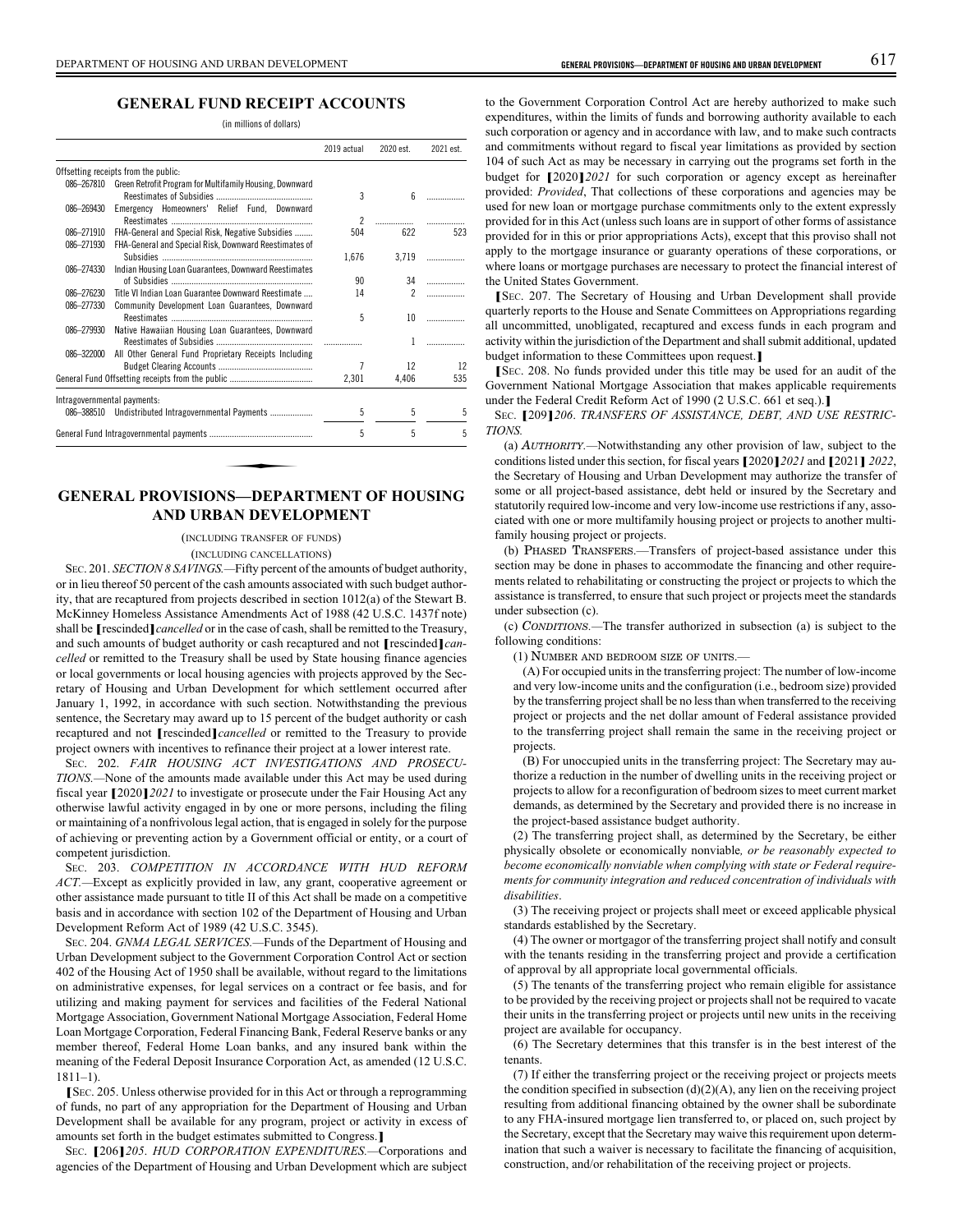### **GENERAL FUND RECEIPT ACCOUNTS**

(in millions of dollars)

|                             |                                                          | 2019 actual              | 2020 est.       | 2021 est. |
|-----------------------------|----------------------------------------------------------|--------------------------|-----------------|-----------|
|                             | Offsetting receipts from the public:                     |                          |                 |           |
| 086-267810                  | Green Retrofit Program for Multifamily Housing, Downward |                          |                 |           |
|                             |                                                          | 3                        | ĥ               | .         |
| 086-269430                  | Emergency Homeowners' Relief Fund, Downward              |                          |                 |           |
|                             |                                                          | $\overline{\phantom{a}}$ |                 | .         |
| 086-271910                  | FHA-General and Special Risk, Negative Subsidies         | 504                      | 622             | 523       |
| 086-271930                  | FHA-General and Special Risk, Downward Reestimates of    |                          |                 |           |
|                             |                                                          | 1.676                    | 3.719           | .         |
| 086-274330                  | Indian Housing Loan Guarantees, Downward Reestimates     |                          |                 |           |
|                             |                                                          | 90                       | 34              |           |
| 086-276230                  | Title VI Indian Loan Guarantee Downward Reestimate       | 14                       | 2               |           |
| 086-277330                  | Community Development Loan Guarantees, Downward          |                          |                 |           |
|                             |                                                          | 5                        | 10 <sup>2</sup> | .         |
| 086-279930                  | Native Hawaiian Housing Loan Guarantees, Downward        |                          |                 |           |
|                             |                                                          |                          | 1               | .         |
| 086-322000                  | All Other General Fund Proprietary Receipts Including    |                          |                 |           |
|                             |                                                          | $\overline{7}$           | $12 \,$         | 12        |
|                             |                                                          | 2.301                    | 4,406           | 535       |
| Intragovernmental payments: |                                                          |                          |                 |           |
|                             | 086-388510 Undistributed Intragovernmental Payments      | 5                        | 5               | 5         |
|                             |                                                          | 5                        | 5               | 5         |

### **GENERAL PROVISIONS—DEPARTMENT OF HOUSING AND URBAN DEVELOPMENT**

#### (INCLUDING TRANSFER OF FUNDS)

(INCLUDING CANCELLATIONS)

SEC. 201. *SECTION 8 SAVINGS.—*Fifty percent of the amounts of budget authority, or in lieu thereof 50 percent of the cash amounts associated with such budget authority, that are recaptured from projects described in section 1012(a) of the Stewart B. McKinney Homeless Assistance Amendments Act of 1988 (42 U.S.C. 1437f note) shall be **[**rescinded**]***cancelled* or in the case of cash, shall be remitted to the Treasury, and such amounts of budget authority or cash recaptured and not **[**rescinded**]***cancelled* or remitted to the Treasury shall be used by State housing finance agencies or local governments or local housing agencies with projects approved by the Secretary of Housing and Urban Development for which settlement occurred after January 1, 1992, in accordance with such section. Notwithstanding the previous sentence, the Secretary may award up to 15 percent of the budget authority or cash recaptured and not **[**rescinded**]***cancelled* or remitted to the Treasury to provide project owners with incentives to refinance their project at a lower interest rate.

SEC. 202. *FAIR HOUSING ACT INVESTIGATIONS AND PROSECU-TIONS.—*None of the amounts made available under this Act may be used during fiscal year **[**2020**]***2021* to investigate or prosecute under the Fair Housing Act any otherwise lawful activity engaged in by one or more persons, including the filing or maintaining of a nonfrivolous legal action, that is engaged in solely for the purpose of achieving or preventing action by a Government official or entity, or a court of competent jurisdiction.

SEC. 203. *COMPETITION IN ACCORDANCE WITH HUD REFORM ACT.—*Except as explicitly provided in law, any grant, cooperative agreement or other assistance made pursuant to title II of this Act shall be made on a competitive basis and in accordance with section 102 of the Department of Housing and Urban Development Reform Act of 1989 (42 U.S.C. 3545).

SEC. 204. *GNMA LEGAL SERVICES.—*Funds of the Department of Housing and Urban Development subject to the Government Corporation Control Act or section 402 of the Housing Act of 1950 shall be available, without regard to the limitations on administrative expenses, for legal services on a contract or fee basis, and for utilizing and making payment for services and facilities of the Federal National Mortgage Association, Government National Mortgage Association, Federal Home Loan Mortgage Corporation, Federal Financing Bank, Federal Reserve banks or any member thereof, Federal Home Loan banks, and any insured bank within the meaning of the Federal Deposit Insurance Corporation Act, as amended (12 U.S.C. 1811–1).

**[**<sup>S</sup>EC. 205. Unless otherwise provided for in this Act or through a reprogramming of funds, no part of any appropriation for the Department of Housing and Urban Development shall be available for any program, project or activity in excess of amounts set forth in the budget estimates submitted to Congress.**]**

<sup>S</sup>EC. **[**206**]***205*. *HUD CORPORATION EXPENDITURES.—*Corporations and agencies of the Department of Housing and Urban Development which are subject

to the Government Corporation Control Act are hereby authorized to make such expenditures, within the limits of funds and borrowing authority available to each such corporation or agency and in accordance with law, and to make such contracts and commitments without regard to fiscal year limitations as provided by section 104 of such Act as may be necessary in carrying out the programs set forth in the budget for **[**2020**]***2021* for such corporation or agency except as hereinafter provided: *Provided*, That collections of these corporations and agencies may be used for new loan or mortgage purchase commitments only to the extent expressly provided for in this Act (unless such loans are in support of other forms of assistance provided for in this or prior appropriations Acts), except that this proviso shall not apply to the mortgage insurance or guaranty operations of these corporations, or where loans or mortgage purchases are necessary to protect the financial interest of the United States Government.

**[**<sup>S</sup>EC. 207. The Secretary of Housing and Urban Development shall provide quarterly reports to the House and Senate Committees on Appropriations regarding all uncommitted, unobligated, recaptured and excess funds in each program and activity within the jurisdiction of the Department and shall submit additional, updated budget information to these Committees upon request.**]**

**[**<sup>S</sup>EC. 208. No funds provided under this title may be used for an audit of the Government National Mortgage Association that makes applicable requirements under the Federal Credit Reform Act of 1990 (2 U.S.C. 661 et seq.).**]**

<sup>S</sup>EC. **[**209**]***206*. *TRANSFERS OF ASSISTANCE, DEBT, AND USE RESTRIC-TIONS.*

(a) AUTHORITY*.—*Notwithstanding any other provision of law, subject to the conditions listed under this section, for fiscal years **[**2020**]***2021* and **[**2021**]** *2022*, the Secretary of Housing and Urban Development may authorize the transfer of some or all project-based assistance, debt held or insured by the Secretary and statutorily required low-income and very low-income use restrictions if any, associated with one or more multifamily housing project or projects to another multifamily housing project or projects.

(b) PHASED TRANSFERS.—Transfers of project-based assistance under this section may be done in phases to accommodate the financing and other requirements related to rehabilitating or constructing the project or projects to which the assistance is transferred, to ensure that such project or projects meet the standards under subsection (c).

(c) CONDITIONS*.—*The transfer authorized in subsection (a) is subject to the following conditions:

(1) NUMBER AND BEDROOM SIZE OF UNITS.—

(A) For occupied units in the transferring project: The number of low-income and very low-income units and the configuration (i.e., bedroom size) provided by the transferring project shall be no less than when transferred to the receiving project or projects and the net dollar amount of Federal assistance provided to the transferring project shall remain the same in the receiving project or projects.

(B) For unoccupied units in the transferring project: The Secretary may authorize a reduction in the number of dwelling units in the receiving project or projects to allow for a reconfiguration of bedroom sizes to meet current market demands, as determined by the Secretary and provided there is no increase in the project-based assistance budget authority.

(2) The transferring project shall, as determined by the Secretary, be either physically obsolete or economically nonviable*, or be reasonably expected to become economically nonviable when complying with state or Federal requirements for community integration and reduced concentration of individuals with disabilities*.

(3) The receiving project or projects shall meet or exceed applicable physical standards established by the Secretary.

(4) The owner or mortgagor of the transferring project shall notify and consult with the tenants residing in the transferring project and provide a certification of approval by all appropriate local governmental officials.

(5) The tenants of the transferring project who remain eligible for assistance to be provided by the receiving project or projects shall not be required to vacate their units in the transferring project or projects until new units in the receiving project are available for occupancy.

(6) The Secretary determines that this transfer is in the best interest of the tenants.

(7) If either the transferring project or the receiving project or projects meets the condition specified in subsection  $(d)(2)(A)$ , any lien on the receiving project resulting from additional financing obtained by the owner shall be subordinate to any FHA-insured mortgage lien transferred to, or placed on, such project by the Secretary, except that the Secretary may waive this requirement upon determination that such a waiver is necessary to facilitate the financing of acquisition, construction, and/or rehabilitation of the receiving project or projects.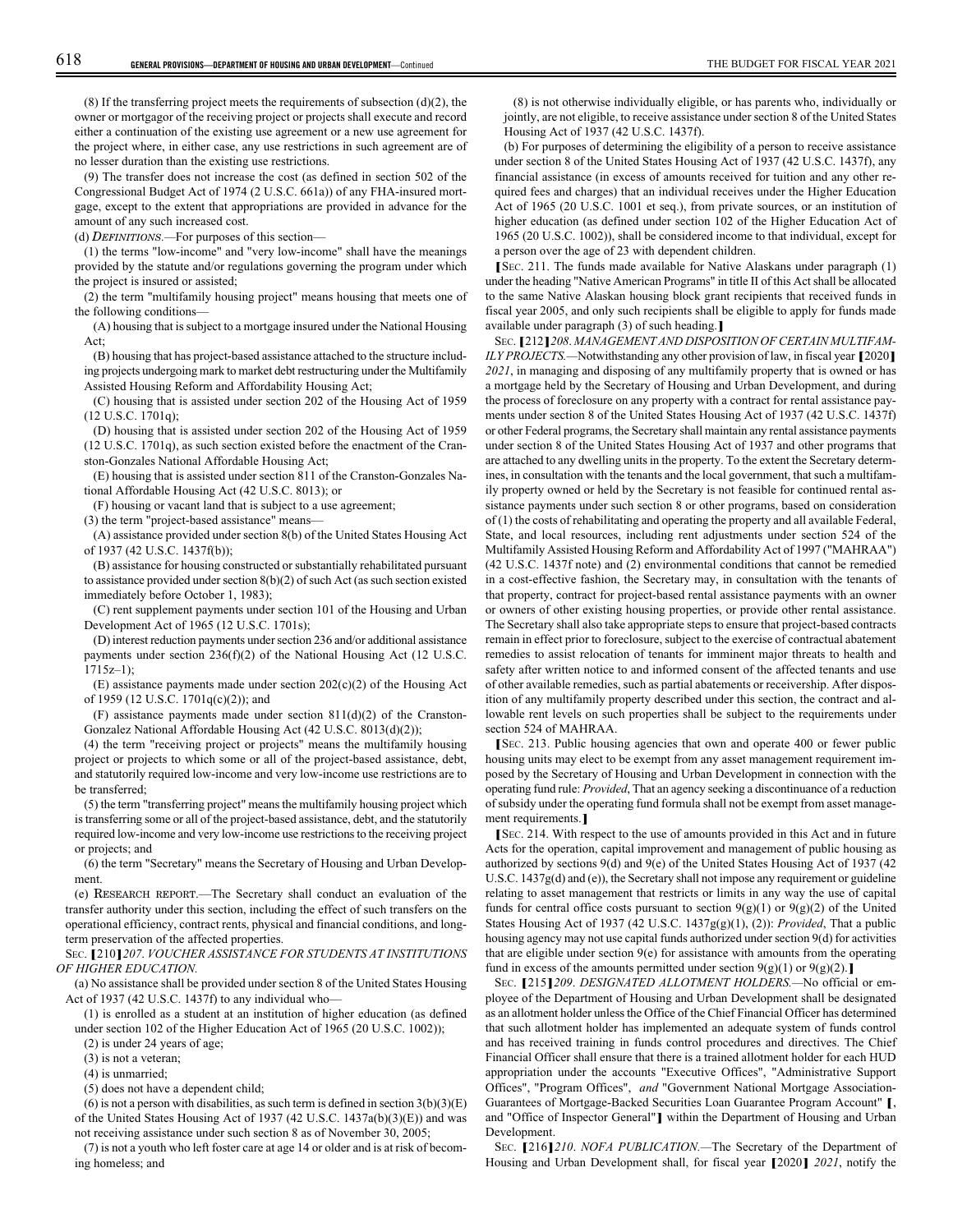$(8)$  If the transferring project meets the requirements of subsection  $(d)(2)$ , the owner or mortgagor of the receiving project or projects shall execute and record either a continuation of the existing use agreement or a new use agreement for the project where, in either case, any use restrictions in such agreement are of no lesser duration than the existing use restrictions.

(9) The transfer does not increase the cost (as defined in section 502 of the Congressional Budget Act of 1974 (2 U.S.C. 661a)) of any FHA-insured mortgage, except to the extent that appropriations are provided in advance for the amount of any such increased cost.

(d) DEFINITIONS*.—*For purposes of this section–*–*

(1) the terms "low-income" and "very low-income" shall have the meanings provided by the statute and/or regulations governing the program under which the project is insured or assisted;

(2) the term "multifamily housing project" means housing that meets one of the following conditions–*–*

(A) housing that is subject to a mortgage insured under the National Housing Act;

(B) housing that has project-based assistance attached to the structure including projects undergoing mark to market debt restructuring under the Multifamily Assisted Housing Reform and Affordability Housing Act;

(C) housing that is assisted under section 202 of the Housing Act of 1959 (12 U.S.C. 1701q);

(D) housing that is assisted under section 202 of the Housing Act of 1959 (12 U.S.C. 1701q), as such section existed before the enactment of the Cranston-Gonzales National Affordable Housing Act;

(E) housing that is assisted under section 811 of the Cranston-Gonzales National Affordable Housing Act (42 U.S.C. 8013); or

(F) housing or vacant land that is subject to a use agreement;

(3) the term "project-based assistance" means–*–*

(A) assistance provided under section 8(b) of the United States Housing Act of 1937 (42 U.S.C. 1437f(b));

(B) assistance for housing constructed or substantially rehabilitated pursuant to assistance provided under section 8(b)(2) of such Act (as such section existed immediately before October 1, 1983);

(C) rent supplement payments under section 101 of the Housing and Urban Development Act of 1965 (12 U.S.C. 1701s);

(D) interest reduction payments under section 236 and/or additional assistance payments under section 236(f)(2) of the National Housing Act (12 U.S.C.  $1715z-1$ :

(E) assistance payments made under section 202(c)(2) of the Housing Act of 1959 (12 U.S.C. 1701q(c)(2)); and

 $(F)$  assistance payments made under section  $811(d)(2)$  of the Cranston-Gonzalez National Affordable Housing Act (42 U.S.C. 8013(d)(2));

(4) the term "receiving project or projects" means the multifamily housing project or projects to which some or all of the project-based assistance, debt, and statutorily required low-income and very low-income use restrictions are to be transferred;

(5) the term "transferring project" means the multifamily housing project which is transferring some or all of the project-based assistance, debt, and the statutorily required low-income and very low-income use restrictions to the receiving project or projects; and

(6) the term "Secretary" means the Secretary of Housing and Urban Development.

(e) RESEARCH REPORT.—The Secretary shall conduct an evaluation of the transfer authority under this section, including the effect of such transfers on the operational efficiency, contract rents, physical and financial conditions, and longterm preservation of the affected properties.

<sup>S</sup>EC. **[**210**]***207*. *VOUCHER ASSISTANCE FOR STUDENTS AT INSTITUTIONS OF HIGHER EDUCATION.*

(a) No assistance shall be provided under section 8 of the United States Housing Act of 1937 (42 U.S.C. 1437f) to any individual who–*–*

(1) is enrolled as a student at an institution of higher education (as defined under section 102 of the Higher Education Act of 1965 (20 U.S.C. 1002));

(2) is under 24 years of age;

(3) is not a veteran;

(4) is unmarried;

(5) does not have a dependent child;

(6) is not a person with disabilities, as such term is defined in section  $3(b)(3)(E)$ of the United States Housing Act of 1937 (42 U.S.C. 1437a(b)(3)(E)) and was not receiving assistance under such section 8 as of November 30, 2005;

(7) is not a youth who left foster care at age 14 or older and is at risk of becoming homeless; and

(8) is not otherwise individually eligible, or has parents who, individually or jointly, are not eligible, to receive assistance under section 8 of the United States Housing Act of 1937 (42 U.S.C. 1437f).

(b) For purposes of determining the eligibility of a person to receive assistance under section 8 of the United States Housing Act of 1937 (42 U.S.C. 1437f), any financial assistance (in excess of amounts received for tuition and any other required fees and charges) that an individual receives under the Higher Education Act of 1965 (20 U.S.C. 1001 et seq.), from private sources, or an institution of higher education (as defined under section 102 of the Higher Education Act of 1965 (20 U.S.C. 1002)), shall be considered income to that individual, except for a person over the age of 23 with dependent children.

**[**<sup>S</sup>EC. 211. The funds made available for Native Alaskans under paragraph (1) under the heading "Native American Programs" in title II of this Act shall be allocated to the same Native Alaskan housing block grant recipients that received funds in fiscal year 2005, and only such recipients shall be eligible to apply for funds made available under paragraph (3) of such heading.**]**

<sup>S</sup>EC. **[**212**]***208*. *MANAGEMENT AND DISPOSITION OF CERTAIN MULTIFAM-ILY PROJECTS.—*Notwithstanding any other provision of law, in fiscal year **[**2020**]** *2021*, in managing and disposing of any multifamily property that is owned or has a mortgage held by the Secretary of Housing and Urban Development, and during the process of foreclosure on any property with a contract for rental assistance payments under section 8 of the United States Housing Act of 1937 (42 U.S.C. 1437f) or other Federal programs, the Secretary shall maintain any rental assistance payments under section 8 of the United States Housing Act of 1937 and other programs that are attached to any dwelling units in the property. To the extent the Secretary determines, in consultation with the tenants and the local government, that such a multifamily property owned or held by the Secretary is not feasible for continued rental assistance payments under such section 8 or other programs, based on consideration of (1) the costs of rehabilitating and operating the property and all available Federal, State, and local resources, including rent adjustments under section 524 of the Multifamily Assisted Housing Reform and Affordability Act of 1997 ("MAHRAA") (42 U.S.C. 1437f note) and (2) environmental conditions that cannot be remedied in a cost-effective fashion, the Secretary may, in consultation with the tenants of that property, contract for project-based rental assistance payments with an owner or owners of other existing housing properties, or provide other rental assistance. The Secretary shall also take appropriate steps to ensure that project-based contracts remain in effect prior to foreclosure, subject to the exercise of contractual abatement remedies to assist relocation of tenants for imminent major threats to health and safety after written notice to and informed consent of the affected tenants and use of other available remedies, such as partial abatements or receivership. After disposition of any multifamily property described under this section, the contract and allowable rent levels on such properties shall be subject to the requirements under section 524 of MAHRAA.

**[**<sup>S</sup>EC. 213. Public housing agencies that own and operate 400 or fewer public housing units may elect to be exempt from any asset management requirement imposed by the Secretary of Housing and Urban Development in connection with the operating fund rule: *Provided*, That an agency seeking a discontinuance of a reduction of subsidy under the operating fund formula shall not be exempt from asset management requirements.**]**

**[**<sup>S</sup>EC. 214. With respect to the use of amounts provided in this Act and in future Acts for the operation, capital improvement and management of public housing as authorized by sections 9(d) and 9(e) of the United States Housing Act of 1937 (42 U.S.C. 1437g(d) and (e)), the Secretary shall not impose any requirement or guideline relating to asset management that restricts or limits in any way the use of capital funds for central office costs pursuant to section  $9(g)(1)$  or  $9(g)(2)$  of the United States Housing Act of 1937 (42 U.S.C. 1437g(g)(1), (2)): *Provided*, That a public housing agency may not use capital funds authorized under section 9(d) for activities that are eligible under section  $9(e)$  for assistance with amounts from the operating fund in excess of the amounts permitted under section  $9(g)(1)$  or  $9(g)(2)$ .

<sup>S</sup>EC. **[**215**]***209*. *DESIGNATED ALLOTMENT HOLDERS.—*No official or employee of the Department of Housing and Urban Development shall be designated as an allotment holder unless the Office of the Chief Financial Officer has determined that such allotment holder has implemented an adequate system of funds control and has received training in funds control procedures and directives. The Chief Financial Officer shall ensure that there is a trained allotment holder for each HUD appropriation under the accounts "Executive Offices", "Administrative Support Offices", "Program Offices", *and* "Government National Mortgage Association-Guarantees of Mortgage-Backed Securities Loan Guarantee Program Account" **[**, and "Office of Inspector General"**]** within the Department of Housing and Urban Development.

<sup>S</sup>EC. **[**216**]***210*. *NOFA PUBLICATION.—*The Secretary of the Department of Housing and Urban Development shall, for fiscal year **[**2020**]** *2021*, notify the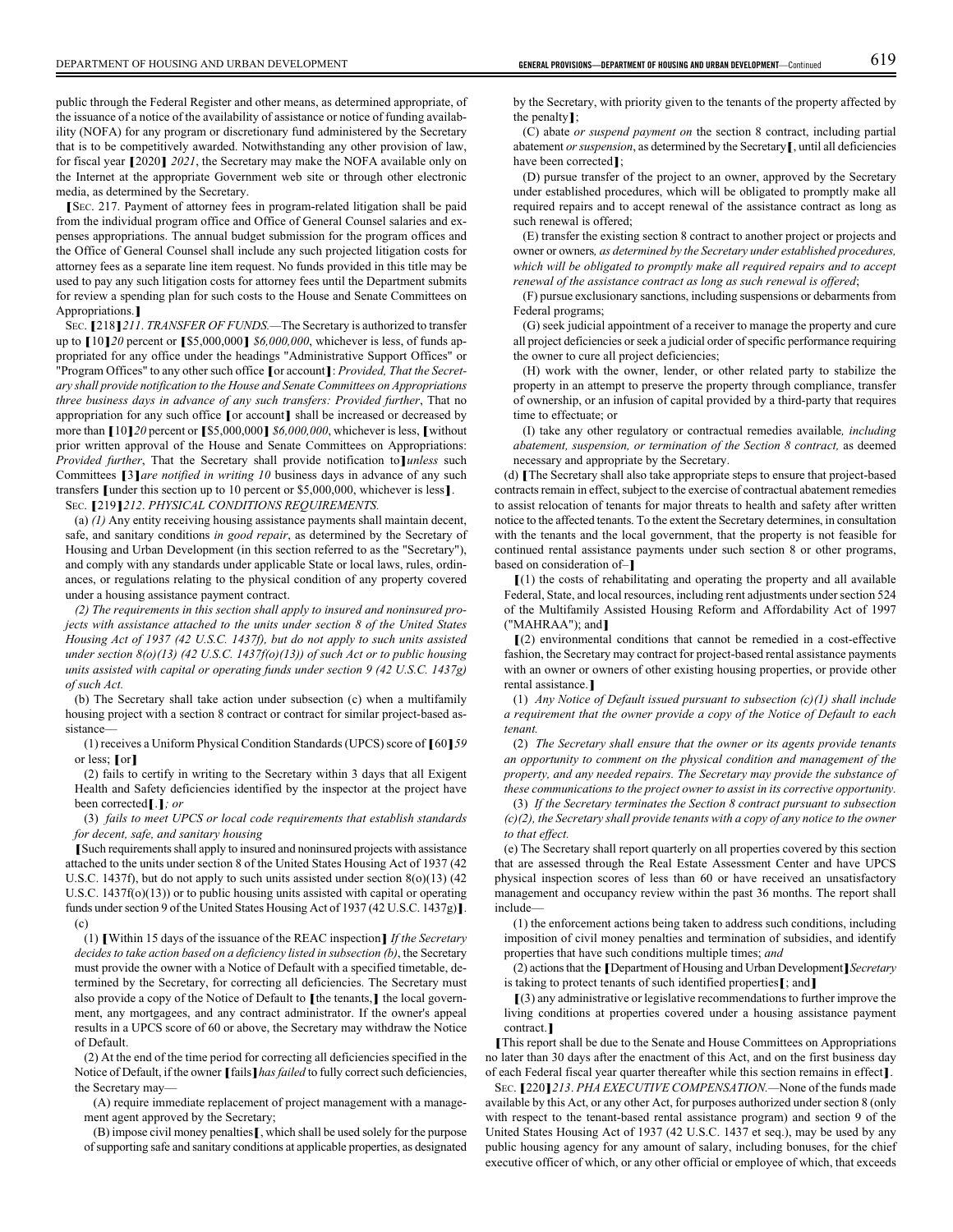public through the Federal Register and other means, as determined appropriate, of the issuance of a notice of the availability of assistance or notice of funding availability (NOFA) for any program or discretionary fund administered by the Secretary that is to be competitively awarded. Notwithstanding any other provision of law, for fiscal year **[**2020**]** *2021*, the Secretary may make the NOFA available only on the Internet at the appropriate Government web site or through other electronic media, as determined by the Secretary.

**[**<sup>S</sup>EC. 217. Payment of attorney fees in program-related litigation shall be paid from the individual program office and Office of General Counsel salaries and expenses appropriations. The annual budget submission for the program offices and the Office of General Counsel shall include any such projected litigation costs for attorney fees as a separate line item request. No funds provided in this title may be used to pay any such litigation costs for attorney fees until the Department submits for review a spending plan for such costs to the House and Senate Committees on Appropriations.**]**

<sup>S</sup>EC. **[**218**]***211*. *TRANSFER OF FUNDS.—*The Secretary is authorized to transfer up to **[**10**]***20* percent or **[**\$5,000,000**]** *\$6,000,000*, whichever is less, of funds appropriated for any office under the headings "Administrative Support Offices" or "Program Offices" to any other such office **[**or account**]**: *Provided, That the Secretary shall provide notification to the House and Senate Committees on Appropriations three business days in advance of any such transfers: Provided further*, That no appropriation for any such office **[**or account**]** shall be increased or decreased by more than **[**10**]***20* percent or **[**\$5,000,000**]** *\$6,000,000*, whichever is less, **[**without prior written approval of the House and Senate Committees on Appropriations: *Provided further*, That the Secretary shall provide notification to**]***unless* such Committees **[**3**]***are notified in writing 10* business days in advance of any such transfers **[**under this section up to 10 percent or \$5,000,000, whichever is less**]**. <sup>S</sup>EC. **[**219**]***212*. *PHYSICAL CONDITIONS REQUIREMENTS.*

(a) *(1)* Any entity receiving housing assistance payments shall maintain decent, safe, and sanitary conditions *in good repair*, as determined by the Secretary of Housing and Urban Development (in this section referred to as the "Secretary"), and comply with any standards under applicable State or local laws, rules, ordinances, or regulations relating to the physical condition of any property covered under a housing assistance payment contract.

*(2) The requirements in this section shall apply to insured and noninsured projects with assistance attached to the units under section 8 of the United States Housing Act of 1937 (42 U.S.C. 1437f), but do not apply to such units assisted under section 8(o)(13) (42 U.S.C. 1437f(o)(13)) of such Act or to public housing units assisted with capital or operating funds under section 9 (42 U.S.C. 1437g) of such Act.*

(b) The Secretary shall take action under subsection (c) when a multifamily housing project with a section 8 contract or contract for similar project-based assistance–*–*

(1) receives a Uniform Physical Condition Standards (UPCS) score of **[**60**]***<sup>59</sup>* or less; **[**or**]**

(2) fails to certify in writing to the Secretary within 3 days that all Exigent Health and Safety deficiencies identified by the inspector at the project have been corrected**[**.**]***; or*

(3) *fails to meet UPCS or local code requirements that establish standards for decent, safe, and sanitary housing*

**[**Such requirements shall apply to insured and noninsured projects with assistance attached to the units under section 8 of the United States Housing Act of 1937 (42 U.S.C. 1437f), but do not apply to such units assisted under section 8(o)(13) (42 U.S.C. 1437f(o)(13)) or to public housing units assisted with capital or operating funds under section 9 of the United States Housing Act of 1937 (42 U.S.C. 1437g)**]**. (c)

(1) **[**Within 15 days of the issuance of the REAC inspection**]** *If the Secretary decides to take action based on a deficiency listed in subsection (b)*, the Secretary must provide the owner with a Notice of Default with a specified timetable, determined by the Secretary, for correcting all deficiencies. The Secretary must also provide a copy of the Notice of Default to **[**the tenants,**]** the local government, any mortgagees, and any contract administrator. If the owner's appeal results in a UPCS score of 60 or above, the Secretary may withdraw the Notice of Default.

(2) At the end of the time period for correcting all deficiencies specified in the Notice of Default, if the owner **[**fails**]***has failed* to fully correct such deficiencies, the Secretary may–*–*

(A) require immediate replacement of project management with a management agent approved by the Secretary;

(B) impose civil money penalties**[**, which shall be used solely for the purpose of supporting safe and sanitary conditions at applicable properties, as designated by the Secretary, with priority given to the tenants of the property affected by the penalty**]**;

(C) abate *or suspend payment on* the section 8 contract, including partial abatement *or suspension*, as determined by the Secretary**[**, until all deficiencies have been corrected**]**;

(D) pursue transfer of the project to an owner, approved by the Secretary under established procedures, which will be obligated to promptly make all required repairs and to accept renewal of the assistance contract as long as such renewal is offered;

(E) transfer the existing section 8 contract to another project or projects and owner or owners*, as determined by the Secretary under established procedures, which will be obligated to promptly make all required repairs and to accept renewal of the assistance contract as long as such renewal is offered*;

(F) pursue exclusionary sanctions, including suspensions or debarments from Federal programs;

(G) seek judicial appointment of a receiver to manage the property and cure all project deficiencies or seek a judicial order of specific performance requiring the owner to cure all project deficiencies;

(H) work with the owner, lender, or other related party to stabilize the property in an attempt to preserve the property through compliance, transfer of ownership, or an infusion of capital provided by a third-party that requires time to effectuate; or

(I) take any other regulatory or contractual remedies available*, including abatement, suspension, or termination of the Section 8 contract,* as deemed necessary and appropriate by the Secretary.

(d) **[**The Secretary shall also take appropriate steps to ensure that project-based contracts remain in effect, subject to the exercise of contractual abatement remedies to assist relocation of tenants for major threats to health and safety after written notice to the affected tenants. To the extent the Secretary determines, in consultation with the tenants and the local government, that the property is not feasible for continued rental assistance payments under such section 8 or other programs, based on consideration of–**]**

**[**(1) the costs of rehabilitating and operating the property and all available Federal, State, and local resources, including rent adjustments under section 524 of the Multifamily Assisted Housing Reform and Affordability Act of 1997 ("MAHRAA"); and**]**

**[**(2) environmental conditions that cannot be remedied in a cost-effective fashion, the Secretary may contract for project-based rental assistance payments with an owner or owners of other existing housing properties, or provide other rental assistance.**]**

(1) *Any Notice of Default issued pursuant to subsection (c)(1) shall include a requirement that the owner provide a copy of the Notice of Default to each tenant.*

(2) *The Secretary shall ensure that the owner or its agents provide tenants an opportunity to comment on the physical condition and management of the property, and any needed repairs. The Secretary may provide the substance of these communications to the project owner to assist in its corrective opportunity.*

(3) *If the Secretary terminates the Section 8 contract pursuant to subsection (c)(2), the Secretary shall provide tenants with a copy of any notice to the owner to that effect.*

(e) The Secretary shall report quarterly on all properties covered by this section that are assessed through the Real Estate Assessment Center and have UPCS physical inspection scores of less than 60 or have received an unsatisfactory management and occupancy review within the past 36 months. The report shall include–*–*

(1) the enforcement actions being taken to address such conditions, including imposition of civil money penalties and termination of subsidies, and identify properties that have such conditions multiple times; *and*

(2) actions that the **[**Department of Housing and Urban Development**]***Secretary* is taking to protect tenants of such identified properties**[**; and**]**

**[**(3) any administrative or legislative recommendations to further improve the living conditions at properties covered under a housing assistance payment contract.**]**

**[**This report shall be due to the Senate and House Committees on Appropriations no later than 30 days after the enactment of this Act, and on the first business day of each Federal fiscal year quarter thereafter while this section remains in effect**]**.

<sup>S</sup>EC. **[**220**]***213*. *PHA EXECUTIVE COMPENSATION.—*None of the funds made available by this Act, or any other Act, for purposes authorized under section 8 (only with respect to the tenant-based rental assistance program) and section 9 of the United States Housing Act of 1937 (42 U.S.C. 1437 et seq.), may be used by any public housing agency for any amount of salary, including bonuses, for the chief executive officer of which, or any other official or employee of which, that exceeds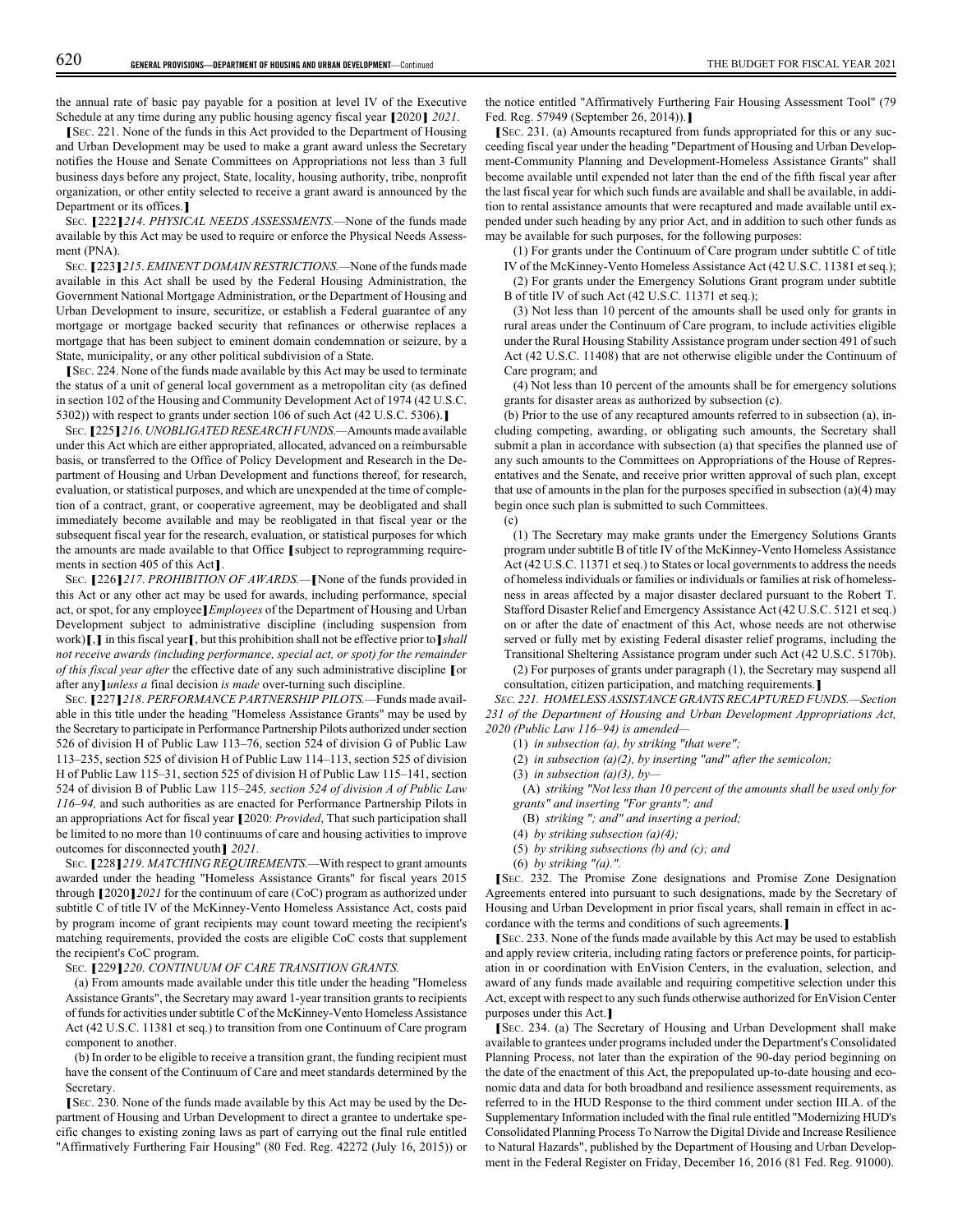the annual rate of basic pay payable for a position at level IV of the Executive Schedule at any time during any public housing agency fiscal year **[**2020**]** *2021*.

**[**<sup>S</sup>EC. 221. None of the funds in this Act provided to the Department of Housing and Urban Development may be used to make a grant award unless the Secretary notifies the House and Senate Committees on Appropriations not less than 3 full business days before any project, State, locality, housing authority, tribe, nonprofit organization, or other entity selected to receive a grant award is announced by the Department or its offices.**]**

<sup>S</sup>EC. **[**222**]***214*. *PHYSICAL NEEDS ASSESSMENTS.—*None of the funds made available by this Act may be used to require or enforce the Physical Needs Assessment (PNA).

<sup>S</sup>EC. **[**223**]***215*. *EMINENT DOMAIN RESTRICTIONS.—*None of the funds made available in this Act shall be used by the Federal Housing Administration, the Government National Mortgage Administration, or the Department of Housing and Urban Development to insure, securitize, or establish a Federal guarantee of any mortgage or mortgage backed security that refinances or otherwise replaces a mortgage that has been subject to eminent domain condemnation or seizure, by a State, municipality, or any other political subdivision of a State.

**[**<sup>S</sup>EC. 224. None of the funds made available by this Act may be used to terminate the status of a unit of general local government as a metropolitan city (as defined in section 102 of the Housing and Community Development Act of 1974 (42 U.S.C. 5302)) with respect to grants under section 106 of such Act (42 U.S.C. 5306).**]**

<sup>S</sup>EC. **[**225**]***216*. *UNOBLIGATED RESEARCH FUNDS.—*Amounts made available under this Act which are either appropriated, allocated, advanced on a reimbursable basis, or transferred to the Office of Policy Development and Research in the Department of Housing and Urban Development and functions thereof, for research, evaluation, or statistical purposes, and which are unexpended at the time of completion of a contract, grant, or cooperative agreement, may be deobligated and shall immediately become available and may be reobligated in that fiscal year or the subsequent fiscal year for the research, evaluation, or statistical purposes for which the amounts are made available to that Office **[**subject to reprogramming requirements in section 405 of this Act**]**.

<sup>S</sup>EC. **[**226**]***217*. *PROHIBITION OF AWARDS.—***[**None of the funds provided in this Act or any other act may be used for awards, including performance, special act, or spot, for any employee**]***Employees* of the Department of Housing and Urban Development subject to administrative discipline (including suspension from work)**[**,**]** in this fiscal year**[**, but this prohibition shall not be effective prior to**]***shall not receive awards (including performance, special act, or spot) for the remainder of this fiscal year after* the effective date of any such administrative discipline **[**or after any**]***unless a* final decision *is made* over-turning such discipline.

<sup>S</sup>EC. **[**227**]***218*. *PERFORMANCE PARTNERSHIP PILOTS.—*Funds made available in this title under the heading "Homeless Assistance Grants" may be used by the Secretary to participate in Performance Partnership Pilots authorized under section 526 of division H of Public Law 113–76, section 524 of division G of Public Law 113–235, section 525 of division H of Public Law 114–113, section 525 of division H of Public Law 115–31, section 525 of division H of Public Law 115–141, section 524 of division B of Public Law 115–245*, section 524 of division A of Public Law 116–94,* and such authorities as are enacted for Performance Partnership Pilots in an appropriations Act for fiscal year **[**2020: *Provided*, That such participation shall be limited to no more than 10 continuums of care and housing activities to improve outcomes for disconnected youth**]** *2021*.

<sup>S</sup>EC. **[**228**]***219*. *MATCHING REQUIREMENTS.—*With respect to grant amounts awarded under the heading "Homeless Assistance Grants" for fiscal years 2015 through **[**2020**]***2021* for the continuum of care (CoC) program as authorized under subtitle C of title IV of the McKinney-Vento Homeless Assistance Act, costs paid by program income of grant recipients may count toward meeting the recipient's matching requirements, provided the costs are eligible CoC costs that supplement the recipient's CoC program.

<sup>S</sup>EC. **[**229**]***220*. *CONTINUUM OF CARE TRANSITION GRANTS.*

(a) From amounts made available under this title under the heading "Homeless Assistance Grants", the Secretary may award 1-year transition grants to recipients of funds for activities under subtitle C of the McKinney-Vento Homeless Assistance Act (42 U.S.C. 11381 et seq.) to transition from one Continuum of Care program component to another.

(b) In order to be eligible to receive a transition grant, the funding recipient must have the consent of the Continuum of Care and meet standards determined by the Secretary.

**[**<sup>S</sup>EC. 230. None of the funds made available by this Act may be used by the Department of Housing and Urban Development to direct a grantee to undertake specific changes to existing zoning laws as part of carrying out the final rule entitled "Affirmatively Furthering Fair Housing" (80 Fed. Reg. 42272 (July 16, 2015)) or the notice entitled "Affirmatively Furthering Fair Housing Assessment Tool" (79 Fed. Reg. 57949 (September 26, 2014)).**]**

**[**<sup>S</sup>EC. 231. (a) Amounts recaptured from funds appropriated for this or any succeeding fiscal year under the heading "Department of Housing and Urban Development-Community Planning and Development-Homeless Assistance Grants" shall become available until expended not later than the end of the fifth fiscal year after the last fiscal year for which such funds are available and shall be available, in addition to rental assistance amounts that were recaptured and made available until expended under such heading by any prior Act, and in addition to such other funds as may be available for such purposes, for the following purposes:

(1) For grants under the Continuum of Care program under subtitle C of title IV of the McKinney-Vento Homeless Assistance Act (42 U.S.C. 11381 et seq.);

(2) For grants under the Emergency Solutions Grant program under subtitle B of title IV of such Act (42 U.S.C. 11371 et seq.);

(3) Not less than 10 percent of the amounts shall be used only for grants in rural areas under the Continuum of Care program, to include activities eligible under the Rural Housing Stability Assistance program under section 491 of such Act (42 U.S.C. 11408) that are not otherwise eligible under the Continuum of Care program; and

(4) Not less than 10 percent of the amounts shall be for emergency solutions grants for disaster areas as authorized by subsection (c).

(b) Prior to the use of any recaptured amounts referred to in subsection (a), including competing, awarding, or obligating such amounts, the Secretary shall submit a plan in accordance with subsection (a) that specifies the planned use of any such amounts to the Committees on Appropriations of the House of Representatives and the Senate, and receive prior written approval of such plan, except that use of amounts in the plan for the purposes specified in subsection  $(a)(4)$  may begin once such plan is submitted to such Committees.

(c)

(1) The Secretary may make grants under the Emergency Solutions Grants program under subtitle B of title IV of the McKinney-Vento Homeless Assistance Act (42 U.S.C. 11371 et seq.) to States or local governments to address the needs of homeless individuals or families or individuals or families at risk of homelessness in areas affected by a major disaster declared pursuant to the Robert T. Stafford Disaster Relief and Emergency Assistance Act (42 U.S.C. 5121 et seq.) on or after the date of enactment of this Act, whose needs are not otherwise served or fully met by existing Federal disaster relief programs, including the Transitional Sheltering Assistance program under such Act (42 U.S.C. 5170b). (2) For purposes of grants under paragraph (1), the Secretary may suspend all

consultation, citizen participation, and matching requirements.**]**

*SEC. 221. HOMELESS ASSISTANCE GRANTS RECAPTURED FUNDS.—Section 231 of the Department of Housing and Urban Development Appropriations Act, 2020 (Public Law 116–94) is amended—*

(1) *in subsection (a), by striking "that were";*

(2) *in subsection (a)(2), by inserting "and" after the semicolon;*

(3) *in subsection (a)(3), by—*

(A) *striking "Not less than 10 percent of the amounts shall be used only for grants" and inserting "For grants"; and*

(B) *striking "; and" and inserting a period;*

(4) *by striking subsection (a)(4);*

(5) *by striking subsections (b) and (c); and*

(6) *by striking "(a).".*

**[**<sup>S</sup>EC. 232. The Promise Zone designations and Promise Zone Designation Agreements entered into pursuant to such designations, made by the Secretary of Housing and Urban Development in prior fiscal years, shall remain in effect in accordance with the terms and conditions of such agreements.**]**

**[**<sup>S</sup>EC. 233. None of the funds made available by this Act may be used to establish and apply review criteria, including rating factors or preference points, for participation in or coordination with EnVision Centers, in the evaluation, selection, and award of any funds made available and requiring competitive selection under this Act, except with respect to any such funds otherwise authorized for EnVision Center purposes under this Act.**]**

**[**<sup>S</sup>EC. 234. (a) The Secretary of Housing and Urban Development shall make available to grantees under programs included under the Department's Consolidated Planning Process, not later than the expiration of the 90-day period beginning on the date of the enactment of this Act, the prepopulated up-to-date housing and economic data and data for both broadband and resilience assessment requirements, as referred to in the HUD Response to the third comment under section III.A. of the Supplementary Information included with the final rule entitled "Modernizing HUD's Consolidated Planning Process To Narrow the Digital Divide and Increase Resilience to Natural Hazards", published by the Department of Housing and Urban Development in the Federal Register on Friday, December 16, 2016 (81 Fed. Reg. 91000).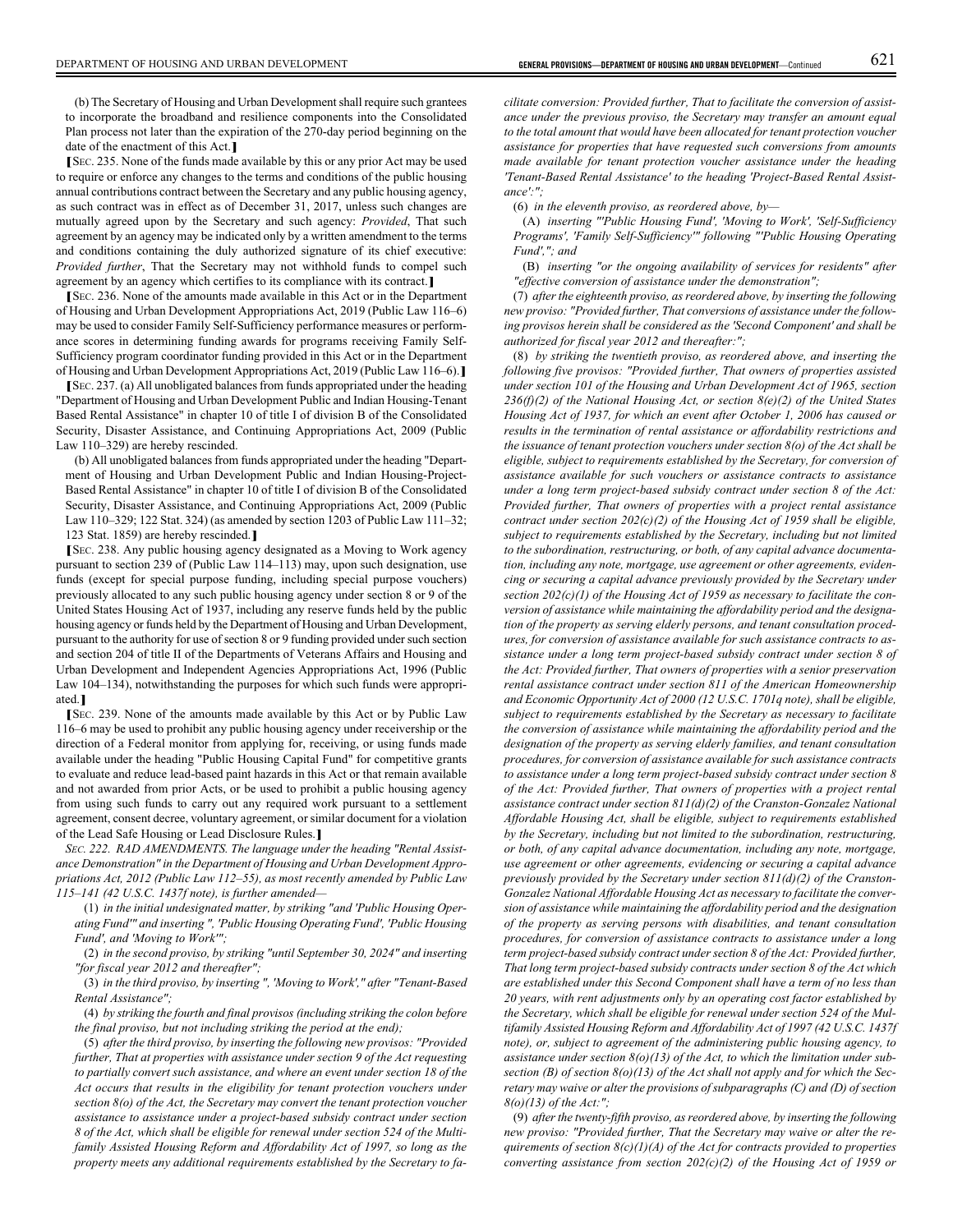(b) The Secretary of Housing and Urban Development shall require such grantees to incorporate the broadband and resilience components into the Consolidated Plan process not later than the expiration of the 270-day period beginning on the date of the enactment of this Act.**]**

**[**<sup>S</sup>EC. 235. None of the funds made available by this or any prior Act may be used to require or enforce any changes to the terms and conditions of the public housing annual contributions contract between the Secretary and any public housing agency, as such contract was in effect as of December 31, 2017, unless such changes are mutually agreed upon by the Secretary and such agency: *Provided*, That such agreement by an agency may be indicated only by a written amendment to the terms and conditions containing the duly authorized signature of its chief executive: *Provided further*, That the Secretary may not withhold funds to compel such agreement by an agency which certifies to its compliance with its contract.**]**

**[**<sup>S</sup>EC. 236. None of the amounts made available in this Act or in the Department of Housing and Urban Development Appropriations Act, 2019 (Public Law 116–6) may be used to consider Family Self-Sufficiency performance measures or performance scores in determining funding awards for programs receiving Family Self-Sufficiency program coordinator funding provided in this Act or in the Department of Housing and Urban Development Appropriations Act, 2019 (Public Law 116–6).**]**

**[**<sup>S</sup>EC. 237. (a) All unobligated balances from funds appropriated under the heading "Department of Housing and Urban Development Public and Indian Housing-Tenant Based Rental Assistance" in chapter 10 of title I of division B of the Consolidated Security, Disaster Assistance, and Continuing Appropriations Act, 2009 (Public Law 110–329) are hereby rescinded.

(b) All unobligated balances from funds appropriated under the heading "Department of Housing and Urban Development Public and Indian Housing-Project-Based Rental Assistance" in chapter 10 of title I of division B of the Consolidated Security, Disaster Assistance, and Continuing Appropriations Act, 2009 (Public Law 110–329; 122 Stat. 324) (as amended by section 1203 of Public Law 111–32; 123 Stat. 1859) are hereby rescinded.**]**

**[**<sup>S</sup>EC. 238. Any public housing agency designated as a Moving to Work agency pursuant to section 239 of (Public Law 114–113) may, upon such designation, use funds (except for special purpose funding, including special purpose vouchers) previously allocated to any such public housing agency under section 8 or 9 of the United States Housing Act of 1937, including any reserve funds held by the public housing agency or funds held by the Department of Housing and Urban Development, pursuant to the authority for use of section 8 or 9 funding provided under such section and section 204 of title II of the Departments of Veterans Affairs and Housing and Urban Development and Independent Agencies Appropriations Act, 1996 (Public Law 104–134), notwithstanding the purposes for which such funds were appropriated.**]**

**[**<sup>S</sup>EC. 239. None of the amounts made available by this Act or by Public Law 116–6 may be used to prohibit any public housing agency under receivership or the direction of a Federal monitor from applying for, receiving, or using funds made available under the heading "Public Housing Capital Fund" for competitive grants to evaluate and reduce lead-based paint hazards in this Act or that remain available and not awarded from prior Acts, or be used to prohibit a public housing agency from using such funds to carry out any required work pursuant to a settlement agreement, consent decree, voluntary agreement, or similar document for a violation of the Lead Safe Housing or Lead Disclosure Rules.**]**

*SEC. 222. RAD AMENDMENTS. The language under the heading "Rental Assistance Demonstration" in the Department of Housing and Urban Development Appropriations Act, 2012 (Public Law 112–55), as most recently amended by Public Law 115–141 (42 U.S.C. 1437f note), is further amended—*

(1) *in the initial undesignated matter, by striking "and 'Public Housing Operating Fund'" and inserting ", 'Public Housing Operating Fund', 'Public Housing Fund', and 'Moving to Work'";*

(2) *in the second proviso, by striking "until September 30, 2024" and inserting "for fiscal year 2012 and thereafter";*

(3) *in the third proviso, by inserting ", 'Moving to Work'," after "Tenant-Based Rental Assistance";*

(4) *by striking the fourth and final provisos (including striking the colon before the final proviso, but not including striking the period at the end);*

(5) *after the third proviso, by inserting the following new provisos: "Provided further, That at properties with assistance under section 9 of the Act requesting to partially convert such assistance, and where an event under section 18 of the Act occurs that results in the eligibility for tenant protection vouchers under section 8(o) of the Act, the Secretary may convert the tenant protection voucher assistance to assistance under a project-based subsidy contract under section 8 of the Act, which shall be eligible for renewal under section 524 of the Multifamily Assisted Housing Reform and Affordability Act of 1997, so long as the property meets any additional requirements established by the Secretary to fa-*

*cilitate conversion: Provided further, That to facilitate the conversion of assistance under the previous proviso, the Secretary may transfer an amount equal to the total amount that would have been allocated for tenant protection voucher assistance for properties that have requested such conversions from amounts made available for tenant protection voucher assistance under the heading 'Tenant-Based Rental Assistance' to the heading 'Project-Based Rental Assistance':";*

(6) *in the eleventh proviso, as reordered above, by—*

(A) *inserting "'Public Housing Fund', 'Moving to Work', 'Self-Sufficiency Programs', 'Family Self-Sufficiency'" following "'Public Housing Operating Fund',"; and*

(B) *inserting "or the ongoing availability of services for residents" after "effective conversion of assistance under the demonstration";*

(7) *after the eighteenth proviso, as reordered above, by inserting the following new proviso: "Provided further, That conversions of assistance under the following provisos herein shall be considered as the 'Second Component' and shall be authorized for fiscal year 2012 and thereafter:";*

(8) *by striking the twentieth proviso, as reordered above, and inserting the following five provisos: "Provided further, That owners of properties assisted under section 101 of the Housing and Urban Development Act of 1965, section 236(f)(2) of the National Housing Act, or section 8(e)(2) of the United States Housing Act of 1937, for which an event after October 1, 2006 has caused or results in the termination of rental assistance or affordability restrictions and the issuance of tenant protection vouchers under section 8(o) of the Act shall be eligible, subject to requirements established by the Secretary, for conversion of assistance available for such vouchers or assistance contracts to assistance under a long term project-based subsidy contract under section 8 of the Act: Provided further, That owners of properties with a project rental assistance contract under section 202(c)(2) of the Housing Act of 1959 shall be eligible, subject to requirements established by the Secretary, including but not limited to the subordination, restructuring, or both, of any capital advance documentation, including any note, mortgage, use agreement or other agreements, evidencing or securing a capital advance previously provided by the Secretary under section 202(c)(1) of the Housing Act of 1959 as necessary to facilitate the conversion of assistance while maintaining the affordability period and the designation of the property as serving elderly persons, and tenant consultation procedures, for conversion of assistance available for such assistance contracts to assistance under a long term project-based subsidy contract under section 8 of the Act: Provided further, That owners of properties with a senior preservation rental assistance contract under section 811 of the American Homeownership and Economic Opportunity Act of 2000 (12 U.S.C. 1701q note), shall be eligible, subject to requirements established by the Secretary as necessary to facilitate the conversion of assistance while maintaining the affordability period and the designation of the property as serving elderly families, and tenant consultation procedures, for conversion of assistance available for such assistance contracts to assistance under a long term project-based subsidy contract under section 8 of the Act: Provided further, That owners of properties with a project rental assistance contract under section 811(d)(2) of the Cranston-Gonzalez National Affordable Housing Act, shall be eligible, subject to requirements established by the Secretary, including but not limited to the subordination, restructuring, or both, of any capital advance documentation, including any note, mortgage, use agreement or other agreements, evidencing or securing a capital advance previously provided by the Secretary under section 811(d)(2) of the Cranston-Gonzalez National Affordable Housing Act as necessary to facilitate the conversion of assistance while maintaining the affordability period and the designation of the property as serving persons with disabilities, and tenant consultation procedures, for conversion of assistance contracts to assistance under a long term project-based subsidy contract under section 8 of the Act: Provided further, That long term project-based subsidy contracts under section 8 of the Act which are established under this Second Component shall have a term of no less than 20 years, with rent adjustments only by an operating cost factor established by the Secretary, which shall be eligible for renewal under section 524 of the Multifamily Assisted Housing Reform and Affordability Act of 1997 (42 U.S.C. 1437f note), or, subject to agreement of the administering public housing agency, to assistance under section 8(o)(13) of the Act, to which the limitation under subsection (B) of section 8(o)(13) of the Act shall not apply and for which the Secretary may waive or alter the provisions of subparagraphs (C) and (D) of section 8(o)(13) of the Act:";*

(9) *after the twenty-fifth proviso, as reordered above, by inserting the following new proviso: "Provided further, That the Secretary may waive or alter the requirements of section 8(c)(1)(A) of the Act for contracts provided to properties converting assistance from section 202(c)(2) of the Housing Act of 1959 or*